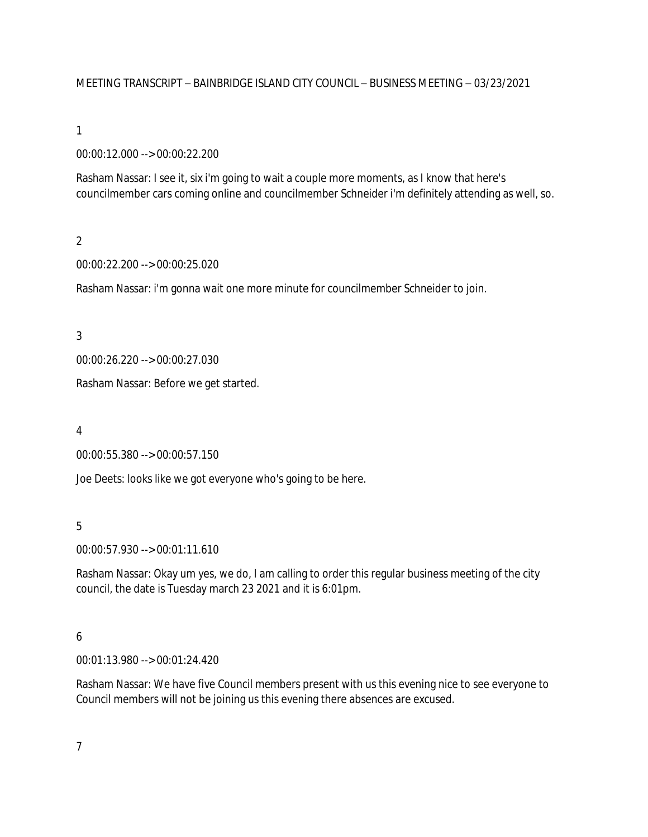MEETING TRANSCRIPT – BAINBRIDGE ISLAND CITY COUNCIL – BUSINESS MEETING – 03/23/2021

## 1

00:00:12.000 --> 00:00:22.200

Rasham Nassar: I see it, six i'm going to wait a couple more moments, as I know that here's councilmember cars coming online and councilmember Schneider i'm definitely attending as well, so.

# $\overline{2}$

00:00:22.200 --> 00:00:25.020

Rasham Nassar: i'm gonna wait one more minute for councilmember Schneider to join.

3

00:00:26.220 --> 00:00:27.030

Rasham Nassar: Before we get started.

#### 4

00:00:55.380 --> 00:00:57.150

Joe Deets: looks like we got everyone who's going to be here.

# 5

00:00:57.930 --> 00:01:11.610

Rasham Nassar: Okay um yes, we do, I am calling to order this regular business meeting of the city council, the date is Tuesday march 23 2021 and it is 6:01pm.

## 6

00:01:13.980 --> 00:01:24.420

Rasham Nassar: We have five Council members present with us this evening nice to see everyone to Council members will not be joining us this evening there absences are excused.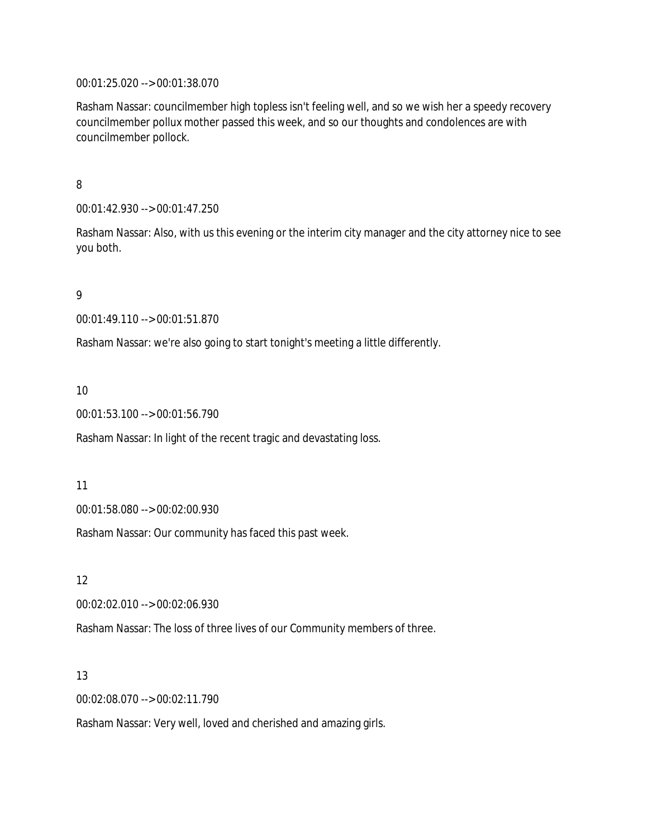00:01:25.020 --> 00:01:38.070

Rasham Nassar: councilmember high topless isn't feeling well, and so we wish her a speedy recovery councilmember pollux mother passed this week, and so our thoughts and condolences are with councilmember pollock.

8

00:01:42.930 --> 00:01:47.250

Rasham Nassar: Also, with us this evening or the interim city manager and the city attorney nice to see you both.

9

00:01:49.110 --> 00:01:51.870

Rasham Nassar: we're also going to start tonight's meeting a little differently.

10

00:01:53.100 --> 00:01:56.790

Rasham Nassar: In light of the recent tragic and devastating loss.

11

00:01:58.080 --> 00:02:00.930

Rasham Nassar: Our community has faced this past week.

12

00:02:02.010 --> 00:02:06.930

Rasham Nassar: The loss of three lives of our Community members of three.

13

00:02:08.070 --> 00:02:11.790

Rasham Nassar: Very well, loved and cherished and amazing girls.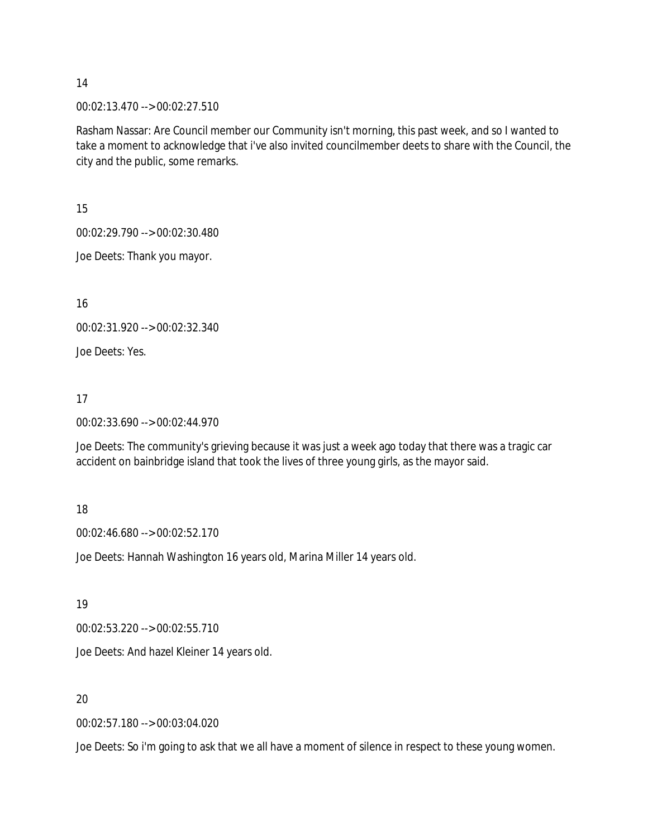00:02:13.470 --> 00:02:27.510

Rasham Nassar: Are Council member our Community isn't morning, this past week, and so I wanted to take a moment to acknowledge that i've also invited councilmember deets to share with the Council, the city and the public, some remarks.

15

00:02:29.790 --> 00:02:30.480

Joe Deets: Thank you mayor.

16

00:02:31.920 --> 00:02:32.340

Joe Deets: Yes.

## 17

00:02:33.690 --> 00:02:44.970

Joe Deets: The community's grieving because it was just a week ago today that there was a tragic car accident on bainbridge island that took the lives of three young girls, as the mayor said.

## 18

00:02:46.680 --> 00:02:52.170

Joe Deets: Hannah Washington 16 years old, Marina Miller 14 years old.

# 19

00:02:53.220 --> 00:02:55.710

Joe Deets: And hazel Kleiner 14 years old.

# 20

00:02:57.180 --> 00:03:04.020

Joe Deets: So i'm going to ask that we all have a moment of silence in respect to these young women.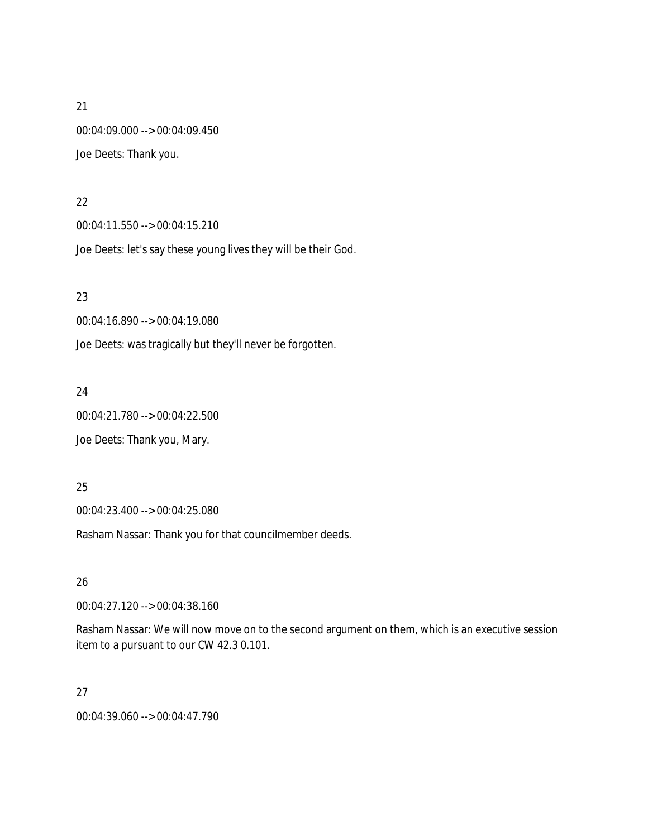21 00:04:09.000 --> 00:04:09.450 Joe Deets: Thank you.

#### 22

00:04:11.550 --> 00:04:15.210

Joe Deets: let's say these young lives they will be their God.

23

00:04:16.890 --> 00:04:19.080

Joe Deets: was tragically but they'll never be forgotten.

24

00:04:21.780 --> 00:04:22.500

Joe Deets: Thank you, Mary.

25

00:04:23.400 --> 00:04:25.080

Rasham Nassar: Thank you for that councilmember deeds.

26

00:04:27.120 --> 00:04:38.160

Rasham Nassar: We will now move on to the second argument on them, which is an executive session item to a pursuant to our CW 42.3 0.101.

## 27

00:04:39.060 --> 00:04:47.790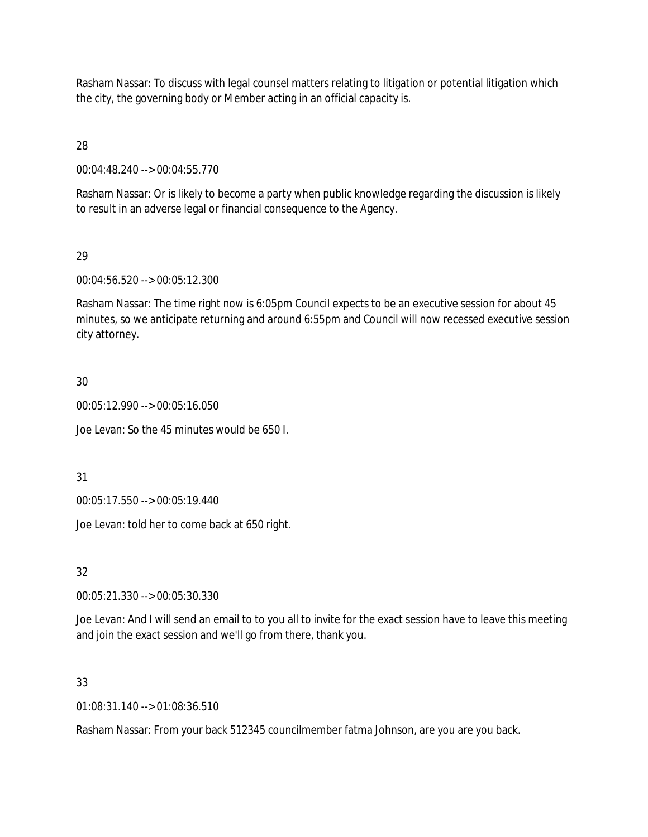Rasham Nassar: To discuss with legal counsel matters relating to litigation or potential litigation which the city, the governing body or Member acting in an official capacity is.

28

00:04:48.240 --> 00:04:55.770

Rasham Nassar: Or is likely to become a party when public knowledge regarding the discussion is likely to result in an adverse legal or financial consequence to the Agency.

# 29

00:04:56.520 --> 00:05:12.300

Rasham Nassar: The time right now is 6:05pm Council expects to be an executive session for about 45 minutes, so we anticipate returning and around 6:55pm and Council will now recessed executive session city attorney.

# 30

00:05:12.990 --> 00:05:16.050

Joe Levan: So the 45 minutes would be 650 I.

# 31

00:05:17.550 --> 00:05:19.440

Joe Levan: told her to come back at 650 right.

# 32

00:05:21.330 --> 00:05:30.330

Joe Levan: And I will send an email to to you all to invite for the exact session have to leave this meeting and join the exact session and we'll go from there, thank you.

# 33

01:08:31.140 --> 01:08:36.510

Rasham Nassar: From your back 512345 councilmember fatma Johnson, are you are you back.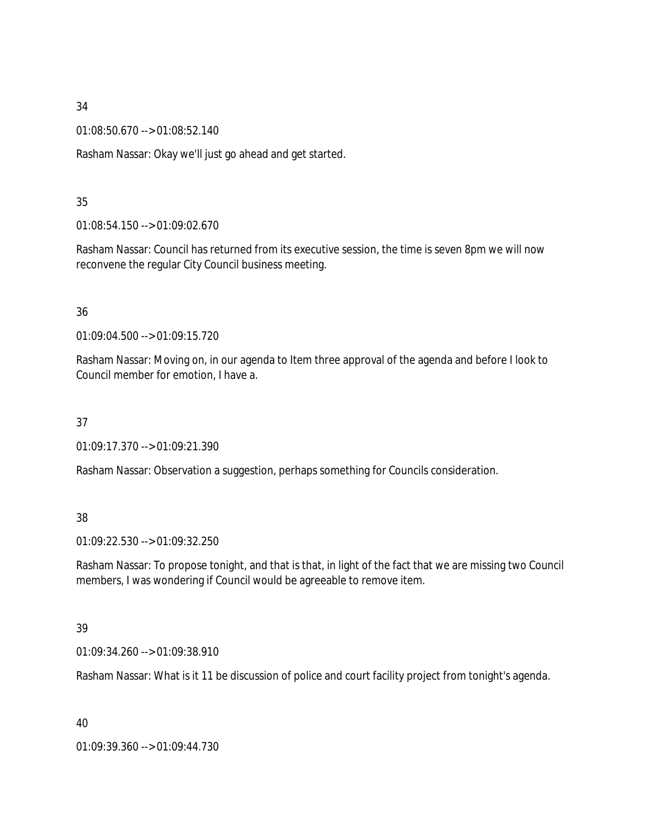01:08:50.670 --> 01:08:52.140

Rasham Nassar: Okay we'll just go ahead and get started.

## 35

01:08:54.150 --> 01:09:02.670

Rasham Nassar: Council has returned from its executive session, the time is seven 8pm we will now reconvene the regular City Council business meeting.

# 36

01:09:04.500 --> 01:09:15.720

Rasham Nassar: Moving on, in our agenda to Item three approval of the agenda and before I look to Council member for emotion, I have a.

## 37

01:09:17.370 --> 01:09:21.390

Rasham Nassar: Observation a suggestion, perhaps something for Councils consideration.

# 38

01:09:22.530 --> 01:09:32.250

Rasham Nassar: To propose tonight, and that is that, in light of the fact that we are missing two Council members, I was wondering if Council would be agreeable to remove item.

# 39

01:09:34.260 --> 01:09:38.910

Rasham Nassar: What is it 11 be discussion of police and court facility project from tonight's agenda.

40

01:09:39.360 --> 01:09:44.730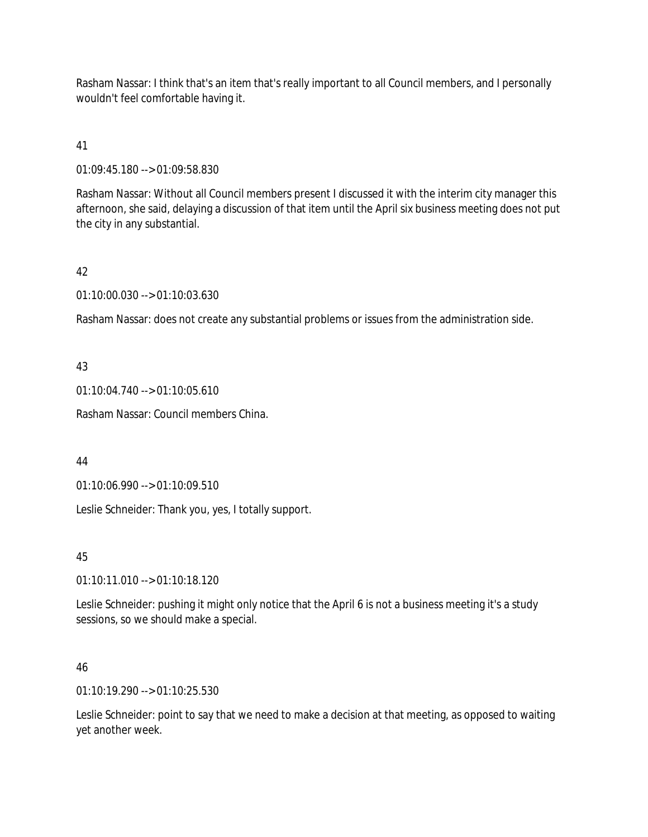Rasham Nassar: I think that's an item that's really important to all Council members, and I personally wouldn't feel comfortable having it.

41

01:09:45.180 --> 01:09:58.830

Rasham Nassar: Without all Council members present I discussed it with the interim city manager this afternoon, she said, delaying a discussion of that item until the April six business meeting does not put the city in any substantial.

# 42

01:10:00.030 --> 01:10:03.630

Rasham Nassar: does not create any substantial problems or issues from the administration side.

## 43

01:10:04.740 --> 01:10:05.610

Rasham Nassar: Council members China.

## 44

01:10:06.990 --> 01:10:09.510

Leslie Schneider: Thank you, yes, I totally support.

# 45

01:10:11.010 --> 01:10:18.120

Leslie Schneider: pushing it might only notice that the April 6 is not a business meeting it's a study sessions, so we should make a special.

## 46

01:10:19.290 --> 01:10:25.530

Leslie Schneider: point to say that we need to make a decision at that meeting, as opposed to waiting yet another week.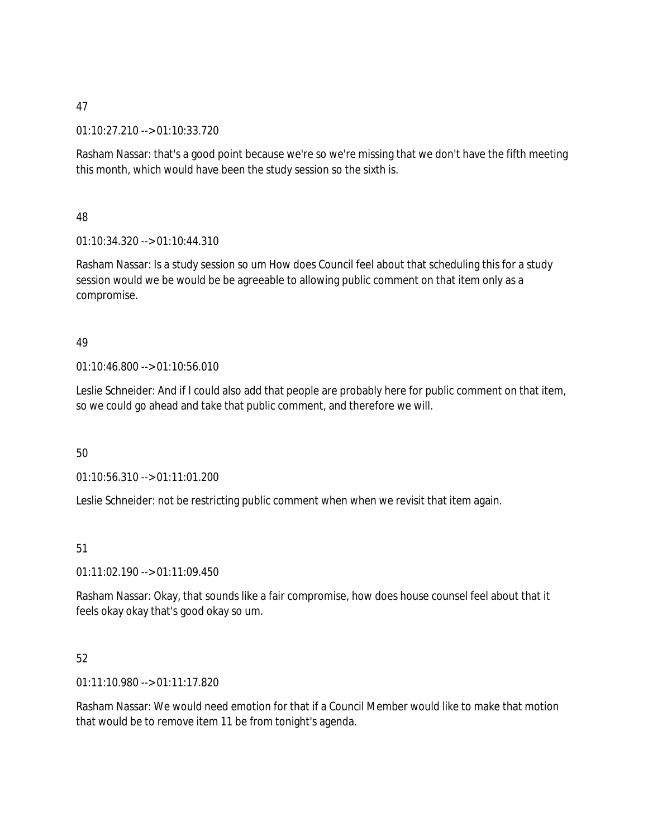01:10:27.210 --> 01:10:33.720

Rasham Nassar: that's a good point because we're so we're missing that we don't have the fifth meeting this month, which would have been the study session so the sixth is.

# 48

01:10:34.320 --> 01:10:44.310

Rasham Nassar: Is a study session so um How does Council feel about that scheduling this for a study session would we be would be be agreeable to allowing public comment on that item only as a compromise.

# 49

01:10:46.800 --> 01:10:56.010

Leslie Schneider: And if I could also add that people are probably here for public comment on that item, so we could go ahead and take that public comment, and therefore we will.

# 50

01:10:56.310 --> 01:11:01.200

Leslie Schneider: not be restricting public comment when when we revisit that item again.

# 51

 $01:11:02.190 \rightarrow 01:11:09.450$ 

Rasham Nassar: Okay, that sounds like a fair compromise, how does house counsel feel about that it feels okay okay that's good okay so um.

# 52

01:11:10.980 --> 01:11:17.820

Rasham Nassar: We would need emotion for that if a Council Member would like to make that motion that would be to remove item 11 be from tonight's agenda.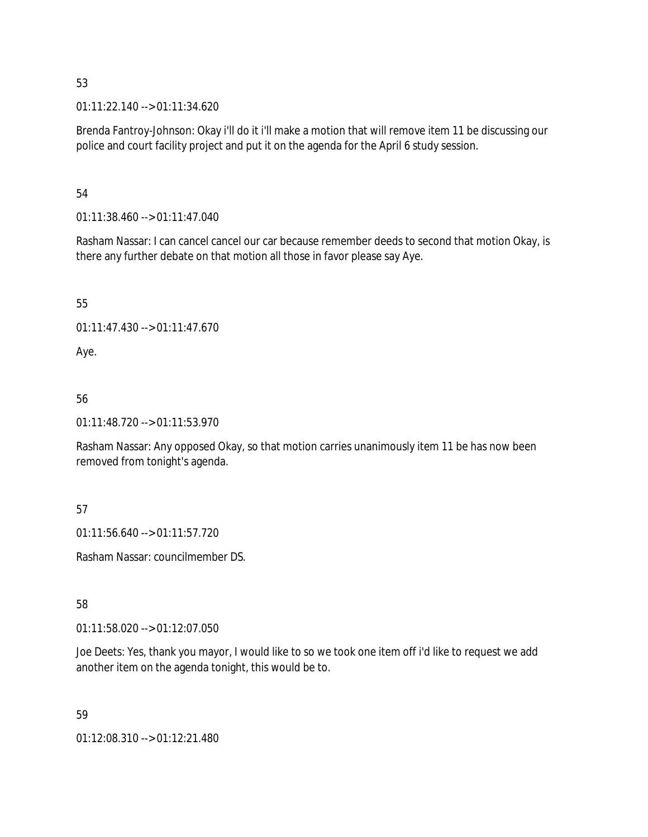01:11:22.140 --> 01:11:34.620

Brenda Fantroy-Johnson: Okay i'll do it i'll make a motion that will remove item 11 be discussing our police and court facility project and put it on the agenda for the April 6 study session.

## 54

01:11:38.460 --> 01:11:47.040

Rasham Nassar: I can cancel cancel our car because remember deeds to second that motion Okay, is there any further debate on that motion all those in favor please say Aye.

55

01:11:47.430 --> 01:11:47.670

Aye.

# 56

01:11:48.720 --> 01:11:53.970

Rasham Nassar: Any opposed Okay, so that motion carries unanimously item 11 be has now been removed from tonight's agenda.

# 57

01:11:56.640 --> 01:11:57.720

Rasham Nassar: councilmember DS.

# 58

01:11:58.020 --> 01:12:07.050

Joe Deets: Yes, thank you mayor, I would like to so we took one item off i'd like to request we add another item on the agenda tonight, this would be to.

# 59

01:12:08.310 --> 01:12:21.480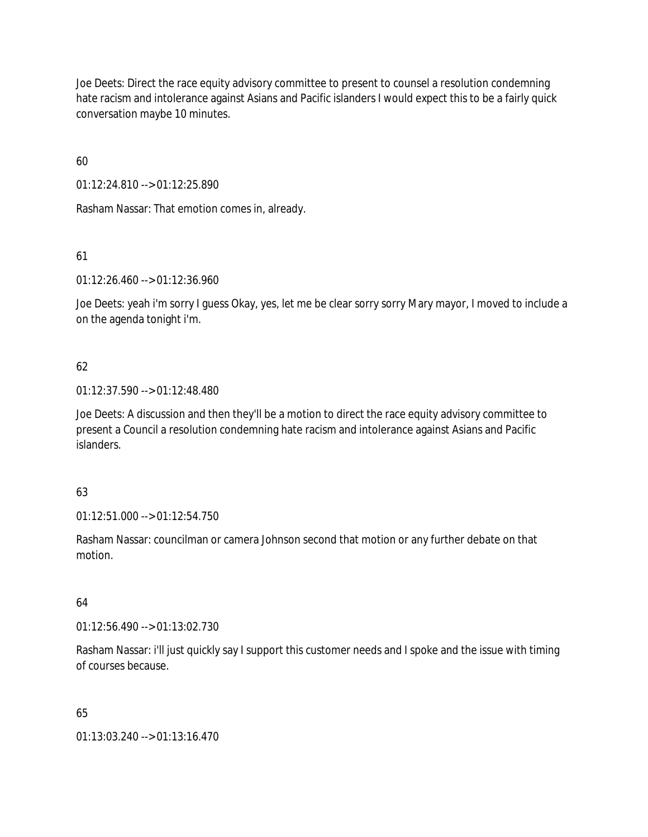Joe Deets: Direct the race equity advisory committee to present to counsel a resolution condemning hate racism and intolerance against Asians and Pacific islanders I would expect this to be a fairly quick conversation maybe 10 minutes.

60

01:12:24.810 --> 01:12:25.890

Rasham Nassar: That emotion comes in, already.

61

01:12:26.460 --> 01:12:36.960

Joe Deets: yeah i'm sorry I guess Okay, yes, let me be clear sorry sorry Mary mayor, I moved to include a on the agenda tonight i'm.

# 62

01:12:37.590 --> 01:12:48.480

Joe Deets: A discussion and then they'll be a motion to direct the race equity advisory committee to present a Council a resolution condemning hate racism and intolerance against Asians and Pacific islanders.

# 63

01:12:51.000 --> 01:12:54.750

Rasham Nassar: councilman or camera Johnson second that motion or any further debate on that motion.

# 64

01:12:56.490 --> 01:13:02.730

Rasham Nassar: i'll just quickly say I support this customer needs and I spoke and the issue with timing of courses because.

# 65

01:13:03.240 --> 01:13:16.470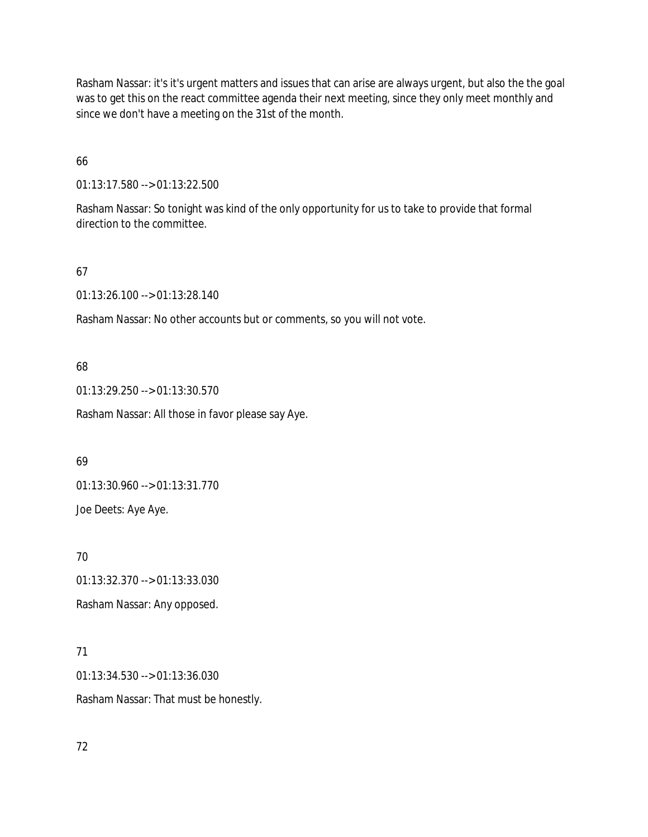Rasham Nassar: it's it's urgent matters and issues that can arise are always urgent, but also the the goal was to get this on the react committee agenda their next meeting, since they only meet monthly and since we don't have a meeting on the 31st of the month.

66

01:13:17.580 --> 01:13:22.500

Rasham Nassar: So tonight was kind of the only opportunity for us to take to provide that formal direction to the committee.

67

01:13:26.100 --> 01:13:28.140

Rasham Nassar: No other accounts but or comments, so you will not vote.

68

01:13:29.250 --> 01:13:30.570

Rasham Nassar: All those in favor please say Aye.

69

01:13:30.960 --> 01:13:31.770

Joe Deets: Aye Aye.

70

01:13:32.370 --> 01:13:33.030

Rasham Nassar: Any opposed.

71

01:13:34.530 --> 01:13:36.030 Rasham Nassar: That must be honestly.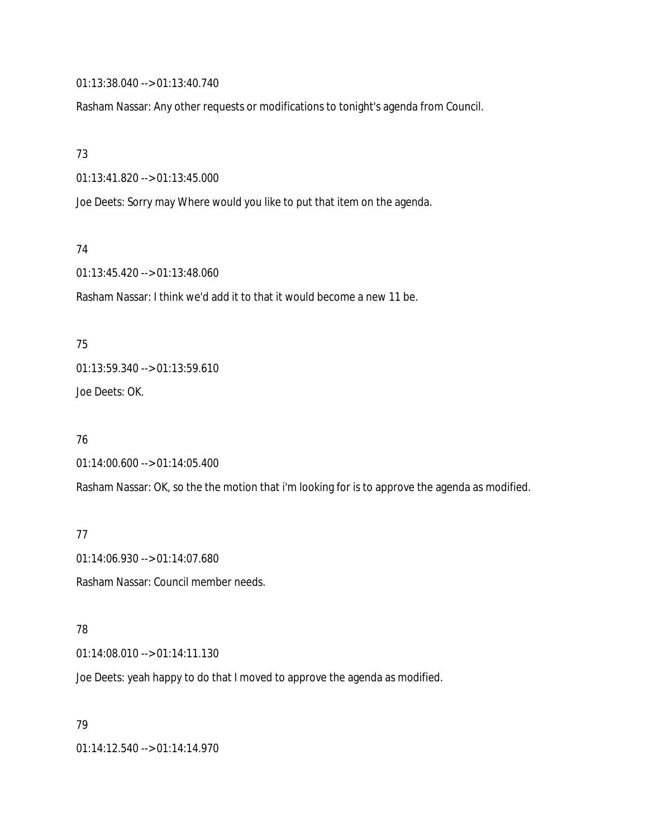01:13:38.040 --> 01:13:40.740

Rasham Nassar: Any other requests or modifications to tonight's agenda from Council.

73

01:13:41.820 --> 01:13:45.000

Joe Deets: Sorry may Where would you like to put that item on the agenda.

74

01:13:45.420 --> 01:13:48.060

Rasham Nassar: I think we'd add it to that it would become a new 11 be.

75 01:13:59.340 --> 01:13:59.610 Joe Deets: OK.

76

01:14:00.600 --> 01:14:05.400

Rasham Nassar: OK, so the the motion that i'm looking for is to approve the agenda as modified.

77

01:14:06.930 --> 01:14:07.680 Rasham Nassar: Council member needs.

## 78

01:14:08.010 --> 01:14:11.130

Joe Deets: yeah happy to do that I moved to approve the agenda as modified.

79

01:14:12.540 --> 01:14:14.970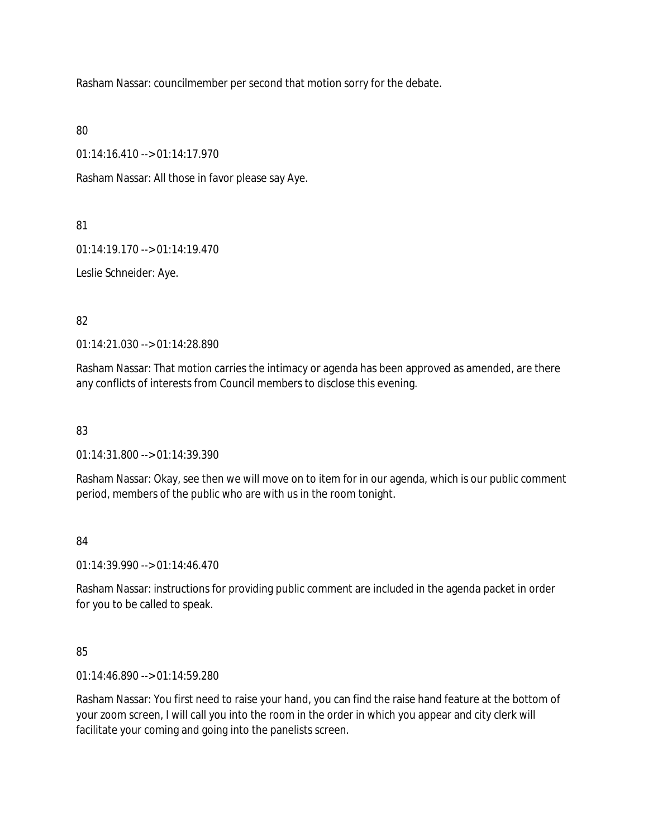Rasham Nassar: councilmember per second that motion sorry for the debate.

80

01:14:16.410 --> 01:14:17.970

Rasham Nassar: All those in favor please say Aye.

81

01:14:19.170 --> 01:14:19.470

Leslie Schneider: Aye.

82

01:14:21.030 --> 01:14:28.890

Rasham Nassar: That motion carries the intimacy or agenda has been approved as amended, are there any conflicts of interests from Council members to disclose this evening.

83

01:14:31.800 --> 01:14:39.390

Rasham Nassar: Okay, see then we will move on to item for in our agenda, which is our public comment period, members of the public who are with us in the room tonight.

# 84

01:14:39.990 --> 01:14:46.470

Rasham Nassar: instructions for providing public comment are included in the agenda packet in order for you to be called to speak.

85

01:14:46.890 --> 01:14:59.280

Rasham Nassar: You first need to raise your hand, you can find the raise hand feature at the bottom of your zoom screen, I will call you into the room in the order in which you appear and city clerk will facilitate your coming and going into the panelists screen.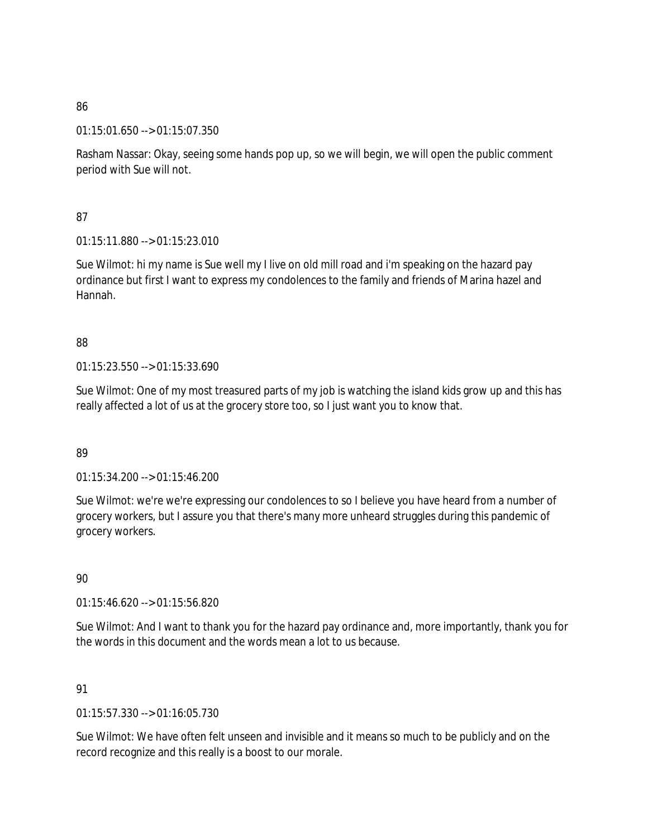01:15:01.650 --> 01:15:07.350

Rasham Nassar: Okay, seeing some hands pop up, so we will begin, we will open the public comment period with Sue will not.

87

01:15:11.880 --> 01:15:23.010

Sue Wilmot: hi my name is Sue well my I live on old mill road and i'm speaking on the hazard pay ordinance but first I want to express my condolences to the family and friends of Marina hazel and Hannah.

# 88

01:15:23.550 --> 01:15:33.690

Sue Wilmot: One of my most treasured parts of my job is watching the island kids grow up and this has really affected a lot of us at the grocery store too, so I just want you to know that.

# 89

01:15:34.200 --> 01:15:46.200

Sue Wilmot: we're we're expressing our condolences to so I believe you have heard from a number of grocery workers, but I assure you that there's many more unheard struggles during this pandemic of grocery workers.

90

01:15:46.620 --> 01:15:56.820

Sue Wilmot: And I want to thank you for the hazard pay ordinance and, more importantly, thank you for the words in this document and the words mean a lot to us because.

# 91

01:15:57.330 --> 01:16:05.730

Sue Wilmot: We have often felt unseen and invisible and it means so much to be publicly and on the record recognize and this really is a boost to our morale.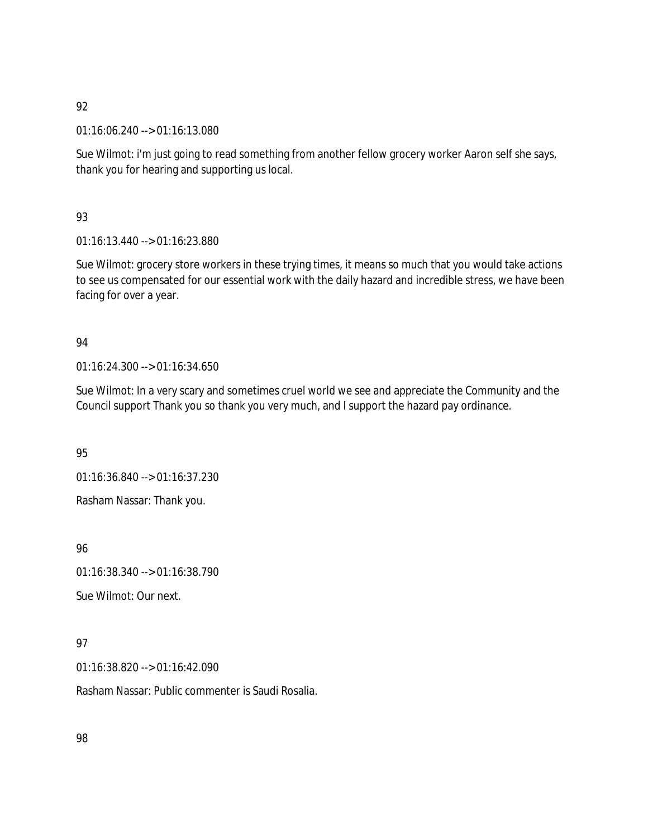01:16:06.240 --> 01:16:13.080

Sue Wilmot: i'm just going to read something from another fellow grocery worker Aaron self she says, thank you for hearing and supporting us local.

## 93

01:16:13.440 --> 01:16:23.880

Sue Wilmot: grocery store workers in these trying times, it means so much that you would take actions to see us compensated for our essential work with the daily hazard and incredible stress, we have been facing for over a year.

# 94

01:16:24.300 --> 01:16:34.650

Sue Wilmot: In a very scary and sometimes cruel world we see and appreciate the Community and the Council support Thank you so thank you very much, and I support the hazard pay ordinance.

# 95

01:16:36.840 --> 01:16:37.230

Rasham Nassar: Thank you.

96

01:16:38.340 --> 01:16:38.790

Sue Wilmot: Our next.

# 97

01:16:38.820 --> 01:16:42.090

Rasham Nassar: Public commenter is Saudi Rosalia.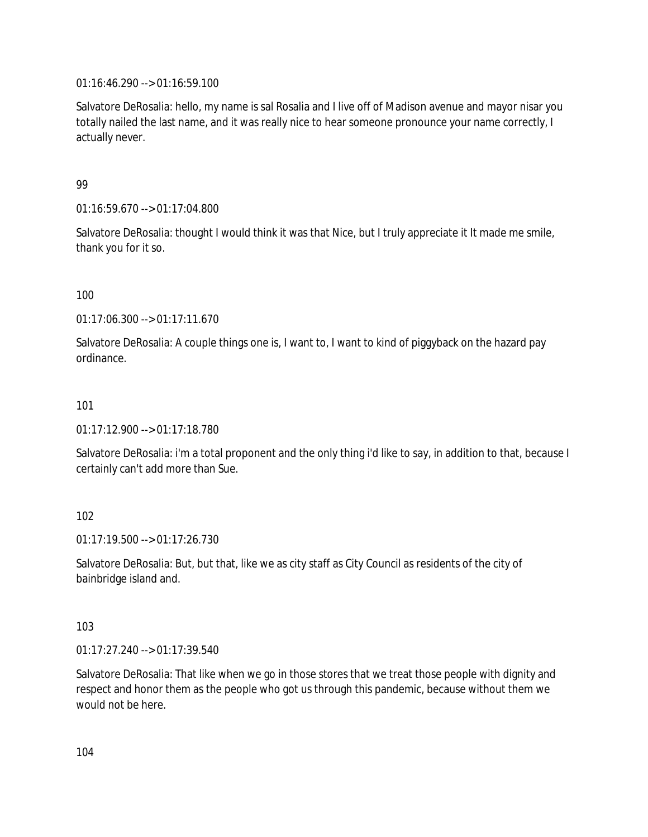01:16:46.290 --> 01:16:59.100

Salvatore DeRosalia: hello, my name is sal Rosalia and I live off of Madison avenue and mayor nisar you totally nailed the last name, and it was really nice to hear someone pronounce your name correctly, I actually never.

## 99

01:16:59.670 --> 01:17:04.800

Salvatore DeRosalia: thought I would think it was that Nice, but I truly appreciate it It made me smile, thank you for it so.

## 100

01:17:06.300 --> 01:17:11.670

Salvatore DeRosalia: A couple things one is, I want to, I want to kind of piggyback on the hazard pay ordinance.

## 101

01:17:12.900 --> 01:17:18.780

Salvatore DeRosalia: i'm a total proponent and the only thing i'd like to say, in addition to that, because I certainly can't add more than Sue.

## 102

01:17:19.500 --> 01:17:26.730

Salvatore DeRosalia: But, but that, like we as city staff as City Council as residents of the city of bainbridge island and.

## 103

01:17:27.240 --> 01:17:39.540

Salvatore DeRosalia: That like when we go in those stores that we treat those people with dignity and respect and honor them as the people who got us through this pandemic, because without them we would not be here.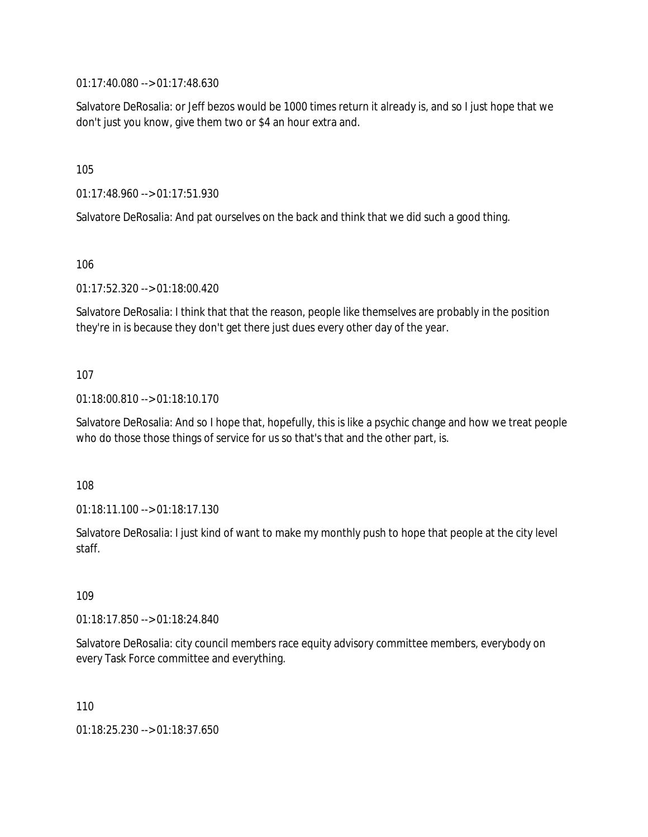01:17:40.080 --> 01:17:48.630

Salvatore DeRosalia: or Jeff bezos would be 1000 times return it already is, and so I just hope that we don't just you know, give them two or \$4 an hour extra and.

105

01:17:48.960 --> 01:17:51.930

Salvatore DeRosalia: And pat ourselves on the back and think that we did such a good thing.

106

01:17:52.320 --> 01:18:00.420

Salvatore DeRosalia: I think that that the reason, people like themselves are probably in the position they're in is because they don't get there just dues every other day of the year.

## 107

01:18:00.810 --> 01:18:10.170

Salvatore DeRosalia: And so I hope that, hopefully, this is like a psychic change and how we treat people who do those those things of service for us so that's that and the other part, is.

108

01:18:11.100 --> 01:18:17.130

Salvatore DeRosalia: I just kind of want to make my monthly push to hope that people at the city level staff.

109

01:18:17.850 --> 01:18:24.840

Salvatore DeRosalia: city council members race equity advisory committee members, everybody on every Task Force committee and everything.

110

01:18:25.230 --> 01:18:37.650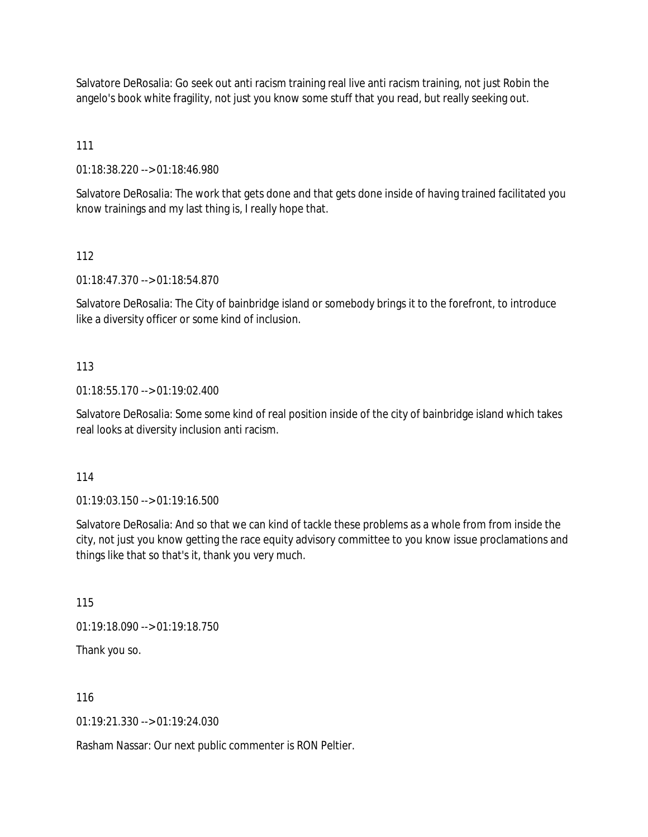Salvatore DeRosalia: Go seek out anti racism training real live anti racism training, not just Robin the angelo's book white fragility, not just you know some stuff that you read, but really seeking out.

111

01:18:38.220 --> 01:18:46.980

Salvatore DeRosalia: The work that gets done and that gets done inside of having trained facilitated you know trainings and my last thing is, I really hope that.

112

01:18:47.370 --> 01:18:54.870

Salvatore DeRosalia: The City of bainbridge island or somebody brings it to the forefront, to introduce like a diversity officer or some kind of inclusion.

113

01:18:55.170 --> 01:19:02.400

Salvatore DeRosalia: Some some kind of real position inside of the city of bainbridge island which takes real looks at diversity inclusion anti racism.

114

01:19:03.150 --> 01:19:16.500

Salvatore DeRosalia: And so that we can kind of tackle these problems as a whole from from inside the city, not just you know getting the race equity advisory committee to you know issue proclamations and things like that so that's it, thank you very much.

115

01:19:18.090 --> 01:19:18.750

Thank you so.

116

01:19:21.330 --> 01:19:24.030

Rasham Nassar: Our next public commenter is RON Peltier.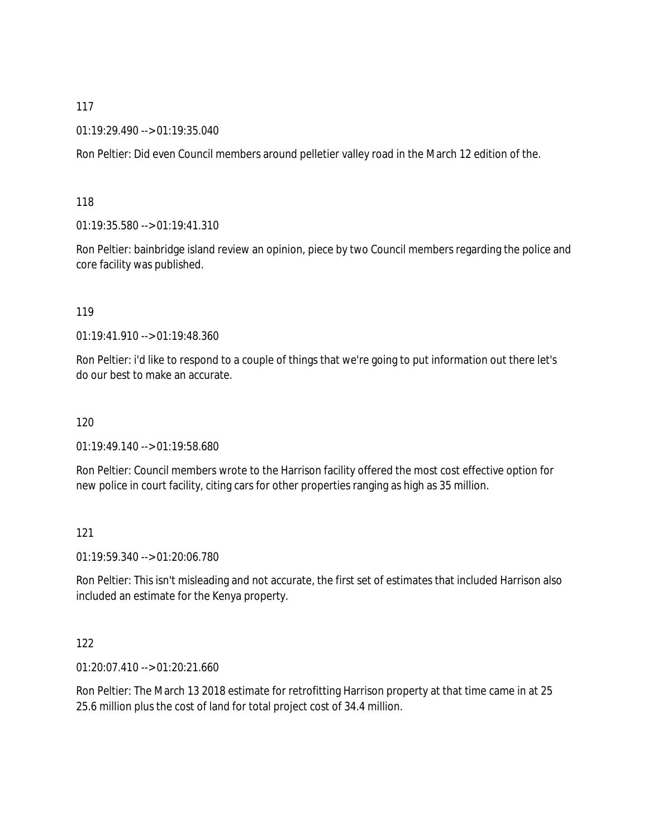## 01:19:29.490 --> 01:19:35.040

Ron Peltier: Did even Council members around pelletier valley road in the March 12 edition of the.

## 118

01:19:35.580 --> 01:19:41.310

Ron Peltier: bainbridge island review an opinion, piece by two Council members regarding the police and core facility was published.

#### 119

01:19:41.910 --> 01:19:48.360

Ron Peltier: i'd like to respond to a couple of things that we're going to put information out there let's do our best to make an accurate.

## 120

01:19:49.140 --> 01:19:58.680

Ron Peltier: Council members wrote to the Harrison facility offered the most cost effective option for new police in court facility, citing cars for other properties ranging as high as 35 million.

## 121

01:19:59.340 --> 01:20:06.780

Ron Peltier: This isn't misleading and not accurate, the first set of estimates that included Harrison also included an estimate for the Kenya property.

## 122

01:20:07.410 --> 01:20:21.660

Ron Peltier: The March 13 2018 estimate for retrofitting Harrison property at that time came in at 25 25.6 million plus the cost of land for total project cost of 34.4 million.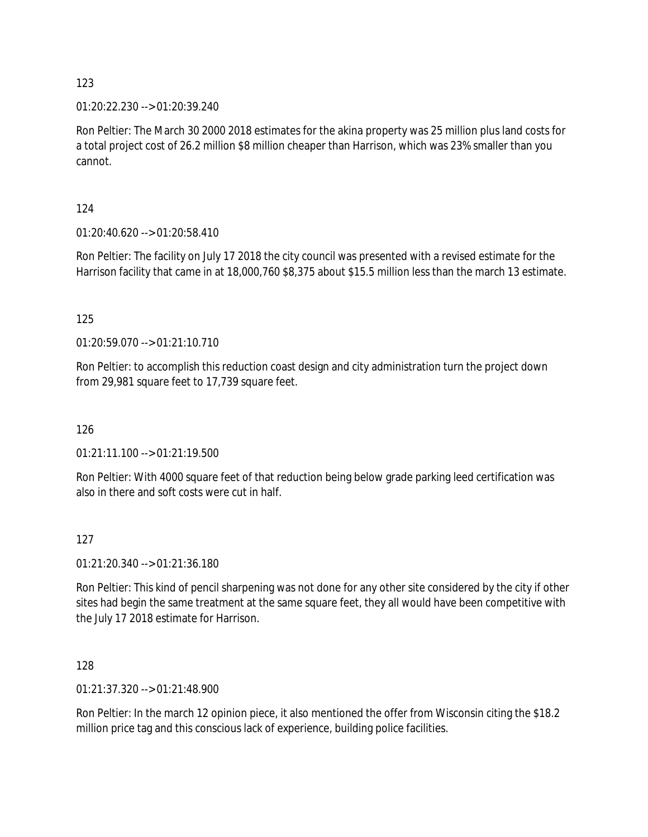01:20:22.230 --> 01:20:39.240

Ron Peltier: The March 30 2000 2018 estimates for the akina property was 25 million plus land costs for a total project cost of 26.2 million \$8 million cheaper than Harrison, which was 23% smaller than you cannot.

124

01:20:40.620 --> 01:20:58.410

Ron Peltier: The facility on July 17 2018 the city council was presented with a revised estimate for the Harrison facility that came in at 18,000,760 \$8,375 about \$15.5 million less than the march 13 estimate.

125

01:20:59.070 --> 01:21:10.710

Ron Peltier: to accomplish this reduction coast design and city administration turn the project down from 29,981 square feet to 17,739 square feet.

126

01:21:11.100 --> 01:21:19.500

Ron Peltier: With 4000 square feet of that reduction being below grade parking leed certification was also in there and soft costs were cut in half.

127

01:21:20.340 --> 01:21:36.180

Ron Peltier: This kind of pencil sharpening was not done for any other site considered by the city if other sites had begin the same treatment at the same square feet, they all would have been competitive with the July 17 2018 estimate for Harrison.

128

01:21:37.320 --> 01:21:48.900

Ron Peltier: In the march 12 opinion piece, it also mentioned the offer from Wisconsin citing the \$18.2 million price tag and this conscious lack of experience, building police facilities.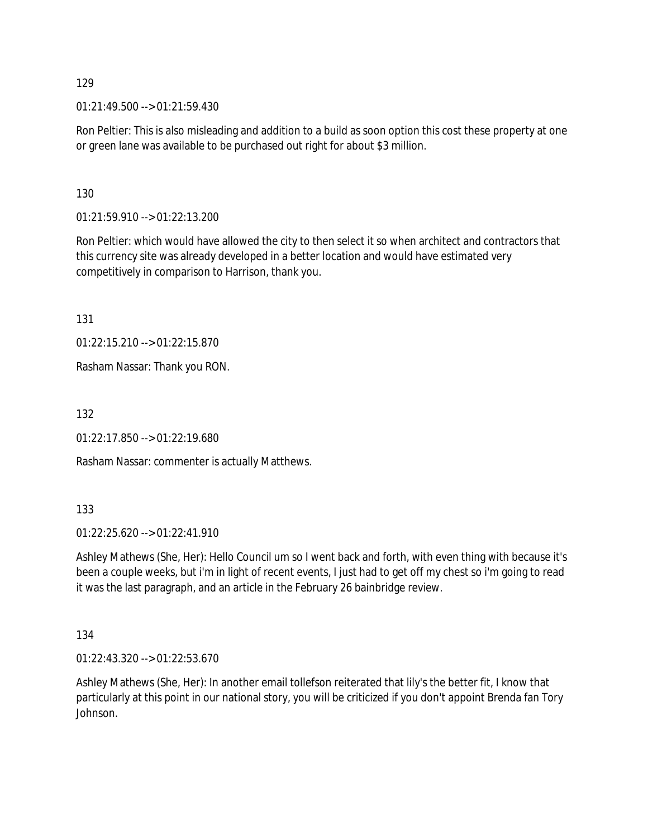01:21:49.500 --> 01:21:59.430

Ron Peltier: This is also misleading and addition to a build as soon option this cost these property at one or green lane was available to be purchased out right for about \$3 million.

130

01:21:59.910 --> 01:22:13.200

Ron Peltier: which would have allowed the city to then select it so when architect and contractors that this currency site was already developed in a better location and would have estimated very competitively in comparison to Harrison, thank you.

131

01:22:15.210 --> 01:22:15.870

Rasham Nassar: Thank you RON.

132

01:22:17.850 --> 01:22:19.680

Rasham Nassar: commenter is actually Matthews.

133

01:22:25.620 --> 01:22:41.910

Ashley Mathews (She, Her): Hello Council um so I went back and forth, with even thing with because it's been a couple weeks, but i'm in light of recent events, I just had to get off my chest so i'm going to read it was the last paragraph, and an article in the February 26 bainbridge review.

134

01:22:43.320 --> 01:22:53.670

Ashley Mathews (She, Her): In another email tollefson reiterated that lily's the better fit, I know that particularly at this point in our national story, you will be criticized if you don't appoint Brenda fan Tory Johnson.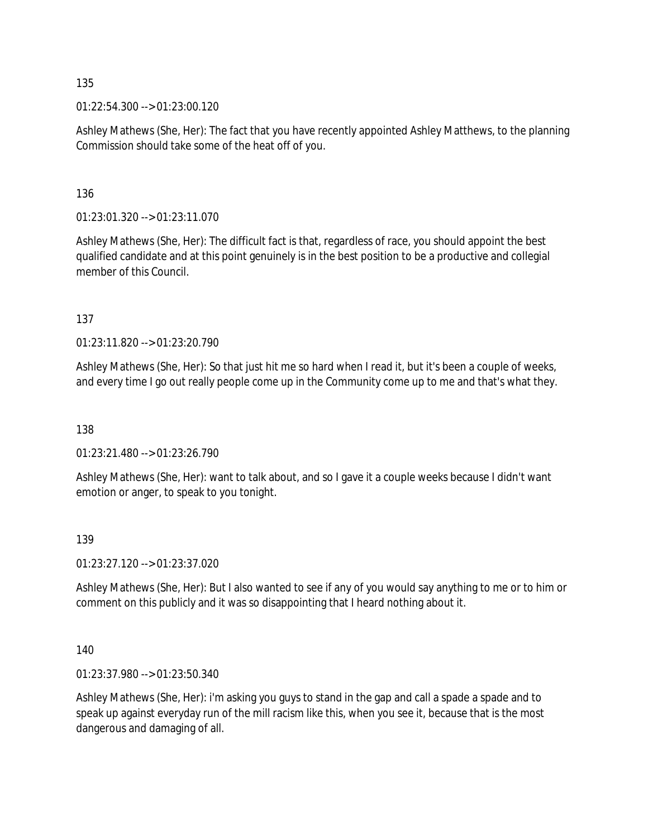01:22:54.300 --> 01:23:00.120

Ashley Mathews (She, Her): The fact that you have recently appointed Ashley Matthews, to the planning Commission should take some of the heat off of you.

136

01:23:01.320 --> 01:23:11.070

Ashley Mathews (She, Her): The difficult fact is that, regardless of race, you should appoint the best qualified candidate and at this point genuinely is in the best position to be a productive and collegial member of this Council.

137

01:23:11.820 --> 01:23:20.790

Ashley Mathews (She, Her): So that just hit me so hard when I read it, but it's been a couple of weeks, and every time I go out really people come up in the Community come up to me and that's what they.

138

01:23:21.480 --> 01:23:26.790

Ashley Mathews (She, Her): want to talk about, and so I gave it a couple weeks because I didn't want emotion or anger, to speak to you tonight.

139

01:23:27.120 --> 01:23:37.020

Ashley Mathews (She, Her): But I also wanted to see if any of you would say anything to me or to him or comment on this publicly and it was so disappointing that I heard nothing about it.

140

01:23:37.980 --> 01:23:50.340

Ashley Mathews (She, Her): i'm asking you guys to stand in the gap and call a spade a spade and to speak up against everyday run of the mill racism like this, when you see it, because that is the most dangerous and damaging of all.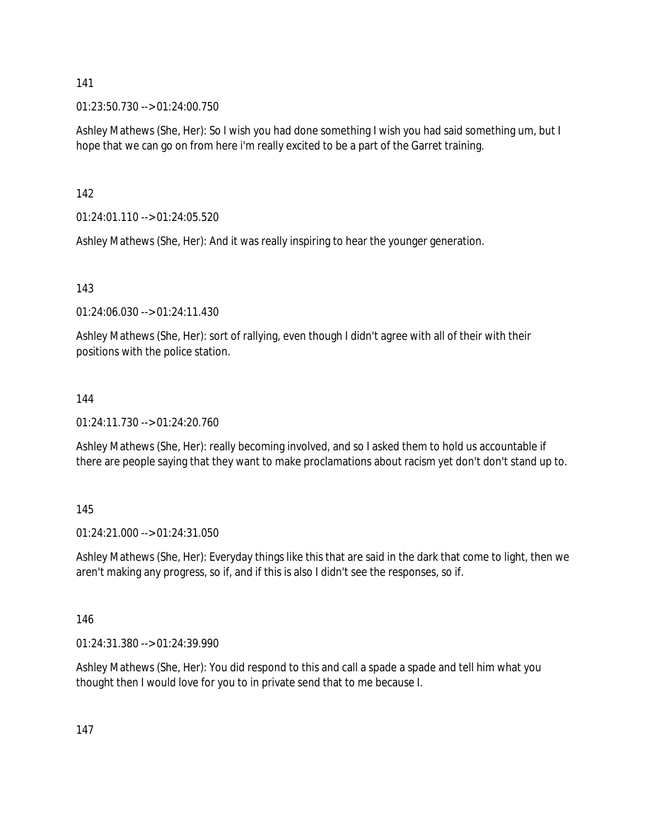01:23:50.730 --> 01:24:00.750

Ashley Mathews (She, Her): So I wish you had done something I wish you had said something um, but I hope that we can go on from here i'm really excited to be a part of the Garret training.

142

01:24:01.110 --> 01:24:05.520

Ashley Mathews (She, Her): And it was really inspiring to hear the younger generation.

143

01:24:06.030 --> 01:24:11.430

Ashley Mathews (She, Her): sort of rallying, even though I didn't agree with all of their with their positions with the police station.

## 144

01:24:11.730 --> 01:24:20.760

Ashley Mathews (She, Her): really becoming involved, and so I asked them to hold us accountable if there are people saying that they want to make proclamations about racism yet don't don't stand up to.

145

01:24:21.000 --> 01:24:31.050

Ashley Mathews (She, Her): Everyday things like this that are said in the dark that come to light, then we aren't making any progress, so if, and if this is also I didn't see the responses, so if.

146

01:24:31.380 --> 01:24:39.990

Ashley Mathews (She, Her): You did respond to this and call a spade a spade and tell him what you thought then I would love for you to in private send that to me because I.

147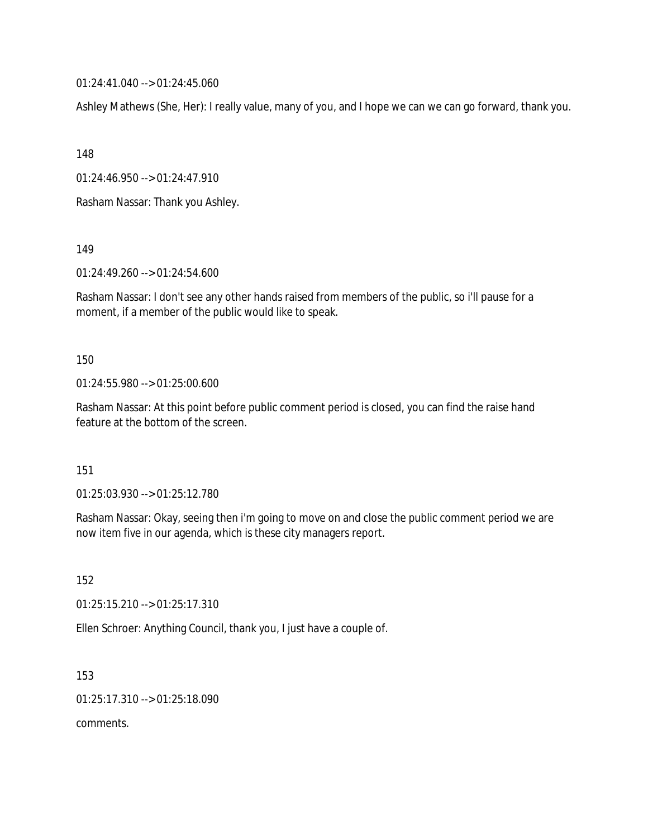01:24:41.040 --> 01:24:45.060

Ashley Mathews (She, Her): I really value, many of you, and I hope we can we can go forward, thank you.

148

01:24:46.950 --> 01:24:47.910

Rasham Nassar: Thank you Ashley.

149

01:24:49.260 --> 01:24:54.600

Rasham Nassar: I don't see any other hands raised from members of the public, so i'll pause for a moment, if a member of the public would like to speak.

150

01:24:55.980 --> 01:25:00.600

Rasham Nassar: At this point before public comment period is closed, you can find the raise hand feature at the bottom of the screen.

151

01:25:03.930 --> 01:25:12.780

Rasham Nassar: Okay, seeing then i'm going to move on and close the public comment period we are now item five in our agenda, which is these city managers report.

152

01:25:15.210 --> 01:25:17.310

Ellen Schroer: Anything Council, thank you, I just have a couple of.

153 01:25:17.310 --> 01:25:18.090 comments.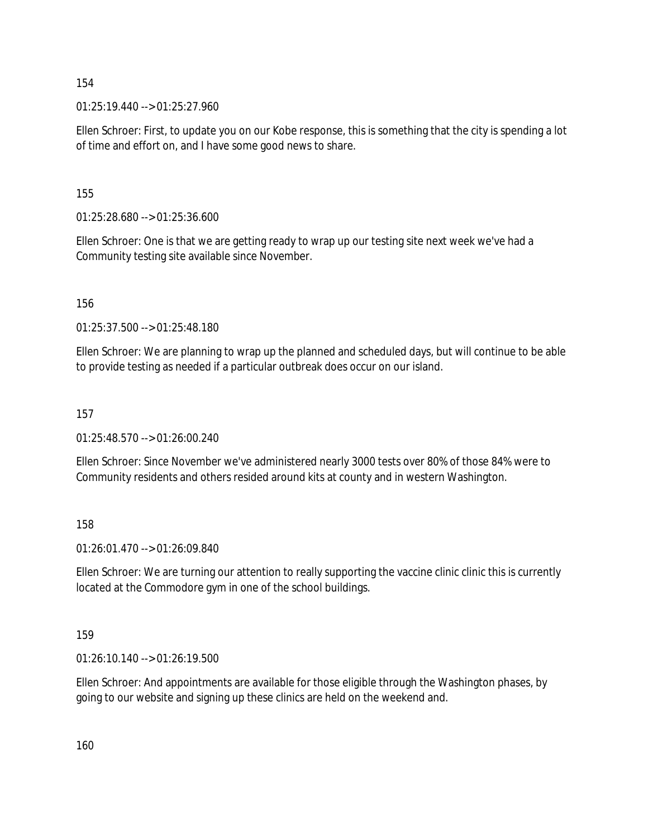01:25:19.440 --> 01:25:27.960

Ellen Schroer: First, to update you on our Kobe response, this is something that the city is spending a lot of time and effort on, and I have some good news to share.

155

01:25:28.680 --> 01:25:36.600

Ellen Schroer: One is that we are getting ready to wrap up our testing site next week we've had a Community testing site available since November.

156

01:25:37.500 --> 01:25:48.180

Ellen Schroer: We are planning to wrap up the planned and scheduled days, but will continue to be able to provide testing as needed if a particular outbreak does occur on our island.

157

01:25:48.570 --> 01:26:00.240

Ellen Schroer: Since November we've administered nearly 3000 tests over 80% of those 84% were to Community residents and others resided around kits at county and in western Washington.

158

01:26:01.470 --> 01:26:09.840

Ellen Schroer: We are turning our attention to really supporting the vaccine clinic clinic this is currently located at the Commodore gym in one of the school buildings.

159

01:26:10.140 --> 01:26:19.500

Ellen Schroer: And appointments are available for those eligible through the Washington phases, by going to our website and signing up these clinics are held on the weekend and.

160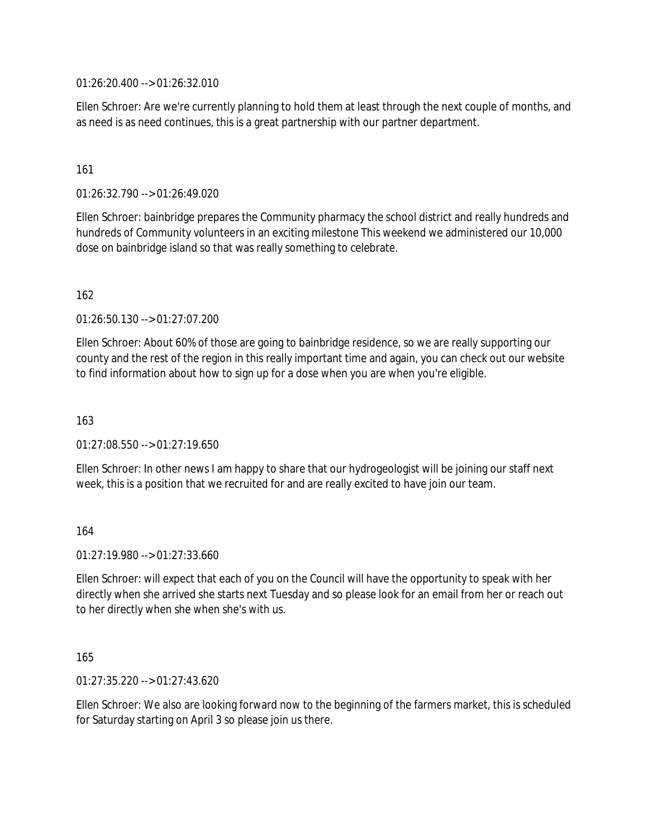01:26:20.400 --> 01:26:32.010

Ellen Schroer: Are we're currently planning to hold them at least through the next couple of months, and as need is as need continues, this is a great partnership with our partner department.

## 161

01:26:32.790 --> 01:26:49.020

Ellen Schroer: bainbridge prepares the Community pharmacy the school district and really hundreds and hundreds of Community volunteers in an exciting milestone This weekend we administered our 10,000 dose on bainbridge island so that was really something to celebrate.

162

01:26:50.130 --> 01:27:07.200

Ellen Schroer: About 60% of those are going to bainbridge residence, so we are really supporting our county and the rest of the region in this really important time and again, you can check out our website to find information about how to sign up for a dose when you are when you're eligible.

163

 $01:27:08.550 \rightarrow 01:27:19.650$ 

Ellen Schroer: In other news I am happy to share that our hydrogeologist will be joining our staff next week, this is a position that we recruited for and are really excited to have join our team.

## 164

01:27:19.980 --> 01:27:33.660

Ellen Schroer: will expect that each of you on the Council will have the opportunity to speak with her directly when she arrived she starts next Tuesday and so please look for an email from her or reach out to her directly when she when she's with us.

165

01:27:35.220 --> 01:27:43.620

Ellen Schroer: We also are looking forward now to the beginning of the farmers market, this is scheduled for Saturday starting on April 3 so please join us there.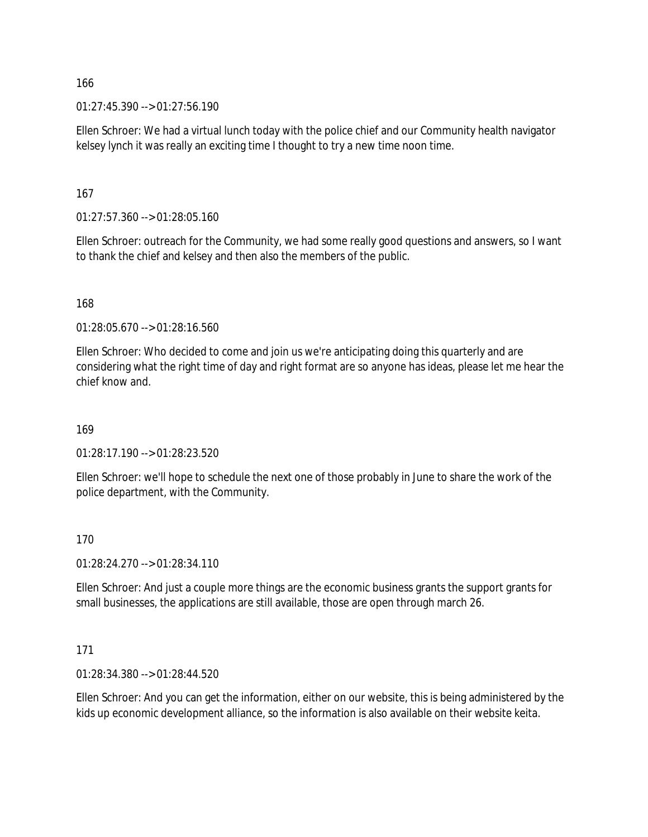$01:27:45.390 \rightarrow 01:27:56.190$ 

Ellen Schroer: We had a virtual lunch today with the police chief and our Community health navigator kelsey lynch it was really an exciting time I thought to try a new time noon time.

167

01:27:57.360 --> 01:28:05.160

Ellen Schroer: outreach for the Community, we had some really good questions and answers, so I want to thank the chief and kelsey and then also the members of the public.

168

01:28:05.670 --> 01:28:16.560

Ellen Schroer: Who decided to come and join us we're anticipating doing this quarterly and are considering what the right time of day and right format are so anyone has ideas, please let me hear the chief know and.

169

01:28:17.190 --> 01:28:23.520

Ellen Schroer: we'll hope to schedule the next one of those probably in June to share the work of the police department, with the Community.

## 170

01:28:24.270 --> 01:28:34.110

Ellen Schroer: And just a couple more things are the economic business grants the support grants for small businesses, the applications are still available, those are open through march 26.

## 171

01:28:34.380 --> 01:28:44.520

Ellen Schroer: And you can get the information, either on our website, this is being administered by the kids up economic development alliance, so the information is also available on their website keita.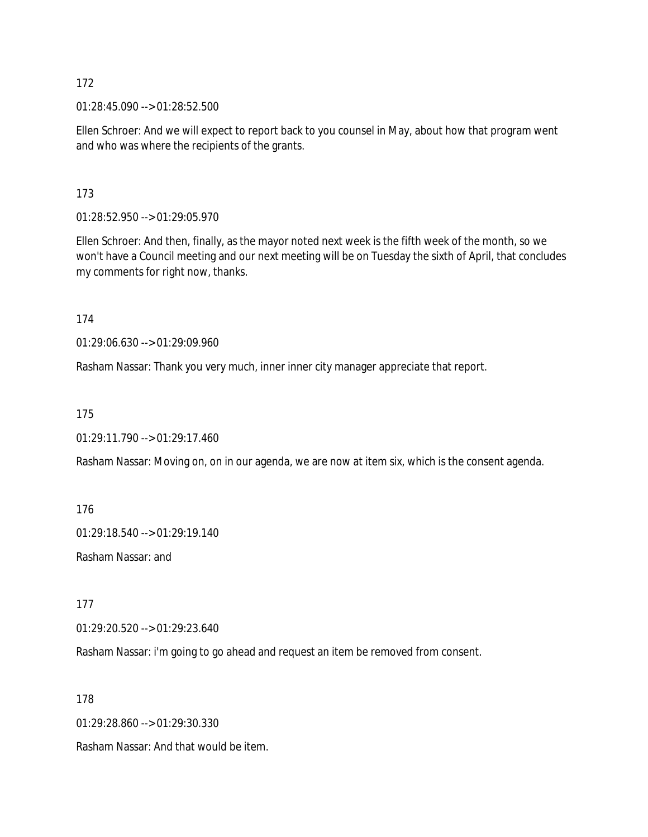01:28:45.090 --> 01:28:52.500

Ellen Schroer: And we will expect to report back to you counsel in May, about how that program went and who was where the recipients of the grants.

173

01:28:52.950 --> 01:29:05.970

Ellen Schroer: And then, finally, as the mayor noted next week is the fifth week of the month, so we won't have a Council meeting and our next meeting will be on Tuesday the sixth of April, that concludes my comments for right now, thanks.

174

01:29:06.630 --> 01:29:09.960

Rasham Nassar: Thank you very much, inner inner city manager appreciate that report.

175

01:29:11.790 --> 01:29:17.460

Rasham Nassar: Moving on, on in our agenda, we are now at item six, which is the consent agenda.

176

01:29:18.540 --> 01:29:19.140

Rasham Nassar: and

177

01:29:20.520 --> 01:29:23.640

Rasham Nassar: i'm going to go ahead and request an item be removed from consent.

178

01:29:28.860 --> 01:29:30.330

Rasham Nassar: And that would be item.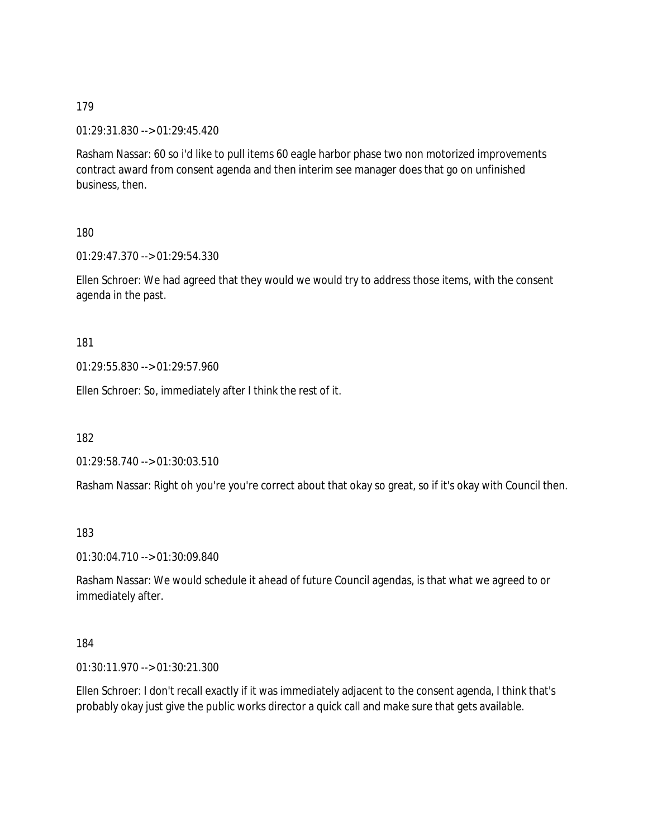01:29:31.830 --> 01:29:45.420

Rasham Nassar: 60 so i'd like to pull items 60 eagle harbor phase two non motorized improvements contract award from consent agenda and then interim see manager does that go on unfinished business, then.

180

01:29:47.370 --> 01:29:54.330

Ellen Schroer: We had agreed that they would we would try to address those items, with the consent agenda in the past.

181

01:29:55.830 --> 01:29:57.960

Ellen Schroer: So, immediately after I think the rest of it.

182

01:29:58.740 --> 01:30:03.510

Rasham Nassar: Right oh you're you're correct about that okay so great, so if it's okay with Council then.

183

01:30:04.710 --> 01:30:09.840

Rasham Nassar: We would schedule it ahead of future Council agendas, is that what we agreed to or immediately after.

184

01:30:11.970 --> 01:30:21.300

Ellen Schroer: I don't recall exactly if it was immediately adjacent to the consent agenda, I think that's probably okay just give the public works director a quick call and make sure that gets available.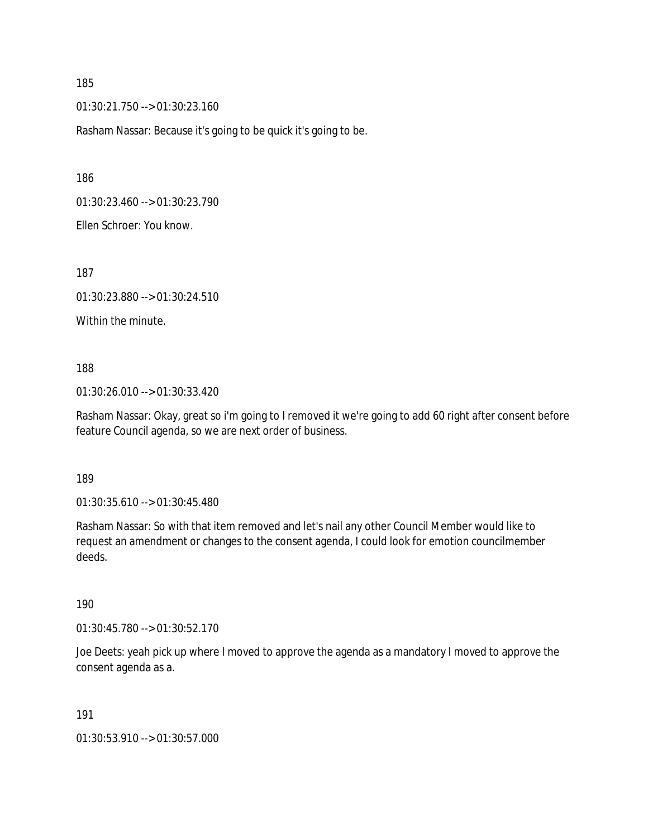01:30:21.750 --> 01:30:23.160

Rasham Nassar: Because it's going to be quick it's going to be.

186

01:30:23.460 --> 01:30:23.790

Ellen Schroer: You know.

187

01:30:23.880 --> 01:30:24.510

Within the minute.

188

01:30:26.010 --> 01:30:33.420

Rasham Nassar: Okay, great so i'm going to I removed it we're going to add 60 right after consent before feature Council agenda, so we are next order of business.

189

01:30:35.610 --> 01:30:45.480

Rasham Nassar: So with that item removed and let's nail any other Council Member would like to request an amendment or changes to the consent agenda, I could look for emotion councilmember deeds.

190

01:30:45.780 --> 01:30:52.170

Joe Deets: yeah pick up where I moved to approve the agenda as a mandatory I moved to approve the consent agenda as a.

191

01:30:53.910 --> 01:30:57.000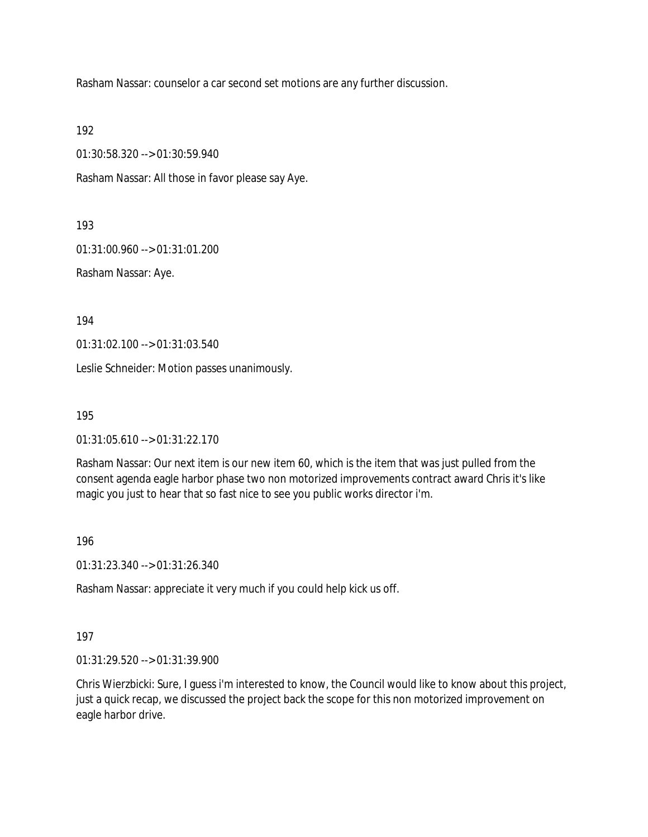Rasham Nassar: counselor a car second set motions are any further discussion.

192

01:30:58.320 --> 01:30:59.940

Rasham Nassar: All those in favor please say Aye.

193

01:31:00.960 --> 01:31:01.200

Rasham Nassar: Aye.

194

01:31:02.100 --> 01:31:03.540

Leslie Schneider: Motion passes unanimously.

195

01:31:05.610 --> 01:31:22.170

Rasham Nassar: Our next item is our new item 60, which is the item that was just pulled from the consent agenda eagle harbor phase two non motorized improvements contract award Chris it's like magic you just to hear that so fast nice to see you public works director i'm.

196

01:31:23.340 --> 01:31:26.340

Rasham Nassar: appreciate it very much if you could help kick us off.

197

01:31:29.520 --> 01:31:39.900

Chris Wierzbicki: Sure, I guess i'm interested to know, the Council would like to know about this project, just a quick recap, we discussed the project back the scope for this non motorized improvement on eagle harbor drive.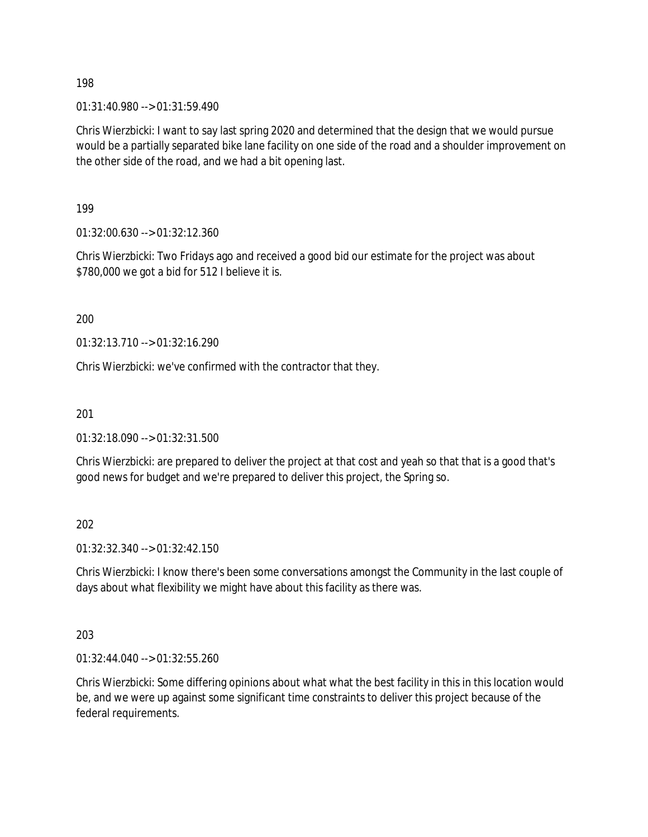01:31:40.980 --> 01:31:59.490

Chris Wierzbicki: I want to say last spring 2020 and determined that the design that we would pursue would be a partially separated bike lane facility on one side of the road and a shoulder improvement on the other side of the road, and we had a bit opening last.

199

01:32:00.630 --> 01:32:12.360

Chris Wierzbicki: Two Fridays ago and received a good bid our estimate for the project was about \$780,000 we got a bid for 512 I believe it is.

200

01:32:13.710 --> 01:32:16.290

Chris Wierzbicki: we've confirmed with the contractor that they.

201

01:32:18.090 --> 01:32:31.500

Chris Wierzbicki: are prepared to deliver the project at that cost and yeah so that that is a good that's good news for budget and we're prepared to deliver this project, the Spring so.

202

01:32:32.340 --> 01:32:42.150

Chris Wierzbicki: I know there's been some conversations amongst the Community in the last couple of days about what flexibility we might have about this facility as there was.

203

01:32:44.040 --> 01:32:55.260

Chris Wierzbicki: Some differing opinions about what what the best facility in this in this location would be, and we were up against some significant time constraints to deliver this project because of the federal requirements.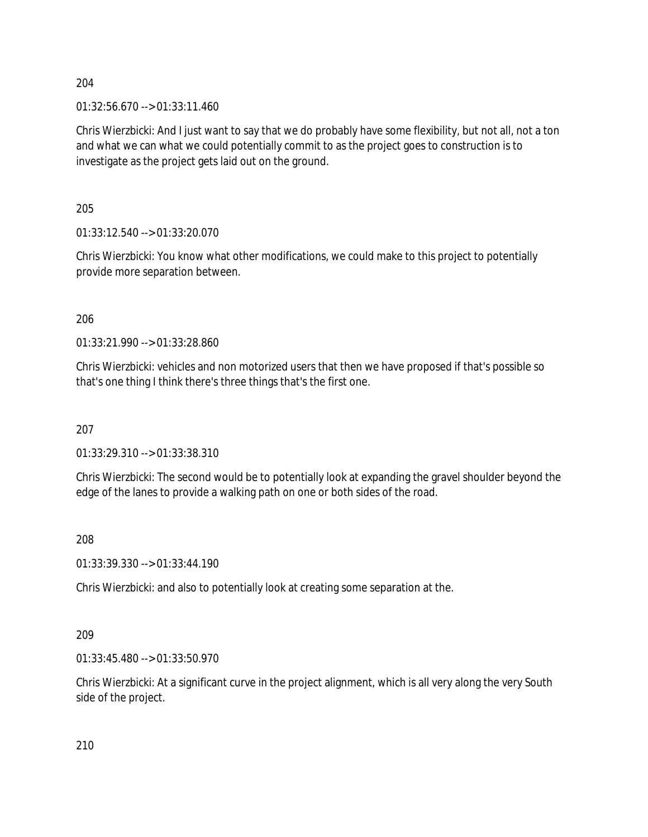01:32:56.670 --> 01:33:11.460

Chris Wierzbicki: And I just want to say that we do probably have some flexibility, but not all, not a ton and what we can what we could potentially commit to as the project goes to construction is to investigate as the project gets laid out on the ground.

205

01:33:12.540 --> 01:33:20.070

Chris Wierzbicki: You know what other modifications, we could make to this project to potentially provide more separation between.

206

01:33:21.990 --> 01:33:28.860

Chris Wierzbicki: vehicles and non motorized users that then we have proposed if that's possible so that's one thing I think there's three things that's the first one.

207

01:33:29.310 --> 01:33:38.310

Chris Wierzbicki: The second would be to potentially look at expanding the gravel shoulder beyond the edge of the lanes to provide a walking path on one or both sides of the road.

208

01:33:39.330 --> 01:33:44.190

Chris Wierzbicki: and also to potentially look at creating some separation at the.

209

01:33:45.480 --> 01:33:50.970

Chris Wierzbicki: At a significant curve in the project alignment, which is all very along the very South side of the project.

210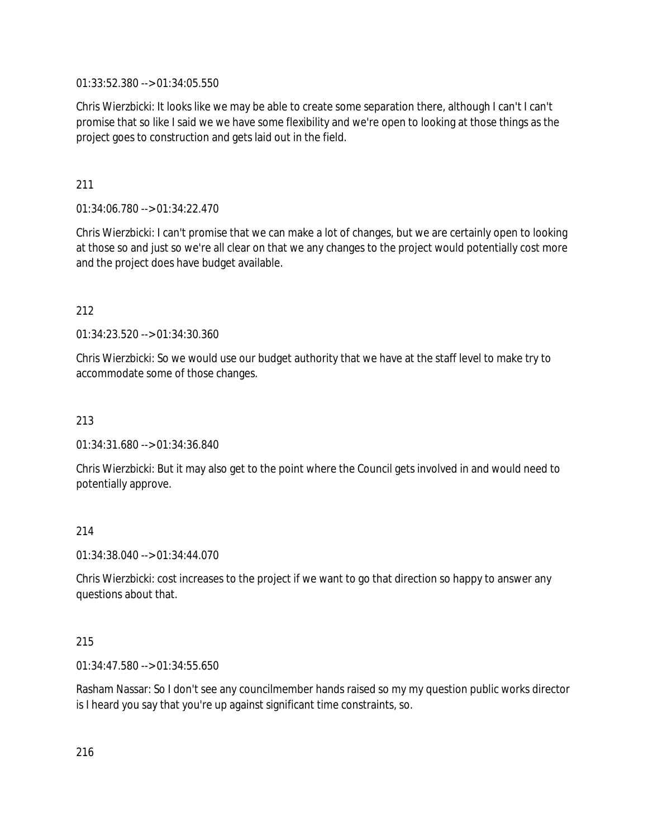01:33:52.380 --> 01:34:05.550

Chris Wierzbicki: It looks like we may be able to create some separation there, although I can't I can't promise that so like I said we we have some flexibility and we're open to looking at those things as the project goes to construction and gets laid out in the field.

211

01:34:06.780 --> 01:34:22.470

Chris Wierzbicki: I can't promise that we can make a lot of changes, but we are certainly open to looking at those so and just so we're all clear on that we any changes to the project would potentially cost more and the project does have budget available.

212

01:34:23.520 --> 01:34:30.360

Chris Wierzbicki: So we would use our budget authority that we have at the staff level to make try to accommodate some of those changes.

213

01:34:31.680 --> 01:34:36.840

Chris Wierzbicki: But it may also get to the point where the Council gets involved in and would need to potentially approve.

214

01:34:38.040 --> 01:34:44.070

Chris Wierzbicki: cost increases to the project if we want to go that direction so happy to answer any questions about that.

## 215

01:34:47.580 --> 01:34:55.650

Rasham Nassar: So I don't see any councilmember hands raised so my my question public works director is I heard you say that you're up against significant time constraints, so.

216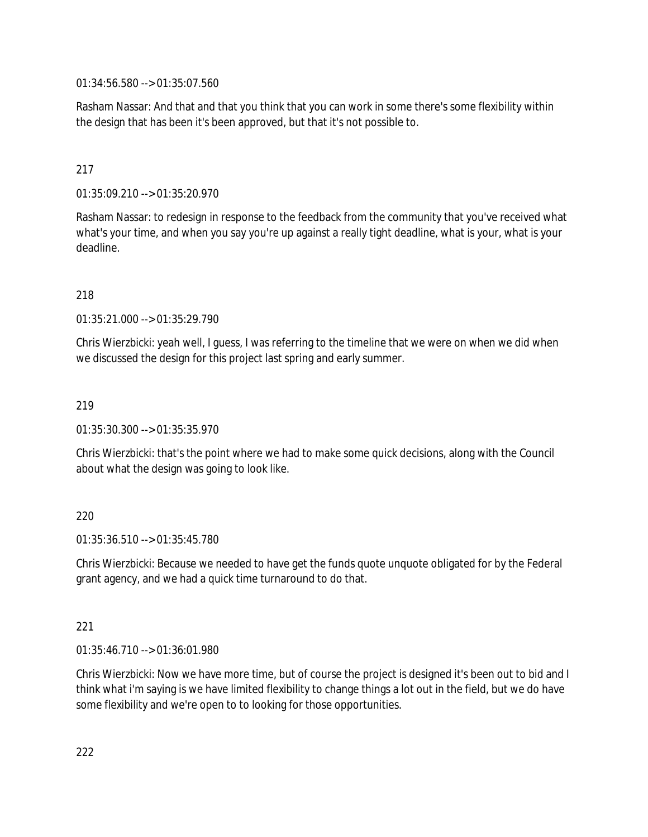01:34:56.580 --> 01:35:07.560

Rasham Nassar: And that and that you think that you can work in some there's some flexibility within the design that has been it's been approved, but that it's not possible to.

# 217

01:35:09.210 --> 01:35:20.970

Rasham Nassar: to redesign in response to the feedback from the community that you've received what what's your time, and when you say you're up against a really tight deadline, what is your, what is your deadline.

218

01:35:21.000 --> 01:35:29.790

Chris Wierzbicki: yeah well, I guess, I was referring to the timeline that we were on when we did when we discussed the design for this project last spring and early summer.

## 219

01:35:30.300 --> 01:35:35.970

Chris Wierzbicki: that's the point where we had to make some quick decisions, along with the Council about what the design was going to look like.

## 220

01:35:36.510 --> 01:35:45.780

Chris Wierzbicki: Because we needed to have get the funds quote unquote obligated for by the Federal grant agency, and we had a quick time turnaround to do that.

## 221

01:35:46.710 --> 01:36:01.980

Chris Wierzbicki: Now we have more time, but of course the project is designed it's been out to bid and I think what i'm saying is we have limited flexibility to change things a lot out in the field, but we do have some flexibility and we're open to to looking for those opportunities.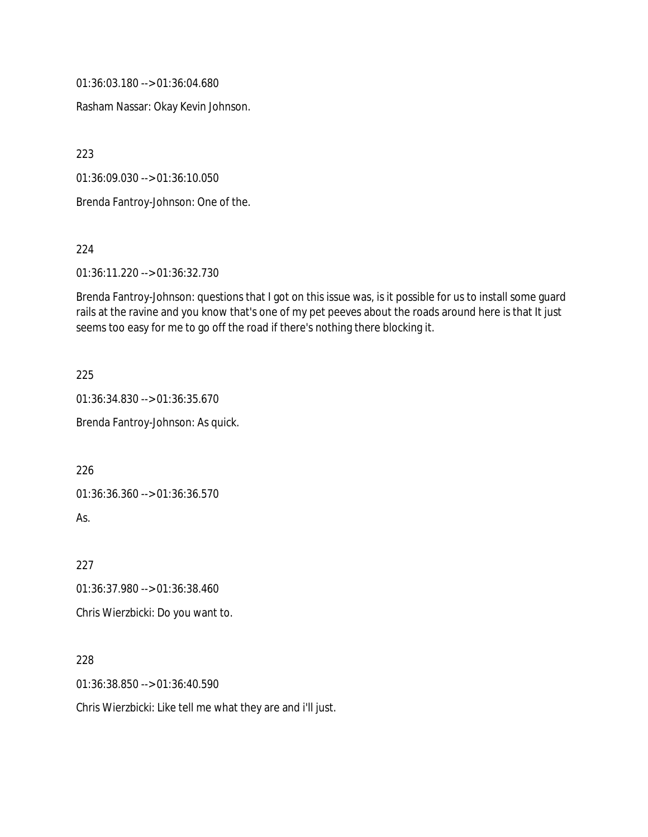01:36:03.180 --> 01:36:04.680

Rasham Nassar: Okay Kevin Johnson.

223

01:36:09.030 --> 01:36:10.050

Brenda Fantroy-Johnson: One of the.

224

01:36:11.220 --> 01:36:32.730

Brenda Fantroy-Johnson: questions that I got on this issue was, is it possible for us to install some guard rails at the ravine and you know that's one of my pet peeves about the roads around here is that It just seems too easy for me to go off the road if there's nothing there blocking it.

225

01:36:34.830 --> 01:36:35.670

Brenda Fantroy-Johnson: As quick.

226

01:36:36.360 --> 01:36:36.570

As.

227

01:36:37.980 --> 01:36:38.460

Chris Wierzbicki: Do you want to.

228

01:36:38.850 --> 01:36:40.590

Chris Wierzbicki: Like tell me what they are and i'll just.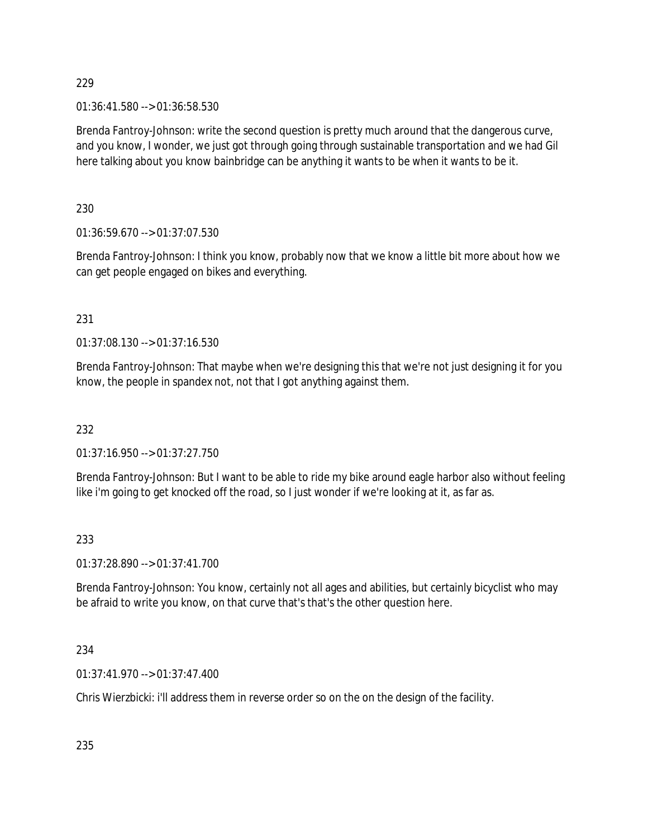01:36:41.580 --> 01:36:58.530

Brenda Fantroy-Johnson: write the second question is pretty much around that the dangerous curve, and you know, I wonder, we just got through going through sustainable transportation and we had Gil here talking about you know bainbridge can be anything it wants to be when it wants to be it.

230

01:36:59.670 --> 01:37:07.530

Brenda Fantroy-Johnson: I think you know, probably now that we know a little bit more about how we can get people engaged on bikes and everything.

231

01:37:08.130 --> 01:37:16.530

Brenda Fantroy-Johnson: That maybe when we're designing this that we're not just designing it for you know, the people in spandex not, not that I got anything against them.

232

01:37:16.950 --> 01:37:27.750

Brenda Fantroy-Johnson: But I want to be able to ride my bike around eagle harbor also without feeling like i'm going to get knocked off the road, so I just wonder if we're looking at it, as far as.

# 233

01:37:28.890 --> 01:37:41.700

Brenda Fantroy-Johnson: You know, certainly not all ages and abilities, but certainly bicyclist who may be afraid to write you know, on that curve that's that's the other question here.

# 234

01:37:41.970 --> 01:37:47.400

Chris Wierzbicki: i'll address them in reverse order so on the on the design of the facility.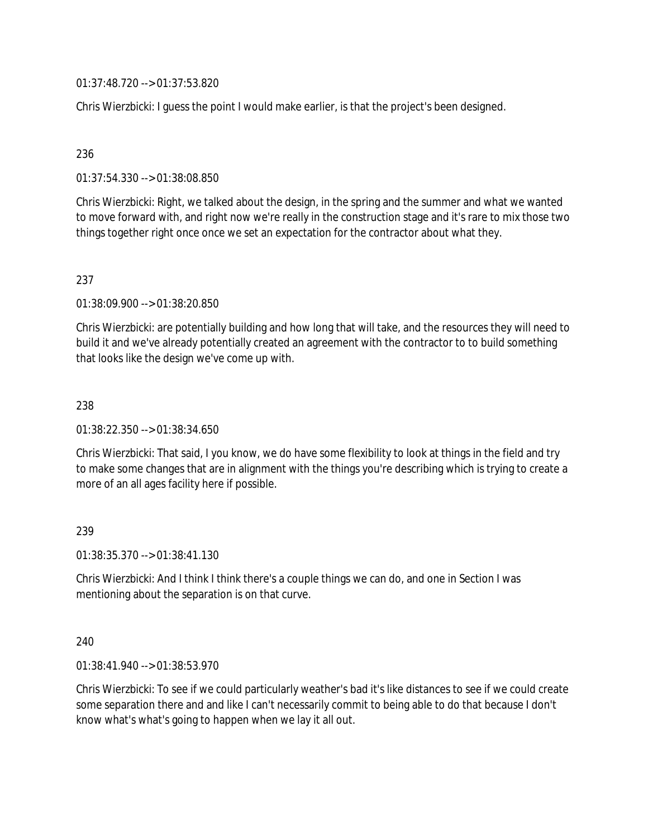01:37:48.720 --> 01:37:53.820

Chris Wierzbicki: I guess the point I would make earlier, is that the project's been designed.

## 236

01:37:54.330 --> 01:38:08.850

Chris Wierzbicki: Right, we talked about the design, in the spring and the summer and what we wanted to move forward with, and right now we're really in the construction stage and it's rare to mix those two things together right once once we set an expectation for the contractor about what they.

## 237

01:38:09.900 --> 01:38:20.850

Chris Wierzbicki: are potentially building and how long that will take, and the resources they will need to build it and we've already potentially created an agreement with the contractor to to build something that looks like the design we've come up with.

### 238

01:38:22.350 --> 01:38:34.650

Chris Wierzbicki: That said, I you know, we do have some flexibility to look at things in the field and try to make some changes that are in alignment with the things you're describing which is trying to create a more of an all ages facility here if possible.

### 239

01:38:35.370 --> 01:38:41.130

Chris Wierzbicki: And I think I think there's a couple things we can do, and one in Section I was mentioning about the separation is on that curve.

### 240

01:38:41.940 --> 01:38:53.970

Chris Wierzbicki: To see if we could particularly weather's bad it's like distances to see if we could create some separation there and and like I can't necessarily commit to being able to do that because I don't know what's what's going to happen when we lay it all out.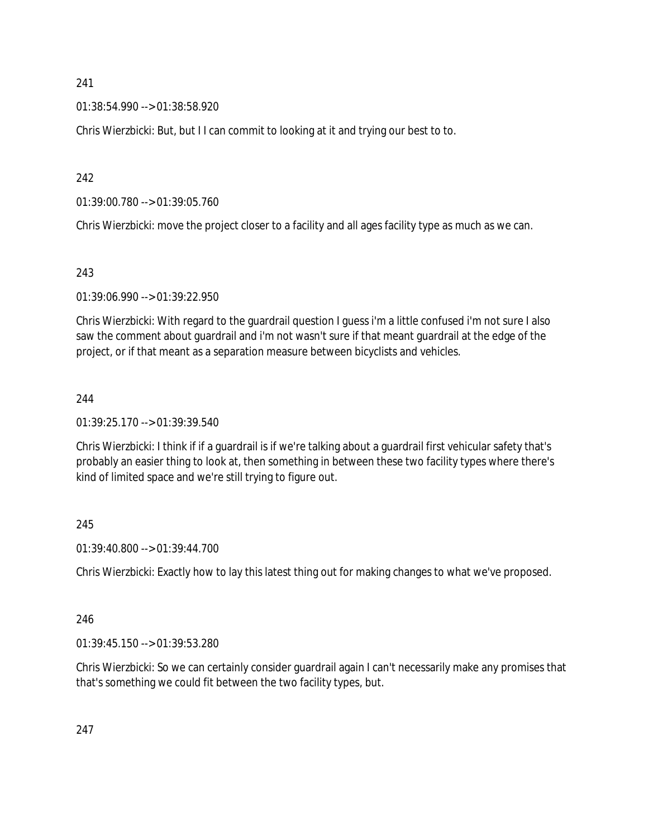01:38:54.990 --> 01:38:58.920

Chris Wierzbicki: But, but I I can commit to looking at it and trying our best to to.

242

01:39:00.780 --> 01:39:05.760

Chris Wierzbicki: move the project closer to a facility and all ages facility type as much as we can.

# 243

01:39:06.990 --> 01:39:22.950

Chris Wierzbicki: With regard to the guardrail question I guess i'm a little confused i'm not sure I also saw the comment about guardrail and i'm not wasn't sure if that meant guardrail at the edge of the project, or if that meant as a separation measure between bicyclists and vehicles.

# 244

01:39:25.170 --> 01:39:39.540

Chris Wierzbicki: I think if if a guardrail is if we're talking about a guardrail first vehicular safety that's probably an easier thing to look at, then something in between these two facility types where there's kind of limited space and we're still trying to figure out.

# 245

01:39:40.800 --> 01:39:44.700

Chris Wierzbicki: Exactly how to lay this latest thing out for making changes to what we've proposed.

# 246

01:39:45.150 --> 01:39:53.280

Chris Wierzbicki: So we can certainly consider guardrail again I can't necessarily make any promises that that's something we could fit between the two facility types, but.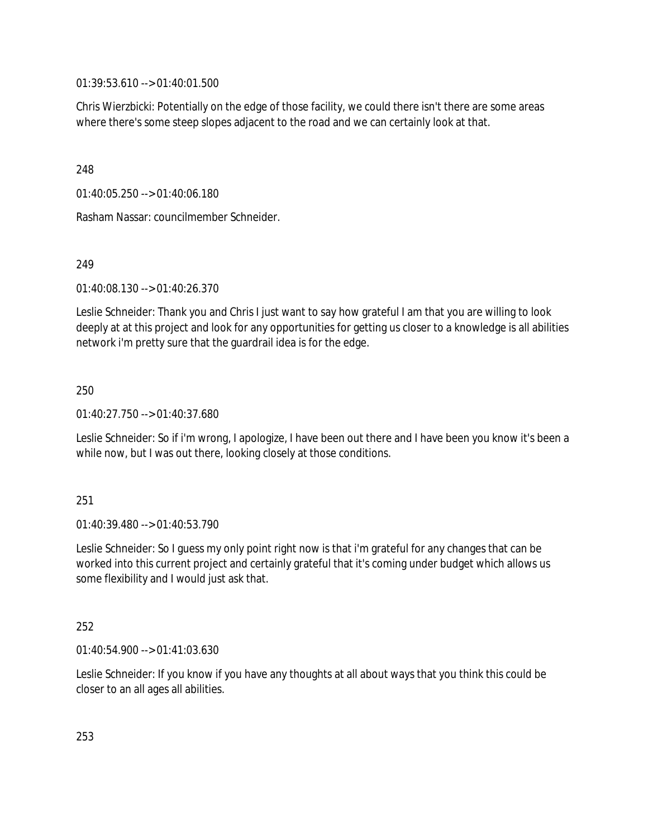01:39:53.610 --> 01:40:01.500

Chris Wierzbicki: Potentially on the edge of those facility, we could there isn't there are some areas where there's some steep slopes adjacent to the road and we can certainly look at that.

248

01:40:05.250 --> 01:40:06.180

Rasham Nassar: councilmember Schneider.

249

01:40:08.130 --> 01:40:26.370

Leslie Schneider: Thank you and Chris I just want to say how grateful I am that you are willing to look deeply at at this project and look for any opportunities for getting us closer to a knowledge is all abilities network i'm pretty sure that the guardrail idea is for the edge.

250

01:40:27.750 --> 01:40:37.680

Leslie Schneider: So if i'm wrong, I apologize, I have been out there and I have been you know it's been a while now, but I was out there, looking closely at those conditions.

251

01:40:39.480 --> 01:40:53.790

Leslie Schneider: So I guess my only point right now is that i'm grateful for any changes that can be worked into this current project and certainly grateful that it's coming under budget which allows us some flexibility and I would just ask that.

252

01:40:54.900 --> 01:41:03.630

Leslie Schneider: If you know if you have any thoughts at all about ways that you think this could be closer to an all ages all abilities.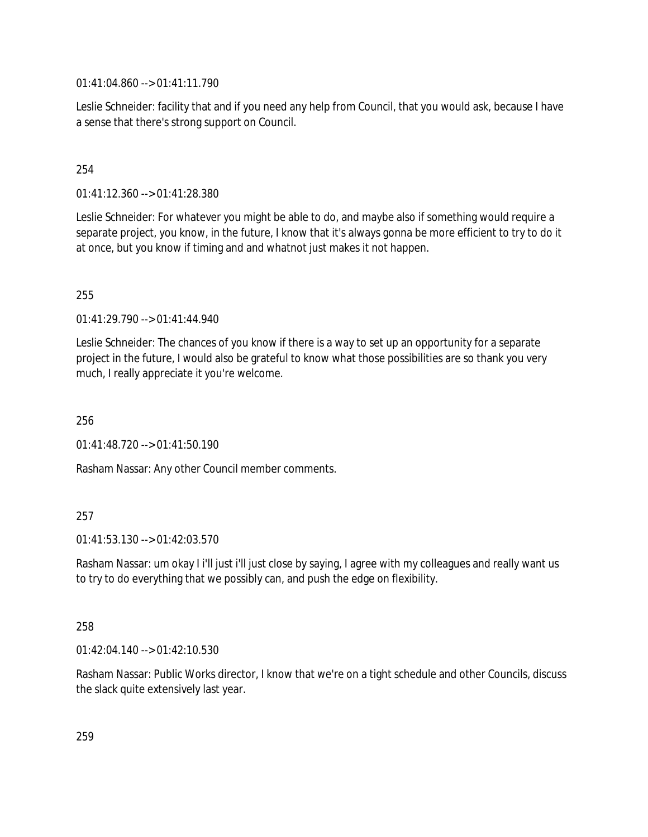01:41:04.860 --> 01:41:11.790

Leslie Schneider: facility that and if you need any help from Council, that you would ask, because I have a sense that there's strong support on Council.

## 254

01:41:12.360 --> 01:41:28.380

Leslie Schneider: For whatever you might be able to do, and maybe also if something would require a separate project, you know, in the future, I know that it's always gonna be more efficient to try to do it at once, but you know if timing and and whatnot just makes it not happen.

255

01:41:29.790 --> 01:41:44.940

Leslie Schneider: The chances of you know if there is a way to set up an opportunity for a separate project in the future, I would also be grateful to know what those possibilities are so thank you very much, I really appreciate it you're welcome.

256

01:41:48.720 --> 01:41:50.190

Rasham Nassar: Any other Council member comments.

# 257

01:41:53.130 --> 01:42:03.570

Rasham Nassar: um okay I i'll just i'll just close by saying, I agree with my colleagues and really want us to try to do everything that we possibly can, and push the edge on flexibility.

### 258

01:42:04.140 --> 01:42:10.530

Rasham Nassar: Public Works director, I know that we're on a tight schedule and other Councils, discuss the slack quite extensively last year.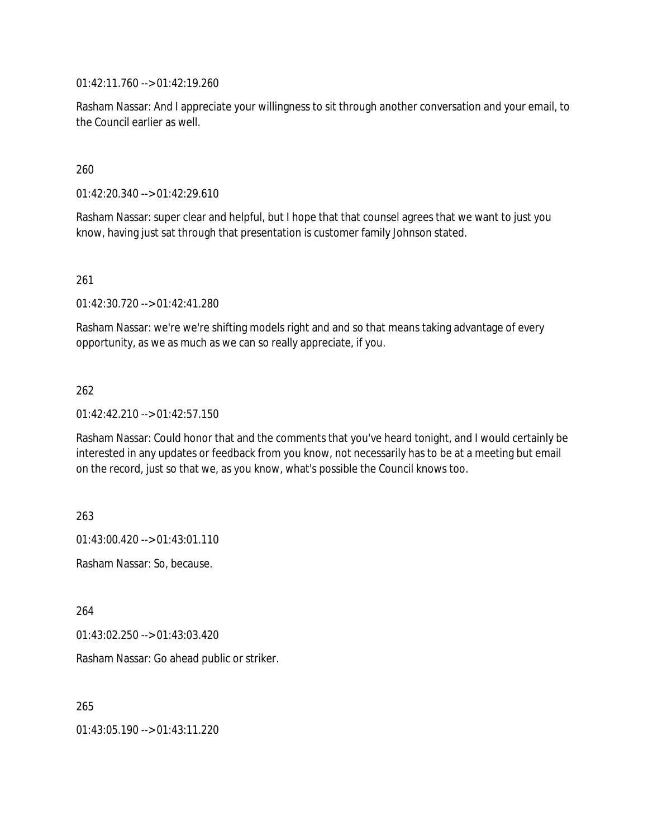01:42:11.760 --> 01:42:19.260

Rasham Nassar: And I appreciate your willingness to sit through another conversation and your email, to the Council earlier as well.

260

01:42:20.340 --> 01:42:29.610

Rasham Nassar: super clear and helpful, but I hope that that counsel agrees that we want to just you know, having just sat through that presentation is customer family Johnson stated.

261

01:42:30.720 --> 01:42:41.280

Rasham Nassar: we're we're shifting models right and and so that means taking advantage of every opportunity, as we as much as we can so really appreciate, if you.

262

01:42:42.210 --> 01:42:57.150

Rasham Nassar: Could honor that and the comments that you've heard tonight, and I would certainly be interested in any updates or feedback from you know, not necessarily has to be at a meeting but email on the record, just so that we, as you know, what's possible the Council knows too.

263

01:43:00.420 --> 01:43:01.110

Rasham Nassar: So, because.

264

01:43:02.250 --> 01:43:03.420

Rasham Nassar: Go ahead public or striker.

265

01:43:05.190 --> 01:43:11.220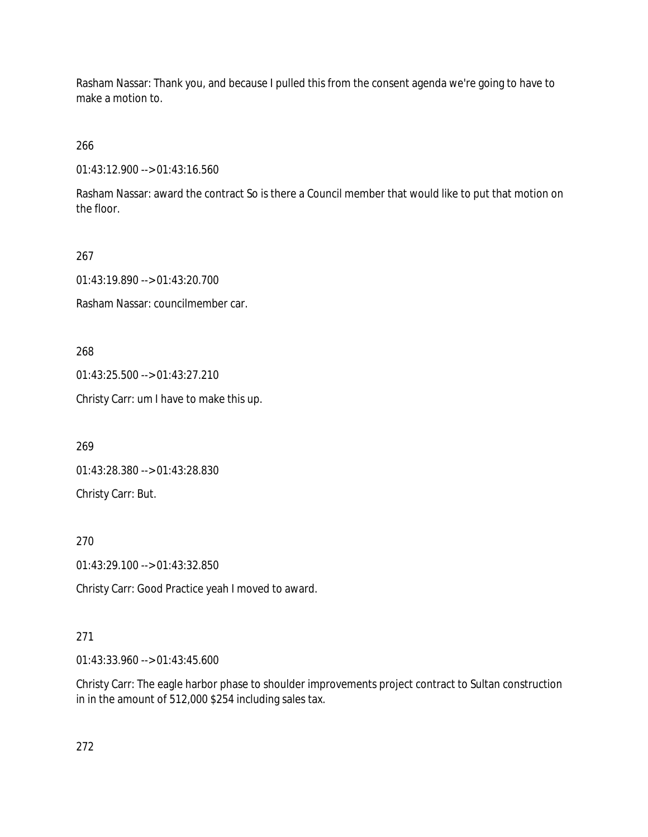Rasham Nassar: Thank you, and because I pulled this from the consent agenda we're going to have to make a motion to.

266

01:43:12.900 --> 01:43:16.560

Rasham Nassar: award the contract So is there a Council member that would like to put that motion on the floor.

267

01:43:19.890 --> 01:43:20.700

Rasham Nassar: councilmember car.

268

01:43:25.500 --> 01:43:27.210

Christy Carr: um I have to make this up.

269

01:43:28.380 --> 01:43:28.830

Christy Carr: But.

270

01:43:29.100 --> 01:43:32.850

Christy Carr: Good Practice yeah I moved to award.

# 271

01:43:33.960 --> 01:43:45.600

Christy Carr: The eagle harbor phase to shoulder improvements project contract to Sultan construction in in the amount of 512,000 \$254 including sales tax.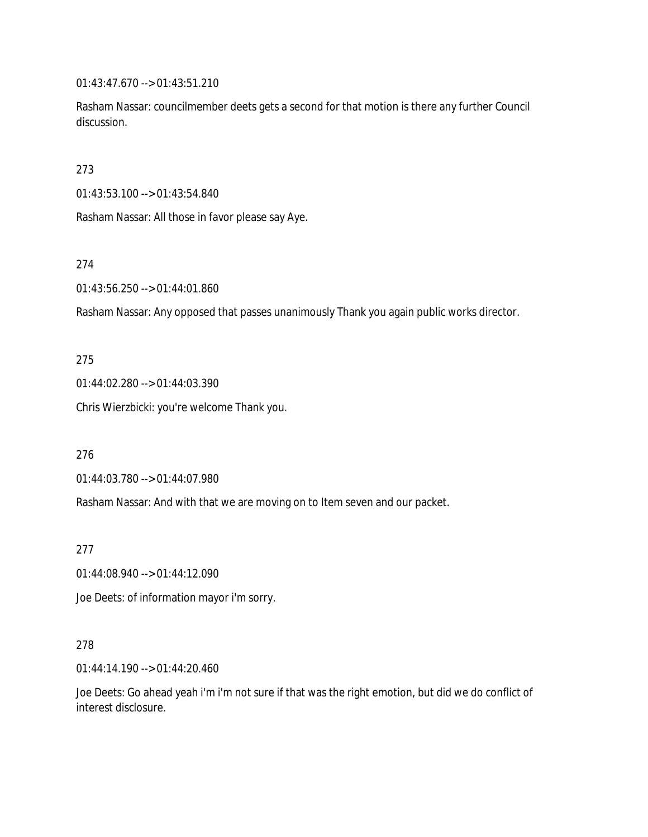01:43:47.670 --> 01:43:51.210

Rasham Nassar: councilmember deets gets a second for that motion is there any further Council discussion.

273

01:43:53.100 --> 01:43:54.840

Rasham Nassar: All those in favor please say Aye.

274

01:43:56.250 --> 01:44:01.860

Rasham Nassar: Any opposed that passes unanimously Thank you again public works director.

275

01:44:02.280 --> 01:44:03.390

Chris Wierzbicki: you're welcome Thank you.

276

01:44:03.780 --> 01:44:07.980

Rasham Nassar: And with that we are moving on to Item seven and our packet.

277

01:44:08.940 --> 01:44:12.090

Joe Deets: of information mayor i'm sorry.

278

01:44:14.190 --> 01:44:20.460

Joe Deets: Go ahead yeah i'm i'm not sure if that was the right emotion, but did we do conflict of interest disclosure.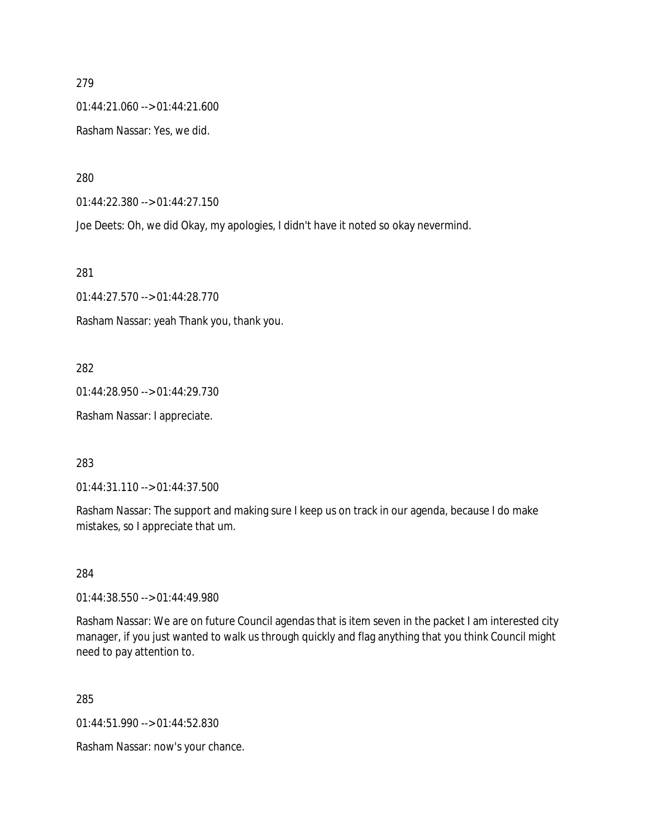01:44:21.060 --> 01:44:21.600

Rasham Nassar: Yes, we did.

280

01:44:22.380 --> 01:44:27.150

Joe Deets: Oh, we did Okay, my apologies, I didn't have it noted so okay nevermind.

281

01:44:27.570 --> 01:44:28.770 Rasham Nassar: yeah Thank you, thank you.

282

01:44:28.950 --> 01:44:29.730

Rasham Nassar: I appreciate.

283

01:44:31.110 --> 01:44:37.500

Rasham Nassar: The support and making sure I keep us on track in our agenda, because I do make mistakes, so I appreciate that um.

284

01:44:38.550 --> 01:44:49.980

Rasham Nassar: We are on future Council agendas that is item seven in the packet I am interested city manager, if you just wanted to walk us through quickly and flag anything that you think Council might need to pay attention to.

285

01:44:51.990 --> 01:44:52.830

Rasham Nassar: now's your chance.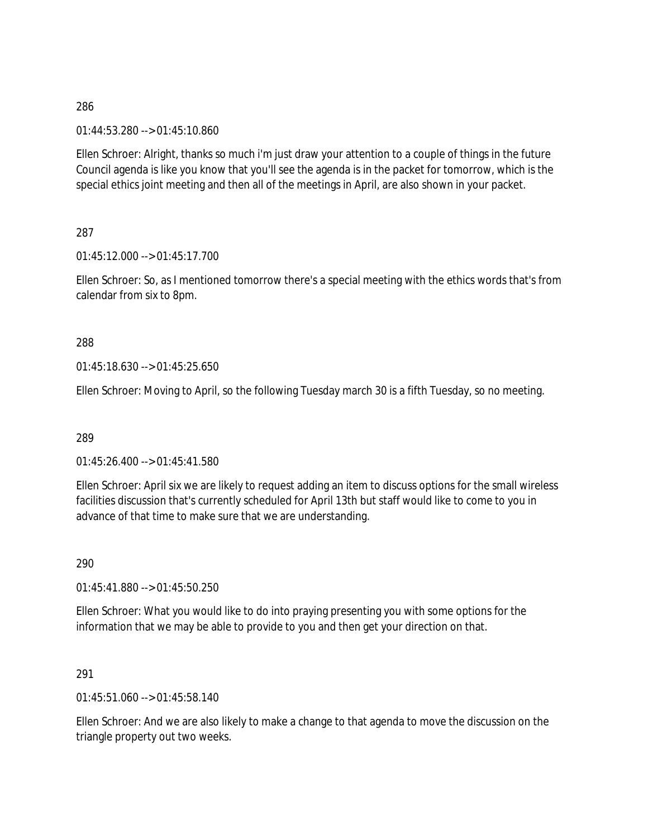01:44:53.280 --> 01:45:10.860

Ellen Schroer: Alright, thanks so much i'm just draw your attention to a couple of things in the future Council agenda is like you know that you'll see the agenda is in the packet for tomorrow, which is the special ethics joint meeting and then all of the meetings in April, are also shown in your packet.

287

01:45:12.000 --> 01:45:17.700

Ellen Schroer: So, as I mentioned tomorrow there's a special meeting with the ethics words that's from calendar from six to 8pm.

### 288

01:45:18.630 --> 01:45:25.650

Ellen Schroer: Moving to April, so the following Tuesday march 30 is a fifth Tuesday, so no meeting.

### 289

01:45:26.400 --> 01:45:41.580

Ellen Schroer: April six we are likely to request adding an item to discuss options for the small wireless facilities discussion that's currently scheduled for April 13th but staff would like to come to you in advance of that time to make sure that we are understanding.

290

01:45:41.880 --> 01:45:50.250

Ellen Schroer: What you would like to do into praying presenting you with some options for the information that we may be able to provide to you and then get your direction on that.

### 291

01:45:51.060 --> 01:45:58.140

Ellen Schroer: And we are also likely to make a change to that agenda to move the discussion on the triangle property out two weeks.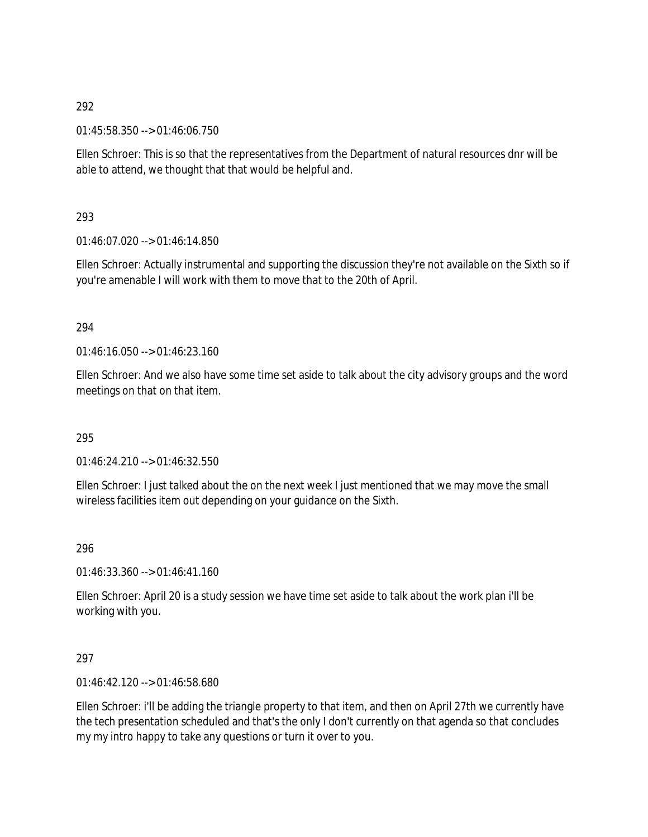01:45:58.350 --> 01:46:06.750

Ellen Schroer: This is so that the representatives from the Department of natural resources dnr will be able to attend, we thought that that would be helpful and.

293

01:46:07.020 --> 01:46:14.850

Ellen Schroer: Actually instrumental and supporting the discussion they're not available on the Sixth so if you're amenable I will work with them to move that to the 20th of April.

## 294

 $01:46:16.050 \rightarrow 01:46:23.160$ 

Ellen Schroer: And we also have some time set aside to talk about the city advisory groups and the word meetings on that on that item.

# 295

01:46:24.210 --> 01:46:32.550

Ellen Schroer: I just talked about the on the next week I just mentioned that we may move the small wireless facilities item out depending on your guidance on the Sixth.

296

 $01:46:33.360 \rightarrow 01:46:41.160$ 

Ellen Schroer: April 20 is a study session we have time set aside to talk about the work plan i'll be working with you.

### 297

01:46:42.120 --> 01:46:58.680

Ellen Schroer: i'll be adding the triangle property to that item, and then on April 27th we currently have the tech presentation scheduled and that's the only I don't currently on that agenda so that concludes my my intro happy to take any questions or turn it over to you.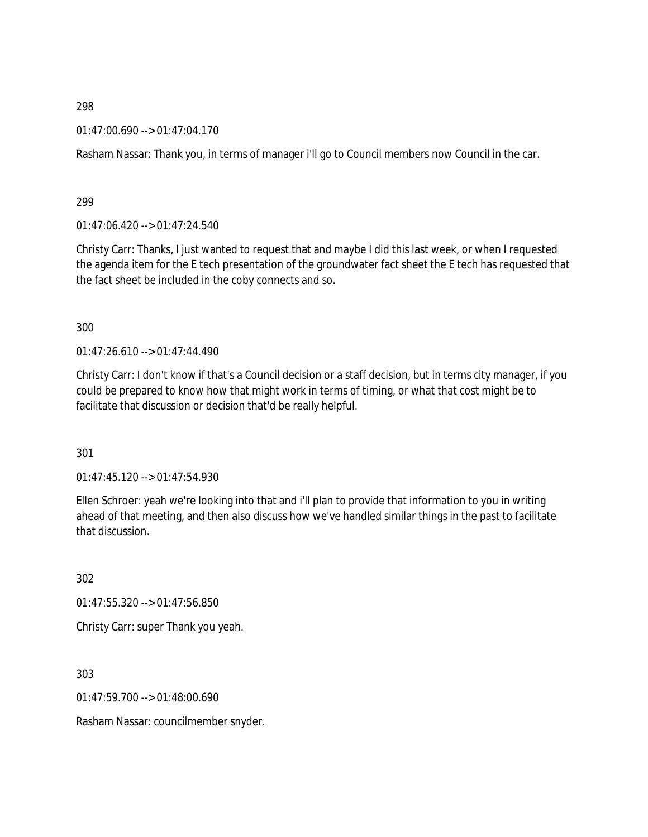01:47:00.690 --> 01:47:04.170

Rasham Nassar: Thank you, in terms of manager i'll go to Council members now Council in the car.

299

01:47:06.420 --> 01:47:24.540

Christy Carr: Thanks, I just wanted to request that and maybe I did this last week, or when I requested the agenda item for the E tech presentation of the groundwater fact sheet the E tech has requested that the fact sheet be included in the coby connects and so.

300

01:47:26.610 --> 01:47:44.490

Christy Carr: I don't know if that's a Council decision or a staff decision, but in terms city manager, if you could be prepared to know how that might work in terms of timing, or what that cost might be to facilitate that discussion or decision that'd be really helpful.

301

01:47:45.120 --> 01:47:54.930

Ellen Schroer: yeah we're looking into that and i'll plan to provide that information to you in writing ahead of that meeting, and then also discuss how we've handled similar things in the past to facilitate that discussion.

302

01:47:55.320 --> 01:47:56.850 Christy Carr: super Thank you yeah.

303

01:47:59.700 --> 01:48:00.690

Rasham Nassar: councilmember snyder.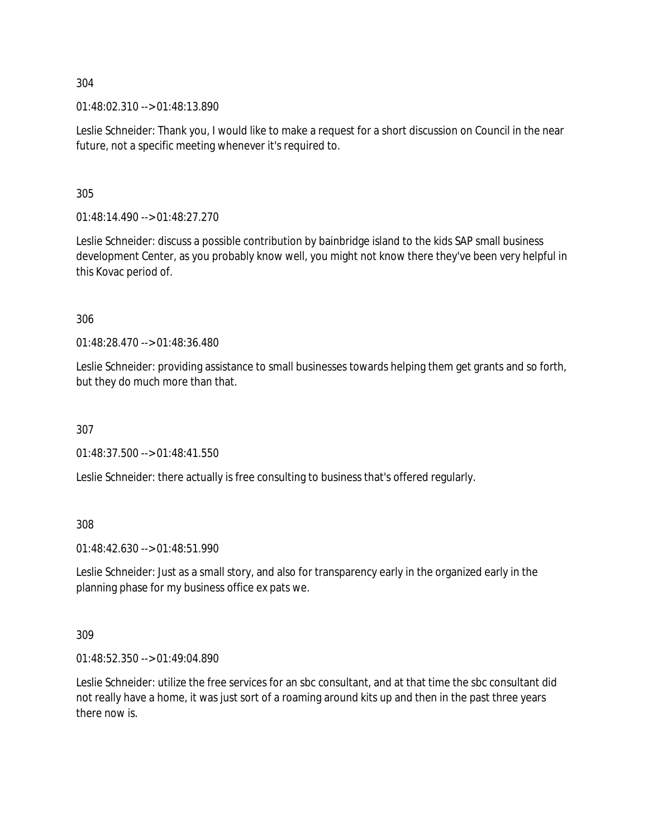01:48:02.310 --> 01:48:13.890

Leslie Schneider: Thank you, I would like to make a request for a short discussion on Council in the near future, not a specific meeting whenever it's required to.

305

01:48:14.490 --> 01:48:27.270

Leslie Schneider: discuss a possible contribution by bainbridge island to the kids SAP small business development Center, as you probably know well, you might not know there they've been very helpful in this Kovac period of.

306

01:48:28.470 --> 01:48:36.480

Leslie Schneider: providing assistance to small businesses towards helping them get grants and so forth, but they do much more than that.

307

01:48:37.500 --> 01:48:41.550

Leslie Schneider: there actually is free consulting to business that's offered regularly.

308

01:48:42.630 --> 01:48:51.990

Leslie Schneider: Just as a small story, and also for transparency early in the organized early in the planning phase for my business office ex pats we.

309

01:48:52.350 --> 01:49:04.890

Leslie Schneider: utilize the free services for an sbc consultant, and at that time the sbc consultant did not really have a home, it was just sort of a roaming around kits up and then in the past three years there now is.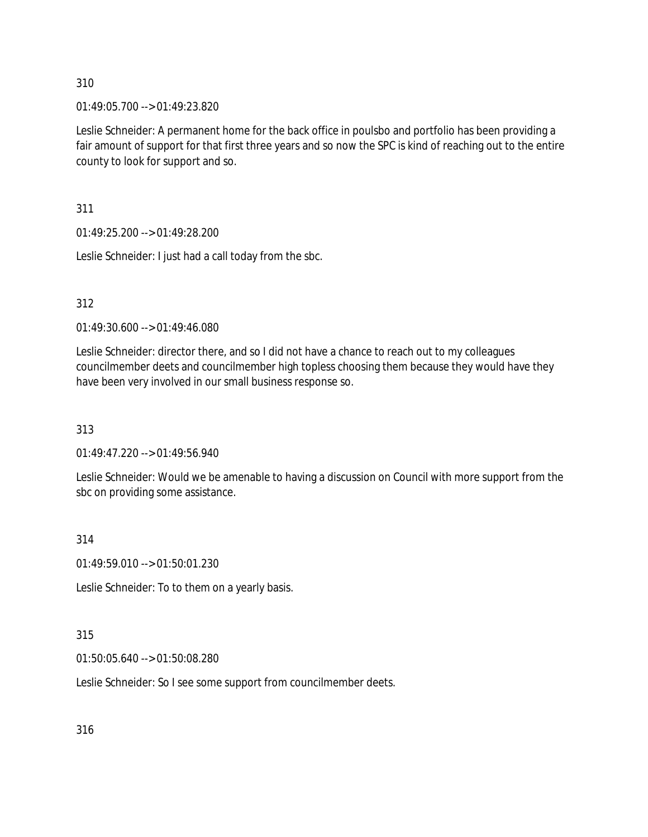01:49:05.700 --> 01:49:23.820

Leslie Schneider: A permanent home for the back office in poulsbo and portfolio has been providing a fair amount of support for that first three years and so now the SPC is kind of reaching out to the entire county to look for support and so.

311

01:49:25.200 --> 01:49:28.200

Leslie Schneider: I just had a call today from the sbc.

312

01:49:30.600 --> 01:49:46.080

Leslie Schneider: director there, and so I did not have a chance to reach out to my colleagues councilmember deets and councilmember high topless choosing them because they would have they have been very involved in our small business response so.

313

01:49:47.220 --> 01:49:56.940

Leslie Schneider: Would we be amenable to having a discussion on Council with more support from the sbc on providing some assistance.

314

01:49:59.010 --> 01:50:01.230

Leslie Schneider: To to them on a yearly basis.

315

01:50:05.640 --> 01:50:08.280

Leslie Schneider: So I see some support from councilmember deets.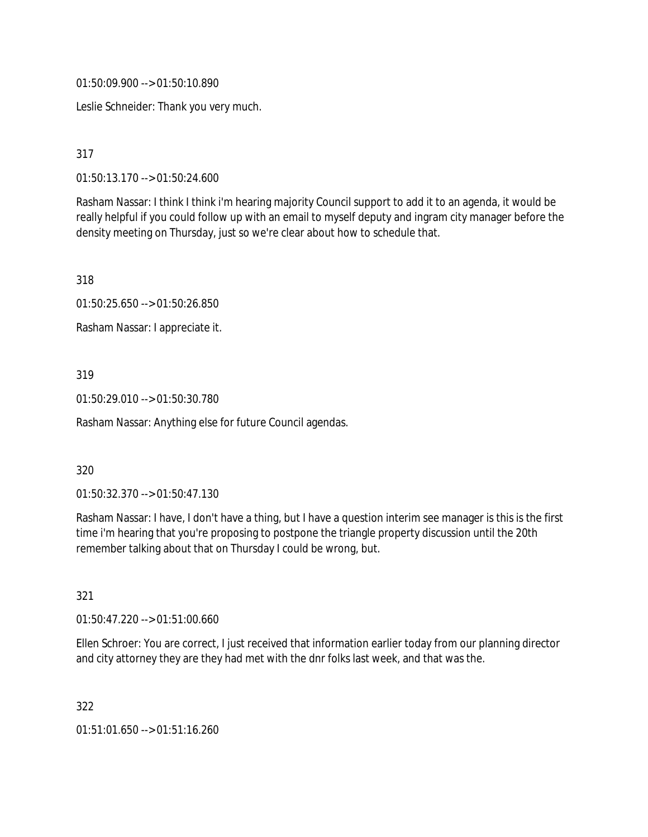01:50:09.900 --> 01:50:10.890

Leslie Schneider: Thank you very much.

317

01:50:13.170 --> 01:50:24.600

Rasham Nassar: I think I think i'm hearing majority Council support to add it to an agenda, it would be really helpful if you could follow up with an email to myself deputy and ingram city manager before the density meeting on Thursday, just so we're clear about how to schedule that.

318

01:50:25.650 --> 01:50:26.850

Rasham Nassar: I appreciate it.

319

01:50:29.010 --> 01:50:30.780

Rasham Nassar: Anything else for future Council agendas.

### 320

01:50:32.370 --> 01:50:47.130

Rasham Nassar: I have, I don't have a thing, but I have a question interim see manager is this is the first time i'm hearing that you're proposing to postpone the triangle property discussion until the 20th remember talking about that on Thursday I could be wrong, but.

321

01:50:47.220 --> 01:51:00.660

Ellen Schroer: You are correct, I just received that information earlier today from our planning director and city attorney they are they had met with the dnr folks last week, and that was the.

322

01:51:01.650 --> 01:51:16.260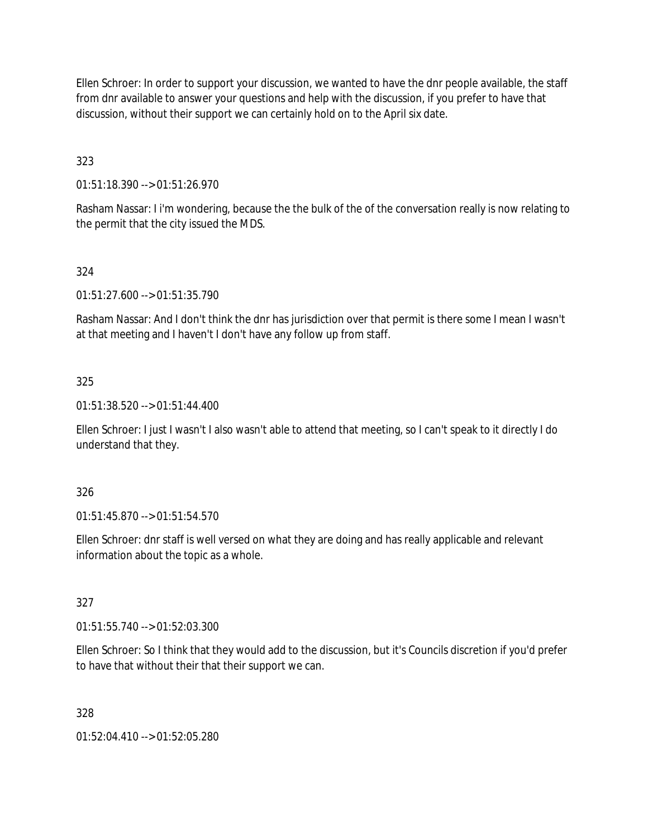Ellen Schroer: In order to support your discussion, we wanted to have the dnr people available, the staff from dnr available to answer your questions and help with the discussion, if you prefer to have that discussion, without their support we can certainly hold on to the April six date.

323

01:51:18.390 --> 01:51:26.970

Rasham Nassar: I i'm wondering, because the the bulk of the of the conversation really is now relating to the permit that the city issued the MDS.

## 324

01:51:27.600 --> 01:51:35.790

Rasham Nassar: And I don't think the dnr has jurisdiction over that permit is there some I mean I wasn't at that meeting and I haven't I don't have any follow up from staff.

## 325

01:51:38.520 --> 01:51:44.400

Ellen Schroer: I just I wasn't I also wasn't able to attend that meeting, so I can't speak to it directly I do understand that they.

### 326

01:51:45.870 --> 01:51:54.570

Ellen Schroer: dnr staff is well versed on what they are doing and has really applicable and relevant information about the topic as a whole.

### 327

01:51:55.740 --> 01:52:03.300

Ellen Schroer: So I think that they would add to the discussion, but it's Councils discretion if you'd prefer to have that without their that their support we can.

### 328

01:52:04.410 --> 01:52:05.280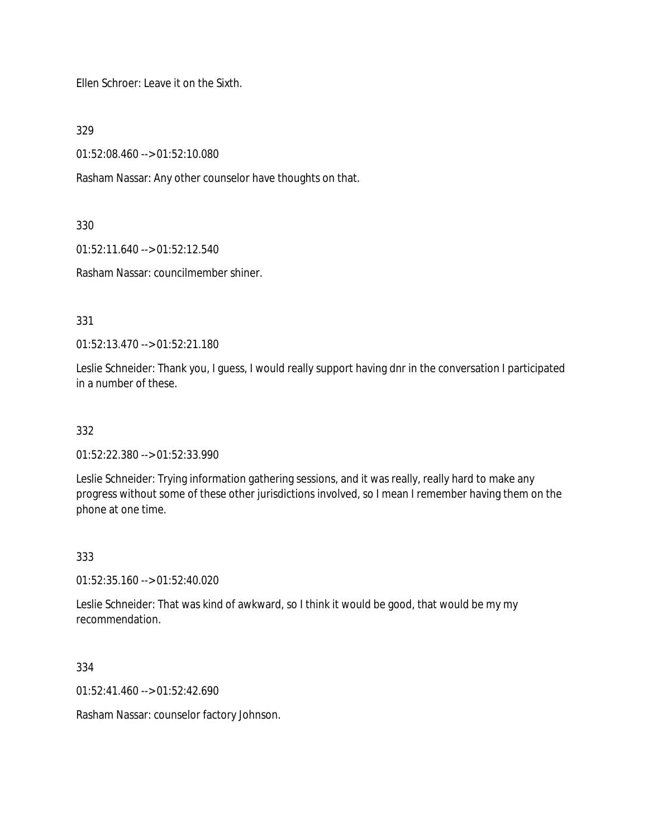Ellen Schroer: Leave it on the Sixth.

329

01:52:08.460 --> 01:52:10.080

Rasham Nassar: Any other counselor have thoughts on that.

330

01:52:11.640 --> 01:52:12.540

Rasham Nassar: councilmember shiner.

331

01:52:13.470 --> 01:52:21.180

Leslie Schneider: Thank you, I guess, I would really support having dnr in the conversation I participated in a number of these.

332

01:52:22.380 --> 01:52:33.990

Leslie Schneider: Trying information gathering sessions, and it was really, really hard to make any progress without some of these other jurisdictions involved, so I mean I remember having them on the phone at one time.

333

01:52:35.160 --> 01:52:40.020

Leslie Schneider: That was kind of awkward, so I think it would be good, that would be my my recommendation.

334

01:52:41.460 --> 01:52:42.690

Rasham Nassar: counselor factory Johnson.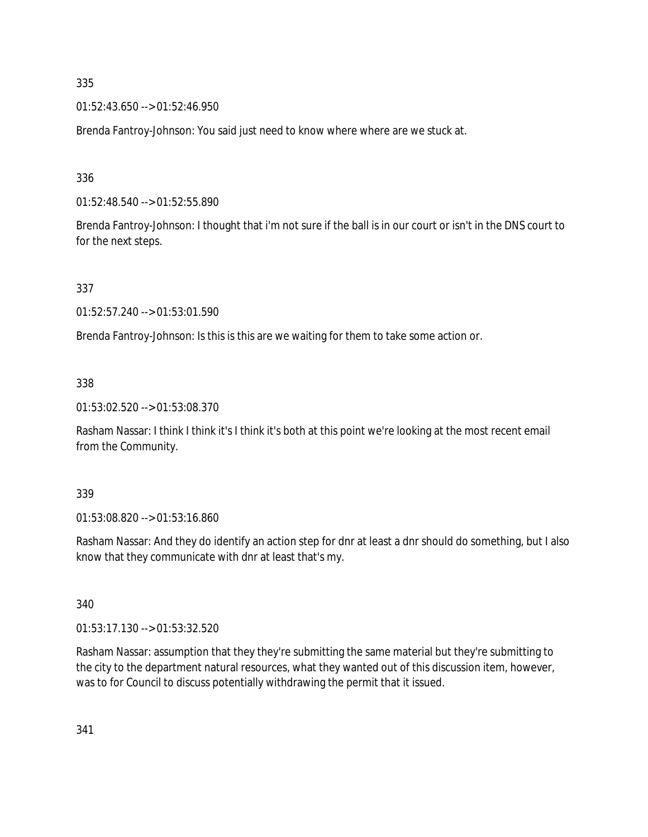01:52:43.650 --> 01:52:46.950

Brenda Fantroy-Johnson: You said just need to know where where are we stuck at.

336

01:52:48.540 --> 01:52:55.890

Brenda Fantroy-Johnson: I thought that i'm not sure if the ball is in our court or isn't in the DNS court to for the next steps.

337

01:52:57.240 --> 01:53:01.590

Brenda Fantroy-Johnson: Is this is this are we waiting for them to take some action or.

338

01:53:02.520 --> 01:53:08.370

Rasham Nassar: I think I think it's I think it's both at this point we're looking at the most recent email from the Community.

339

01:53:08.820 --> 01:53:16.860

Rasham Nassar: And they do identify an action step for dnr at least a dnr should do something, but I also know that they communicate with dnr at least that's my.

340

01:53:17.130 --> 01:53:32.520

Rasham Nassar: assumption that they they're submitting the same material but they're submitting to the city to the department natural resources, what they wanted out of this discussion item, however, was to for Council to discuss potentially withdrawing the permit that it issued.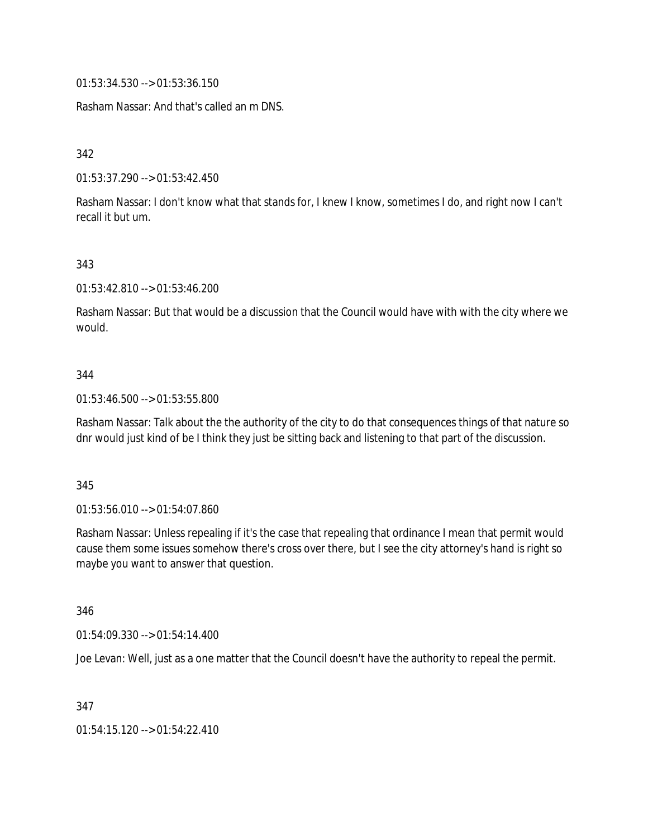01:53:34.530 --> 01:53:36.150

Rasham Nassar: And that's called an m DNS.

342

01:53:37.290 --> 01:53:42.450

Rasham Nassar: I don't know what that stands for, I knew I know, sometimes I do, and right now I can't recall it but um.

343

01:53:42.810 --> 01:53:46.200

Rasham Nassar: But that would be a discussion that the Council would have with with the city where we would.

#### 344

01:53:46.500 --> 01:53:55.800

Rasham Nassar: Talk about the the authority of the city to do that consequences things of that nature so dnr would just kind of be I think they just be sitting back and listening to that part of the discussion.

#### 345

01:53:56.010 --> 01:54:07.860

Rasham Nassar: Unless repealing if it's the case that repealing that ordinance I mean that permit would cause them some issues somehow there's cross over there, but I see the city attorney's hand is right so maybe you want to answer that question.

346

01:54:09.330 --> 01:54:14.400

Joe Levan: Well, just as a one matter that the Council doesn't have the authority to repeal the permit.

347

01:54:15.120 --> 01:54:22.410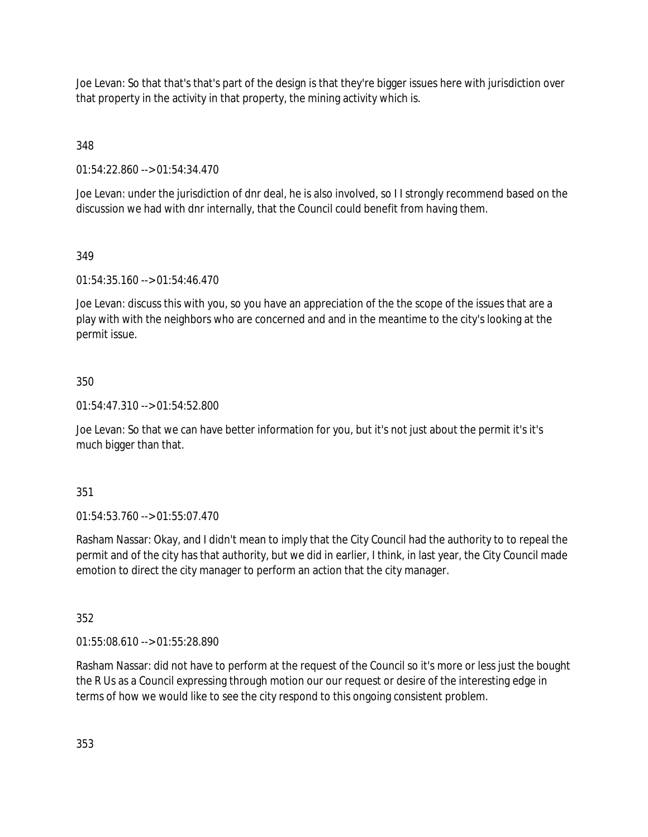Joe Levan: So that that's that's part of the design is that they're bigger issues here with jurisdiction over that property in the activity in that property, the mining activity which is.

348

01:54:22.860 --> 01:54:34.470

Joe Levan: under the jurisdiction of dnr deal, he is also involved, so I I strongly recommend based on the discussion we had with dnr internally, that the Council could benefit from having them.

# 349

01:54:35.160 --> 01:54:46.470

Joe Levan: discuss this with you, so you have an appreciation of the the scope of the issues that are a play with with the neighbors who are concerned and and in the meantime to the city's looking at the permit issue.

## 350

01:54:47.310 --> 01:54:52.800

Joe Levan: So that we can have better information for you, but it's not just about the permit it's it's much bigger than that.

### 351

01:54:53.760 --> 01:55:07.470

Rasham Nassar: Okay, and I didn't mean to imply that the City Council had the authority to to repeal the permit and of the city has that authority, but we did in earlier, I think, in last year, the City Council made emotion to direct the city manager to perform an action that the city manager.

### 352

01:55:08.610 --> 01:55:28.890

Rasham Nassar: did not have to perform at the request of the Council so it's more or less just the bought the R Us as a Council expressing through motion our our request or desire of the interesting edge in terms of how we would like to see the city respond to this ongoing consistent problem.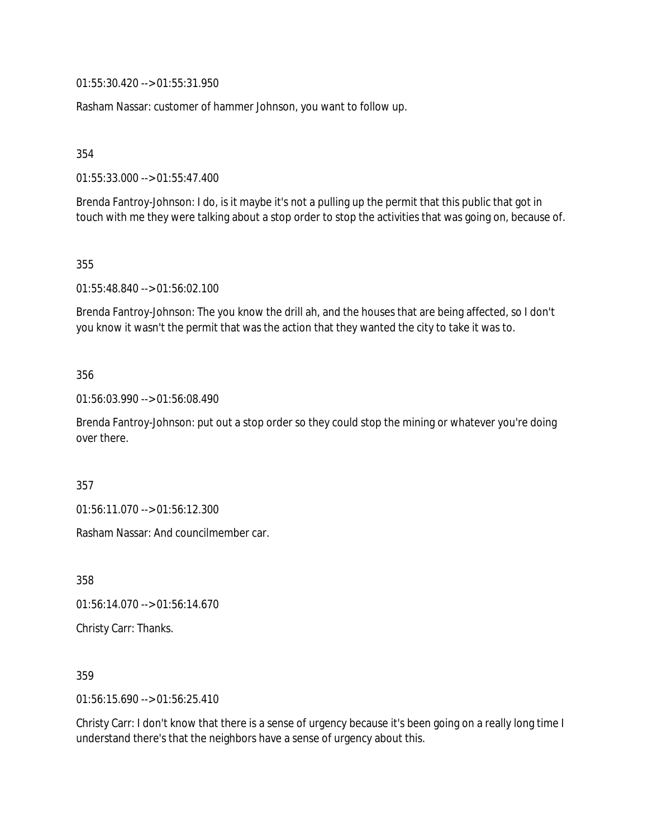01:55:30.420 --> 01:55:31.950

Rasham Nassar: customer of hammer Johnson, you want to follow up.

354

01:55:33.000 --> 01:55:47.400

Brenda Fantroy-Johnson: I do, is it maybe it's not a pulling up the permit that this public that got in touch with me they were talking about a stop order to stop the activities that was going on, because of.

355

01:55:48.840 --> 01:56:02.100

Brenda Fantroy-Johnson: The you know the drill ah, and the houses that are being affected, so I don't you know it wasn't the permit that was the action that they wanted the city to take it was to.

#### 356

01:56:03.990 --> 01:56:08.490

Brenda Fantroy-Johnson: put out a stop order so they could stop the mining or whatever you're doing over there.

357

01:56:11.070 --> 01:56:12.300

Rasham Nassar: And councilmember car.

358

01:56:14.070 --> 01:56:14.670

Christy Carr: Thanks.

359

01:56:15.690 --> 01:56:25.410

Christy Carr: I don't know that there is a sense of urgency because it's been going on a really long time I understand there's that the neighbors have a sense of urgency about this.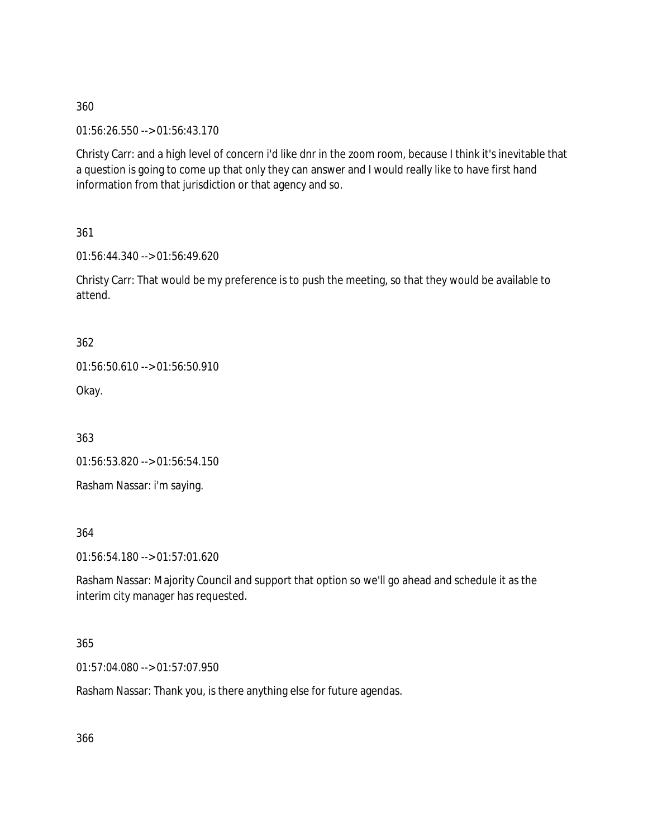01:56:26.550 --> 01:56:43.170

Christy Carr: and a high level of concern i'd like dnr in the zoom room, because I think it's inevitable that a question is going to come up that only they can answer and I would really like to have first hand information from that jurisdiction or that agency and so.

361

01:56:44.340 --> 01:56:49.620

Christy Carr: That would be my preference is to push the meeting, so that they would be available to attend.

362

01:56:50.610 --> 01:56:50.910

Okay.

363

01:56:53.820 --> 01:56:54.150

Rasham Nassar: i'm saying.

364

01:56:54.180 --> 01:57:01.620

Rasham Nassar: Majority Council and support that option so we'll go ahead and schedule it as the interim city manager has requested.

### 365

01:57:04.080 --> 01:57:07.950

Rasham Nassar: Thank you, is there anything else for future agendas.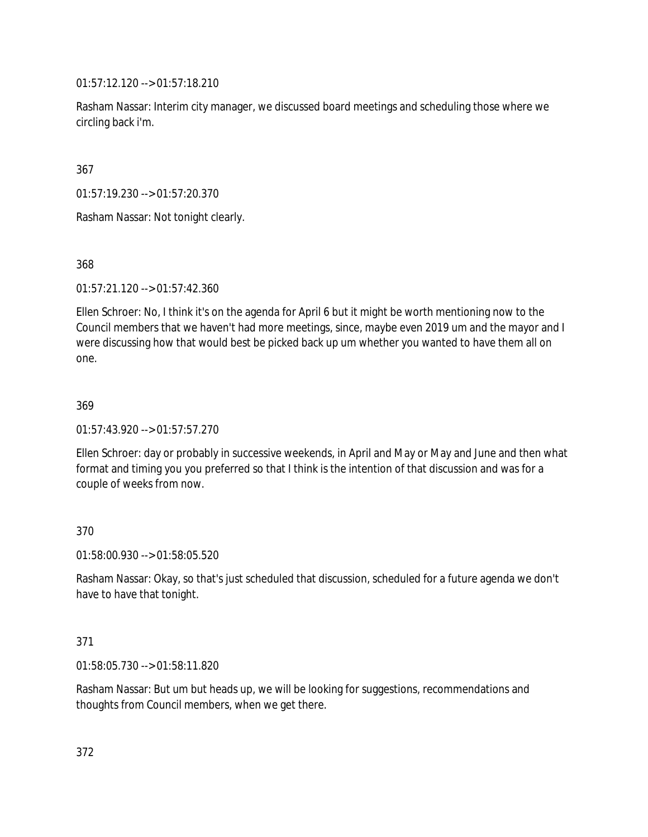01:57:12.120 --> 01:57:18.210

Rasham Nassar: Interim city manager, we discussed board meetings and scheduling those where we circling back i'm.

367

01:57:19.230 --> 01:57:20.370

Rasham Nassar: Not tonight clearly.

368

01:57:21.120 --> 01:57:42.360

Ellen Schroer: No, I think it's on the agenda for April 6 but it might be worth mentioning now to the Council members that we haven't had more meetings, since, maybe even 2019 um and the mayor and I were discussing how that would best be picked back up um whether you wanted to have them all on one.

369

01:57:43.920 --> 01:57:57.270

Ellen Schroer: day or probably in successive weekends, in April and May or May and June and then what format and timing you you preferred so that I think is the intention of that discussion and was for a couple of weeks from now.

370

01:58:00.930 --> 01:58:05.520

Rasham Nassar: Okay, so that's just scheduled that discussion, scheduled for a future agenda we don't have to have that tonight.

### 371

01:58:05.730 --> 01:58:11.820

Rasham Nassar: But um but heads up, we will be looking for suggestions, recommendations and thoughts from Council members, when we get there.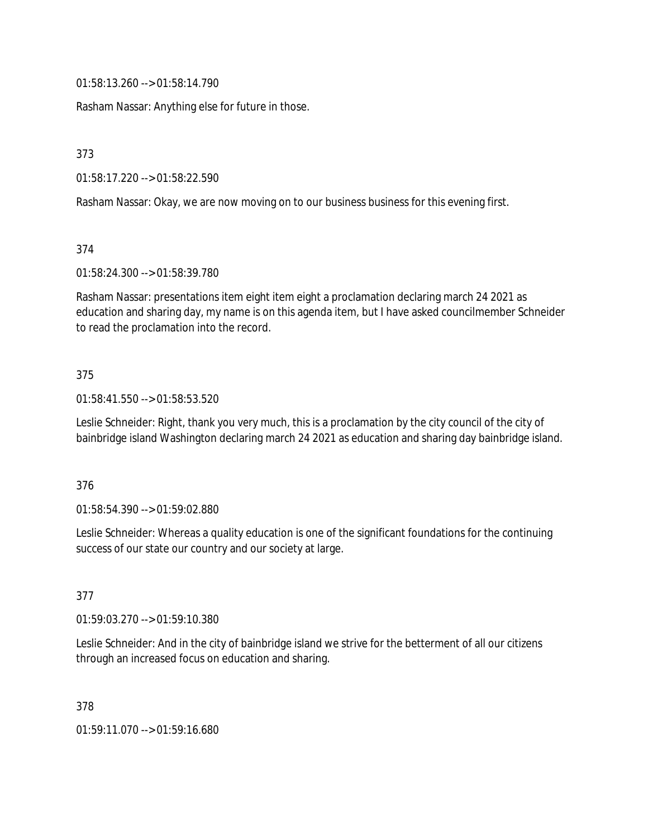01:58:13.260 --> 01:58:14.790

Rasham Nassar: Anything else for future in those.

373

01:58:17.220 --> 01:58:22.590

Rasham Nassar: Okay, we are now moving on to our business business for this evening first.

374

01:58:24.300 --> 01:58:39.780

Rasham Nassar: presentations item eight item eight a proclamation declaring march 24 2021 as education and sharing day, my name is on this agenda item, but I have asked councilmember Schneider to read the proclamation into the record.

#### 375

01:58:41.550 --> 01:58:53.520

Leslie Schneider: Right, thank you very much, this is a proclamation by the city council of the city of bainbridge island Washington declaring march 24 2021 as education and sharing day bainbridge island.

#### 376

01:58:54.390 --> 01:59:02.880

Leslie Schneider: Whereas a quality education is one of the significant foundations for the continuing success of our state our country and our society at large.

### 377

01:59:03.270 --> 01:59:10.380

Leslie Schneider: And in the city of bainbridge island we strive for the betterment of all our citizens through an increased focus on education and sharing.

378

01:59:11.070 --> 01:59:16.680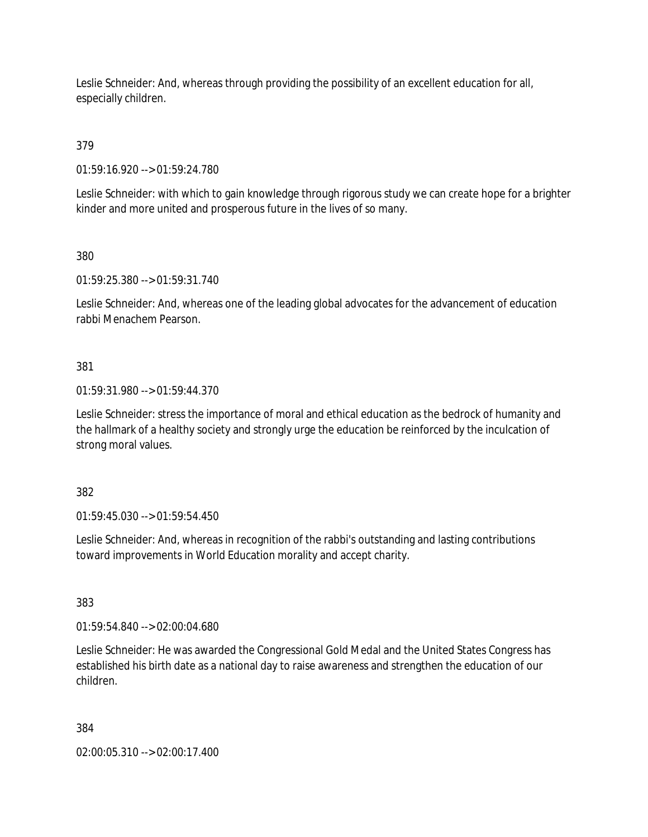Leslie Schneider: And, whereas through providing the possibility of an excellent education for all, especially children.

379

01:59:16.920 --> 01:59:24.780

Leslie Schneider: with which to gain knowledge through rigorous study we can create hope for a brighter kinder and more united and prosperous future in the lives of so many.

380

01:59:25.380 --> 01:59:31.740

Leslie Schneider: And, whereas one of the leading global advocates for the advancement of education rabbi Menachem Pearson.

381

01:59:31.980 --> 01:59:44.370

Leslie Schneider: stress the importance of moral and ethical education as the bedrock of humanity and the hallmark of a healthy society and strongly urge the education be reinforced by the inculcation of strong moral values.

382

01:59:45.030 --> 01:59:54.450

Leslie Schneider: And, whereas in recognition of the rabbi's outstanding and lasting contributions toward improvements in World Education morality and accept charity.

383

01:59:54.840 --> 02:00:04.680

Leslie Schneider: He was awarded the Congressional Gold Medal and the United States Congress has established his birth date as a national day to raise awareness and strengthen the education of our children.

384

02:00:05.310 --> 02:00:17.400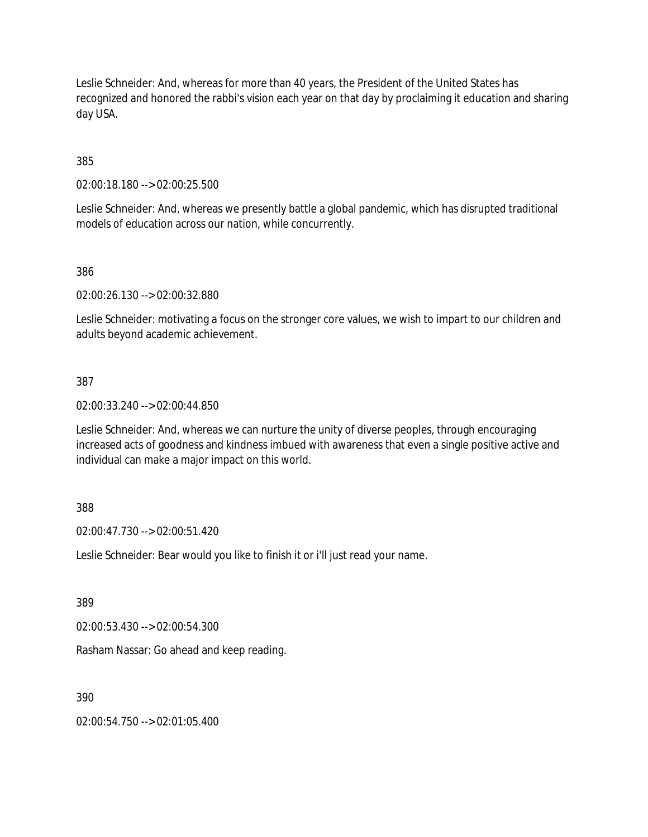Leslie Schneider: And, whereas for more than 40 years, the President of the United States has recognized and honored the rabbi's vision each year on that day by proclaiming it education and sharing day USA.

385

02:00:18.180 --> 02:00:25.500

Leslie Schneider: And, whereas we presently battle a global pandemic, which has disrupted traditional models of education across our nation, while concurrently.

386

02:00:26.130 --> 02:00:32.880

Leslie Schneider: motivating a focus on the stronger core values, we wish to impart to our children and adults beyond academic achievement.

387

02:00:33.240 --> 02:00:44.850

Leslie Schneider: And, whereas we can nurture the unity of diverse peoples, through encouraging increased acts of goodness and kindness imbued with awareness that even a single positive active and individual can make a major impact on this world.

388

02:00:47.730 --> 02:00:51.420

Leslie Schneider: Bear would you like to finish it or i'll just read your name.

389

02:00:53.430 --> 02:00:54.300

Rasham Nassar: Go ahead and keep reading.

390

02:00:54.750 --> 02:01:05.400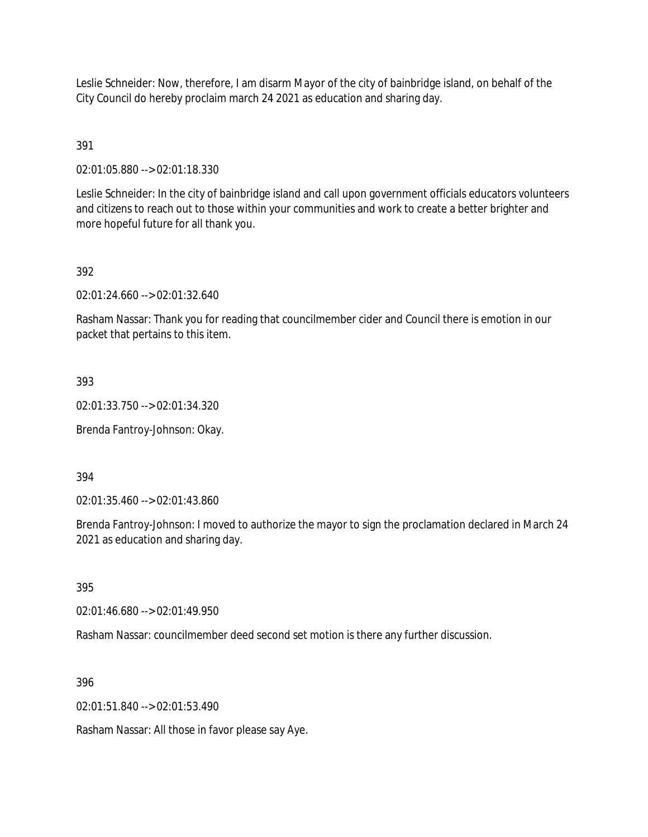Leslie Schneider: Now, therefore, I am disarm Mayor of the city of bainbridge island, on behalf of the City Council do hereby proclaim march 24 2021 as education and sharing day.

# 391

02:01:05.880 --> 02:01:18.330

Leslie Schneider: In the city of bainbridge island and call upon government officials educators volunteers and citizens to reach out to those within your communities and work to create a better brighter and more hopeful future for all thank you.

# 392

02:01:24.660 --> 02:01:32.640

Rasham Nassar: Thank you for reading that councilmember cider and Council there is emotion in our packet that pertains to this item.

### 393

02:01:33.750 --> 02:01:34.320

Brenda Fantroy-Johnson: Okay.

#### 394

02:01:35.460 --> 02:01:43.860

Brenda Fantroy-Johnson: I moved to authorize the mayor to sign the proclamation declared in March 24 2021 as education and sharing day.

#### 395

02:01:46.680 --> 02:01:49.950

Rasham Nassar: councilmember deed second set motion is there any further discussion.

### 396

02:01:51.840 --> 02:01:53.490

Rasham Nassar: All those in favor please say Aye.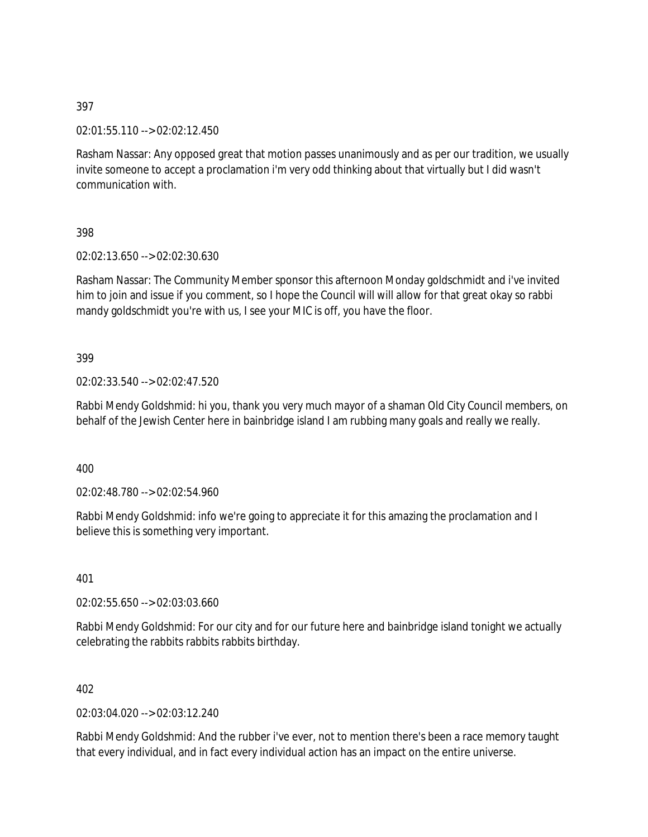02:01:55.110 --> 02:02:12.450

Rasham Nassar: Any opposed great that motion passes unanimously and as per our tradition, we usually invite someone to accept a proclamation i'm very odd thinking about that virtually but I did wasn't communication with.

398

02:02:13.650 --> 02:02:30.630

Rasham Nassar: The Community Member sponsor this afternoon Monday goldschmidt and i've invited him to join and issue if you comment, so I hope the Council will will allow for that great okay so rabbi mandy goldschmidt you're with us, I see your MIC is off, you have the floor.

399

02:02:33.540 --> 02:02:47.520

Rabbi Mendy Goldshmid: hi you, thank you very much mayor of a shaman Old City Council members, on behalf of the Jewish Center here in bainbridge island I am rubbing many goals and really we really.

400

02:02:48.780 --> 02:02:54.960

Rabbi Mendy Goldshmid: info we're going to appreciate it for this amazing the proclamation and I believe this is something very important.

401

02:02:55.650 --> 02:03:03.660

Rabbi Mendy Goldshmid: For our city and for our future here and bainbridge island tonight we actually celebrating the rabbits rabbits rabbits birthday.

402

02:03:04.020 --> 02:03:12.240

Rabbi Mendy Goldshmid: And the rubber i've ever, not to mention there's been a race memory taught that every individual, and in fact every individual action has an impact on the entire universe.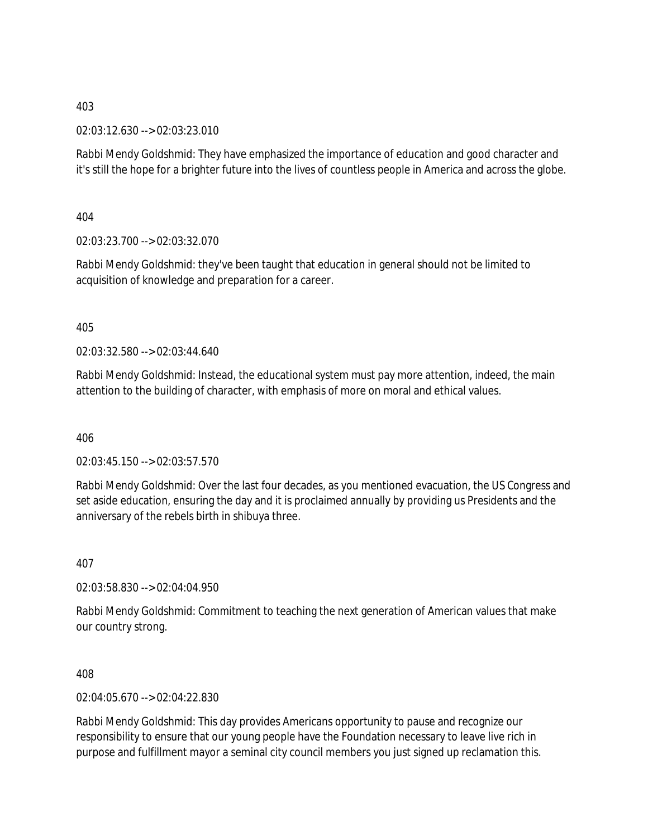02:03:12.630 --> 02:03:23.010

Rabbi Mendy Goldshmid: They have emphasized the importance of education and good character and it's still the hope for a brighter future into the lives of countless people in America and across the globe.

404

02:03:23.700 --> 02:03:32.070

Rabbi Mendy Goldshmid: they've been taught that education in general should not be limited to acquisition of knowledge and preparation for a career.

405

02:03:32.580 --> 02:03:44.640

Rabbi Mendy Goldshmid: Instead, the educational system must pay more attention, indeed, the main attention to the building of character, with emphasis of more on moral and ethical values.

406

02:03:45.150 --> 02:03:57.570

Rabbi Mendy Goldshmid: Over the last four decades, as you mentioned evacuation, the US Congress and set aside education, ensuring the day and it is proclaimed annually by providing us Presidents and the anniversary of the rebels birth in shibuya three.

407

02:03:58.830 --> 02:04:04.950

Rabbi Mendy Goldshmid: Commitment to teaching the next generation of American values that make our country strong.

408

02:04:05.670 --> 02:04:22.830

Rabbi Mendy Goldshmid: This day provides Americans opportunity to pause and recognize our responsibility to ensure that our young people have the Foundation necessary to leave live rich in purpose and fulfillment mayor a seminal city council members you just signed up reclamation this.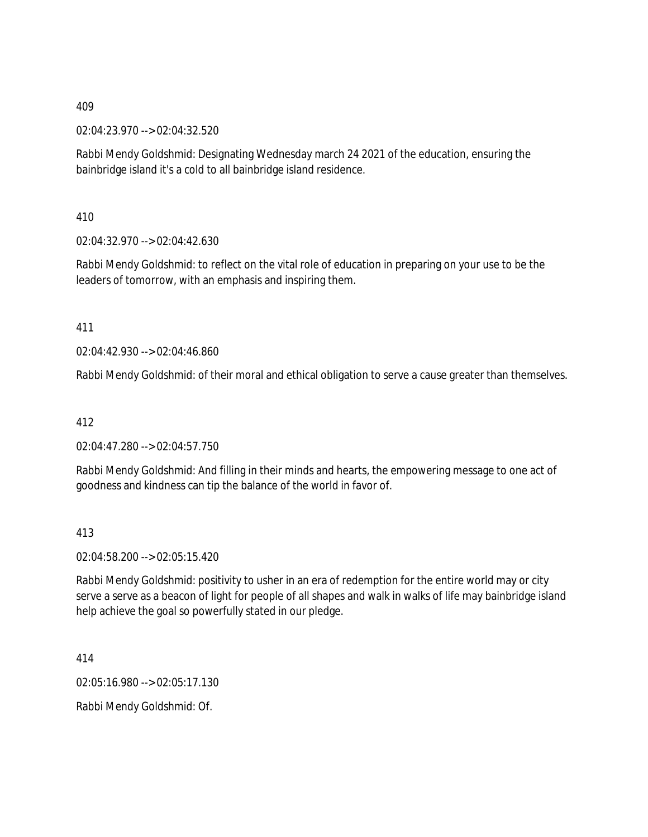02:04:23.970 --> 02:04:32.520

Rabbi Mendy Goldshmid: Designating Wednesday march 24 2021 of the education, ensuring the bainbridge island it's a cold to all bainbridge island residence.

410

02:04:32.970 --> 02:04:42.630

Rabbi Mendy Goldshmid: to reflect on the vital role of education in preparing on your use to be the leaders of tomorrow, with an emphasis and inspiring them.

411

02:04:42.930 --> 02:04:46.860

Rabbi Mendy Goldshmid: of their moral and ethical obligation to serve a cause greater than themselves.

412

02:04:47.280 --> 02:04:57.750

Rabbi Mendy Goldshmid: And filling in their minds and hearts, the empowering message to one act of goodness and kindness can tip the balance of the world in favor of.

413

02:04:58.200 --> 02:05:15.420

Rabbi Mendy Goldshmid: positivity to usher in an era of redemption for the entire world may or city serve a serve as a beacon of light for people of all shapes and walk in walks of life may bainbridge island help achieve the goal so powerfully stated in our pledge.

414

02:05:16.980 --> 02:05:17.130

Rabbi Mendy Goldshmid: Of.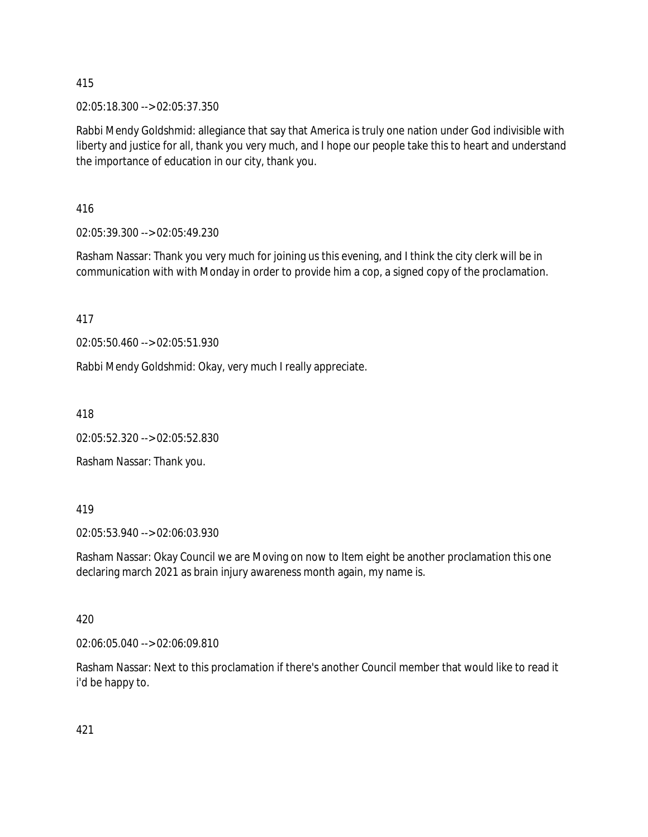02:05:18.300 --> 02:05:37.350

Rabbi Mendy Goldshmid: allegiance that say that America is truly one nation under God indivisible with liberty and justice for all, thank you very much, and I hope our people take this to heart and understand the importance of education in our city, thank you.

416

02:05:39.300 --> 02:05:49.230

Rasham Nassar: Thank you very much for joining us this evening, and I think the city clerk will be in communication with with Monday in order to provide him a cop, a signed copy of the proclamation.

417

02:05:50.460 --> 02:05:51.930

Rabbi Mendy Goldshmid: Okay, very much I really appreciate.

418

02:05:52.320 --> 02:05:52.830

Rasham Nassar: Thank you.

#### 419

02:05:53.940 --> 02:06:03.930

Rasham Nassar: Okay Council we are Moving on now to Item eight be another proclamation this one declaring march 2021 as brain injury awareness month again, my name is.

#### 420

02:06:05.040 --> 02:06:09.810

Rasham Nassar: Next to this proclamation if there's another Council member that would like to read it i'd be happy to.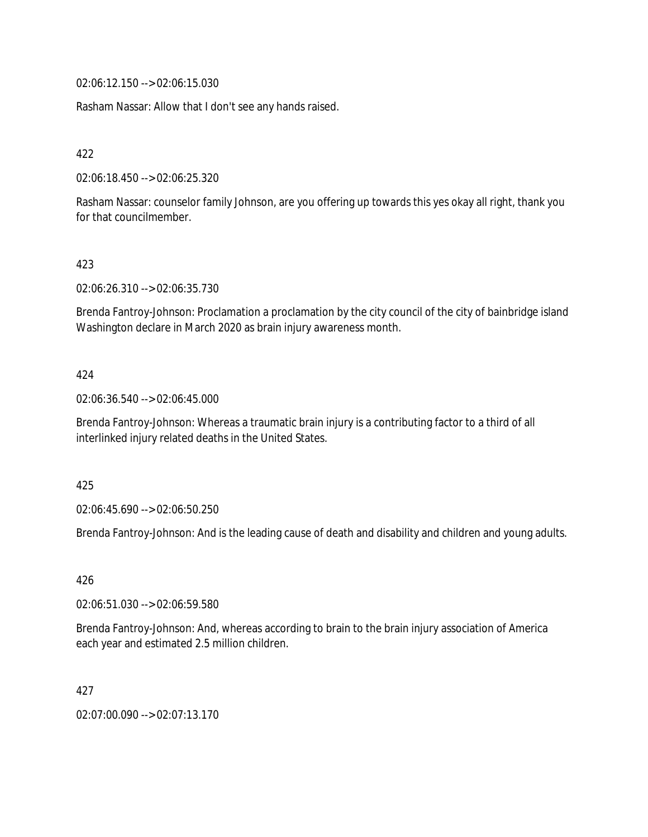02:06:12.150 --> 02:06:15.030

Rasham Nassar: Allow that I don't see any hands raised.

422

02:06:18.450 --> 02:06:25.320

Rasham Nassar: counselor family Johnson, are you offering up towards this yes okay all right, thank you for that councilmember.

### 423

02:06:26.310 --> 02:06:35.730

Brenda Fantroy-Johnson: Proclamation a proclamation by the city council of the city of bainbridge island Washington declare in March 2020 as brain injury awareness month.

#### 424

02:06:36.540 --> 02:06:45.000

Brenda Fantroy-Johnson: Whereas a traumatic brain injury is a contributing factor to a third of all interlinked injury related deaths in the United States.

425

02:06:45.690 --> 02:06:50.250

Brenda Fantroy-Johnson: And is the leading cause of death and disability and children and young adults.

### 426

02:06:51.030 --> 02:06:59.580

Brenda Fantroy-Johnson: And, whereas according to brain to the brain injury association of America each year and estimated 2.5 million children.

### 427

02:07:00.090 --> 02:07:13.170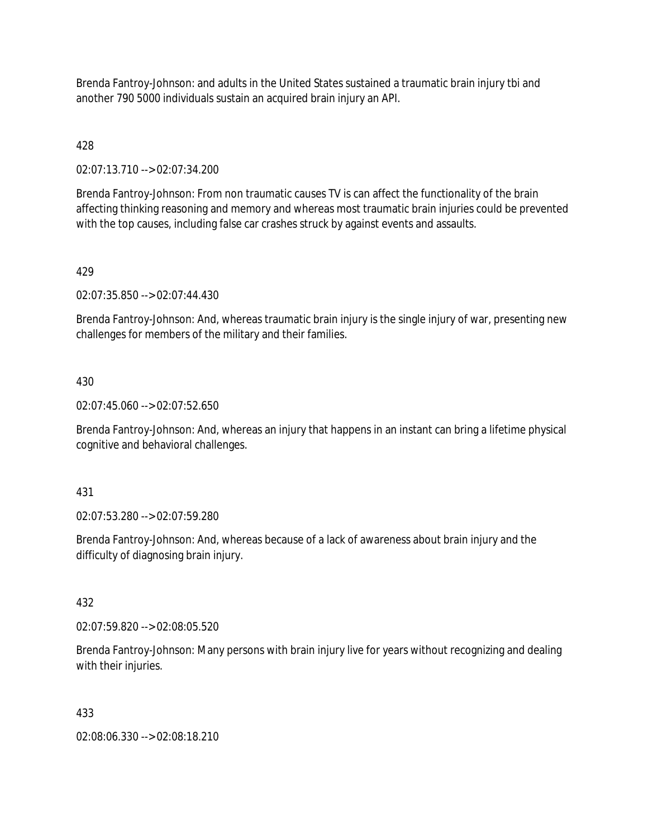Brenda Fantroy-Johnson: and adults in the United States sustained a traumatic brain injury tbi and another 790 5000 individuals sustain an acquired brain injury an API.

428

02:07:13.710 --> 02:07:34.200

Brenda Fantroy-Johnson: From non traumatic causes TV is can affect the functionality of the brain affecting thinking reasoning and memory and whereas most traumatic brain injuries could be prevented with the top causes, including false car crashes struck by against events and assaults.

## 429

02:07:35.850 --> 02:07:44.430

Brenda Fantroy-Johnson: And, whereas traumatic brain injury is the single injury of war, presenting new challenges for members of the military and their families.

### 430

02:07:45.060 --> 02:07:52.650

Brenda Fantroy-Johnson: And, whereas an injury that happens in an instant can bring a lifetime physical cognitive and behavioral challenges.

#### 431

02:07:53.280 --> 02:07:59.280

Brenda Fantroy-Johnson: And, whereas because of a lack of awareness about brain injury and the difficulty of diagnosing brain injury.

#### 432

02:07:59.820 --> 02:08:05.520

Brenda Fantroy-Johnson: Many persons with brain injury live for years without recognizing and dealing with their injuries.

#### 433

02:08:06.330 --> 02:08:18.210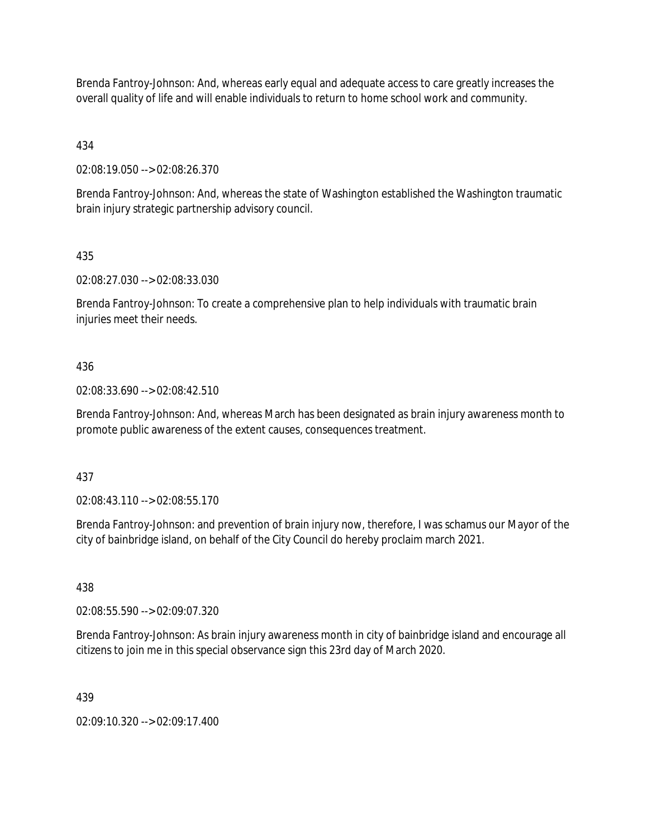Brenda Fantroy-Johnson: And, whereas early equal and adequate access to care greatly increases the overall quality of life and will enable individuals to return to home school work and community.

434

02:08:19.050 --> 02:08:26.370

Brenda Fantroy-Johnson: And, whereas the state of Washington established the Washington traumatic brain injury strategic partnership advisory council.

## 435

02:08:27.030 --> 02:08:33.030

Brenda Fantroy-Johnson: To create a comprehensive plan to help individuals with traumatic brain injuries meet their needs.

## 436

02:08:33.690 --> 02:08:42.510

Brenda Fantroy-Johnson: And, whereas March has been designated as brain injury awareness month to promote public awareness of the extent causes, consequences treatment.

### 437

02:08:43.110 --> 02:08:55.170

Brenda Fantroy-Johnson: and prevention of brain injury now, therefore, I was schamus our Mayor of the city of bainbridge island, on behalf of the City Council do hereby proclaim march 2021.

### 438

02:08:55.590 --> 02:09:07.320

Brenda Fantroy-Johnson: As brain injury awareness month in city of bainbridge island and encourage all citizens to join me in this special observance sign this 23rd day of March 2020.

### 439

02:09:10.320 --> 02:09:17.400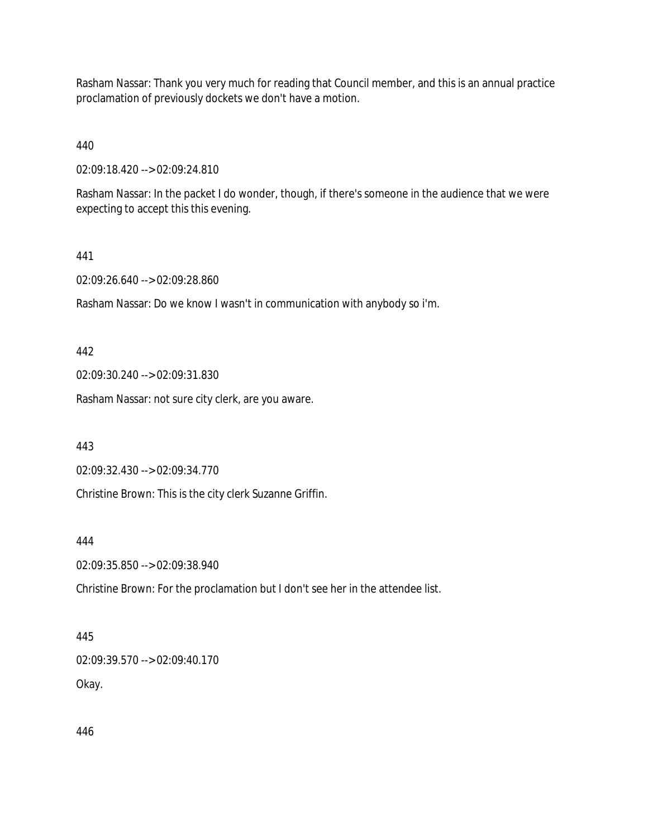Rasham Nassar: Thank you very much for reading that Council member, and this is an annual practice proclamation of previously dockets we don't have a motion.

440

02:09:18.420 --> 02:09:24.810

Rasham Nassar: In the packet I do wonder, though, if there's someone in the audience that we were expecting to accept this this evening.

#### 441

02:09:26.640 --> 02:09:28.860

Rasham Nassar: Do we know I wasn't in communication with anybody so i'm.

#### 442

02:09:30.240 --> 02:09:31.830

Rasham Nassar: not sure city clerk, are you aware.

#### 443

02:09:32.430 --> 02:09:34.770

Christine Brown: This is the city clerk Suzanne Griffin.

#### 444

02:09:35.850 --> 02:09:38.940

Christine Brown: For the proclamation but I don't see her in the attendee list.

### 445

02:09:39.570 --> 02:09:40.170 Okay.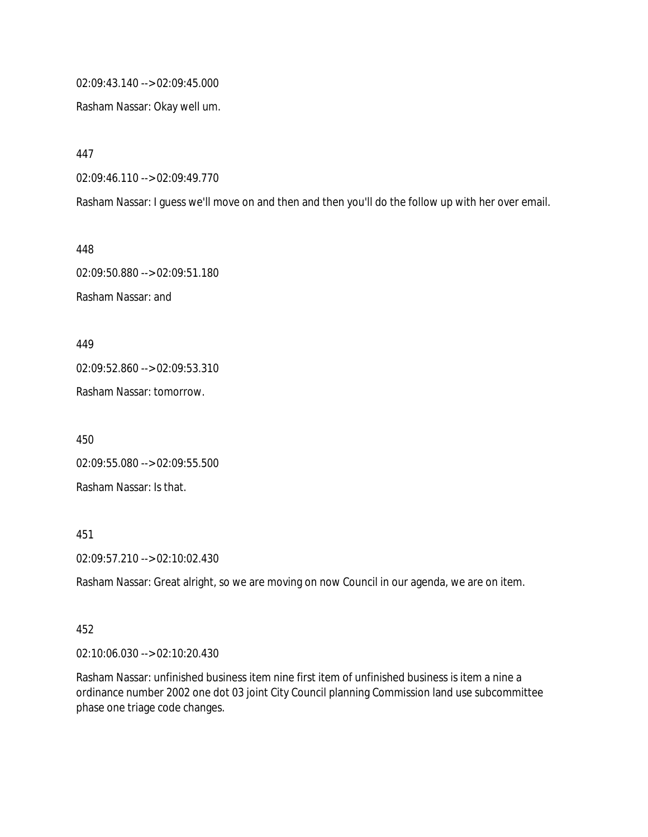02:09:43.140 --> 02:09:45.000

Rasham Nassar: Okay well um.

447

02:09:46.110 --> 02:09:49.770

Rasham Nassar: I guess we'll move on and then and then you'll do the follow up with her over email.

448 02:09:50.880 --> 02:09:51.180 Rasham Nassar: and

449

02:09:52.860 --> 02:09:53.310

Rasham Nassar: tomorrow.

450

02:09:55.080 --> 02:09:55.500 Rasham Nassar: Is that.

451

02:09:57.210 --> 02:10:02.430

Rasham Nassar: Great alright, so we are moving on now Council in our agenda, we are on item.

452

02:10:06.030 --> 02:10:20.430

Rasham Nassar: unfinished business item nine first item of unfinished business is item a nine a ordinance number 2002 one dot 03 joint City Council planning Commission land use subcommittee phase one triage code changes.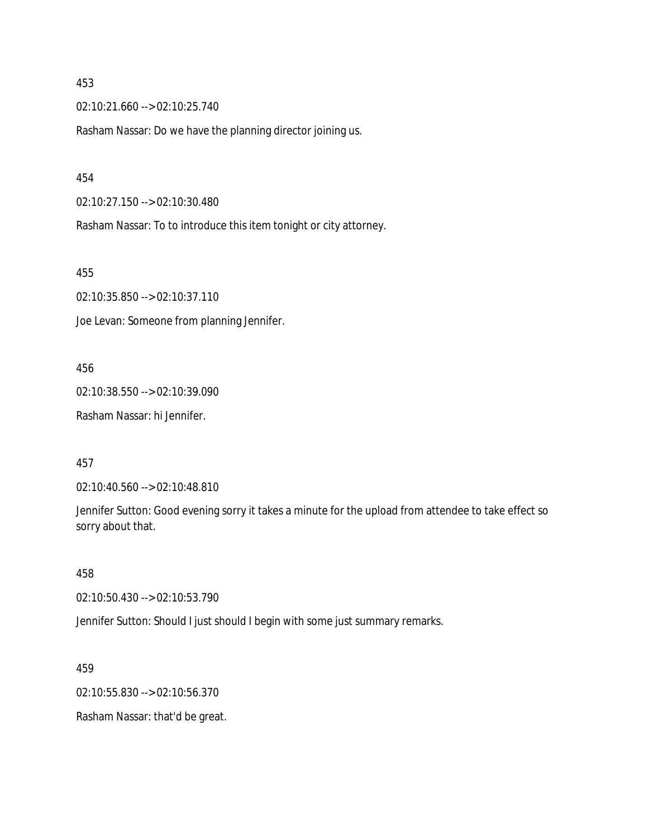02:10:21.660 --> 02:10:25.740

Rasham Nassar: Do we have the planning director joining us.

#### 454

02:10:27.150 --> 02:10:30.480

Rasham Nassar: To to introduce this item tonight or city attorney.

#### 455

02:10:35.850 --> 02:10:37.110

Joe Levan: Someone from planning Jennifer.

#### 456

02:10:38.550 --> 02:10:39.090

Rasham Nassar: hi Jennifer.

#### 457

02:10:40.560 --> 02:10:48.810

Jennifer Sutton: Good evening sorry it takes a minute for the upload from attendee to take effect so sorry about that.

#### 458

02:10:50.430 --> 02:10:53.790

Jennifer Sutton: Should I just should I begin with some just summary remarks.

459

02:10:55.830 --> 02:10:56.370

Rasham Nassar: that'd be great.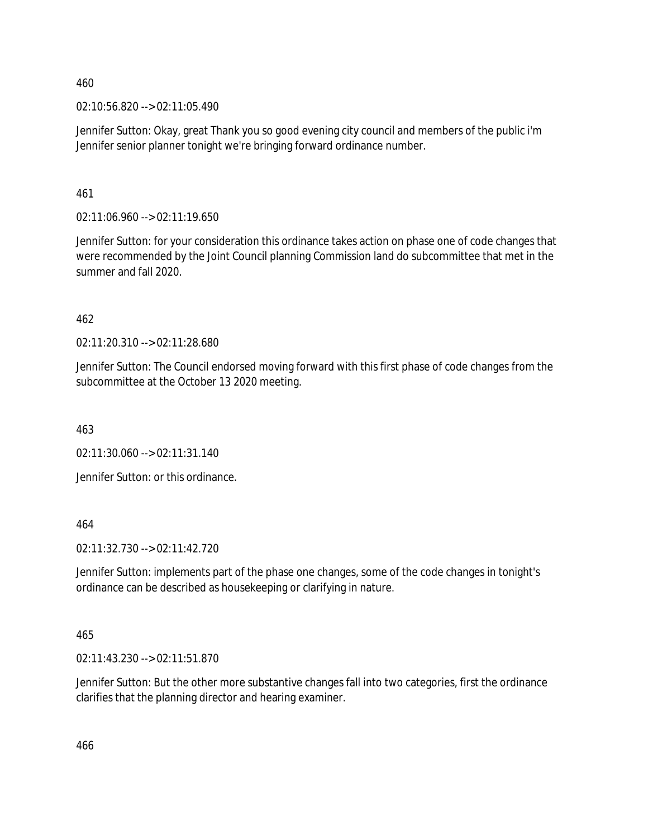02:10:56.820 --> 02:11:05.490

Jennifer Sutton: Okay, great Thank you so good evening city council and members of the public i'm Jennifer senior planner tonight we're bringing forward ordinance number.

461

02:11:06.960 --> 02:11:19.650

Jennifer Sutton: for your consideration this ordinance takes action on phase one of code changes that were recommended by the Joint Council planning Commission land do subcommittee that met in the summer and fall 2020.

462

02:11:20.310 --> 02:11:28.680

Jennifer Sutton: The Council endorsed moving forward with this first phase of code changes from the subcommittee at the October 13 2020 meeting.

463

02:11:30.060 --> 02:11:31.140

Jennifer Sutton: or this ordinance.

464

02:11:32.730 --> 02:11:42.720

Jennifer Sutton: implements part of the phase one changes, some of the code changes in tonight's ordinance can be described as housekeeping or clarifying in nature.

465

02:11:43.230 --> 02:11:51.870

Jennifer Sutton: But the other more substantive changes fall into two categories, first the ordinance clarifies that the planning director and hearing examiner.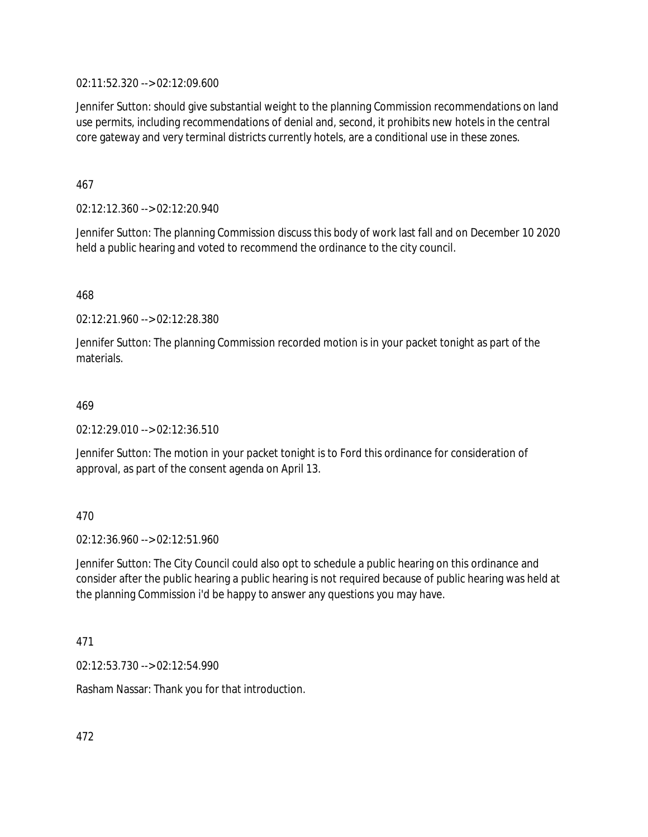02:11:52.320 --> 02:12:09.600

Jennifer Sutton: should give substantial weight to the planning Commission recommendations on land use permits, including recommendations of denial and, second, it prohibits new hotels in the central core gateway and very terminal districts currently hotels, are a conditional use in these zones.

467

02:12:12.360 --> 02:12:20.940

Jennifer Sutton: The planning Commission discuss this body of work last fall and on December 10 2020 held a public hearing and voted to recommend the ordinance to the city council.

468

02:12:21.960 --> 02:12:28.380

Jennifer Sutton: The planning Commission recorded motion is in your packet tonight as part of the materials.

#### 469

02:12:29.010 --> 02:12:36.510

Jennifer Sutton: The motion in your packet tonight is to Ford this ordinance for consideration of approval, as part of the consent agenda on April 13.

470

02:12:36.960 --> 02:12:51.960

Jennifer Sutton: The City Council could also opt to schedule a public hearing on this ordinance and consider after the public hearing a public hearing is not required because of public hearing was held at the planning Commission i'd be happy to answer any questions you may have.

471

02:12:53.730 --> 02:12:54.990

Rasham Nassar: Thank you for that introduction.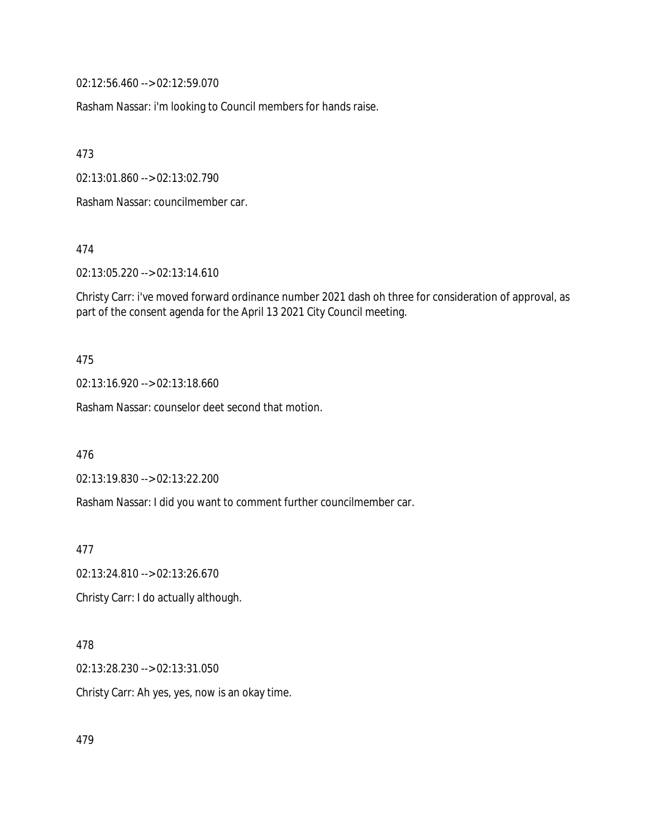02:12:56.460 --> 02:12:59.070

Rasham Nassar: i'm looking to Council members for hands raise.

473

02:13:01.860 --> 02:13:02.790

Rasham Nassar: councilmember car.

474

02:13:05.220 --> 02:13:14.610

Christy Carr: i've moved forward ordinance number 2021 dash oh three for consideration of approval, as part of the consent agenda for the April 13 2021 City Council meeting.

#### 475

02:13:16.920 --> 02:13:18.660

Rasham Nassar: counselor deet second that motion.

476

02:13:19.830 --> 02:13:22.200

Rasham Nassar: I did you want to comment further councilmember car.

477

02:13:24.810 --> 02:13:26.670

Christy Carr: I do actually although.

## 478

02:13:28.230 --> 02:13:31.050

Christy Carr: Ah yes, yes, now is an okay time.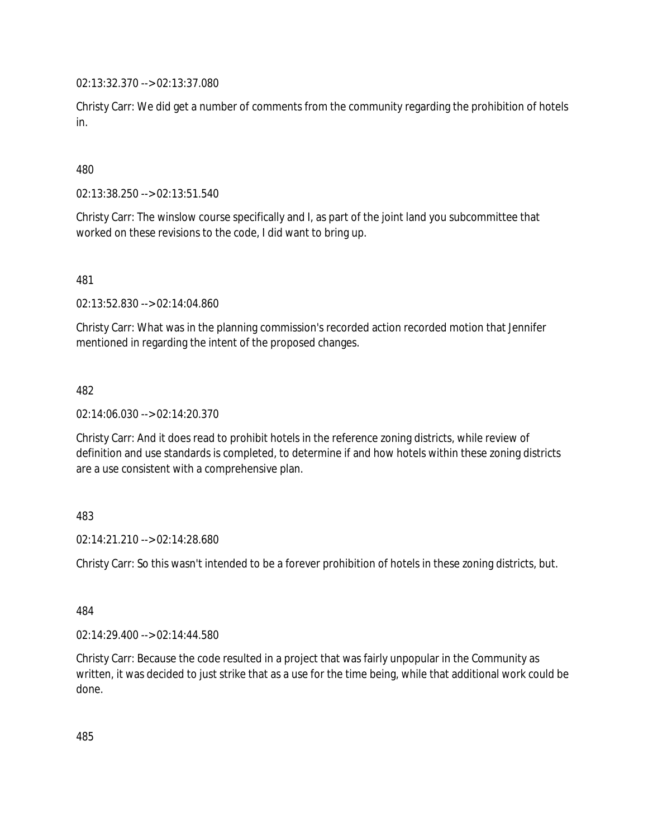02:13:32.370 --> 02:13:37.080

Christy Carr: We did get a number of comments from the community regarding the prohibition of hotels in.

480

02:13:38.250 --> 02:13:51.540

Christy Carr: The winslow course specifically and I, as part of the joint land you subcommittee that worked on these revisions to the code, I did want to bring up.

481

02:13:52.830 --> 02:14:04.860

Christy Carr: What was in the planning commission's recorded action recorded motion that Jennifer mentioned in regarding the intent of the proposed changes.

482

02:14:06.030 --> 02:14:20.370

Christy Carr: And it does read to prohibit hotels in the reference zoning districts, while review of definition and use standards is completed, to determine if and how hotels within these zoning districts are a use consistent with a comprehensive plan.

## 483

02:14:21.210 --> 02:14:28.680

Christy Carr: So this wasn't intended to be a forever prohibition of hotels in these zoning districts, but.

484

02:14:29.400 --> 02:14:44.580

Christy Carr: Because the code resulted in a project that was fairly unpopular in the Community as written, it was decided to just strike that as a use for the time being, while that additional work could be done.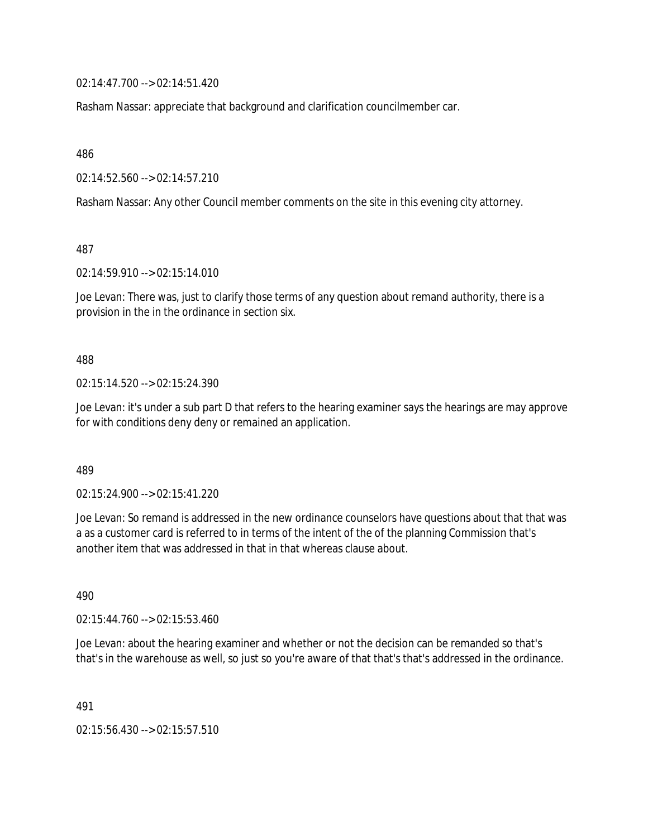02:14:47.700 --> 02:14:51.420

Rasham Nassar: appreciate that background and clarification councilmember car.

486

02:14:52.560 --> 02:14:57.210

Rasham Nassar: Any other Council member comments on the site in this evening city attorney.

487

02:14:59.910 --> 02:15:14.010

Joe Levan: There was, just to clarify those terms of any question about remand authority, there is a provision in the in the ordinance in section six.

488

02:15:14.520 --> 02:15:24.390

Joe Levan: it's under a sub part D that refers to the hearing examiner says the hearings are may approve for with conditions deny deny or remained an application.

489

02:15:24.900 --> 02:15:41.220

Joe Levan: So remand is addressed in the new ordinance counselors have questions about that that was a as a customer card is referred to in terms of the intent of the of the planning Commission that's another item that was addressed in that in that whereas clause about.

490

 $02:15:44.760 \rightarrow 02:15:53.460$ 

Joe Levan: about the hearing examiner and whether or not the decision can be remanded so that's that's in the warehouse as well, so just so you're aware of that that's that's addressed in the ordinance.

491

02:15:56.430 --> 02:15:57.510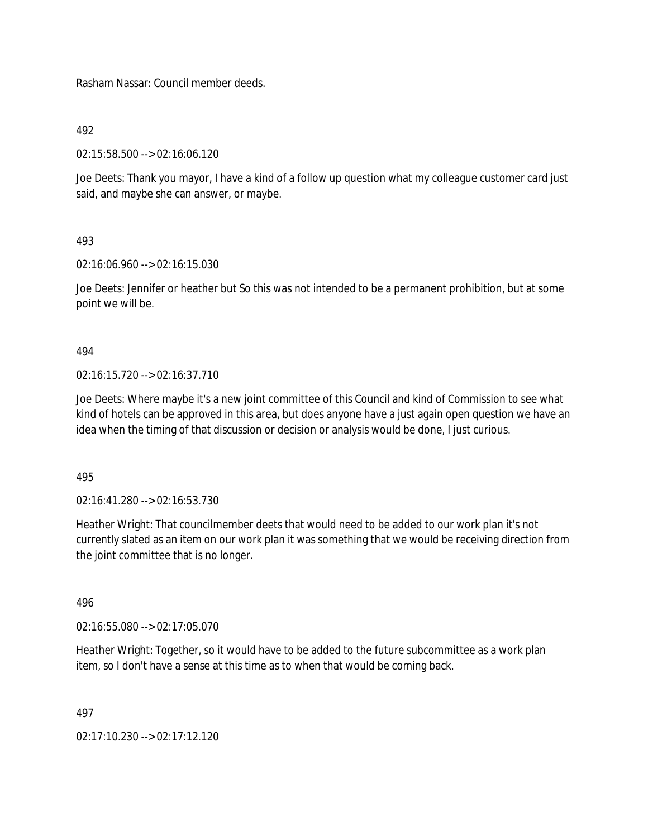Rasham Nassar: Council member deeds.

492

02:15:58.500 --> 02:16:06.120

Joe Deets: Thank you mayor, I have a kind of a follow up question what my colleague customer card just said, and maybe she can answer, or maybe.

493

02:16:06.960 --> 02:16:15.030

Joe Deets: Jennifer or heather but So this was not intended to be a permanent prohibition, but at some point we will be.

494

02:16:15.720 --> 02:16:37.710

Joe Deets: Where maybe it's a new joint committee of this Council and kind of Commission to see what kind of hotels can be approved in this area, but does anyone have a just again open question we have an idea when the timing of that discussion or decision or analysis would be done, I just curious.

495

02:16:41.280 --> 02:16:53.730

Heather Wright: That councilmember deets that would need to be added to our work plan it's not currently slated as an item on our work plan it was something that we would be receiving direction from the joint committee that is no longer.

496

02:16:55.080 --> 02:17:05.070

Heather Wright: Together, so it would have to be added to the future subcommittee as a work plan item, so I don't have a sense at this time as to when that would be coming back.

497

02:17:10.230 --> 02:17:12.120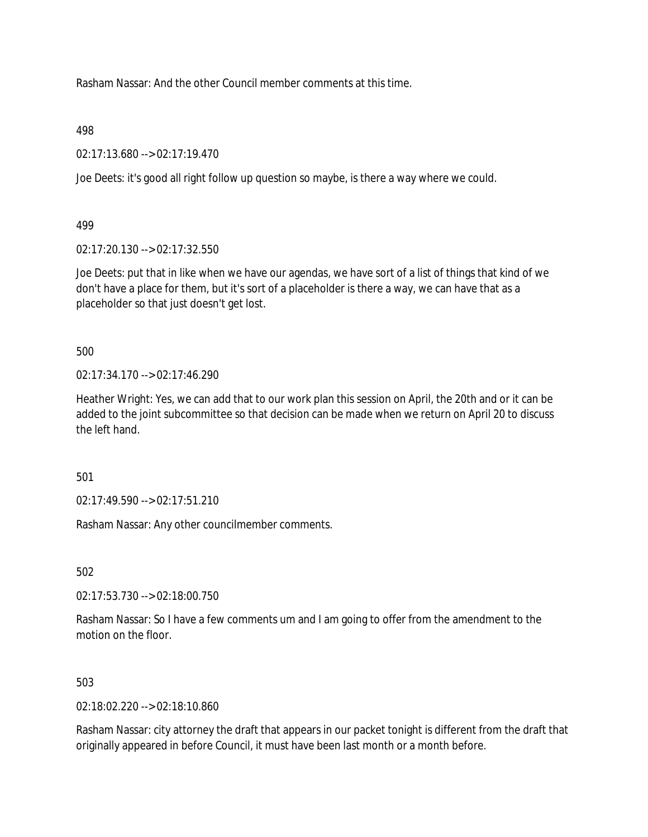Rasham Nassar: And the other Council member comments at this time.

498

02:17:13.680 --> 02:17:19.470

Joe Deets: it's good all right follow up question so maybe, is there a way where we could.

499

02:17:20.130 --> 02:17:32.550

Joe Deets: put that in like when we have our agendas, we have sort of a list of things that kind of we don't have a place for them, but it's sort of a placeholder is there a way, we can have that as a placeholder so that just doesn't get lost.

500

 $02.17:34.170 \rightarrow 02.17:46.290$ 

Heather Wright: Yes, we can add that to our work plan this session on April, the 20th and or it can be added to the joint subcommittee so that decision can be made when we return on April 20 to discuss the left hand.

501

02:17:49.590 --> 02:17:51.210

Rasham Nassar: Any other councilmember comments.

502

02:17:53.730 --> 02:18:00.750

Rasham Nassar: So I have a few comments um and I am going to offer from the amendment to the motion on the floor.

## 503

02:18:02.220 --> 02:18:10.860

Rasham Nassar: city attorney the draft that appears in our packet tonight is different from the draft that originally appeared in before Council, it must have been last month or a month before.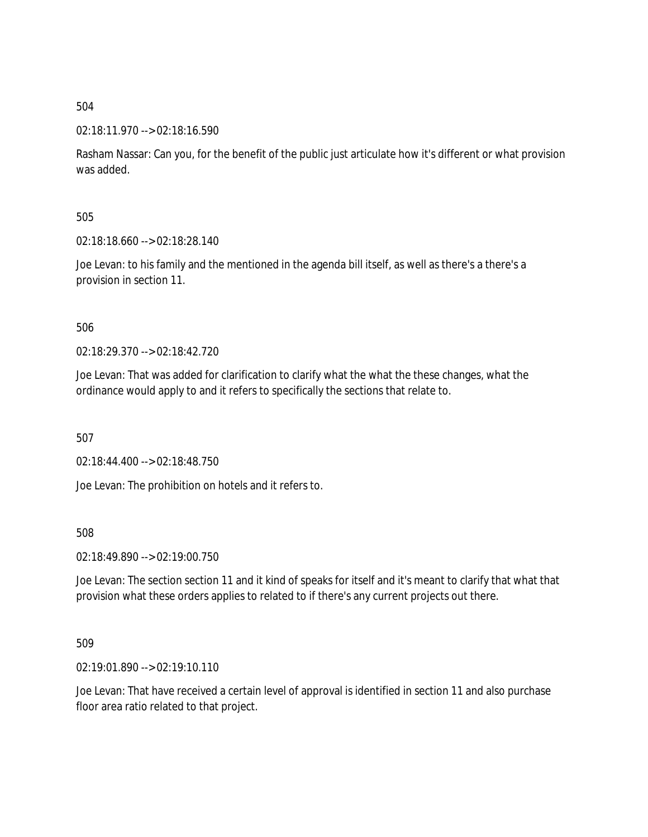## 02:18:11.970 --> 02:18:16.590

Rasham Nassar: Can you, for the benefit of the public just articulate how it's different or what provision was added.

505

02:18:18.660 --> 02:18:28.140

Joe Levan: to his family and the mentioned in the agenda bill itself, as well as there's a there's a provision in section 11.

506

02:18:29.370 --> 02:18:42.720

Joe Levan: That was added for clarification to clarify what the what the these changes, what the ordinance would apply to and it refers to specifically the sections that relate to.

507

02:18:44.400 --> 02:18:48.750

Joe Levan: The prohibition on hotels and it refers to.

508

02:18:49.890 --> 02:19:00.750

Joe Levan: The section section 11 and it kind of speaks for itself and it's meant to clarify that what that provision what these orders applies to related to if there's any current projects out there.

509

02:19:01.890 --> 02:19:10.110

Joe Levan: That have received a certain level of approval is identified in section 11 and also purchase floor area ratio related to that project.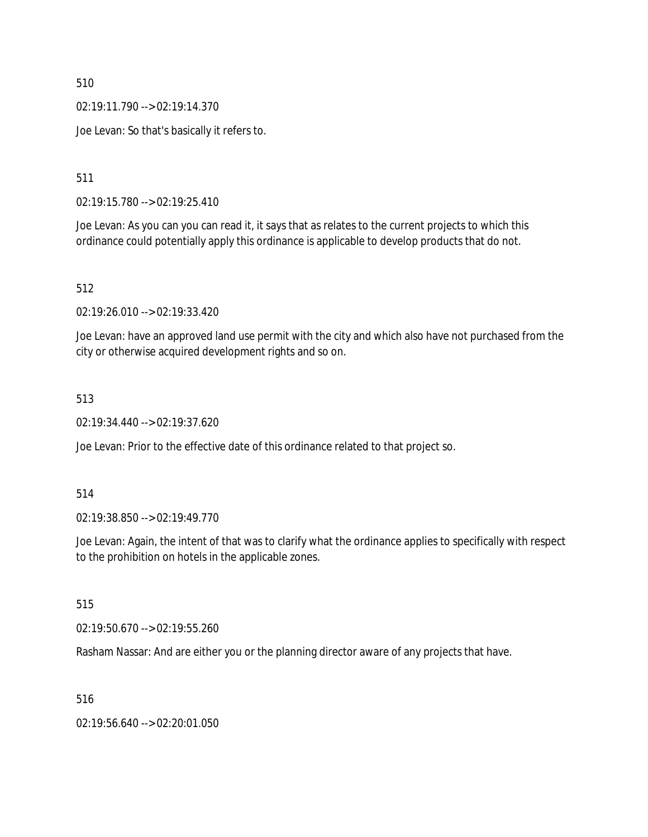02:19:11.790 --> 02:19:14.370

Joe Levan: So that's basically it refers to.

511

02:19:15.780 --> 02:19:25.410

Joe Levan: As you can you can read it, it says that as relates to the current projects to which this ordinance could potentially apply this ordinance is applicable to develop products that do not.

512

02:19:26.010 --> 02:19:33.420

Joe Levan: have an approved land use permit with the city and which also have not purchased from the city or otherwise acquired development rights and so on.

513

02:19:34.440 --> 02:19:37.620

Joe Levan: Prior to the effective date of this ordinance related to that project so.

514

02:19:38.850 --> 02:19:49.770

Joe Levan: Again, the intent of that was to clarify what the ordinance applies to specifically with respect to the prohibition on hotels in the applicable zones.

515

02:19:50.670 --> 02:19:55.260

Rasham Nassar: And are either you or the planning director aware of any projects that have.

516

02:19:56.640 --> 02:20:01.050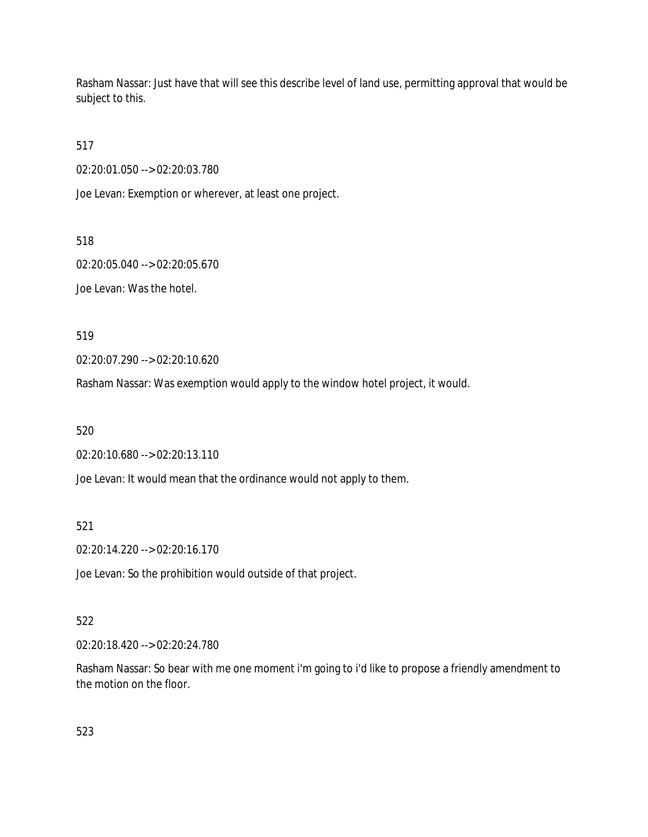Rasham Nassar: Just have that will see this describe level of land use, permitting approval that would be subject to this.

517

02:20:01.050 --> 02:20:03.780

Joe Levan: Exemption or wherever, at least one project.

518

02:20:05.040 --> 02:20:05.670

Joe Levan: Was the hotel.

519

02:20:07.290 --> 02:20:10.620

Rasham Nassar: Was exemption would apply to the window hotel project, it would.

520

02:20:10.680 --> 02:20:13.110

Joe Levan: It would mean that the ordinance would not apply to them.

521

02:20:14.220 --> 02:20:16.170

Joe Levan: So the prohibition would outside of that project.

## 522

02:20:18.420 --> 02:20:24.780

Rasham Nassar: So bear with me one moment i'm going to i'd like to propose a friendly amendment to the motion on the floor.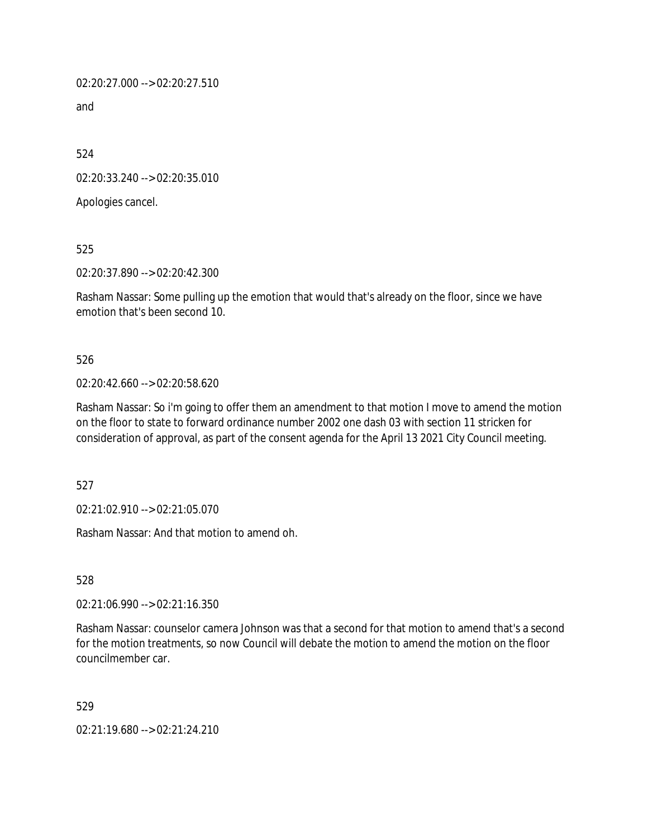02:20:27.000 --> 02:20:27.510

and

524

02:20:33.240 --> 02:20:35.010

Apologies cancel.

525

02:20:37.890 --> 02:20:42.300

Rasham Nassar: Some pulling up the emotion that would that's already on the floor, since we have emotion that's been second 10.

## 526

## 02:20:42.660 --> 02:20:58.620

Rasham Nassar: So i'm going to offer them an amendment to that motion I move to amend the motion on the floor to state to forward ordinance number 2002 one dash 03 with section 11 stricken for consideration of approval, as part of the consent agenda for the April 13 2021 City Council meeting.

527

02:21:02.910 --> 02:21:05.070

Rasham Nassar: And that motion to amend oh.

528

02:21:06.990 --> 02:21:16.350

Rasham Nassar: counselor camera Johnson was that a second for that motion to amend that's a second for the motion treatments, so now Council will debate the motion to amend the motion on the floor councilmember car.

529

02:21:19.680 --> 02:21:24.210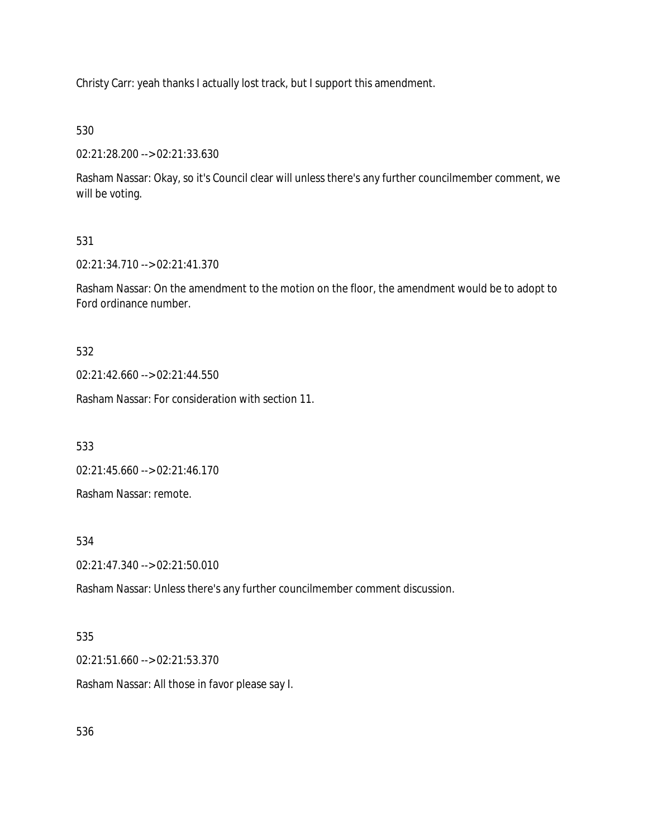Christy Carr: yeah thanks I actually lost track, but I support this amendment.

530

02:21:28.200 --> 02:21:33.630

Rasham Nassar: Okay, so it's Council clear will unless there's any further councilmember comment, we will be voting.

# 531

02:21:34.710 --> 02:21:41.370

Rasham Nassar: On the amendment to the motion on the floor, the amendment would be to adopt to Ford ordinance number.

# 532

02:21:42.660 --> 02:21:44.550

Rasham Nassar: For consideration with section 11.

533

02:21:45.660 --> 02:21:46.170

Rasham Nassar: remote.

# 534

02:21:47.340 --> 02:21:50.010

Rasham Nassar: Unless there's any further councilmember comment discussion.

# 535

02:21:51.660 --> 02:21:53.370

Rasham Nassar: All those in favor please say I.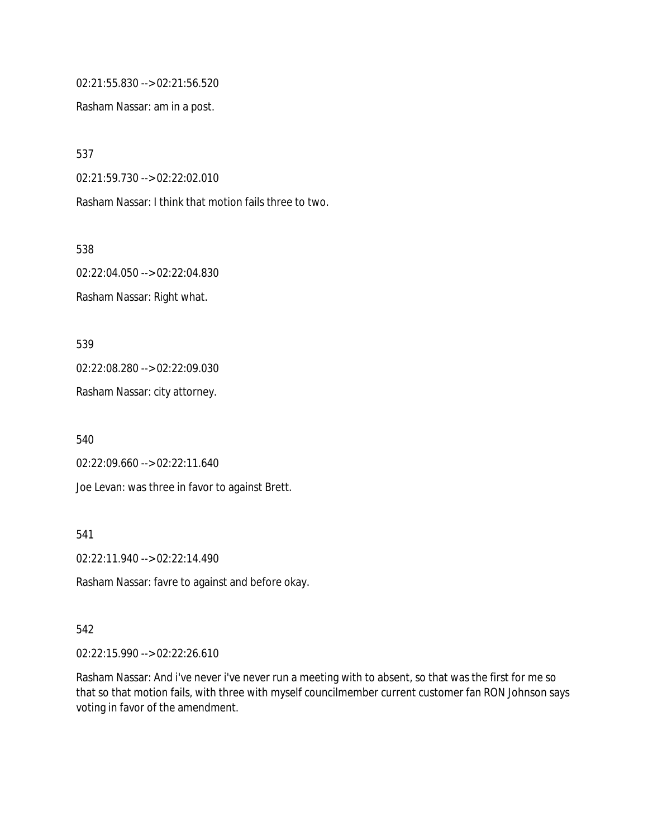02:21:55.830 --> 02:21:56.520

Rasham Nassar: am in a post.

537

02:21:59.730 --> 02:22:02.010

Rasham Nassar: I think that motion fails three to two.

538 02:22:04.050 --> 02:22:04.830 Rasham Nassar: Right what.

539

02:22:08.280 --> 02:22:09.030

Rasham Nassar: city attorney.

540

02:22:09.660 --> 02:22:11.640

Joe Levan: was three in favor to against Brett.

541

02:22:11.940 --> 02:22:14.490

Rasham Nassar: favre to against and before okay.

#### 542

02:22:15.990 --> 02:22:26.610

Rasham Nassar: And i've never i've never run a meeting with to absent, so that was the first for me so that so that motion fails, with three with myself councilmember current customer fan RON Johnson says voting in favor of the amendment.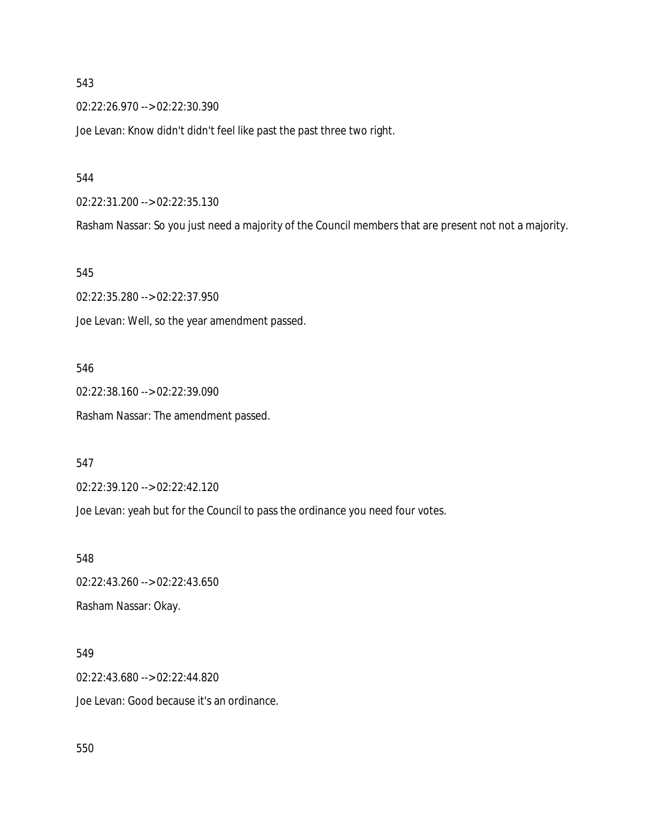02:22:26.970 --> 02:22:30.390

Joe Levan: Know didn't didn't feel like past the past three two right.

544

02:22:31.200 --> 02:22:35.130

Rasham Nassar: So you just need a majority of the Council members that are present not not a majority.

545

02:22:35.280 --> 02:22:37.950 Joe Levan: Well, so the year amendment passed.

546

02:22:38.160 --> 02:22:39.090 Rasham Nassar: The amendment passed.

547

02:22:39.120 --> 02:22:42.120

Joe Levan: yeah but for the Council to pass the ordinance you need four votes.

548 02:22:43.260 --> 02:22:43.650 Rasham Nassar: Okay.

549

02:22:43.680 --> 02:22:44.820

Joe Levan: Good because it's an ordinance.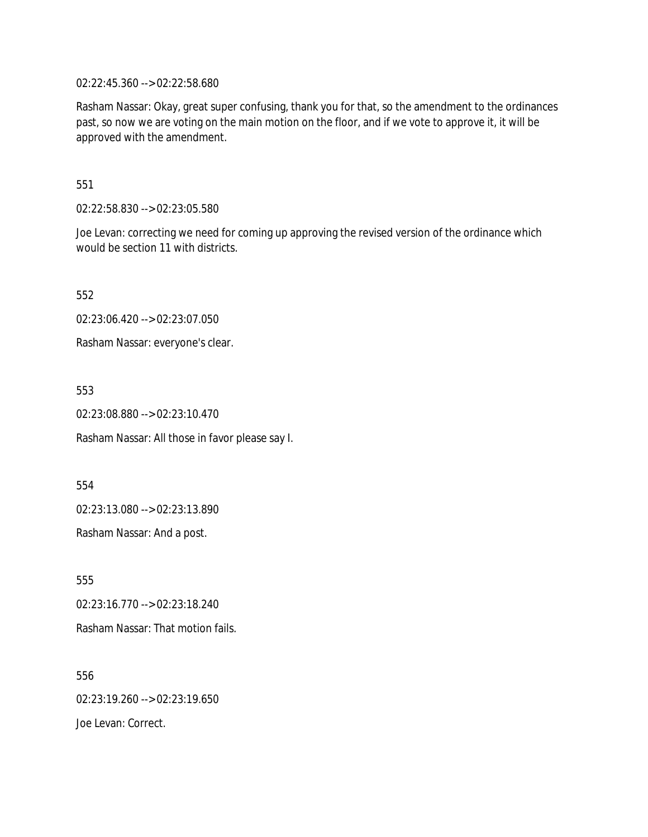02:22:45.360 --> 02:22:58.680

Rasham Nassar: Okay, great super confusing, thank you for that, so the amendment to the ordinances past, so now we are voting on the main motion on the floor, and if we vote to approve it, it will be approved with the amendment.

551

02:22:58.830 --> 02:23:05.580

Joe Levan: correcting we need for coming up approving the revised version of the ordinance which would be section 11 with districts.

552

02:23:06.420 --> 02:23:07.050

Rasham Nassar: everyone's clear.

553

02:23:08.880 --> 02:23:10.470

Rasham Nassar: All those in favor please say I.

554

02:23:13.080 --> 02:23:13.890

Rasham Nassar: And a post.

555 02:23:16.770 --> 02:23:18.240 Rasham Nassar: That motion fails.

556 02:23:19.260 --> 02:23:19.650 Joe Levan: Correct.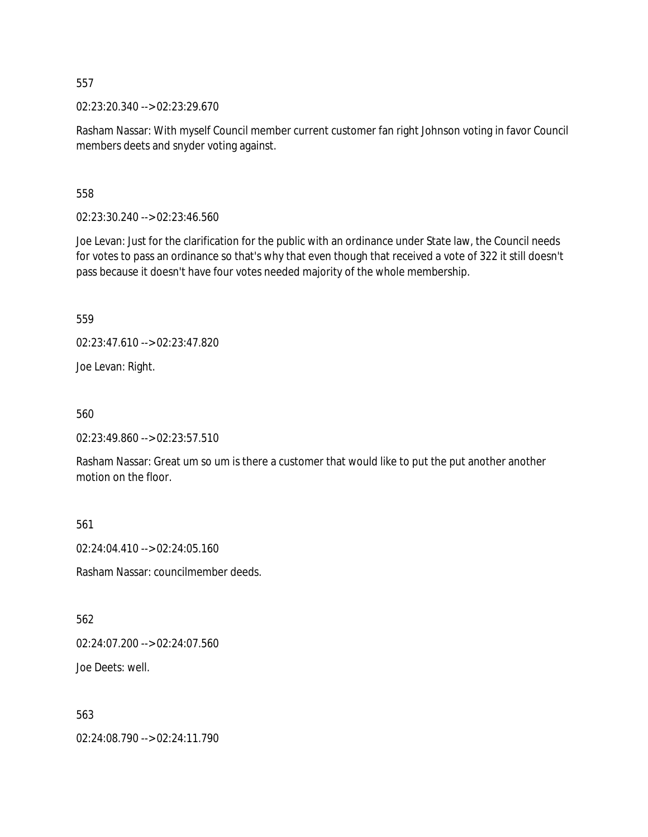02:23:20.340 --> 02:23:29.670

Rasham Nassar: With myself Council member current customer fan right Johnson voting in favor Council members deets and snyder voting against.

558

02:23:30.240 --> 02:23:46.560

Joe Levan: Just for the clarification for the public with an ordinance under State law, the Council needs for votes to pass an ordinance so that's why that even though that received a vote of 322 it still doesn't pass because it doesn't have four votes needed majority of the whole membership.

559

02:23:47.610 --> 02:23:47.820

Joe Levan: Right.

560

02:23:49.860 --> 02:23:57.510

Rasham Nassar: Great um so um is there a customer that would like to put the put another another motion on the floor.

561

02:24:04.410 --> 02:24:05.160

Rasham Nassar: councilmember deeds.

562

02:24:07.200 --> 02:24:07.560

Joe Deets: well.

563

02:24:08.790 --> 02:24:11.790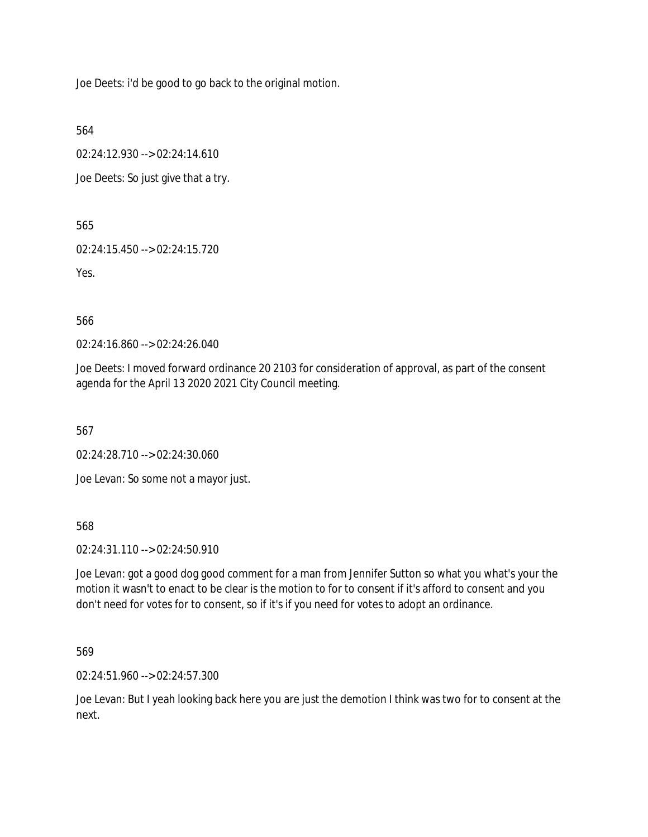Joe Deets: i'd be good to go back to the original motion.

564

02:24:12.930 --> 02:24:14.610

Joe Deets: So just give that a try.

565

02:24:15.450 --> 02:24:15.720

Yes.

566

02:24:16.860 --> 02:24:26.040

Joe Deets: I moved forward ordinance 20 2103 for consideration of approval, as part of the consent agenda for the April 13 2020 2021 City Council meeting.

567

02:24:28.710 --> 02:24:30.060

Joe Levan: So some not a mayor just.

568

02:24:31.110 --> 02:24:50.910

Joe Levan: got a good dog good comment for a man from Jennifer Sutton so what you what's your the motion it wasn't to enact to be clear is the motion to for to consent if it's afford to consent and you don't need for votes for to consent, so if it's if you need for votes to adopt an ordinance.

569

02:24:51.960 --> 02:24:57.300

Joe Levan: But I yeah looking back here you are just the demotion I think was two for to consent at the next.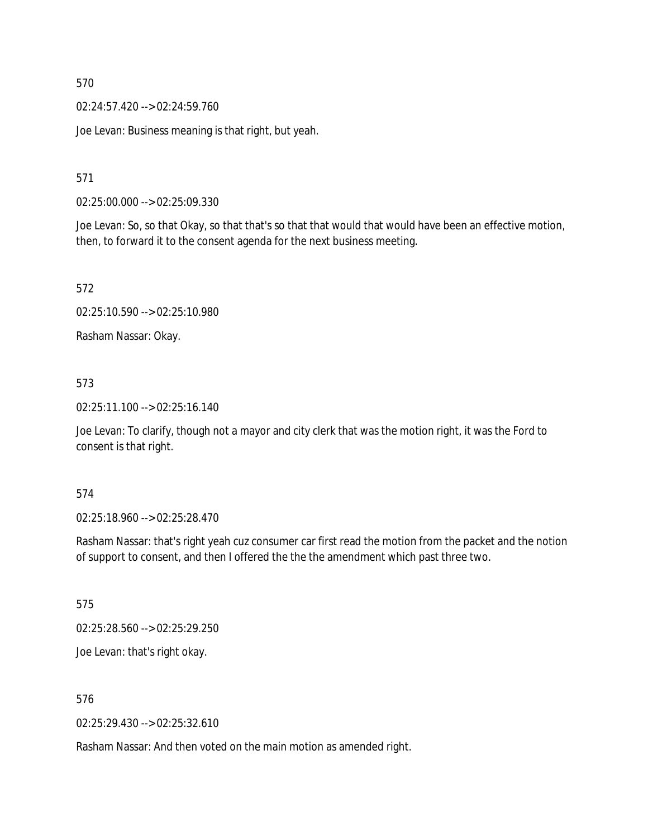02:24:57.420 --> 02:24:59.760

Joe Levan: Business meaning is that right, but yeah.

571

02:25:00.000 --> 02:25:09.330

Joe Levan: So, so that Okay, so that that's so that that would that would have been an effective motion, then, to forward it to the consent agenda for the next business meeting.

572

02:25:10.590 --> 02:25:10.980

Rasham Nassar: Okay.

## 573

02:25:11.100 --> 02:25:16.140

Joe Levan: To clarify, though not a mayor and city clerk that was the motion right, it was the Ford to consent is that right.

574

02:25:18.960 --> 02:25:28.470

Rasham Nassar: that's right yeah cuz consumer car first read the motion from the packet and the notion of support to consent, and then I offered the the the amendment which past three two.

575

02:25:28.560 --> 02:25:29.250

Joe Levan: that's right okay.

576

02:25:29.430 --> 02:25:32.610

Rasham Nassar: And then voted on the main motion as amended right.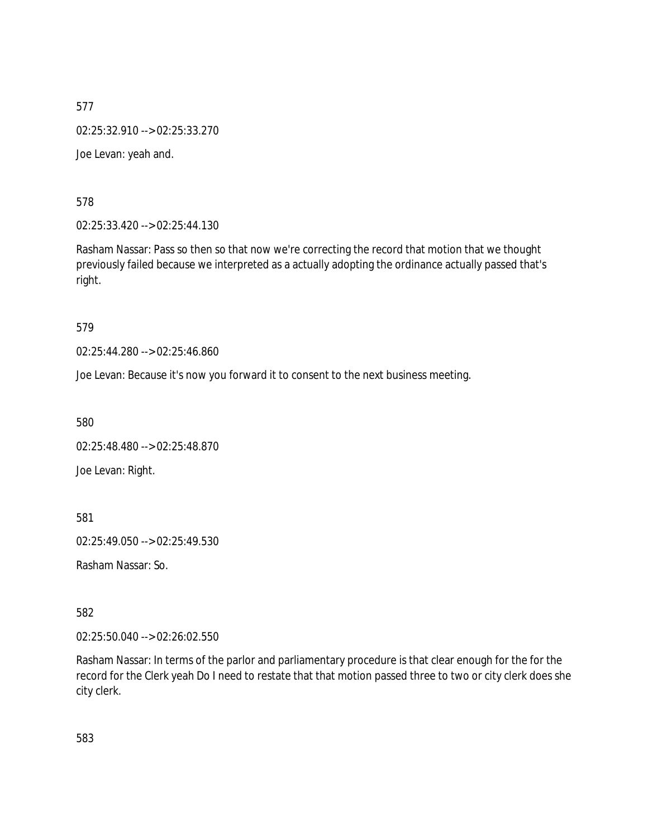577 02:25:32.910 --> 02:25:33.270 Joe Levan: yeah and.

578

02:25:33.420 --> 02:25:44.130

Rasham Nassar: Pass so then so that now we're correcting the record that motion that we thought previously failed because we interpreted as a actually adopting the ordinance actually passed that's right.

579

02:25:44.280 --> 02:25:46.860

Joe Levan: Because it's now you forward it to consent to the next business meeting.

580

02:25:48.480 --> 02:25:48.870 Joe Levan: Right.

581

02:25:49.050 --> 02:25:49.530

Rasham Nassar: So.

582

02:25:50.040 --> 02:26:02.550

Rasham Nassar: In terms of the parlor and parliamentary procedure is that clear enough for the for the record for the Clerk yeah Do I need to restate that that motion passed three to two or city clerk does she city clerk.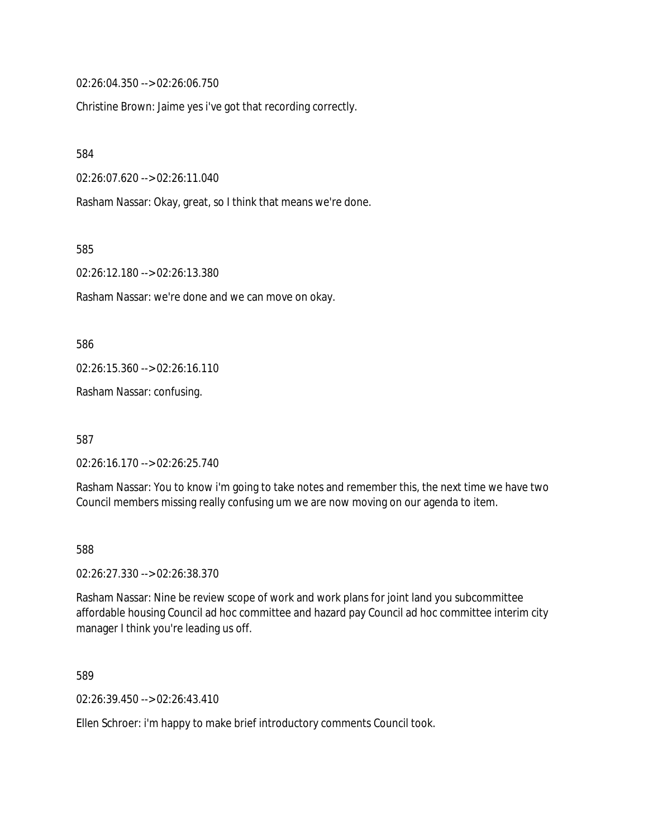02:26:04.350 --> 02:26:06.750

Christine Brown: Jaime yes i've got that recording correctly.

584

02:26:07.620 --> 02:26:11.040

Rasham Nassar: Okay, great, so I think that means we're done.

585

02:26:12.180 --> 02:26:13.380

Rasham Nassar: we're done and we can move on okay.

586

02:26:15.360 --> 02:26:16.110

Rasham Nassar: confusing.

587

02:26:16.170 --> 02:26:25.740

Rasham Nassar: You to know i'm going to take notes and remember this, the next time we have two Council members missing really confusing um we are now moving on our agenda to item.

588

02:26:27.330 --> 02:26:38.370

Rasham Nassar: Nine be review scope of work and work plans for joint land you subcommittee affordable housing Council ad hoc committee and hazard pay Council ad hoc committee interim city manager I think you're leading us off.

589

02:26:39.450 --> 02:26:43.410

Ellen Schroer: i'm happy to make brief introductory comments Council took.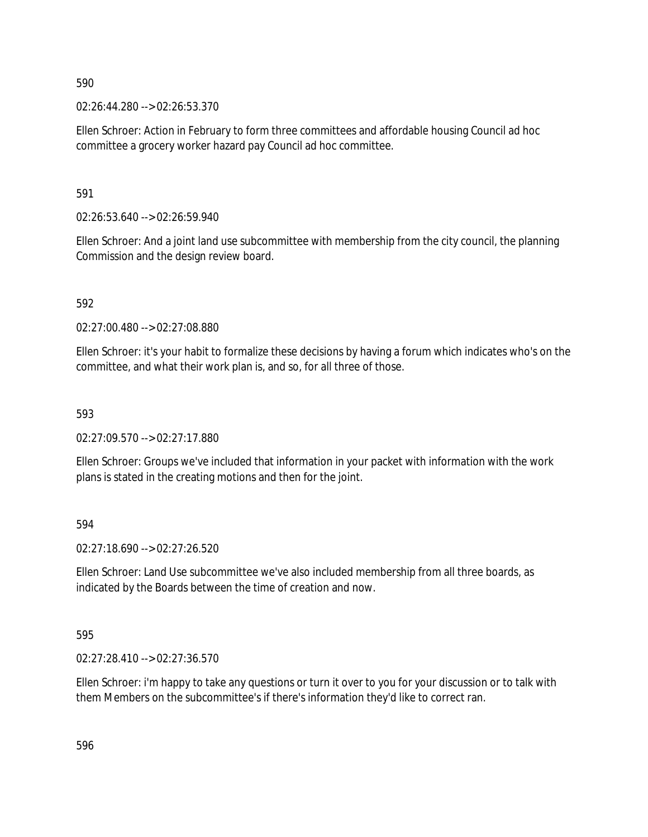02:26:44.280 --> 02:26:53.370

Ellen Schroer: Action in February to form three committees and affordable housing Council ad hoc committee a grocery worker hazard pay Council ad hoc committee.

591

02:26:53.640 --> 02:26:59.940

Ellen Schroer: And a joint land use subcommittee with membership from the city council, the planning Commission and the design review board.

592

02:27:00.480 --> 02:27:08.880

Ellen Schroer: it's your habit to formalize these decisions by having a forum which indicates who's on the committee, and what their work plan is, and so, for all three of those.

593

02:27:09.570 --> 02:27:17.880

Ellen Schroer: Groups we've included that information in your packet with information with the work plans is stated in the creating motions and then for the joint.

594

02:27:18.690 --> 02:27:26.520

Ellen Schroer: Land Use subcommittee we've also included membership from all three boards, as indicated by the Boards between the time of creation and now.

595

02:27:28.410 --> 02:27:36.570

Ellen Schroer: i'm happy to take any questions or turn it over to you for your discussion or to talk with them Members on the subcommittee's if there's information they'd like to correct ran.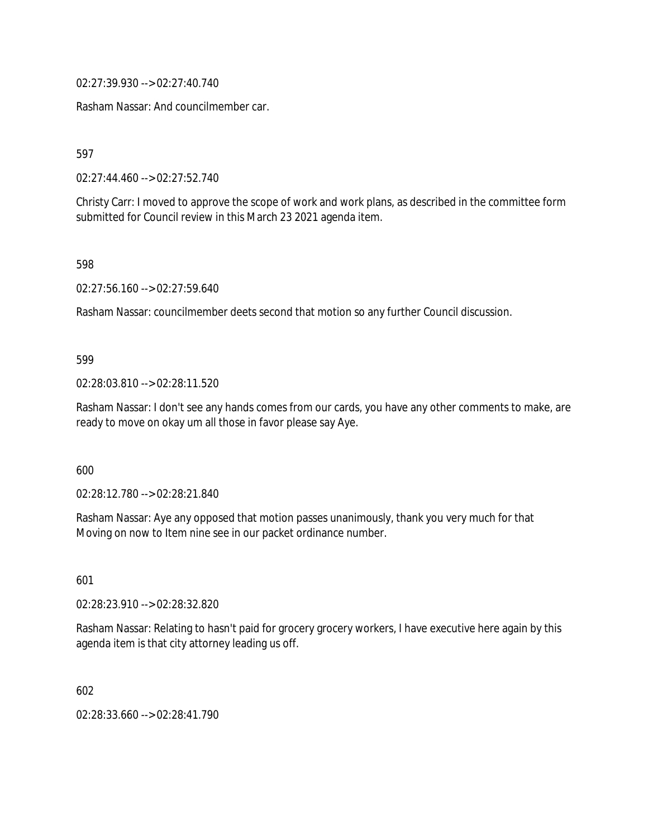02:27:39.930 --> 02:27:40.740

Rasham Nassar: And councilmember car.

597

02:27:44.460 --> 02:27:52.740

Christy Carr: I moved to approve the scope of work and work plans, as described in the committee form submitted for Council review in this March 23 2021 agenda item.

598

02:27:56.160 --> 02:27:59.640

Rasham Nassar: councilmember deets second that motion so any further Council discussion.

599

02:28:03.810 --> 02:28:11.520

Rasham Nassar: I don't see any hands comes from our cards, you have any other comments to make, are ready to move on okay um all those in favor please say Aye.

600

02:28:12.780 --> 02:28:21.840

Rasham Nassar: Aye any opposed that motion passes unanimously, thank you very much for that Moving on now to Item nine see in our packet ordinance number.

601

02:28:23.910 --> 02:28:32.820

Rasham Nassar: Relating to hasn't paid for grocery grocery workers, I have executive here again by this agenda item is that city attorney leading us off.

602

02:28:33.660 --> 02:28:41.790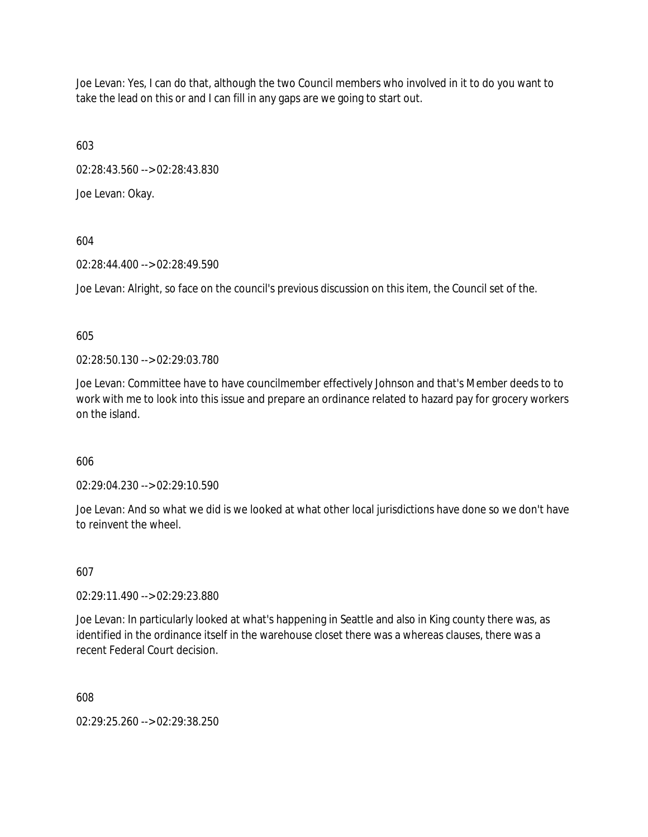Joe Levan: Yes, I can do that, although the two Council members who involved in it to do you want to take the lead on this or and I can fill in any gaps are we going to start out.

603

02:28:43.560 --> 02:28:43.830

Joe Levan: Okay.

604

02:28:44.400 --> 02:28:49.590

Joe Levan: Alright, so face on the council's previous discussion on this item, the Council set of the.

605

02:28:50.130 --> 02:29:03.780

Joe Levan: Committee have to have councilmember effectively Johnson and that's Member deeds to to work with me to look into this issue and prepare an ordinance related to hazard pay for grocery workers on the island.

606

02:29:04.230 --> 02:29:10.590

Joe Levan: And so what we did is we looked at what other local jurisdictions have done so we don't have to reinvent the wheel.

607

02:29:11.490 --> 02:29:23.880

Joe Levan: In particularly looked at what's happening in Seattle and also in King county there was, as identified in the ordinance itself in the warehouse closet there was a whereas clauses, there was a recent Federal Court decision.

608

02:29:25.260 --> 02:29:38.250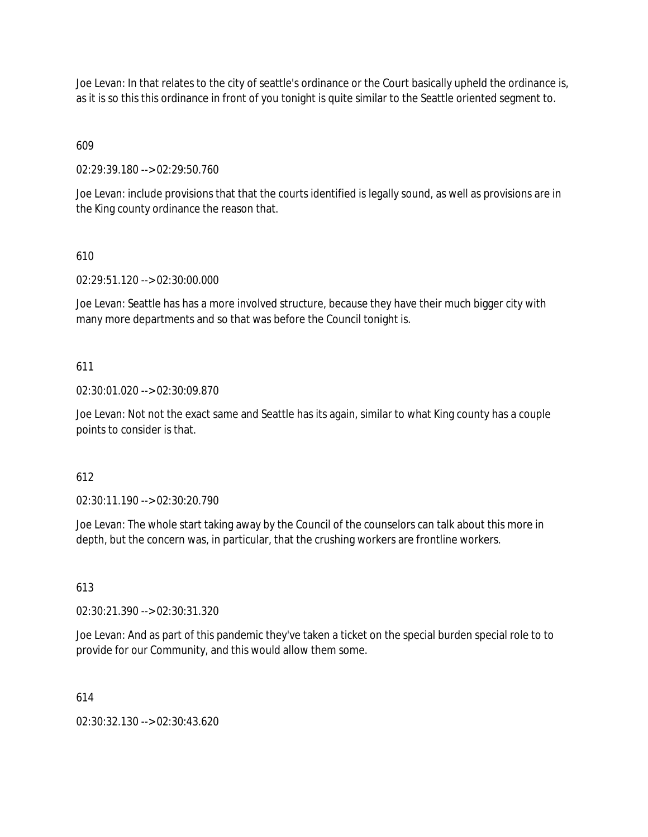Joe Levan: In that relates to the city of seattle's ordinance or the Court basically upheld the ordinance is, as it is so this this ordinance in front of you tonight is quite similar to the Seattle oriented segment to.

609

02:29:39.180 --> 02:29:50.760

Joe Levan: include provisions that that the courts identified is legally sound, as well as provisions are in the King county ordinance the reason that.

# 610

02:29:51.120 --> 02:30:00.000

Joe Levan: Seattle has has a more involved structure, because they have their much bigger city with many more departments and so that was before the Council tonight is.

# 611

## 02:30:01.020 --> 02:30:09.870

Joe Levan: Not not the exact same and Seattle has its again, similar to what King county has a couple points to consider is that.

## 612

02:30:11.190 --> 02:30:20.790

Joe Levan: The whole start taking away by the Council of the counselors can talk about this more in depth, but the concern was, in particular, that the crushing workers are frontline workers.

## 613

02:30:21.390 --> 02:30:31.320

Joe Levan: And as part of this pandemic they've taken a ticket on the special burden special role to to provide for our Community, and this would allow them some.

## 614

02:30:32.130 --> 02:30:43.620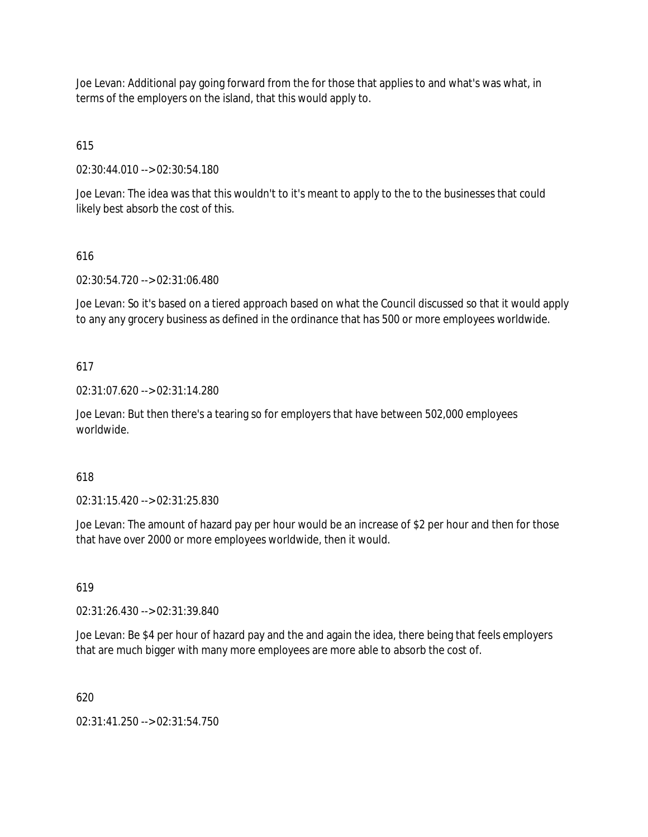Joe Levan: Additional pay going forward from the for those that applies to and what's was what, in terms of the employers on the island, that this would apply to.

615

02:30:44.010 --> 02:30:54.180

Joe Levan: The idea was that this wouldn't to it's meant to apply to the to the businesses that could likely best absorb the cost of this.

# 616

02:30:54.720 --> 02:31:06.480

Joe Levan: So it's based on a tiered approach based on what the Council discussed so that it would apply to any any grocery business as defined in the ordinance that has 500 or more employees worldwide.

# 617

02:31:07.620 --> 02:31:14.280

Joe Levan: But then there's a tearing so for employers that have between 502,000 employees worldwide.

## 618

02:31:15.420 --> 02:31:25.830

Joe Levan: The amount of hazard pay per hour would be an increase of \$2 per hour and then for those that have over 2000 or more employees worldwide, then it would.

## 619

02:31:26.430 --> 02:31:39.840

Joe Levan: Be \$4 per hour of hazard pay and the and again the idea, there being that feels employers that are much bigger with many more employees are more able to absorb the cost of.

620

02:31:41.250 --> 02:31:54.750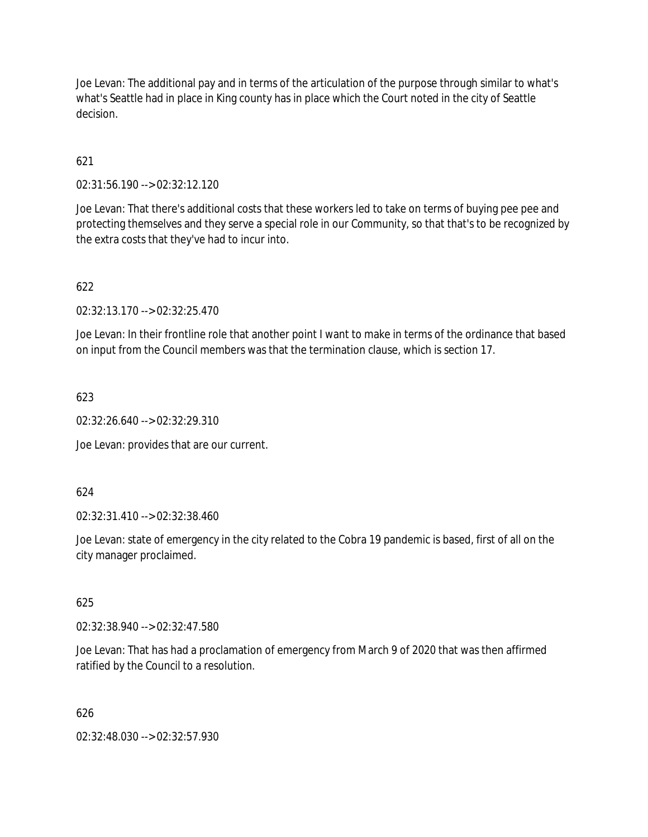Joe Levan: The additional pay and in terms of the articulation of the purpose through similar to what's what's Seattle had in place in King county has in place which the Court noted in the city of Seattle decision.

621

02:31:56.190 --> 02:32:12.120

Joe Levan: That there's additional costs that these workers led to take on terms of buying pee pee and protecting themselves and they serve a special role in our Community, so that that's to be recognized by the extra costs that they've had to incur into.

622

02:32:13.170 --> 02:32:25.470

Joe Levan: In their frontline role that another point I want to make in terms of the ordinance that based on input from the Council members was that the termination clause, which is section 17.

623

02:32:26.640 --> 02:32:29.310

Joe Levan: provides that are our current.

624

02:32:31.410 --> 02:32:38.460

Joe Levan: state of emergency in the city related to the Cobra 19 pandemic is based, first of all on the city manager proclaimed.

625

02:32:38.940 --> 02:32:47.580

Joe Levan: That has had a proclamation of emergency from March 9 of 2020 that was then affirmed ratified by the Council to a resolution.

626

02:32:48.030 --> 02:32:57.930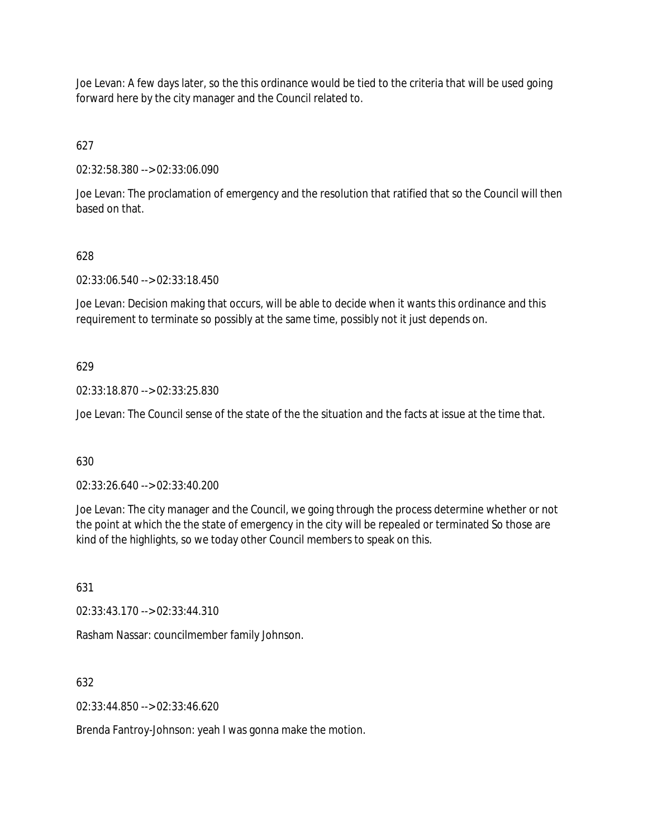Joe Levan: A few days later, so the this ordinance would be tied to the criteria that will be used going forward here by the city manager and the Council related to.

627

02:32:58.380 --> 02:33:06.090

Joe Levan: The proclamation of emergency and the resolution that ratified that so the Council will then based on that.

# 628

02:33:06.540 --> 02:33:18.450

Joe Levan: Decision making that occurs, will be able to decide when it wants this ordinance and this requirement to terminate so possibly at the same time, possibly not it just depends on.

# 629

02:33:18.870 --> 02:33:25.830

Joe Levan: The Council sense of the state of the the situation and the facts at issue at the time that.

630

02:33:26.640 --> 02:33:40.200

Joe Levan: The city manager and the Council, we going through the process determine whether or not the point at which the the state of emergency in the city will be repealed or terminated So those are kind of the highlights, so we today other Council members to speak on this.

631

02:33:43.170 --> 02:33:44.310

Rasham Nassar: councilmember family Johnson.

632

02:33:44.850 --> 02:33:46.620

Brenda Fantroy-Johnson: yeah I was gonna make the motion.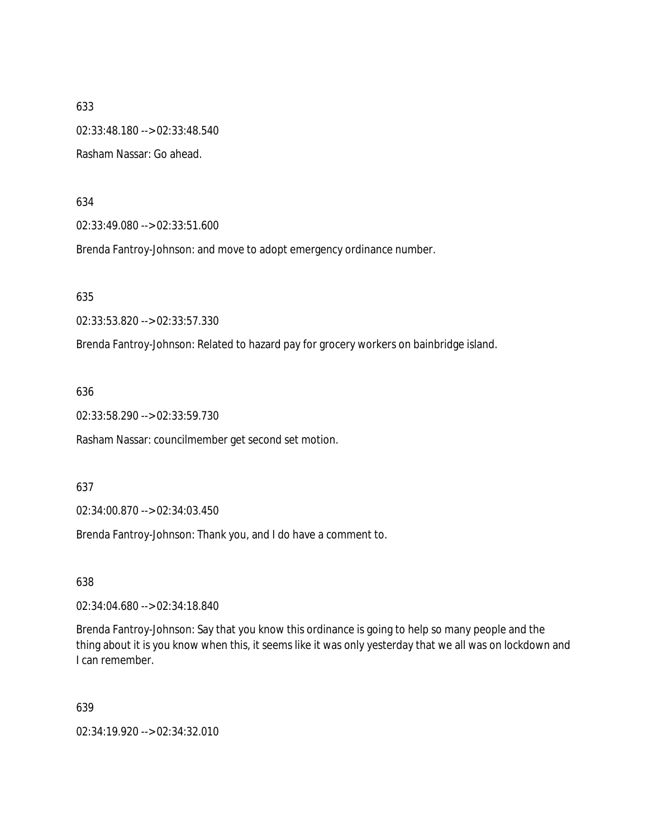633 02:33:48.180 --> 02:33:48.540 Rasham Nassar: Go ahead.

634

02:33:49.080 --> 02:33:51.600

Brenda Fantroy-Johnson: and move to adopt emergency ordinance number.

635

02:33:53.820 --> 02:33:57.330

Brenda Fantroy-Johnson: Related to hazard pay for grocery workers on bainbridge island.

636

02:33:58.290 --> 02:33:59.730

Rasham Nassar: councilmember get second set motion.

637

02:34:00.870 --> 02:34:03.450

Brenda Fantroy-Johnson: Thank you, and I do have a comment to.

638

02:34:04.680 --> 02:34:18.840

Brenda Fantroy-Johnson: Say that you know this ordinance is going to help so many people and the thing about it is you know when this, it seems like it was only yesterday that we all was on lockdown and I can remember.

639

02:34:19.920 --> 02:34:32.010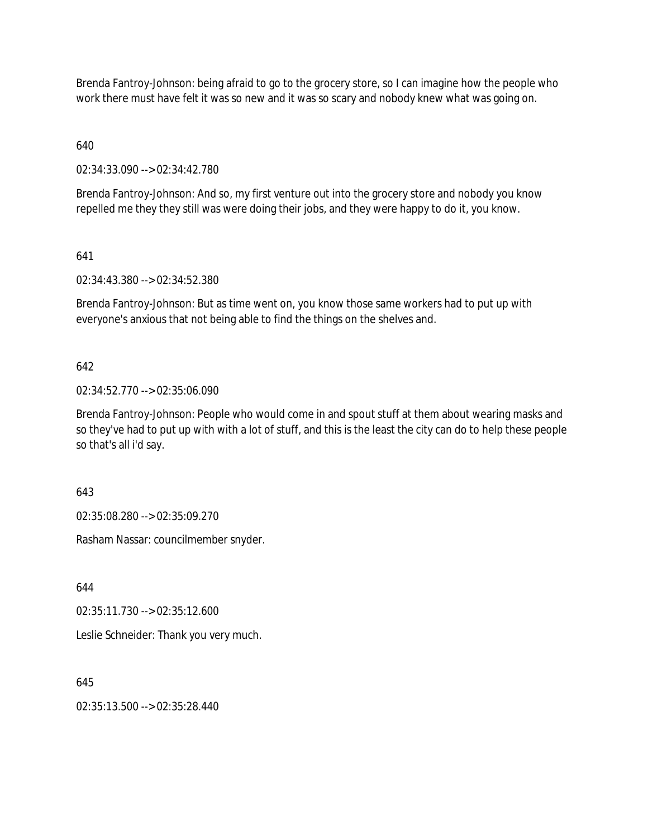Brenda Fantroy-Johnson: being afraid to go to the grocery store, so I can imagine how the people who work there must have felt it was so new and it was so scary and nobody knew what was going on.

640

02:34:33.090 --> 02:34:42.780

Brenda Fantroy-Johnson: And so, my first venture out into the grocery store and nobody you know repelled me they they still was were doing their jobs, and they were happy to do it, you know.

641

02:34:43.380 --> 02:34:52.380

Brenda Fantroy-Johnson: But as time went on, you know those same workers had to put up with everyone's anxious that not being able to find the things on the shelves and.

642

02:34:52.770 --> 02:35:06.090

Brenda Fantroy-Johnson: People who would come in and spout stuff at them about wearing masks and so they've had to put up with with a lot of stuff, and this is the least the city can do to help these people so that's all i'd say.

643

02:35:08.280 --> 02:35:09.270

Rasham Nassar: councilmember snyder.

644

02:35:11.730 --> 02:35:12.600

Leslie Schneider: Thank you very much.

645

02:35:13.500 --> 02:35:28.440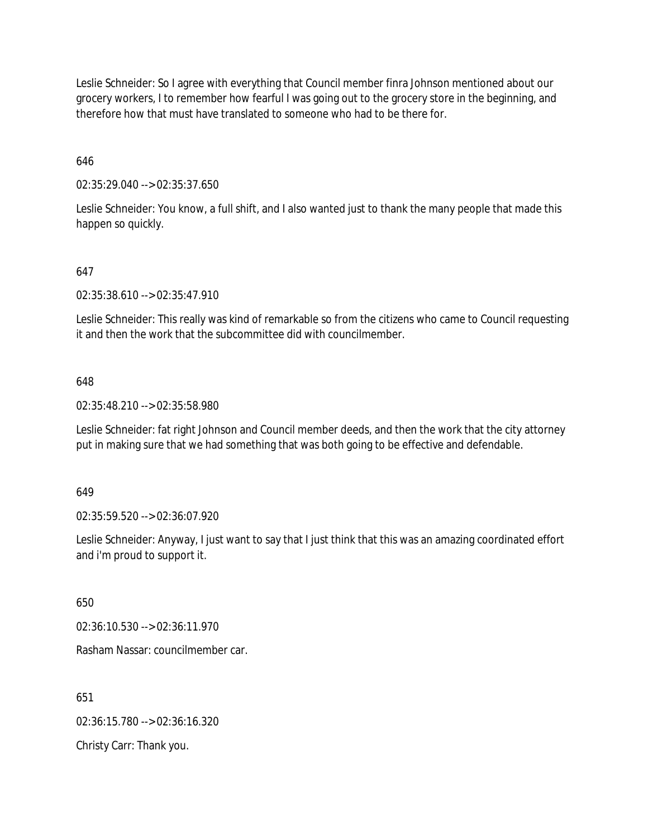Leslie Schneider: So I agree with everything that Council member finra Johnson mentioned about our grocery workers, I to remember how fearful I was going out to the grocery store in the beginning, and therefore how that must have translated to someone who had to be there for.

646

02:35:29.040 --> 02:35:37.650

Leslie Schneider: You know, a full shift, and I also wanted just to thank the many people that made this happen so quickly.

## 647

02:35:38.610 --> 02:35:47.910

Leslie Schneider: This really was kind of remarkable so from the citizens who came to Council requesting it and then the work that the subcommittee did with councilmember.

#### 648

02:35:48.210 --> 02:35:58.980

Leslie Schneider: fat right Johnson and Council member deeds, and then the work that the city attorney put in making sure that we had something that was both going to be effective and defendable.

649

02:35:59.520 --> 02:36:07.920

Leslie Schneider: Anyway, I just want to say that I just think that this was an amazing coordinated effort and i'm proud to support it.

650

02:36:10.530 --> 02:36:11.970

Rasham Nassar: councilmember car.

651

02:36:15.780 --> 02:36:16.320

Christy Carr: Thank you.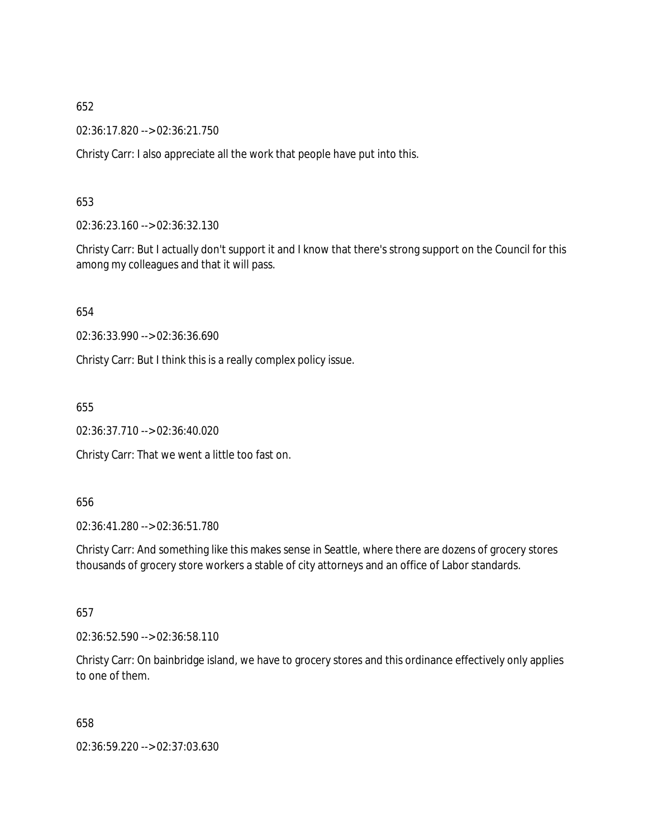02:36:17.820 --> 02:36:21.750

Christy Carr: I also appreciate all the work that people have put into this.

653

02:36:23.160 --> 02:36:32.130

Christy Carr: But I actually don't support it and I know that there's strong support on the Council for this among my colleagues and that it will pass.

654

02:36:33.990 --> 02:36:36.690

Christy Carr: But I think this is a really complex policy issue.

655

02:36:37.710 --> 02:36:40.020

Christy Carr: That we went a little too fast on.

656

02:36:41.280 --> 02:36:51.780

Christy Carr: And something like this makes sense in Seattle, where there are dozens of grocery stores thousands of grocery store workers a stable of city attorneys and an office of Labor standards.

657

02:36:52.590 --> 02:36:58.110

Christy Carr: On bainbridge island, we have to grocery stores and this ordinance effectively only applies to one of them.

658

02:36:59.220 --> 02:37:03.630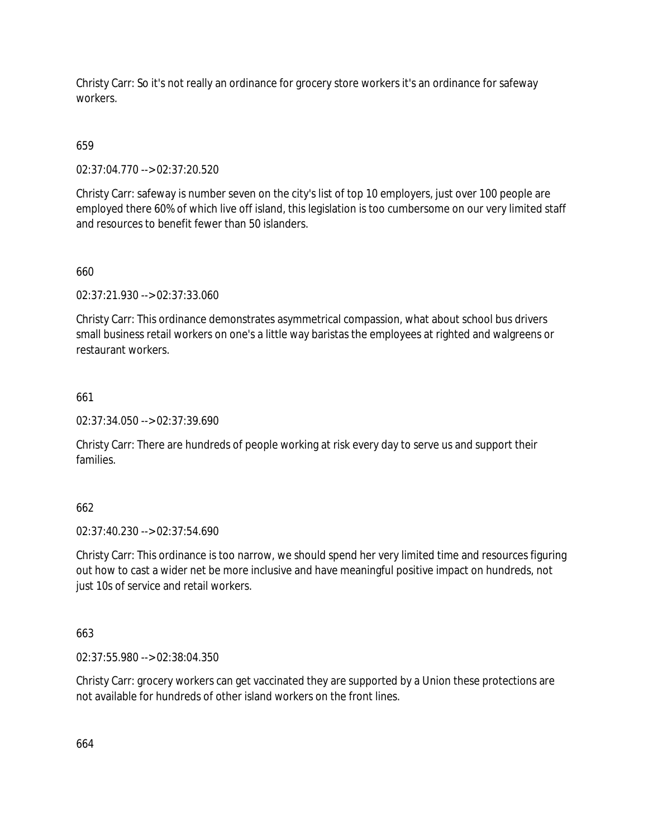Christy Carr: So it's not really an ordinance for grocery store workers it's an ordinance for safeway workers.

# 659

02:37:04.770 --> 02:37:20.520

Christy Carr: safeway is number seven on the city's list of top 10 employers, just over 100 people are employed there 60% of which live off island, this legislation is too cumbersome on our very limited staff and resources to benefit fewer than 50 islanders.

# 660

02:37:21.930 --> 02:37:33.060

Christy Carr: This ordinance demonstrates asymmetrical compassion, what about school bus drivers small business retail workers on one's a little way baristas the employees at righted and walgreens or restaurant workers.

# 661

02:37:34.050 --> 02:37:39.690

Christy Carr: There are hundreds of people working at risk every day to serve us and support their families.

# 662

02:37:40.230 --> 02:37:54.690

Christy Carr: This ordinance is too narrow, we should spend her very limited time and resources figuring out how to cast a wider net be more inclusive and have meaningful positive impact on hundreds, not just 10s of service and retail workers.

## 663

02:37:55.980 --> 02:38:04.350

Christy Carr: grocery workers can get vaccinated they are supported by a Union these protections are not available for hundreds of other island workers on the front lines.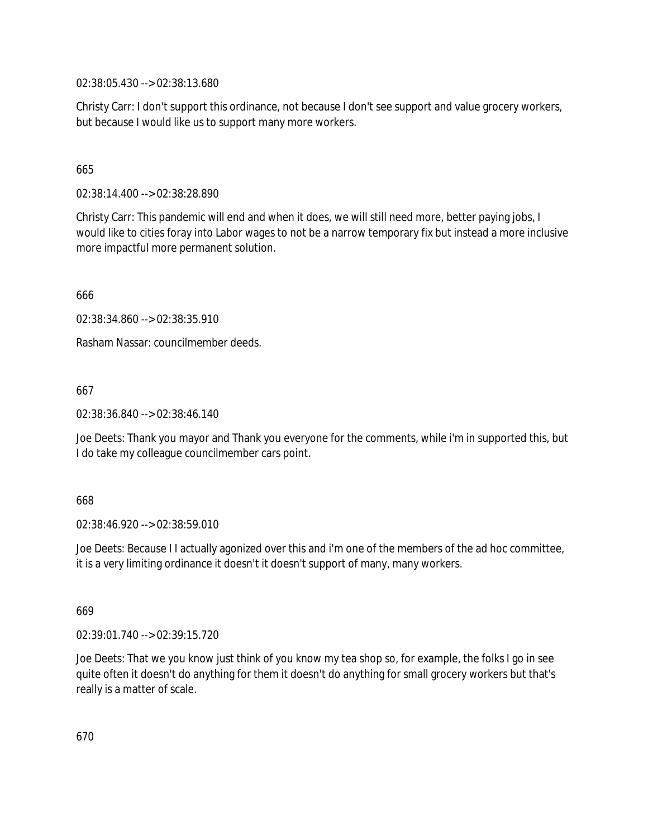02:38:05.430 --> 02:38:13.680

Christy Carr: I don't support this ordinance, not because I don't see support and value grocery workers, but because I would like us to support many more workers.

## 665

02:38:14.400 --> 02:38:28.890

Christy Carr: This pandemic will end and when it does, we will still need more, better paying jobs, I would like to cities foray into Labor wages to not be a narrow temporary fix but instead a more inclusive more impactful more permanent solution.

666

02:38:34.860 --> 02:38:35.910

Rasham Nassar: councilmember deeds.

667

02:38:36.840 --> 02:38:46.140

Joe Deets: Thank you mayor and Thank you everyone for the comments, while i'm in supported this, but I do take my colleague councilmember cars point.

## 668

02:38:46.920 --> 02:38:59.010

Joe Deets: Because I I actually agonized over this and i'm one of the members of the ad hoc committee, it is a very limiting ordinance it doesn't it doesn't support of many, many workers.

669

02:39:01.740 --> 02:39:15.720

Joe Deets: That we you know just think of you know my tea shop so, for example, the folks I go in see quite often it doesn't do anything for them it doesn't do anything for small grocery workers but that's really is a matter of scale.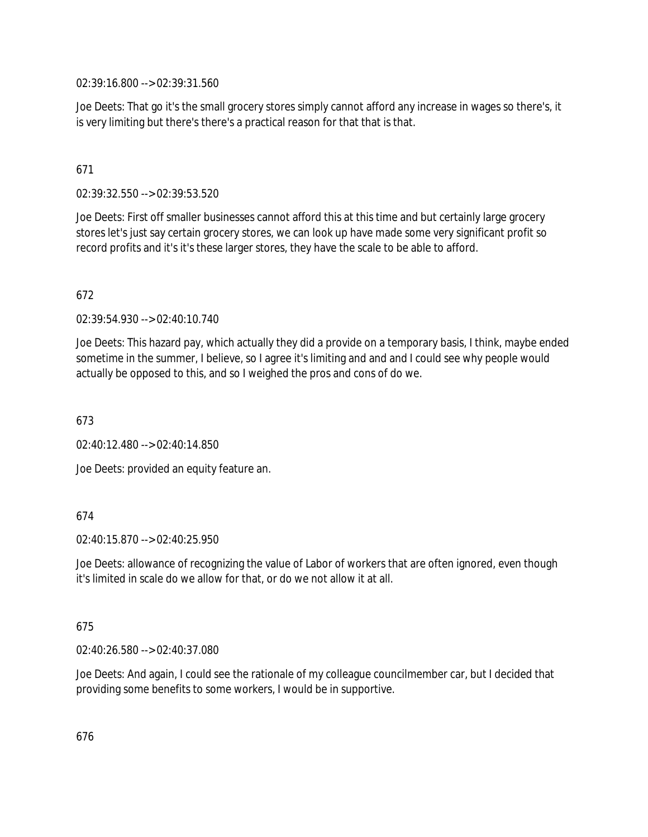02:39:16.800 --> 02:39:31.560

Joe Deets: That go it's the small grocery stores simply cannot afford any increase in wages so there's, it is very limiting but there's there's a practical reason for that that is that.

# 671

02:39:32.550 --> 02:39:53.520

Joe Deets: First off smaller businesses cannot afford this at this time and but certainly large grocery stores let's just say certain grocery stores, we can look up have made some very significant profit so record profits and it's it's these larger stores, they have the scale to be able to afford.

# 672

02:39:54.930 --> 02:40:10.740

Joe Deets: This hazard pay, which actually they did a provide on a temporary basis, I think, maybe ended sometime in the summer, I believe, so I agree it's limiting and and and I could see why people would actually be opposed to this, and so I weighed the pros and cons of do we.

673

 $02.40.12$  480 -->  $02.40.14$  850

Joe Deets: provided an equity feature an.

## 674

 $02:40:15.870 \rightarrow 02:40:25.950$ 

Joe Deets: allowance of recognizing the value of Labor of workers that are often ignored, even though it's limited in scale do we allow for that, or do we not allow it at all.

## 675

02:40:26.580 --> 02:40:37.080

Joe Deets: And again, I could see the rationale of my colleague councilmember car, but I decided that providing some benefits to some workers, I would be in supportive.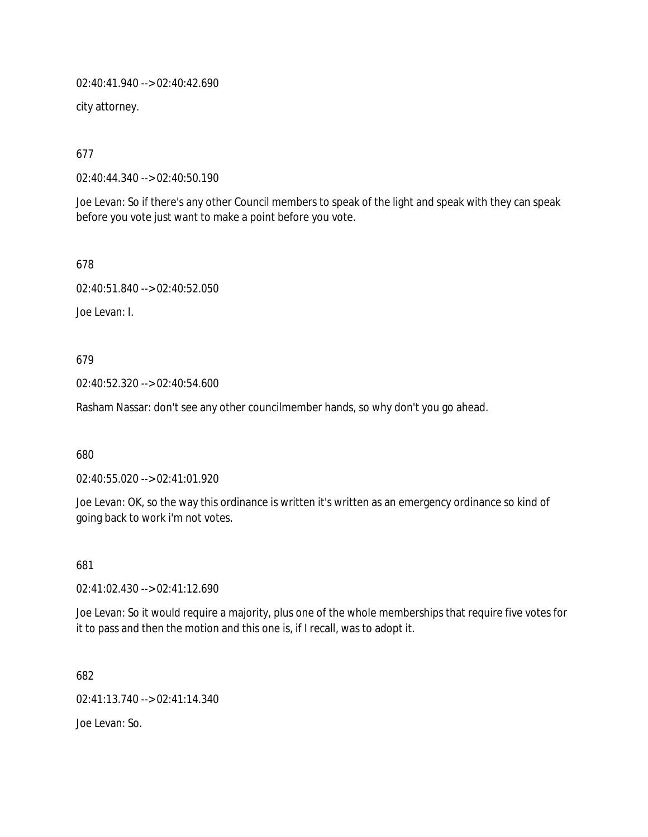02:40:41.940 --> 02:40:42.690

city attorney.

677

02:40:44.340 --> 02:40:50.190

Joe Levan: So if there's any other Council members to speak of the light and speak with they can speak before you vote just want to make a point before you vote.

678

02:40:51.840 --> 02:40:52.050

Joe Levan: I.

679

02:40:52.320 --> 02:40:54.600

Rasham Nassar: don't see any other councilmember hands, so why don't you go ahead.

680

02:40:55.020 --> 02:41:01.920

Joe Levan: OK, so the way this ordinance is written it's written as an emergency ordinance so kind of going back to work i'm not votes.

681

02:41:02.430 --> 02:41:12.690

Joe Levan: So it would require a majority, plus one of the whole memberships that require five votes for it to pass and then the motion and this one is, if I recall, was to adopt it.

682

02:41:13.740 --> 02:41:14.340

Joe Levan: So.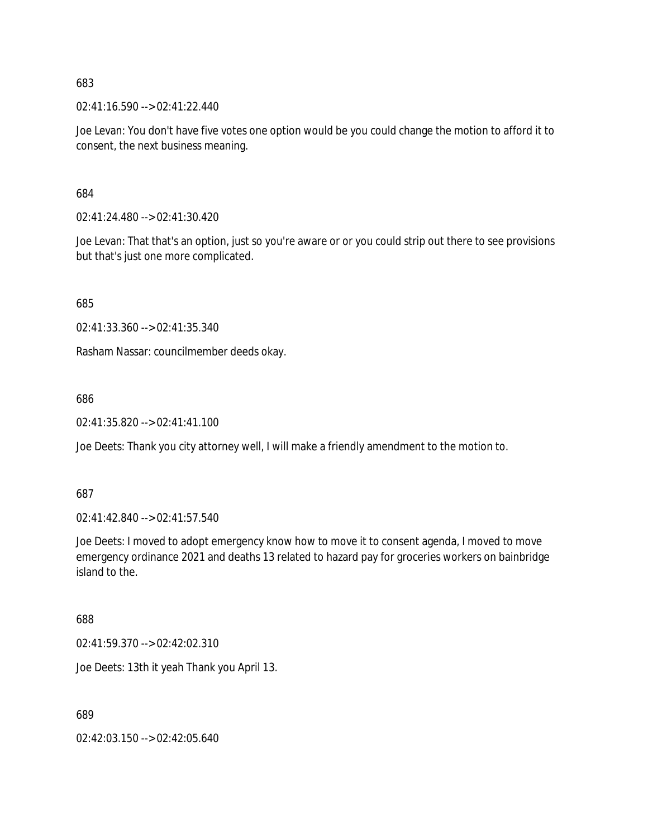02:41:16.590 --> 02:41:22.440

Joe Levan: You don't have five votes one option would be you could change the motion to afford it to consent, the next business meaning.

684

02:41:24.480 --> 02:41:30.420

Joe Levan: That that's an option, just so you're aware or or you could strip out there to see provisions but that's just one more complicated.

685

02:41:33.360 --> 02:41:35.340

Rasham Nassar: councilmember deeds okay.

686

02:41:35.820 --> 02:41:41.100

Joe Deets: Thank you city attorney well, I will make a friendly amendment to the motion to.

687

02:41:42.840 --> 02:41:57.540

Joe Deets: I moved to adopt emergency know how to move it to consent agenda, I moved to move emergency ordinance 2021 and deaths 13 related to hazard pay for groceries workers on bainbridge island to the.

688

02:41:59.370 --> 02:42:02.310

Joe Deets: 13th it yeah Thank you April 13.

689

02:42:03.150 --> 02:42:05.640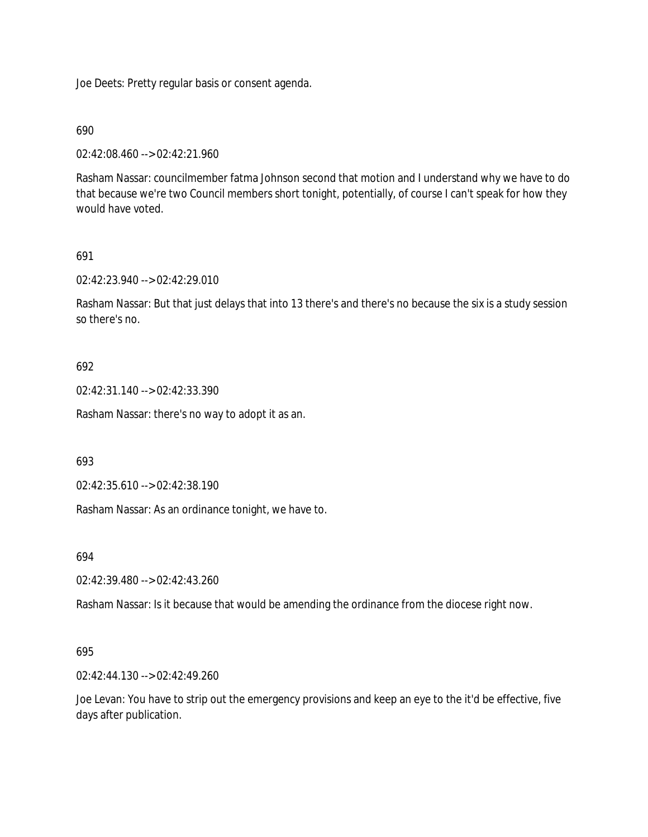Joe Deets: Pretty regular basis or consent agenda.

### 690

02:42:08.460 --> 02:42:21.960

Rasham Nassar: councilmember fatma Johnson second that motion and I understand why we have to do that because we're two Council members short tonight, potentially, of course I can't speak for how they would have voted.

### 691

02:42:23.940 --> 02:42:29.010

Rasham Nassar: But that just delays that into 13 there's and there's no because the six is a study session so there's no.

### 692

02:42:31.140 --> 02:42:33.390

Rasham Nassar: there's no way to adopt it as an.

693

02:42:35.610 --> 02:42:38.190

Rasham Nassar: As an ordinance tonight, we have to.

694

02:42:39.480 --> 02:42:43.260

Rasham Nassar: Is it because that would be amending the ordinance from the diocese right now.

## 695

02:42:44.130 --> 02:42:49.260

Joe Levan: You have to strip out the emergency provisions and keep an eye to the it'd be effective, five days after publication.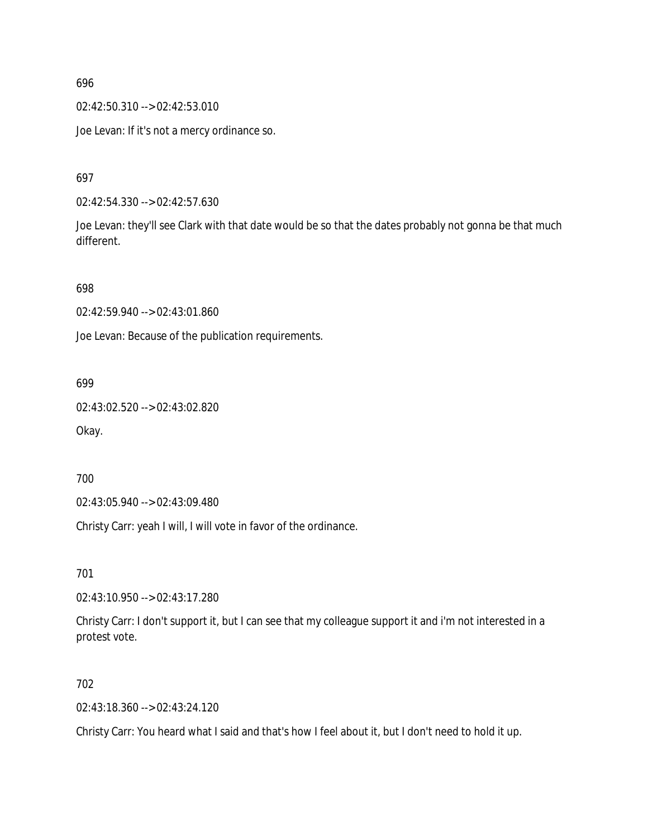02:42:50.310 --> 02:42:53.010

Joe Levan: If it's not a mercy ordinance so.

697

02:42:54.330 --> 02:42:57.630

Joe Levan: they'll see Clark with that date would be so that the dates probably not gonna be that much different.

698

02:42:59.940 --> 02:43:01.860

Joe Levan: Because of the publication requirements.

699

02:43:02.520 --> 02:43:02.820

Okay.

700

02:43:05.940 --> 02:43:09.480

Christy Carr: yeah I will, I will vote in favor of the ordinance.

701

02:43:10.950 --> 02:43:17.280

Christy Carr: I don't support it, but I can see that my colleague support it and i'm not interested in a protest vote.

702

02:43:18.360 --> 02:43:24.120

Christy Carr: You heard what I said and that's how I feel about it, but I don't need to hold it up.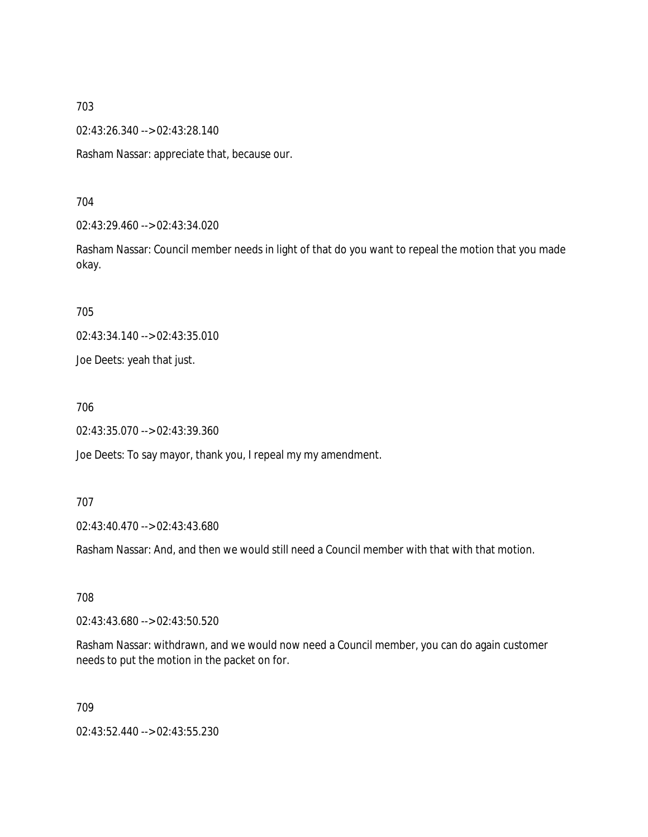02:43:26.340 --> 02:43:28.140

Rasham Nassar: appreciate that, because our.

704

02:43:29.460 --> 02:43:34.020

Rasham Nassar: Council member needs in light of that do you want to repeal the motion that you made okay.

705

02:43:34.140 --> 02:43:35.010

Joe Deets: yeah that just.

706

02:43:35.070 --> 02:43:39.360

Joe Deets: To say mayor, thank you, I repeal my my amendment.

707

02:43:40.470 --> 02:43:43.680

Rasham Nassar: And, and then we would still need a Council member with that with that motion.

708

02:43:43.680 --> 02:43:50.520

Rasham Nassar: withdrawn, and we would now need a Council member, you can do again customer needs to put the motion in the packet on for.

709

02:43:52.440 --> 02:43:55.230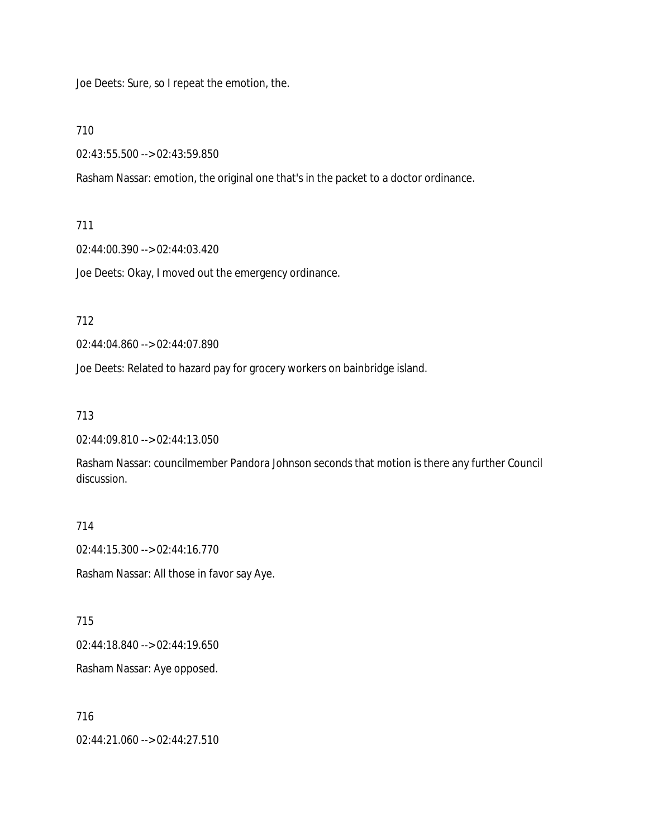Joe Deets: Sure, so I repeat the emotion, the.

710

02:43:55.500 --> 02:43:59.850

Rasham Nassar: emotion, the original one that's in the packet to a doctor ordinance.

### 711

02:44:00.390 --> 02:44:03.420

Joe Deets: Okay, I moved out the emergency ordinance.

712

02:44:04.860 --> 02:44:07.890

Joe Deets: Related to hazard pay for grocery workers on bainbridge island.

### 713

02:44:09.810 --> 02:44:13.050

Rasham Nassar: councilmember Pandora Johnson seconds that motion is there any further Council discussion.

#### 714

02:44:15.300 --> 02:44:16.770

Rasham Nassar: All those in favor say Aye.

715

02:44:18.840 --> 02:44:19.650

Rasham Nassar: Aye opposed.

## 716

02:44:21.060 --> 02:44:27.510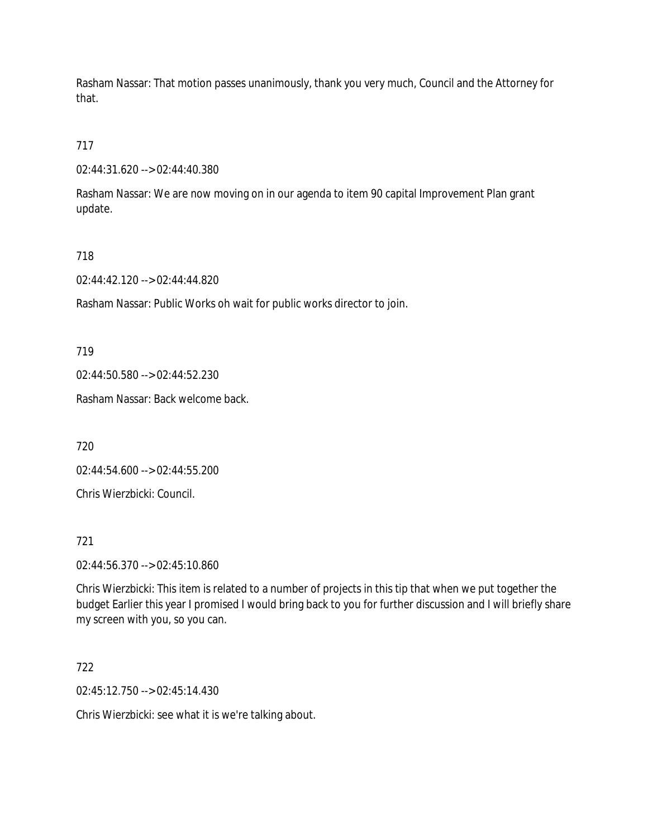Rasham Nassar: That motion passes unanimously, thank you very much, Council and the Attorney for that.

717

02:44:31.620 --> 02:44:40.380

Rasham Nassar: We are now moving on in our agenda to item 90 capital Improvement Plan grant update.

718

02:44:42.120 --> 02:44:44.820

Rasham Nassar: Public Works oh wait for public works director to join.

719

02:44:50.580 --> 02:44:52.230

Rasham Nassar: Back welcome back.

720

02:44:54.600 --> 02:44:55.200

Chris Wierzbicki: Council.

721

02:44:56.370 --> 02:45:10.860

Chris Wierzbicki: This item is related to a number of projects in this tip that when we put together the budget Earlier this year I promised I would bring back to you for further discussion and I will briefly share my screen with you, so you can.

722

02:45:12.750 --> 02:45:14.430

Chris Wierzbicki: see what it is we're talking about.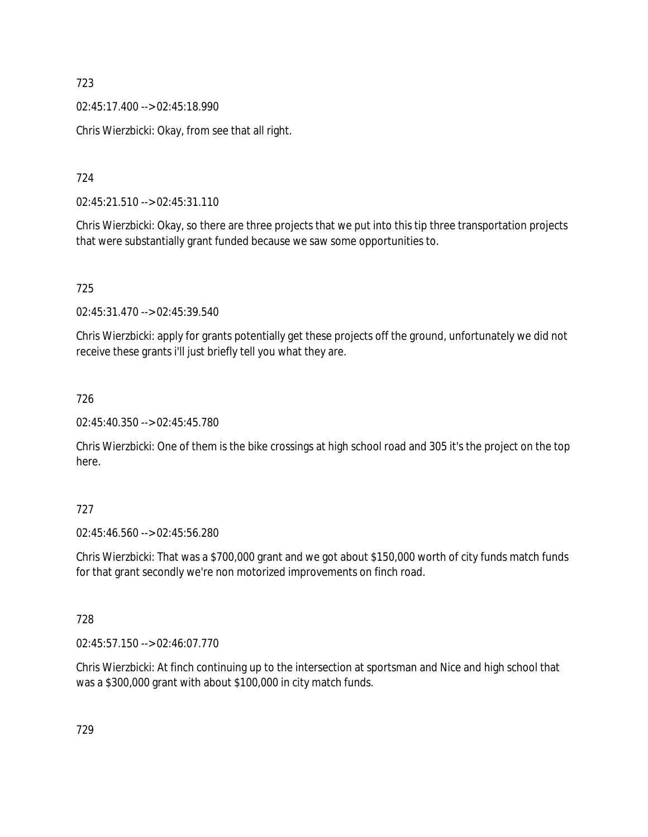02:45:17.400 --> 02:45:18.990

Chris Wierzbicki: Okay, from see that all right.

724

02:45:21.510 --> 02:45:31.110

Chris Wierzbicki: Okay, so there are three projects that we put into this tip three transportation projects that were substantially grant funded because we saw some opportunities to.

725

02:45:31.470 --> 02:45:39.540

Chris Wierzbicki: apply for grants potentially get these projects off the ground, unfortunately we did not receive these grants i'll just briefly tell you what they are.

726

02:45:40.350 --> 02:45:45.780

Chris Wierzbicki: One of them is the bike crossings at high school road and 305 it's the project on the top here.

## 727

02:45:46.560 --> 02:45:56.280

Chris Wierzbicki: That was a \$700,000 grant and we got about \$150,000 worth of city funds match funds for that grant secondly we're non motorized improvements on finch road.

## 728

02:45:57.150 --> 02:46:07.770

Chris Wierzbicki: At finch continuing up to the intersection at sportsman and Nice and high school that was a \$300,000 grant with about \$100,000 in city match funds.

729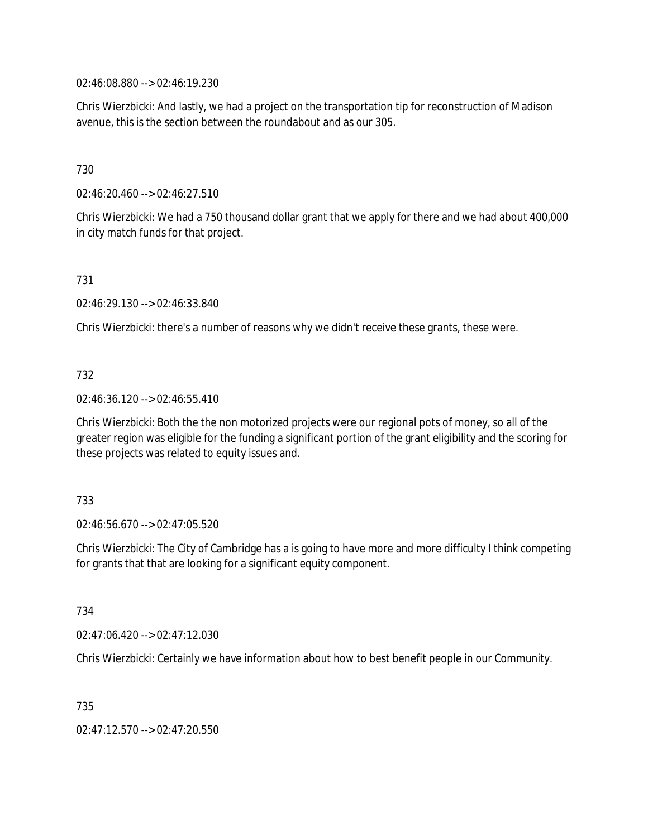02:46:08.880 --> 02:46:19.230

Chris Wierzbicki: And lastly, we had a project on the transportation tip for reconstruction of Madison avenue, this is the section between the roundabout and as our 305.

# 730

02:46:20.460 --> 02:46:27.510

Chris Wierzbicki: We had a 750 thousand dollar grant that we apply for there and we had about 400,000 in city match funds for that project.

## 731

02:46:29.130 --> 02:46:33.840

Chris Wierzbicki: there's a number of reasons why we didn't receive these grants, these were.

# 732

02:46:36.120 --> 02:46:55.410

Chris Wierzbicki: Both the the non motorized projects were our regional pots of money, so all of the greater region was eligible for the funding a significant portion of the grant eligibility and the scoring for these projects was related to equity issues and.

## 733

02:46:56.670 --> 02:47:05.520

Chris Wierzbicki: The City of Cambridge has a is going to have more and more difficulty I think competing for grants that that are looking for a significant equity component.

## 734

02:47:06.420 --> 02:47:12.030

Chris Wierzbicki: Certainly we have information about how to best benefit people in our Community.

735

02:47:12.570 --> 02:47:20.550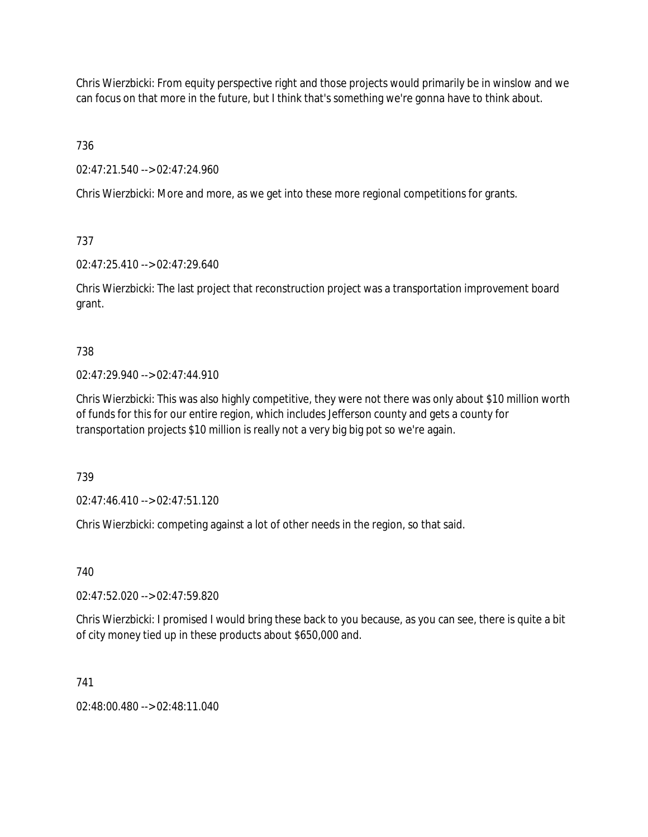Chris Wierzbicki: From equity perspective right and those projects would primarily be in winslow and we can focus on that more in the future, but I think that's something we're gonna have to think about.

736

02:47:21.540 --> 02:47:24.960

Chris Wierzbicki: More and more, as we get into these more regional competitions for grants.

# 737

02:47:25.410 --> 02:47:29.640

Chris Wierzbicki: The last project that reconstruction project was a transportation improvement board grant.

# 738

 $02.47.29.940 -5.02.47.44.910$ 

Chris Wierzbicki: This was also highly competitive, they were not there was only about \$10 million worth of funds for this for our entire region, which includes Jefferson county and gets a county for transportation projects \$10 million is really not a very big big pot so we're again.

739

02:47:46.410 --> 02:47:51.120

Chris Wierzbicki: competing against a lot of other needs in the region, so that said.

# 740

02:47:52.020 --> 02:47:59.820

Chris Wierzbicki: I promised I would bring these back to you because, as you can see, there is quite a bit of city money tied up in these products about \$650,000 and.

# 741

 $02.48:00.480 \rightarrow 02.48:11.040$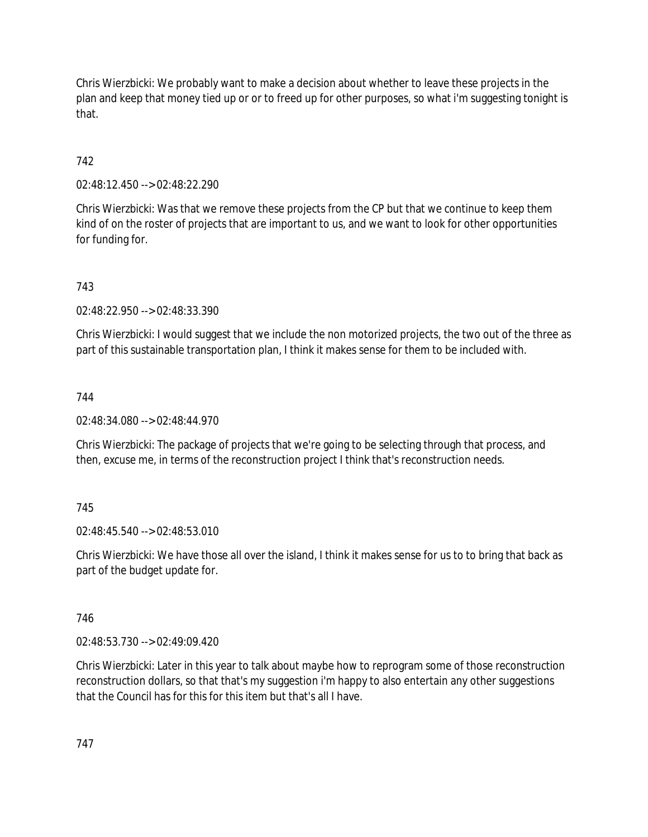Chris Wierzbicki: We probably want to make a decision about whether to leave these projects in the plan and keep that money tied up or or to freed up for other purposes, so what i'm suggesting tonight is that.

# 742

02:48:12.450 --> 02:48:22.290

Chris Wierzbicki: Was that we remove these projects from the CP but that we continue to keep them kind of on the roster of projects that are important to us, and we want to look for other opportunities for funding for.

# 743

02:48:22.950 --> 02:48:33.390

Chris Wierzbicki: I would suggest that we include the non motorized projects, the two out of the three as part of this sustainable transportation plan, I think it makes sense for them to be included with.

## 744

02:48:34.080 --> 02:48:44.970

Chris Wierzbicki: The package of projects that we're going to be selecting through that process, and then, excuse me, in terms of the reconstruction project I think that's reconstruction needs.

## 745

02:48:45.540 --> 02:48:53.010

Chris Wierzbicki: We have those all over the island, I think it makes sense for us to to bring that back as part of the budget update for.

## 746

02:48:53.730 --> 02:49:09.420

Chris Wierzbicki: Later in this year to talk about maybe how to reprogram some of those reconstruction reconstruction dollars, so that that's my suggestion i'm happy to also entertain any other suggestions that the Council has for this for this item but that's all I have.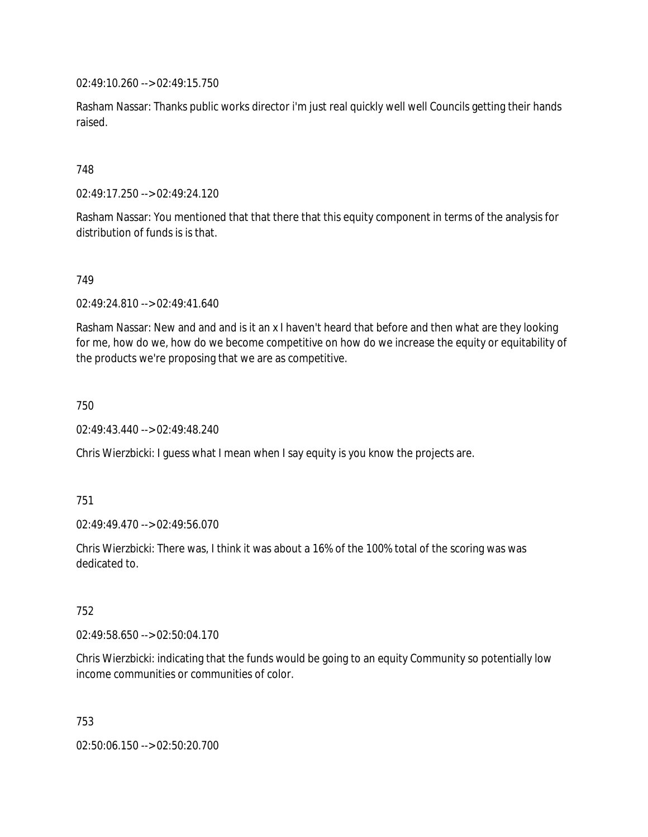02:49:10.260 --> 02:49:15.750

Rasham Nassar: Thanks public works director i'm just real quickly well well Councils getting their hands raised.

## 748

02:49:17.250 --> 02:49:24.120

Rasham Nassar: You mentioned that that there that this equity component in terms of the analysis for distribution of funds is is that.

749

02:49:24.810 --> 02:49:41.640

Rasham Nassar: New and and and is it an x I haven't heard that before and then what are they looking for me, how do we, how do we become competitive on how do we increase the equity or equitability of the products we're proposing that we are as competitive.

750

02:49:43.440 --> 02:49:48.240

Chris Wierzbicki: I guess what I mean when I say equity is you know the projects are.

751

02:49:49.470 --> 02:49:56.070

Chris Wierzbicki: There was, I think it was about a 16% of the 100% total of the scoring was was dedicated to.

752

02:49:58.650 --> 02:50:04.170

Chris Wierzbicki: indicating that the funds would be going to an equity Community so potentially low income communities or communities of color.

753

02:50:06.150 --> 02:50:20.700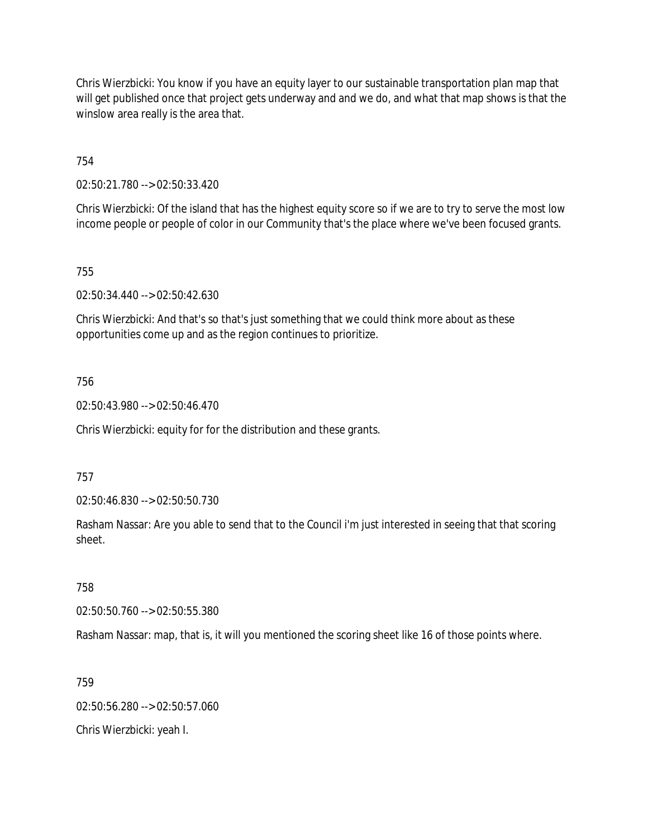Chris Wierzbicki: You know if you have an equity layer to our sustainable transportation plan map that will get published once that project gets underway and and we do, and what that map shows is that the winslow area really is the area that.

754

02:50:21.780 --> 02:50:33.420

Chris Wierzbicki: Of the island that has the highest equity score so if we are to try to serve the most low income people or people of color in our Community that's the place where we've been focused grants.

755

02:50:34.440 --> 02:50:42.630

Chris Wierzbicki: And that's so that's just something that we could think more about as these opportunities come up and as the region continues to prioritize.

## 756

02:50:43.980 --> 02:50:46.470

Chris Wierzbicki: equity for for the distribution and these grants.

### 757

02:50:46.830 --> 02:50:50.730

Rasham Nassar: Are you able to send that to the Council i'm just interested in seeing that that scoring sheet.

## 758

02:50:50.760 --> 02:50:55.380

Rasham Nassar: map, that is, it will you mentioned the scoring sheet like 16 of those points where.

#### 759

02:50:56.280 --> 02:50:57.060 Chris Wierzbicki: yeah I.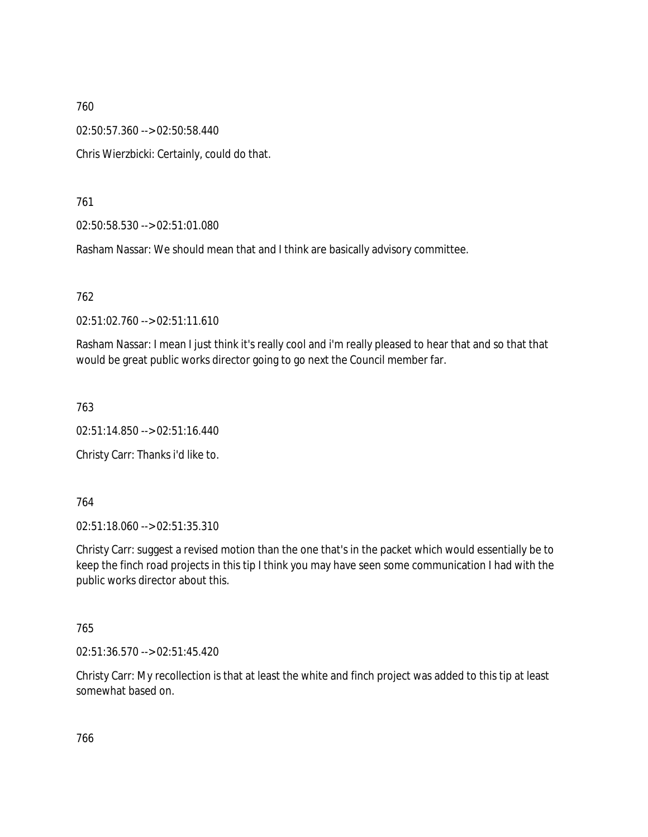02:50:57.360 --> 02:50:58.440

Chris Wierzbicki: Certainly, could do that.

761

02:50:58.530 --> 02:51:01.080

Rasham Nassar: We should mean that and I think are basically advisory committee.

762

02:51:02.760 --> 02:51:11.610

Rasham Nassar: I mean I just think it's really cool and i'm really pleased to hear that and so that that would be great public works director going to go next the Council member far.

763

02:51:14.850 --> 02:51:16.440

Christy Carr: Thanks i'd like to.

764

02:51:18.060 --> 02:51:35.310

Christy Carr: suggest a revised motion than the one that's in the packet which would essentially be to keep the finch road projects in this tip I think you may have seen some communication I had with the public works director about this.

765

02:51:36.570 --> 02:51:45.420

Christy Carr: My recollection is that at least the white and finch project was added to this tip at least somewhat based on.

766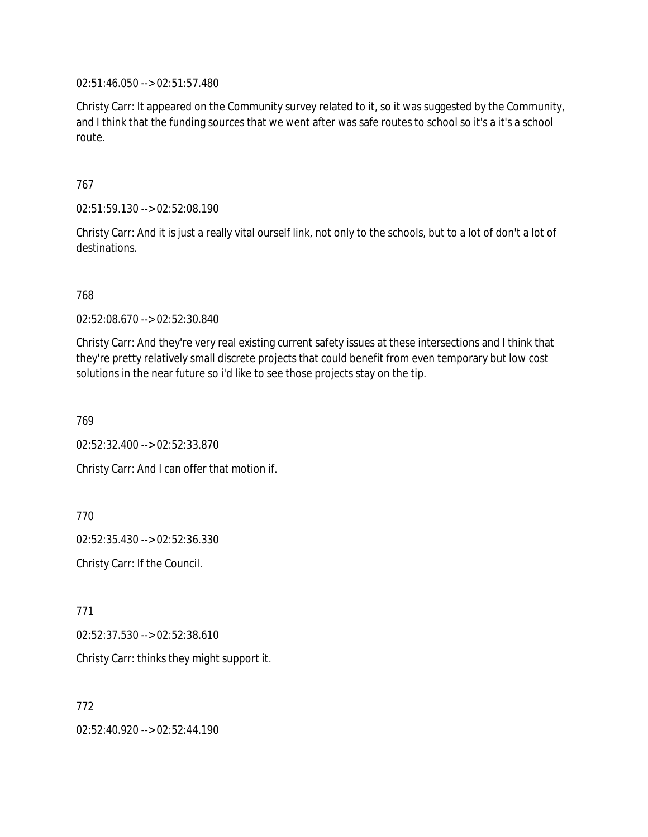02:51:46.050 --> 02:51:57.480

Christy Carr: It appeared on the Community survey related to it, so it was suggested by the Community, and I think that the funding sources that we went after was safe routes to school so it's a it's a school route.

767

02:51:59.130 --> 02:52:08.190

Christy Carr: And it is just a really vital ourself link, not only to the schools, but to a lot of don't a lot of destinations.

768

02:52:08.670 --> 02:52:30.840

Christy Carr: And they're very real existing current safety issues at these intersections and I think that they're pretty relatively small discrete projects that could benefit from even temporary but low cost solutions in the near future so i'd like to see those projects stay on the tip.

769

02:52:32.400 --> 02:52:33.870

Christy Carr: And I can offer that motion if.

770

02:52:35.430 --> 02:52:36.330

Christy Carr: If the Council.

771

02:52:37.530 --> 02:52:38.610

Christy Carr: thinks they might support it.

772

02:52:40.920 --> 02:52:44.190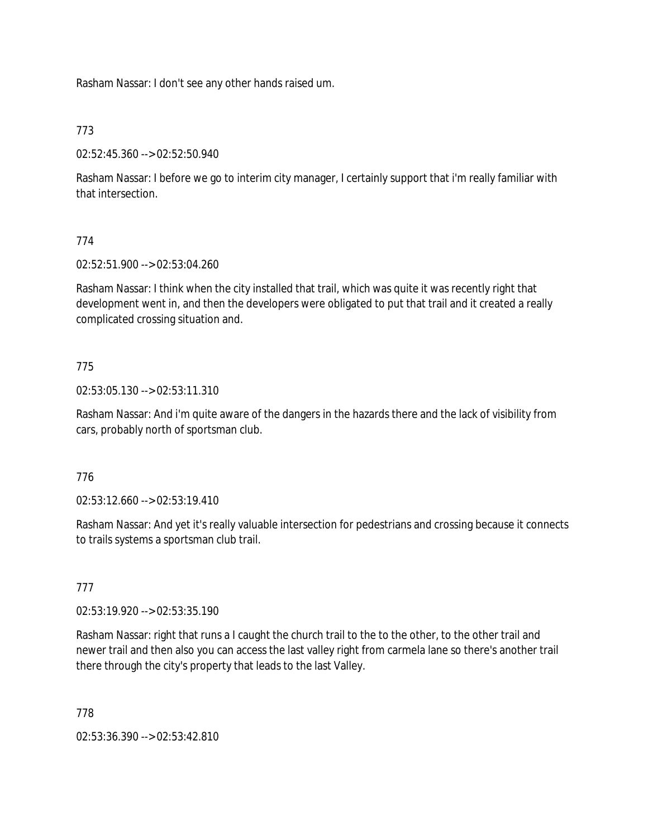Rasham Nassar: I don't see any other hands raised um.

# 773

02:52:45.360 --> 02:52:50.940

Rasham Nassar: I before we go to interim city manager, I certainly support that i'm really familiar with that intersection.

# 774

02:52:51.900 --> 02:53:04.260

Rasham Nassar: I think when the city installed that trail, which was quite it was recently right that development went in, and then the developers were obligated to put that trail and it created a really complicated crossing situation and.

# 775

02:53:05.130 --> 02:53:11.310

Rasham Nassar: And i'm quite aware of the dangers in the hazards there and the lack of visibility from cars, probably north of sportsman club.

## 776

02:53:12.660 --> 02:53:19.410

Rasham Nassar: And yet it's really valuable intersection for pedestrians and crossing because it connects to trails systems a sportsman club trail.

## 777

02:53:19.920 --> 02:53:35.190

Rasham Nassar: right that runs a I caught the church trail to the to the other, to the other trail and newer trail and then also you can access the last valley right from carmela lane so there's another trail there through the city's property that leads to the last Valley.

## 778

02:53:36.390 --> 02:53:42.810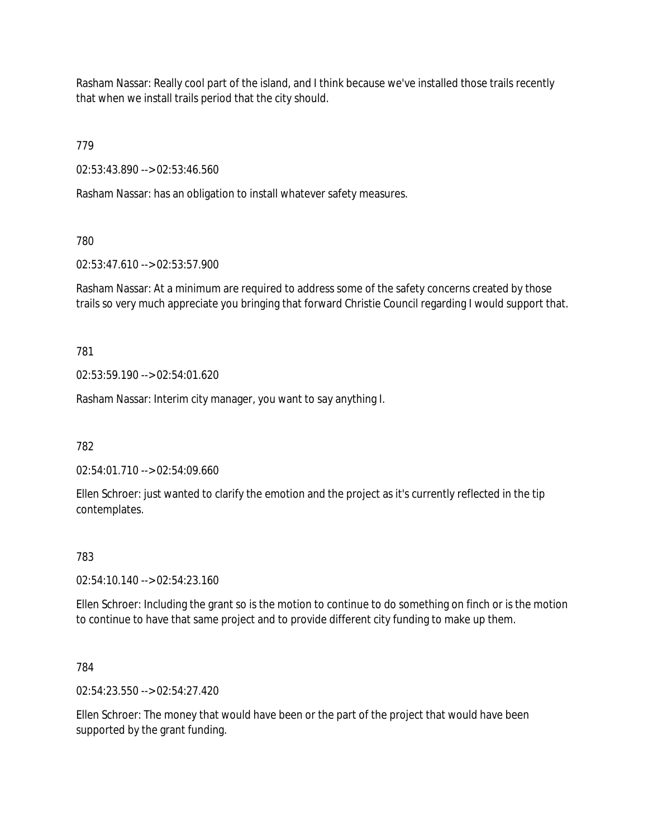Rasham Nassar: Really cool part of the island, and I think because we've installed those trails recently that when we install trails period that the city should.

779

02:53:43.890 --> 02:53:46.560

Rasham Nassar: has an obligation to install whatever safety measures.

780

02:53:47.610 --> 02:53:57.900

Rasham Nassar: At a minimum are required to address some of the safety concerns created by those trails so very much appreciate you bringing that forward Christie Council regarding I would support that.

781

02:53:59.190 --> 02:54:01.620

Rasham Nassar: Interim city manager, you want to say anything I.

782

02:54:01.710 --> 02:54:09.660

Ellen Schroer: just wanted to clarify the emotion and the project as it's currently reflected in the tip contemplates.

783

02:54:10.140 --> 02:54:23.160

Ellen Schroer: Including the grant so is the motion to continue to do something on finch or is the motion to continue to have that same project and to provide different city funding to make up them.

784

02:54:23.550 --> 02:54:27.420

Ellen Schroer: The money that would have been or the part of the project that would have been supported by the grant funding.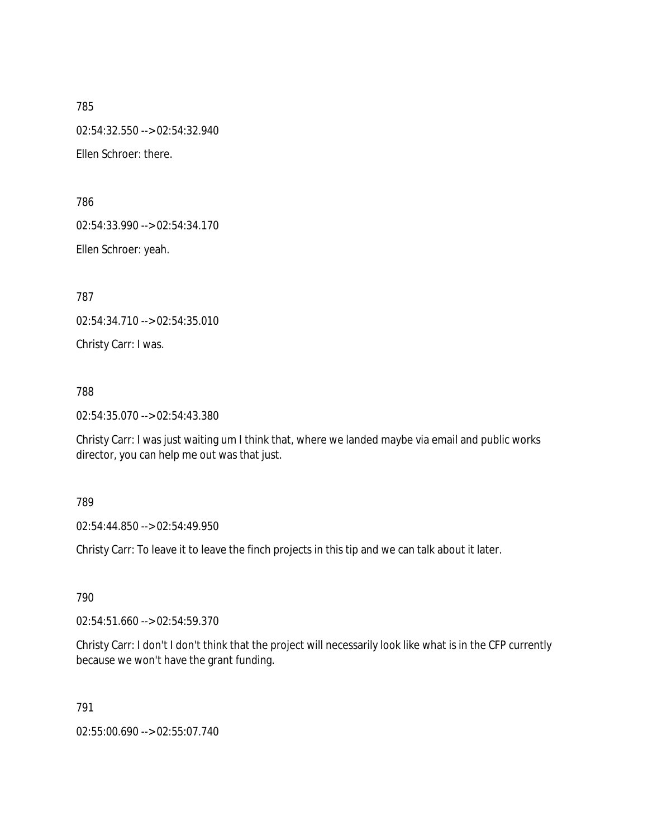785 02:54:32.550 --> 02:54:32.940 Ellen Schroer: there.

786

02:54:33.990 --> 02:54:34.170

Ellen Schroer: yeah.

787

02:54:34.710 --> 02:54:35.010

Christy Carr: I was.

# 788

02:54:35.070 --> 02:54:43.380

Christy Carr: I was just waiting um I think that, where we landed maybe via email and public works director, you can help me out was that just.

## 789

02:54:44.850 --> 02:54:49.950

Christy Carr: To leave it to leave the finch projects in this tip and we can talk about it later.

790

02:54:51.660 --> 02:54:59.370

Christy Carr: I don't I don't think that the project will necessarily look like what is in the CFP currently because we won't have the grant funding.

791

02:55:00.690 --> 02:55:07.740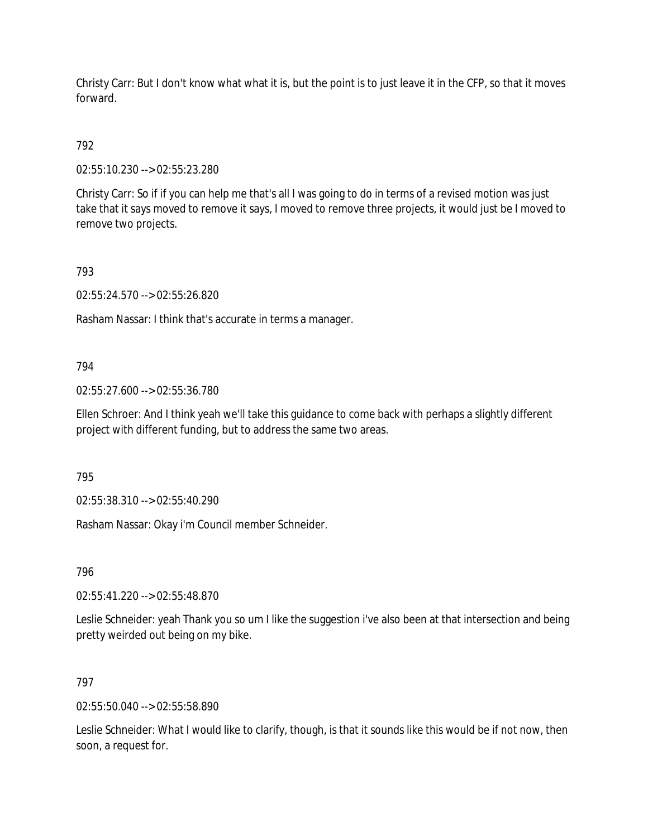Christy Carr: But I don't know what what it is, but the point is to just leave it in the CFP, so that it moves forward.

792

02:55:10.230 --> 02:55:23.280

Christy Carr: So if if you can help me that's all I was going to do in terms of a revised motion was just take that it says moved to remove it says, I moved to remove three projects, it would just be I moved to remove two projects.

793

02:55:24.570 --> 02:55:26.820

Rasham Nassar: I think that's accurate in terms a manager.

# 794

02:55:27.600 --> 02:55:36.780

Ellen Schroer: And I think yeah we'll take this guidance to come back with perhaps a slightly different project with different funding, but to address the same two areas.

795

02:55:38.310 --> 02:55:40.290

Rasham Nassar: Okay i'm Council member Schneider.

796

02:55:41.220 --> 02:55:48.870

Leslie Schneider: yeah Thank you so um I like the suggestion i've also been at that intersection and being pretty weirded out being on my bike.

# 797

02:55:50.040 --> 02:55:58.890

Leslie Schneider: What I would like to clarify, though, is that it sounds like this would be if not now, then soon, a request for.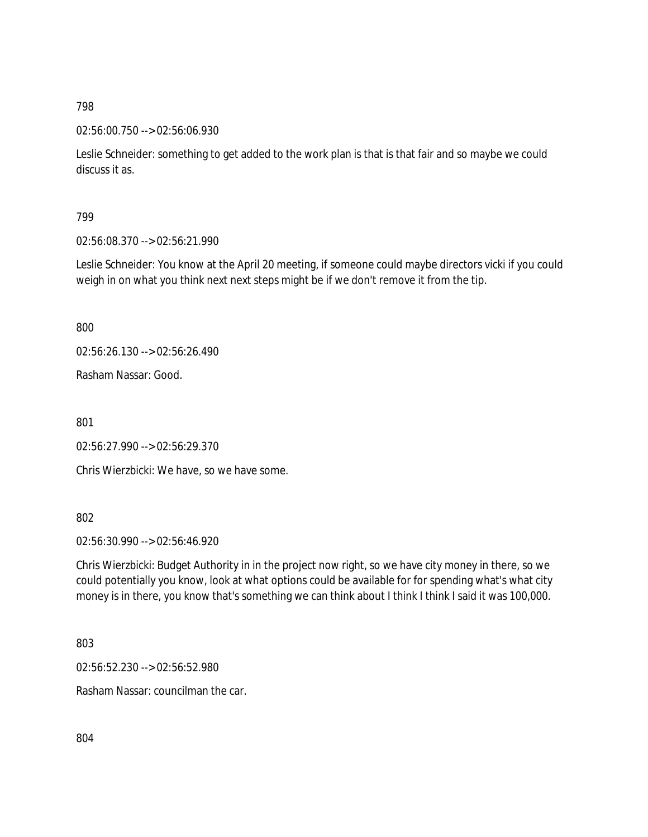02:56:00.750 --> 02:56:06.930

Leslie Schneider: something to get added to the work plan is that is that fair and so maybe we could discuss it as.

799

02:56:08.370 --> 02:56:21.990

Leslie Schneider: You know at the April 20 meeting, if someone could maybe directors vicki if you could weigh in on what you think next next steps might be if we don't remove it from the tip.

800

02:56:26.130 --> 02:56:26.490

Rasham Nassar: Good.

801

02:56:27.990 --> 02:56:29.370

Chris Wierzbicki: We have, so we have some.

802

02:56:30.990 --> 02:56:46.920

Chris Wierzbicki: Budget Authority in in the project now right, so we have city money in there, so we could potentially you know, look at what options could be available for for spending what's what city money is in there, you know that's something we can think about I think I think I said it was 100,000.

803

02:56:52.230 --> 02:56:52.980

Rasham Nassar: councilman the car.

804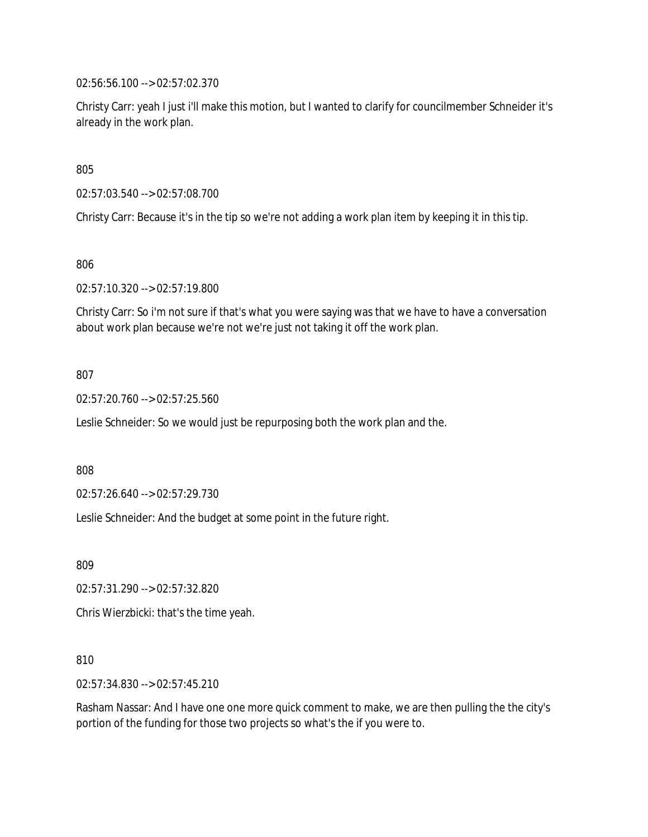02:56:56.100 --> 02:57:02.370

Christy Carr: yeah I just i'll make this motion, but I wanted to clarify for councilmember Schneider it's already in the work plan.

805

02:57:03.540 --> 02:57:08.700

Christy Carr: Because it's in the tip so we're not adding a work plan item by keeping it in this tip.

806

02:57:10.320 --> 02:57:19.800

Christy Carr: So i'm not sure if that's what you were saying was that we have to have a conversation about work plan because we're not we're just not taking it off the work plan.

807

02:57:20.760 --> 02:57:25.560

Leslie Schneider: So we would just be repurposing both the work plan and the.

808

02:57:26.640 --> 02:57:29.730

Leslie Schneider: And the budget at some point in the future right.

809

02:57:31.290 --> 02:57:32.820

Chris Wierzbicki: that's the time yeah.

810

02:57:34.830 --> 02:57:45.210

Rasham Nassar: And I have one one more quick comment to make, we are then pulling the the city's portion of the funding for those two projects so what's the if you were to.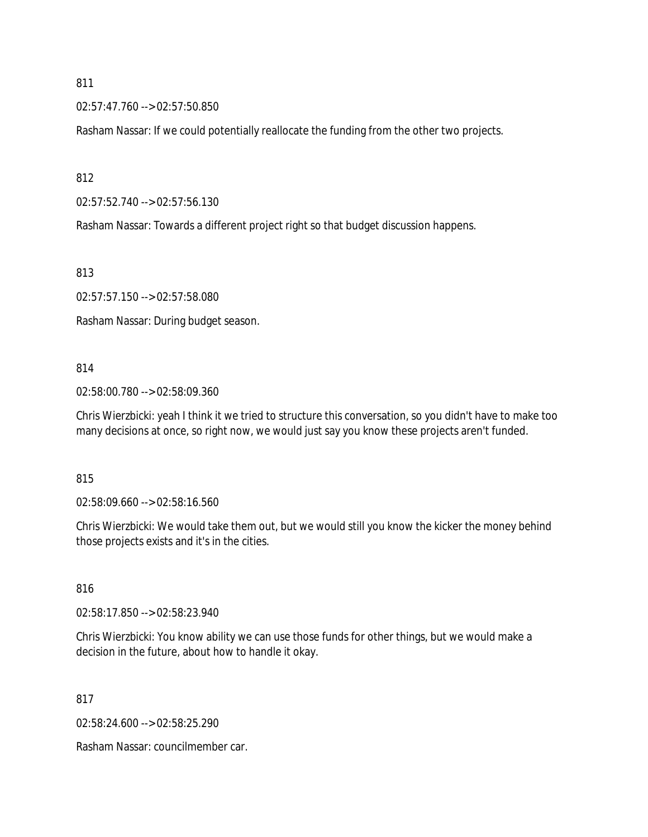02:57:47.760 --> 02:57:50.850

Rasham Nassar: If we could potentially reallocate the funding from the other two projects.

812

02:57:52.740 --> 02:57:56.130

Rasham Nassar: Towards a different project right so that budget discussion happens.

813

02:57:57.150 --> 02:57:58.080

Rasham Nassar: During budget season.

### 814

02:58:00.780 --> 02:58:09.360

Chris Wierzbicki: yeah I think it we tried to structure this conversation, so you didn't have to make too many decisions at once, so right now, we would just say you know these projects aren't funded.

### 815

02:58:09.660 --> 02:58:16.560

Chris Wierzbicki: We would take them out, but we would still you know the kicker the money behind those projects exists and it's in the cities.

### 816

02:58:17.850 --> 02:58:23.940

Chris Wierzbicki: You know ability we can use those funds for other things, but we would make a decision in the future, about how to handle it okay.

817

02:58:24.600 --> 02:58:25.290

Rasham Nassar: councilmember car.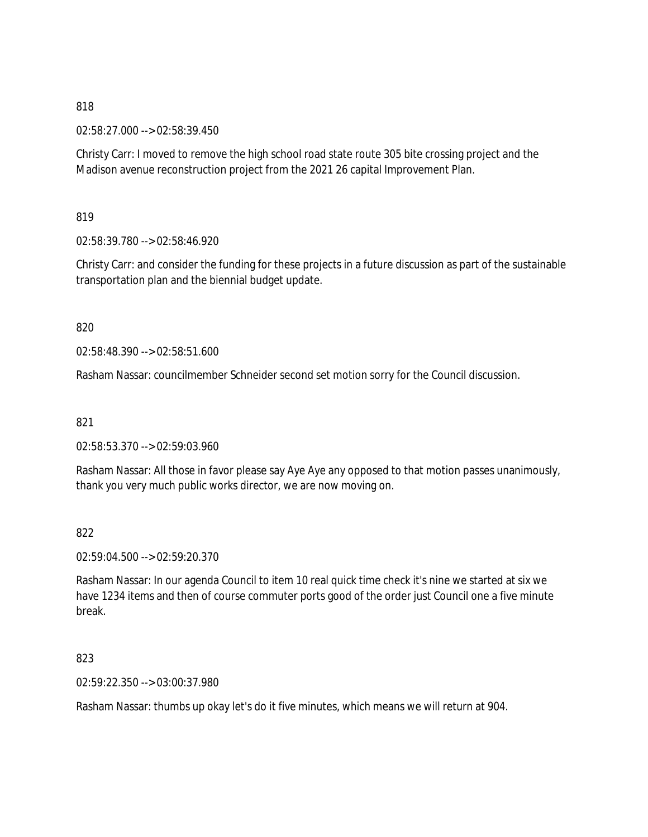02:58:27.000 --> 02:58:39.450

Christy Carr: I moved to remove the high school road state route 305 bite crossing project and the Madison avenue reconstruction project from the 2021 26 capital Improvement Plan.

819

02:58:39.780 --> 02:58:46.920

Christy Carr: and consider the funding for these projects in a future discussion as part of the sustainable transportation plan and the biennial budget update.

820

02:58:48.390 --> 02:58:51.600

Rasham Nassar: councilmember Schneider second set motion sorry for the Council discussion.

821

02:58:53.370 --> 02:59:03.960

Rasham Nassar: All those in favor please say Aye Aye any opposed to that motion passes unanimously, thank you very much public works director, we are now moving on.

822

02:59:04.500 --> 02:59:20.370

Rasham Nassar: In our agenda Council to item 10 real quick time check it's nine we started at six we have 1234 items and then of course commuter ports good of the order just Council one a five minute break.

823

02:59:22.350 --> 03:00:37.980

Rasham Nassar: thumbs up okay let's do it five minutes, which means we will return at 904.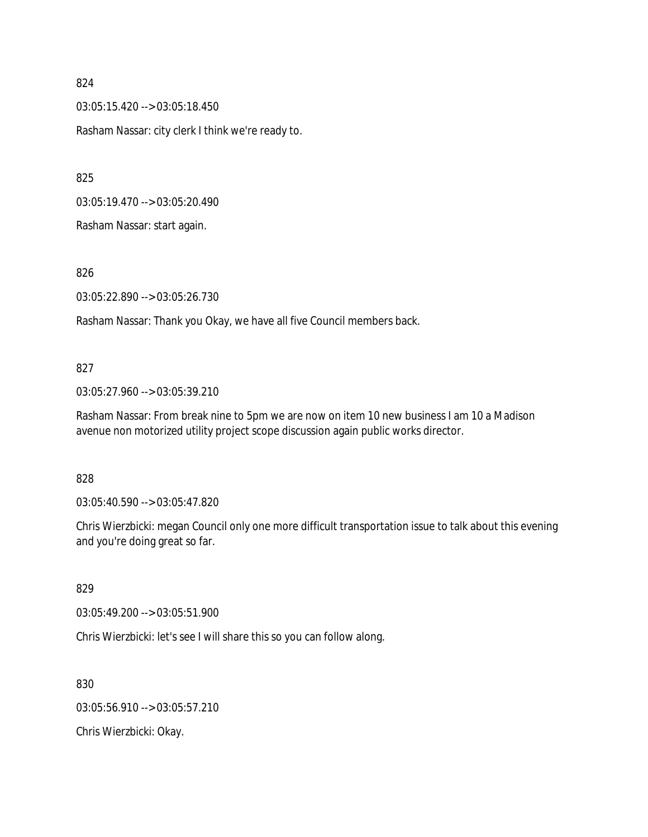03:05:15.420 --> 03:05:18.450 Rasham Nassar: city clerk I think we're ready to.

825

03:05:19.470 --> 03:05:20.490

Rasham Nassar: start again.

826

03:05:22.890 --> 03:05:26.730

Rasham Nassar: Thank you Okay, we have all five Council members back.

## 827

03:05:27.960 --> 03:05:39.210

Rasham Nassar: From break nine to 5pm we are now on item 10 new business I am 10 a Madison avenue non motorized utility project scope discussion again public works director.

## 828

03:05:40.590 --> 03:05:47.820

Chris Wierzbicki: megan Council only one more difficult transportation issue to talk about this evening and you're doing great so far.

## 829

03:05:49.200 --> 03:05:51.900

Chris Wierzbicki: let's see I will share this so you can follow along.

830

03:05:56.910 --> 03:05:57.210

Chris Wierzbicki: Okay.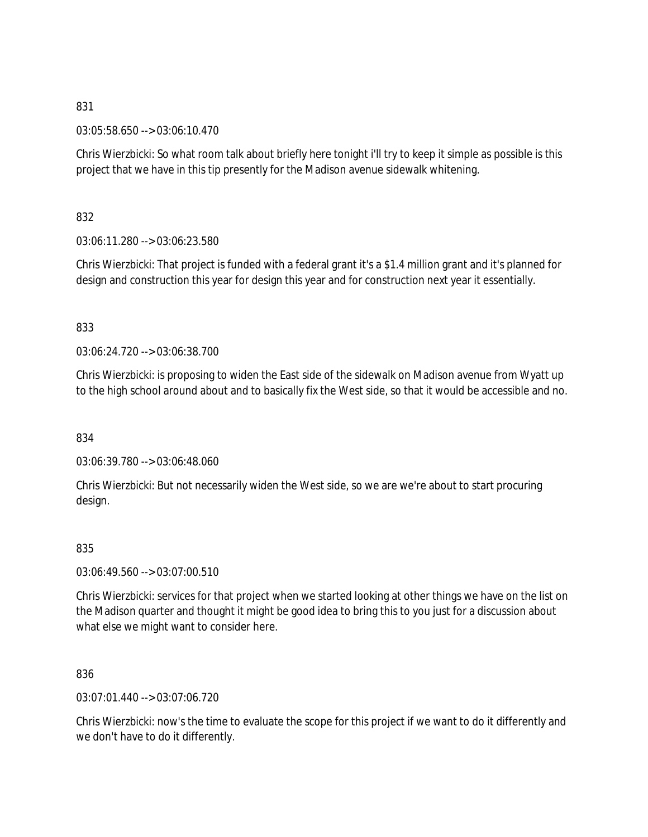03:05:58.650 --> 03:06:10.470

Chris Wierzbicki: So what room talk about briefly here tonight i'll try to keep it simple as possible is this project that we have in this tip presently for the Madison avenue sidewalk whitening.

832

03:06:11.280 --> 03:06:23.580

Chris Wierzbicki: That project is funded with a federal grant it's a \$1.4 million grant and it's planned for design and construction this year for design this year and for construction next year it essentially.

833

03:06:24.720 --> 03:06:38.700

Chris Wierzbicki: is proposing to widen the East side of the sidewalk on Madison avenue from Wyatt up to the high school around about and to basically fix the West side, so that it would be accessible and no.

834

03:06:39.780 --> 03:06:48.060

Chris Wierzbicki: But not necessarily widen the West side, so we are we're about to start procuring design.

## 835

03:06:49.560 --> 03:07:00.510

Chris Wierzbicki: services for that project when we started looking at other things we have on the list on the Madison quarter and thought it might be good idea to bring this to you just for a discussion about what else we might want to consider here.

836

03:07:01.440 --> 03:07:06.720

Chris Wierzbicki: now's the time to evaluate the scope for this project if we want to do it differently and we don't have to do it differently.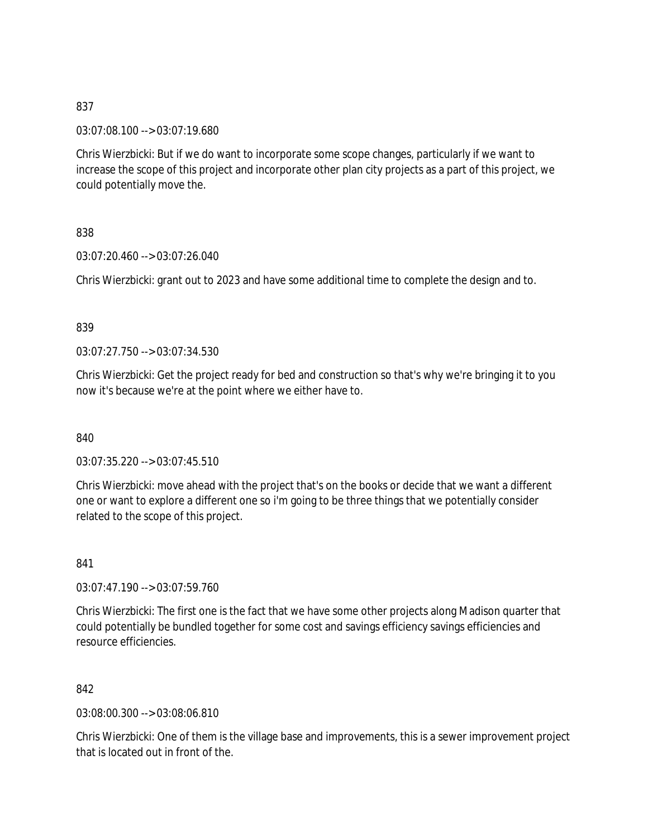03:07:08.100 --> 03:07:19.680

Chris Wierzbicki: But if we do want to incorporate some scope changes, particularly if we want to increase the scope of this project and incorporate other plan city projects as a part of this project, we could potentially move the.

838

03:07:20.460 --> 03:07:26.040

Chris Wierzbicki: grant out to 2023 and have some additional time to complete the design and to.

839

03:07:27.750 --> 03:07:34.530

Chris Wierzbicki: Get the project ready for bed and construction so that's why we're bringing it to you now it's because we're at the point where we either have to.

840

03:07:35.220 --> 03:07:45.510

Chris Wierzbicki: move ahead with the project that's on the books or decide that we want a different one or want to explore a different one so i'm going to be three things that we potentially consider related to the scope of this project.

841

03:07:47.190 --> 03:07:59.760

Chris Wierzbicki: The first one is the fact that we have some other projects along Madison quarter that could potentially be bundled together for some cost and savings efficiency savings efficiencies and resource efficiencies.

842

03:08:00.300 --> 03:08:06.810

Chris Wierzbicki: One of them is the village base and improvements, this is a sewer improvement project that is located out in front of the.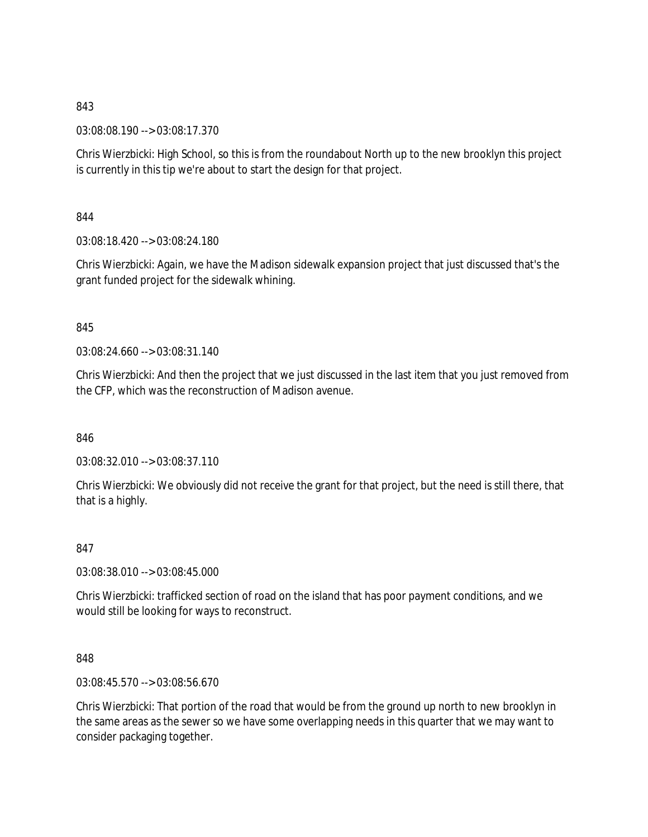03:08:08.190 --> 03:08:17.370

Chris Wierzbicki: High School, so this is from the roundabout North up to the new brooklyn this project is currently in this tip we're about to start the design for that project.

844

03:08:18.420 --> 03:08:24.180

Chris Wierzbicki: Again, we have the Madison sidewalk expansion project that just discussed that's the grant funded project for the sidewalk whining.

845

03:08:24.660 --> 03:08:31.140

Chris Wierzbicki: And then the project that we just discussed in the last item that you just removed from the CFP, which was the reconstruction of Madison avenue.

846

03:08:32.010 --> 03:08:37.110

Chris Wierzbicki: We obviously did not receive the grant for that project, but the need is still there, that that is a highly.

847

03:08:38.010 --> 03:08:45.000

Chris Wierzbicki: trafficked section of road on the island that has poor payment conditions, and we would still be looking for ways to reconstruct.

848

03:08:45.570 --> 03:08:56.670

Chris Wierzbicki: That portion of the road that would be from the ground up north to new brooklyn in the same areas as the sewer so we have some overlapping needs in this quarter that we may want to consider packaging together.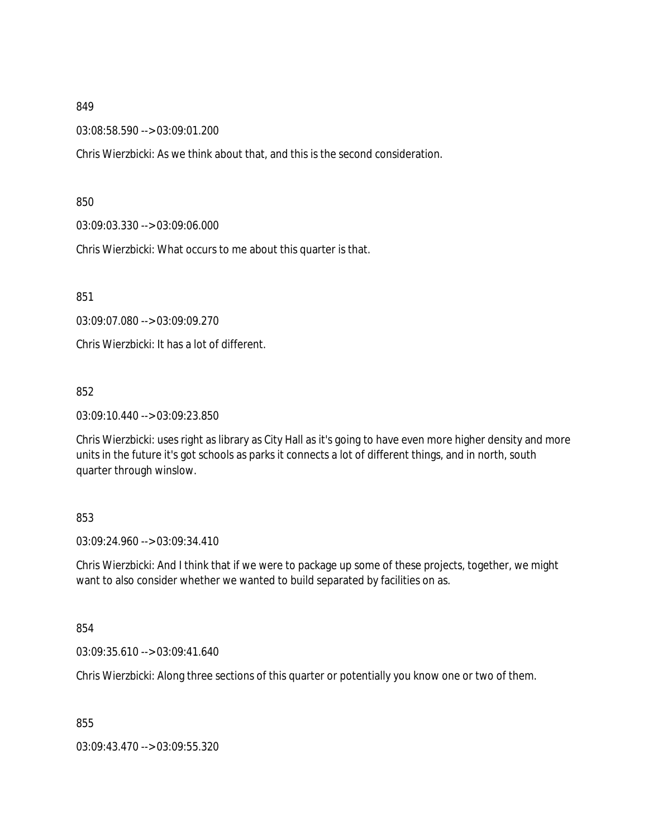03:08:58.590 --> 03:09:01.200

Chris Wierzbicki: As we think about that, and this is the second consideration.

850

03:09:03.330 --> 03:09:06.000

Chris Wierzbicki: What occurs to me about this quarter is that.

851

03:09:07.080 --> 03:09:09.270

Chris Wierzbicki: It has a lot of different.

852

03:09:10.440 --> 03:09:23.850

Chris Wierzbicki: uses right as library as City Hall as it's going to have even more higher density and more units in the future it's got schools as parks it connects a lot of different things, and in north, south quarter through winslow.

## 853

03:09:24.960 --> 03:09:34.410

Chris Wierzbicki: And I think that if we were to package up some of these projects, together, we might want to also consider whether we wanted to build separated by facilities on as.

854

03:09:35.610 --> 03:09:41.640

Chris Wierzbicki: Along three sections of this quarter or potentially you know one or two of them.

855

03:09:43.470 --> 03:09:55.320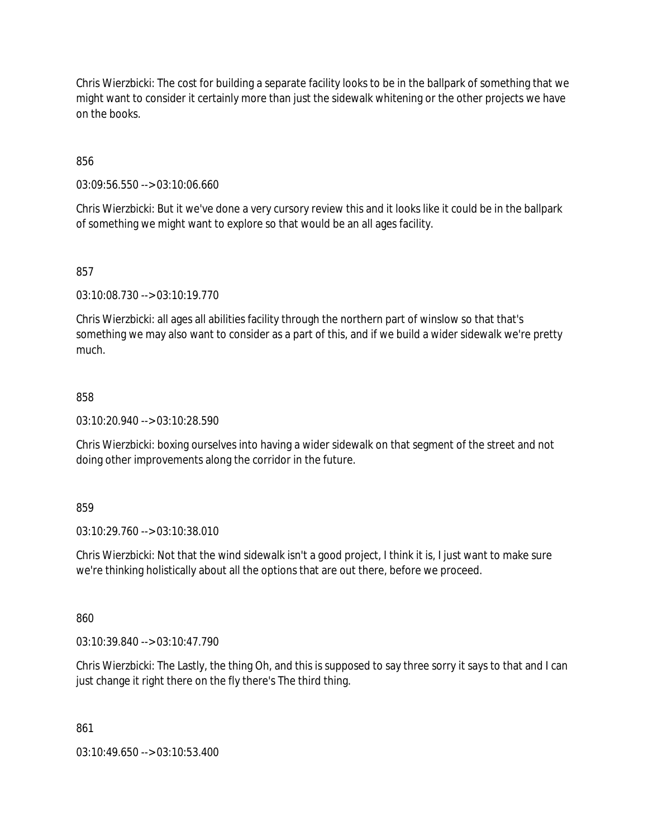Chris Wierzbicki: The cost for building a separate facility looks to be in the ballpark of something that we might want to consider it certainly more than just the sidewalk whitening or the other projects we have on the books.

856

03:09:56.550 --> 03:10:06.660

Chris Wierzbicki: But it we've done a very cursory review this and it looks like it could be in the ballpark of something we might want to explore so that would be an all ages facility.

857

03:10:08.730 --> 03:10:19.770

Chris Wierzbicki: all ages all abilities facility through the northern part of winslow so that that's something we may also want to consider as a part of this, and if we build a wider sidewalk we're pretty much.

## 858

03:10:20.940 --> 03:10:28.590

Chris Wierzbicki: boxing ourselves into having a wider sidewalk on that segment of the street and not doing other improvements along the corridor in the future.

859

03:10:29.760 --> 03:10:38.010

Chris Wierzbicki: Not that the wind sidewalk isn't a good project, I think it is, I just want to make sure we're thinking holistically about all the options that are out there, before we proceed.

860

03:10:39.840 --> 03:10:47.790

Chris Wierzbicki: The Lastly, the thing Oh, and this is supposed to say three sorry it says to that and I can just change it right there on the fly there's The third thing.

861

03:10:49.650 --> 03:10:53.400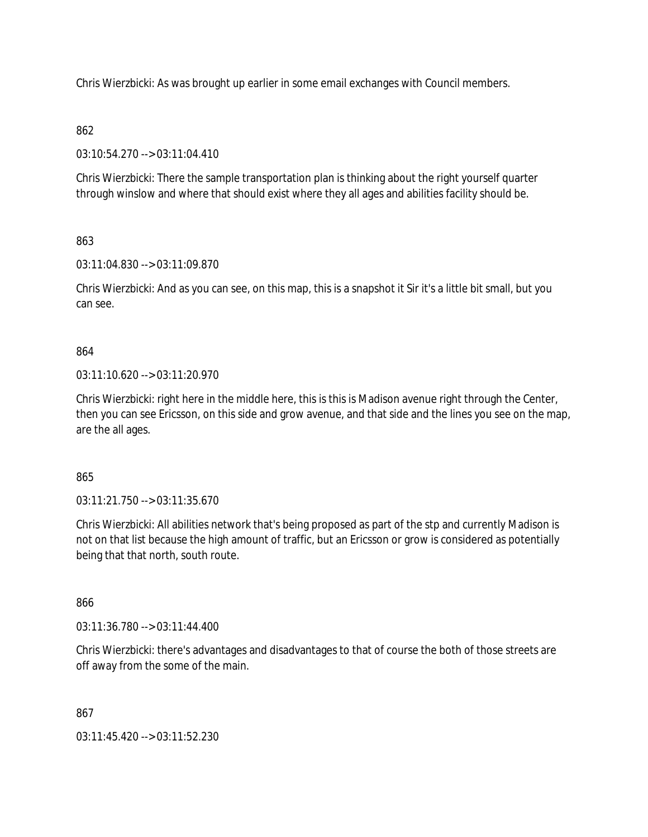Chris Wierzbicki: As was brought up earlier in some email exchanges with Council members.

# 862

03:10:54.270 --> 03:11:04.410

Chris Wierzbicki: There the sample transportation plan is thinking about the right yourself quarter through winslow and where that should exist where they all ages and abilities facility should be.

# 863

03:11:04.830 --> 03:11:09.870

Chris Wierzbicki: And as you can see, on this map, this is a snapshot it Sir it's a little bit small, but you can see.

# 864

03:11:10.620 --> 03:11:20.970

Chris Wierzbicki: right here in the middle here, this is this is Madison avenue right through the Center, then you can see Ericsson, on this side and grow avenue, and that side and the lines you see on the map, are the all ages.

## 865

03:11:21.750 --> 03:11:35.670

Chris Wierzbicki: All abilities network that's being proposed as part of the stp and currently Madison is not on that list because the high amount of traffic, but an Ericsson or grow is considered as potentially being that that north, south route.

## 866

03:11:36.780 --> 03:11:44.400

Chris Wierzbicki: there's advantages and disadvantages to that of course the both of those streets are off away from the some of the main.

## 867

03:11:45.420 --> 03:11:52.230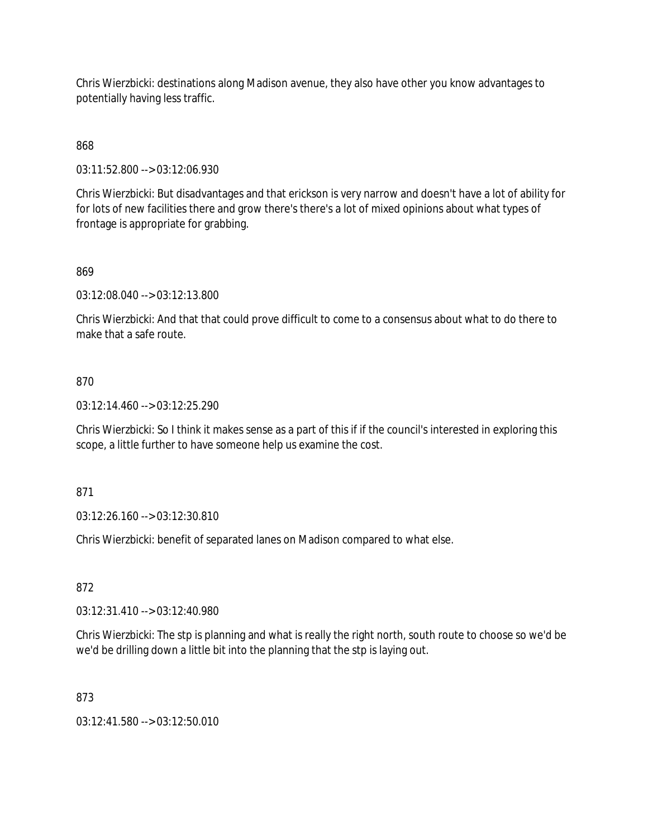Chris Wierzbicki: destinations along Madison avenue, they also have other you know advantages to potentially having less traffic.

868

03:11:52.800 --> 03:12:06.930

Chris Wierzbicki: But disadvantages and that erickson is very narrow and doesn't have a lot of ability for for lots of new facilities there and grow there's there's a lot of mixed opinions about what types of frontage is appropriate for grabbing.

## 869

03:12:08.040 --> 03:12:13.800

Chris Wierzbicki: And that that could prove difficult to come to a consensus about what to do there to make that a safe route.

### 870

 $03:12:14.460 \rightarrow 03:12:25.290$ 

Chris Wierzbicki: So I think it makes sense as a part of this if if the council's interested in exploring this scope, a little further to have someone help us examine the cost.

#### 871

03:12:26.160 --> 03:12:30.810

Chris Wierzbicki: benefit of separated lanes on Madison compared to what else.

### 872

03:12:31.410 --> 03:12:40.980

Chris Wierzbicki: The stp is planning and what is really the right north, south route to choose so we'd be we'd be drilling down a little bit into the planning that the stp is laying out.

#### 873

03:12:41.580 --> 03:12:50.010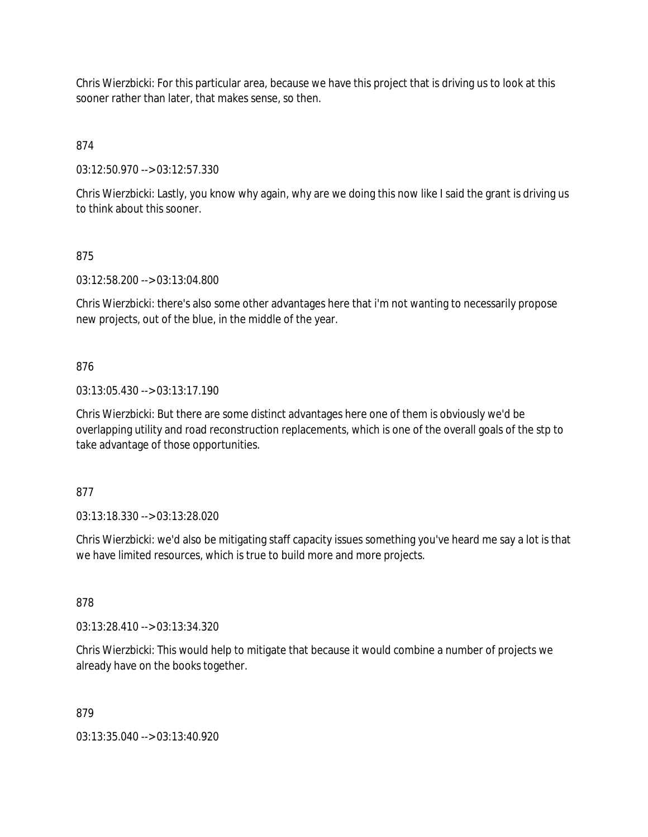Chris Wierzbicki: For this particular area, because we have this project that is driving us to look at this sooner rather than later, that makes sense, so then.

874

03:12:50.970 --> 03:12:57.330

Chris Wierzbicki: Lastly, you know why again, why are we doing this now like I said the grant is driving us to think about this sooner.

# 875

03:12:58.200 --> 03:13:04.800

Chris Wierzbicki: there's also some other advantages here that i'm not wanting to necessarily propose new projects, out of the blue, in the middle of the year.

# 876

03:13:05.430 --> 03:13:17.190

Chris Wierzbicki: But there are some distinct advantages here one of them is obviously we'd be overlapping utility and road reconstruction replacements, which is one of the overall goals of the stp to take advantage of those opportunities.

## 877

03:13:18.330 --> 03:13:28.020

Chris Wierzbicki: we'd also be mitigating staff capacity issues something you've heard me say a lot is that we have limited resources, which is true to build more and more projects.

## 878

03:13:28.410 --> 03:13:34.320

Chris Wierzbicki: This would help to mitigate that because it would combine a number of projects we already have on the books together.

## 879

03:13:35.040 --> 03:13:40.920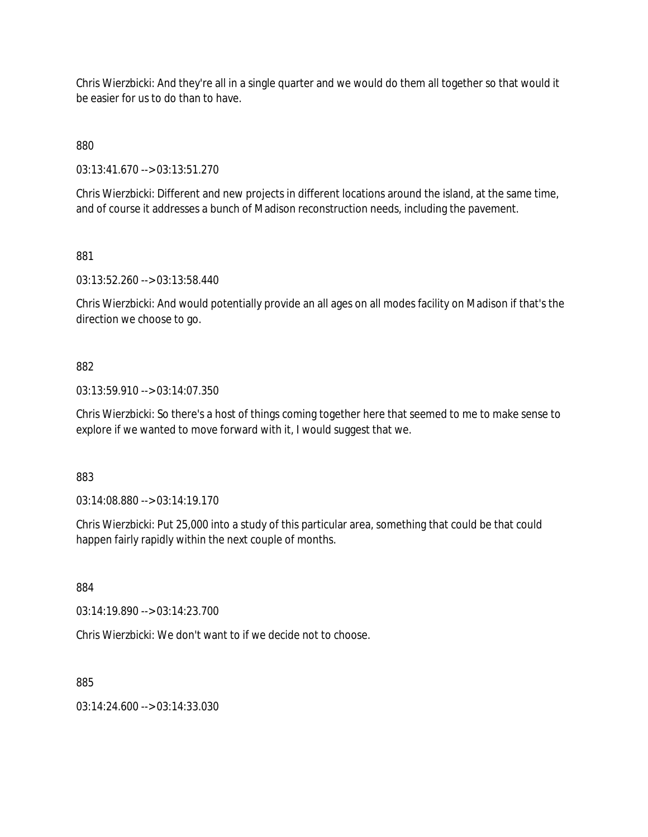Chris Wierzbicki: And they're all in a single quarter and we would do them all together so that would it be easier for us to do than to have.

880

03:13:41.670 --> 03:13:51.270

Chris Wierzbicki: Different and new projects in different locations around the island, at the same time, and of course it addresses a bunch of Madison reconstruction needs, including the pavement.

881

03:13:52.260 --> 03:13:58.440

Chris Wierzbicki: And would potentially provide an all ages on all modes facility on Madison if that's the direction we choose to go.

# 882

03:13:59.910 --> 03:14:07.350

Chris Wierzbicki: So there's a host of things coming together here that seemed to me to make sense to explore if we wanted to move forward with it, I would suggest that we.

883

03:14:08.880 --> 03:14:19.170

Chris Wierzbicki: Put 25,000 into a study of this particular area, something that could be that could happen fairly rapidly within the next couple of months.

884

03:14:19.890 --> 03:14:23.700

Chris Wierzbicki: We don't want to if we decide not to choose.

885

03:14:24.600 --> 03:14:33.030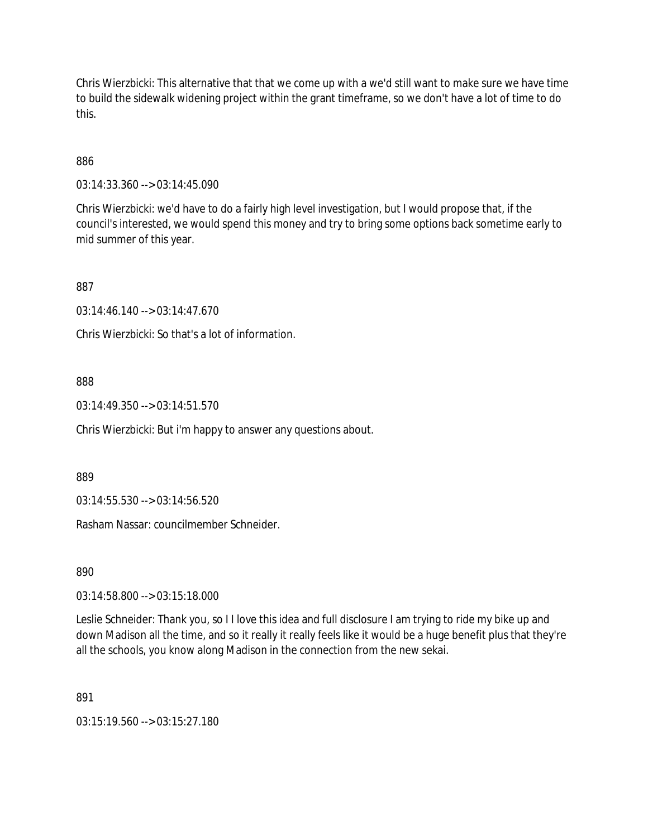Chris Wierzbicki: This alternative that that we come up with a we'd still want to make sure we have time to build the sidewalk widening project within the grant timeframe, so we don't have a lot of time to do this.

# 886

03:14:33.360 --> 03:14:45.090

Chris Wierzbicki: we'd have to do a fairly high level investigation, but I would propose that, if the council's interested, we would spend this money and try to bring some options back sometime early to mid summer of this year.

887

03:14:46.140 --> 03:14:47.670

Chris Wierzbicki: So that's a lot of information.

## 888

 $03:14:49.350 \rightarrow 03:14:51.570$ 

Chris Wierzbicki: But i'm happy to answer any questions about.

889

03:14:55.530 --> 03:14:56.520

Rasham Nassar: councilmember Schneider.

890

03:14:58.800 --> 03:15:18.000

Leslie Schneider: Thank you, so I I love this idea and full disclosure I am trying to ride my bike up and down Madison all the time, and so it really it really feels like it would be a huge benefit plus that they're all the schools, you know along Madison in the connection from the new sekai.

891

03:15:19.560 --> 03:15:27.180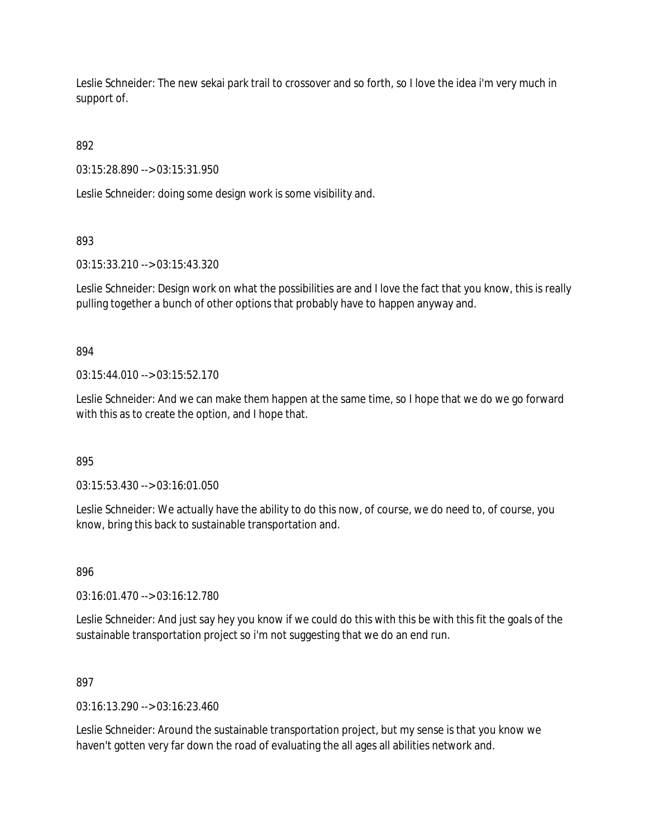Leslie Schneider: The new sekai park trail to crossover and so forth, so I love the idea i'm very much in support of.

892

03:15:28.890 --> 03:15:31.950

Leslie Schneider: doing some design work is some visibility and.

893

03:15:33.210 --> 03:15:43.320

Leslie Schneider: Design work on what the possibilities are and I love the fact that you know, this is really pulling together a bunch of other options that probably have to happen anyway and.

894

 $03:15:44.010 \rightarrow 03:15:52.170$ 

Leslie Schneider: And we can make them happen at the same time, so I hope that we do we go forward with this as to create the option, and I hope that.

895

03:15:53.430 --> 03:16:01.050

Leslie Schneider: We actually have the ability to do this now, of course, we do need to, of course, you know, bring this back to sustainable transportation and.

896

03:16:01.470 --> 03:16:12.780

Leslie Schneider: And just say hey you know if we could do this with this be with this fit the goals of the sustainable transportation project so i'm not suggesting that we do an end run.

897

03:16:13.290 --> 03:16:23.460

Leslie Schneider: Around the sustainable transportation project, but my sense is that you know we haven't gotten very far down the road of evaluating the all ages all abilities network and.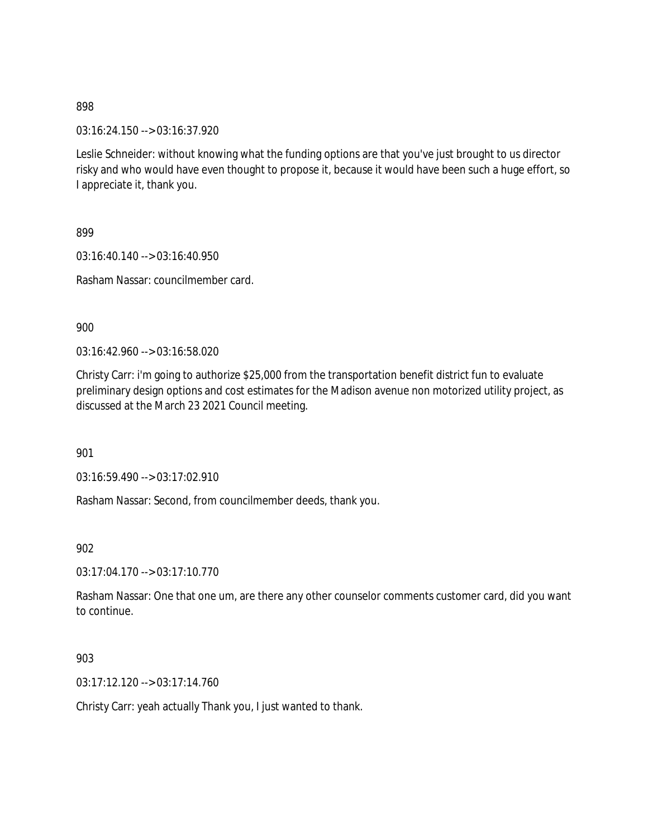03:16:24.150 --> 03:16:37.920

Leslie Schneider: without knowing what the funding options are that you've just brought to us director risky and who would have even thought to propose it, because it would have been such a huge effort, so I appreciate it, thank you.

899

03:16:40.140 --> 03:16:40.950

Rasham Nassar: councilmember card.

900

03:16:42.960 --> 03:16:58.020

Christy Carr: i'm going to authorize \$25,000 from the transportation benefit district fun to evaluate preliminary design options and cost estimates for the Madison avenue non motorized utility project, as discussed at the March 23 2021 Council meeting.

901

03:16:59.490 --> 03:17:02.910

Rasham Nassar: Second, from councilmember deeds, thank you.

902

 $03:17:04.170 \rightarrow 03:17:10.770$ 

Rasham Nassar: One that one um, are there any other counselor comments customer card, did you want to continue.

903

03:17:12.120 --> 03:17:14.760

Christy Carr: yeah actually Thank you, I just wanted to thank.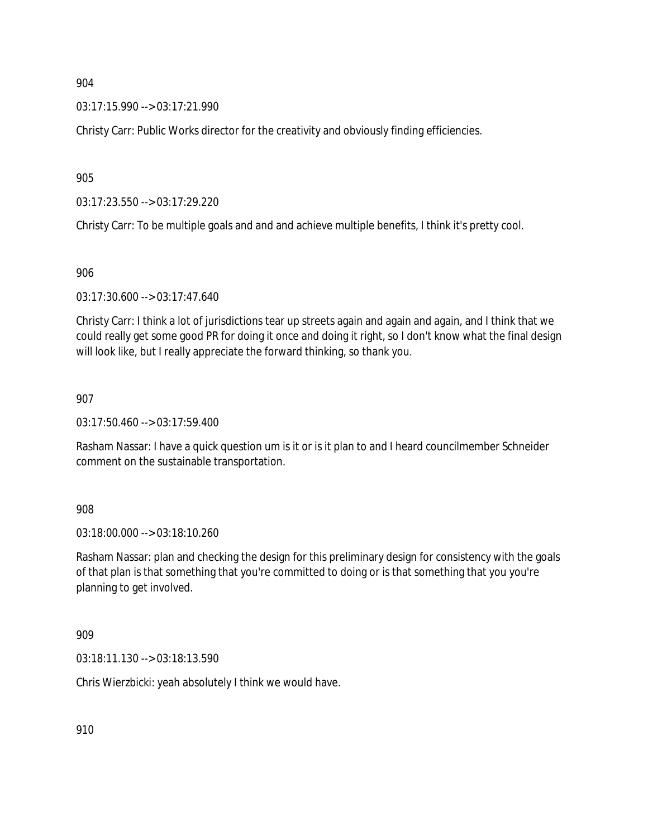03:17:15.990 --> 03:17:21.990

Christy Carr: Public Works director for the creativity and obviously finding efficiencies.

905

03:17:23.550 --> 03:17:29.220

Christy Carr: To be multiple goals and and and achieve multiple benefits, I think it's pretty cool.

906

03:17:30.600 --> 03:17:47.640

Christy Carr: I think a lot of jurisdictions tear up streets again and again and again, and I think that we could really get some good PR for doing it once and doing it right, so I don't know what the final design will look like, but I really appreciate the forward thinking, so thank you.

907

03:17:50.460 --> 03:17:59.400

Rasham Nassar: I have a quick question um is it or is it plan to and I heard councilmember Schneider comment on the sustainable transportation.

908

03:18:00.000 --> 03:18:10.260

Rasham Nassar: plan and checking the design for this preliminary design for consistency with the goals of that plan is that something that you're committed to doing or is that something that you you're planning to get involved.

909

03:18:11.130 --> 03:18:13.590

Chris Wierzbicki: yeah absolutely I think we would have.

910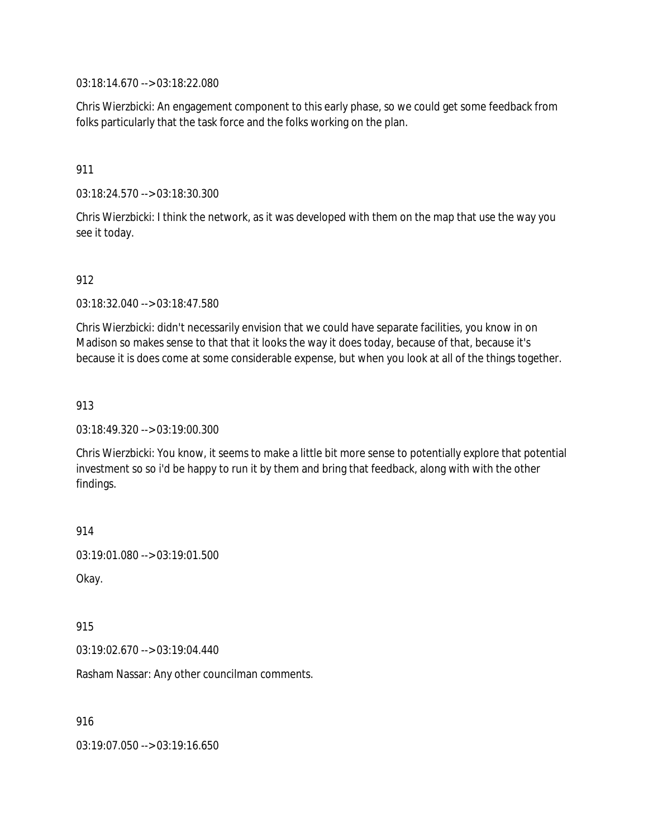03:18:14.670 --> 03:18:22.080

Chris Wierzbicki: An engagement component to this early phase, so we could get some feedback from folks particularly that the task force and the folks working on the plan.

#### 911

03:18:24.570 --> 03:18:30.300

Chris Wierzbicki: I think the network, as it was developed with them on the map that use the way you see it today.

#### 912

03:18:32.040 --> 03:18:47.580

Chris Wierzbicki: didn't necessarily envision that we could have separate facilities, you know in on Madison so makes sense to that that it looks the way it does today, because of that, because it's because it is does come at some considerable expense, but when you look at all of the things together.

#### 913

03:18:49.320 --> 03:19:00.300

Chris Wierzbicki: You know, it seems to make a little bit more sense to potentially explore that potential investment so so i'd be happy to run it by them and bring that feedback, along with with the other findings.

914

```
03:19:01.080 --> 03:19:01.500
```
Okay.

915

03:19:02.670 --> 03:19:04.440

Rasham Nassar: Any other councilman comments.

916

03:19:07.050 --> 03:19:16.650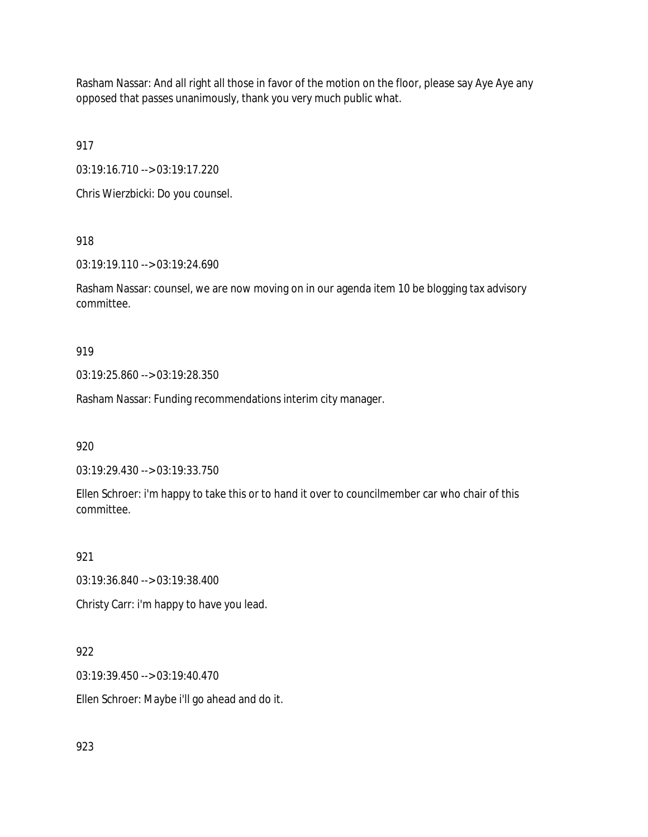Rasham Nassar: And all right all those in favor of the motion on the floor, please say Aye Aye any opposed that passes unanimously, thank you very much public what.

917

03:19:16.710 --> 03:19:17.220

Chris Wierzbicki: Do you counsel.

918

03:19:19.110 --> 03:19:24.690

Rasham Nassar: counsel, we are now moving on in our agenda item 10 be blogging tax advisory committee.

919

03:19:25.860 --> 03:19:28.350

Rasham Nassar: Funding recommendations interim city manager.

920

03:19:29.430 --> 03:19:33.750

Ellen Schroer: i'm happy to take this or to hand it over to councilmember car who chair of this committee.

921

03:19:36.840 --> 03:19:38.400

Christy Carr: i'm happy to have you lead.

922

03:19:39.450 --> 03:19:40.470

Ellen Schroer: Maybe i'll go ahead and do it.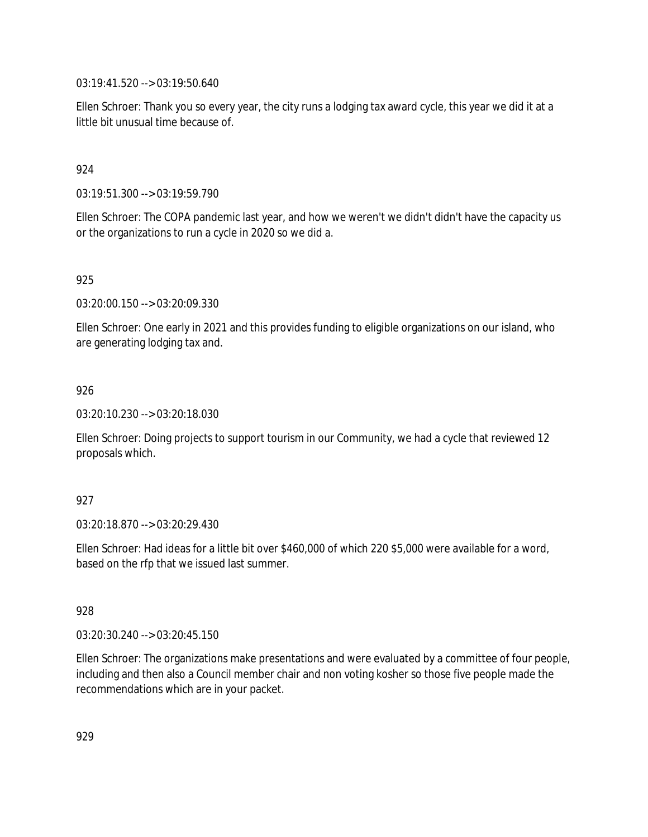03:19:41.520 --> 03:19:50.640

Ellen Schroer: Thank you so every year, the city runs a lodging tax award cycle, this year we did it at a little bit unusual time because of.

## 924

03:19:51.300 --> 03:19:59.790

Ellen Schroer: The COPA pandemic last year, and how we weren't we didn't didn't have the capacity us or the organizations to run a cycle in 2020 so we did a.

## 925

03:20:00.150 --> 03:20:09.330

Ellen Schroer: One early in 2021 and this provides funding to eligible organizations on our island, who are generating lodging tax and.

### 926

03:20:10.230 --> 03:20:18.030

Ellen Schroer: Doing projects to support tourism in our Community, we had a cycle that reviewed 12 proposals which.

### 927

03:20:18.870 --> 03:20:29.430

Ellen Schroer: Had ideas for a little bit over \$460,000 of which 220 \$5,000 were available for a word, based on the rfp that we issued last summer.

### 928

03:20:30.240 --> 03:20:45.150

Ellen Schroer: The organizations make presentations and were evaluated by a committee of four people, including and then also a Council member chair and non voting kosher so those five people made the recommendations which are in your packet.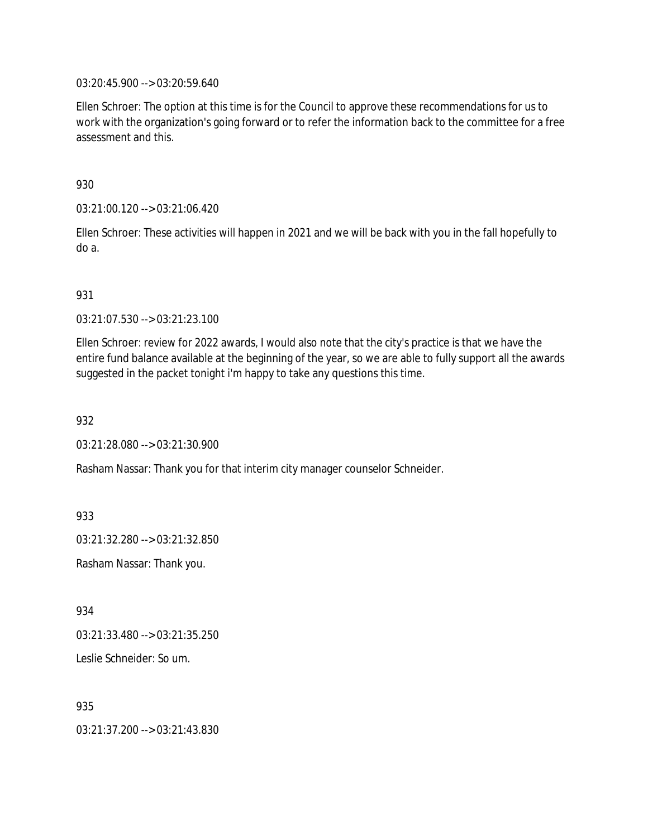03:20:45.900 --> 03:20:59.640

Ellen Schroer: The option at this time is for the Council to approve these recommendations for us to work with the organization's going forward or to refer the information back to the committee for a free assessment and this.

930

03:21:00.120 --> 03:21:06.420

Ellen Schroer: These activities will happen in 2021 and we will be back with you in the fall hopefully to do a.

931

03:21:07.530 --> 03:21:23.100

Ellen Schroer: review for 2022 awards, I would also note that the city's practice is that we have the entire fund balance available at the beginning of the year, so we are able to fully support all the awards suggested in the packet tonight i'm happy to take any questions this time.

932

03:21:28.080 --> 03:21:30.900

Rasham Nassar: Thank you for that interim city manager counselor Schneider.

933

03:21:32.280 --> 03:21:32.850

Rasham Nassar: Thank you.

934

03:21:33.480 --> 03:21:35.250

Leslie Schneider: So um.

935

03:21:37.200 --> 03:21:43.830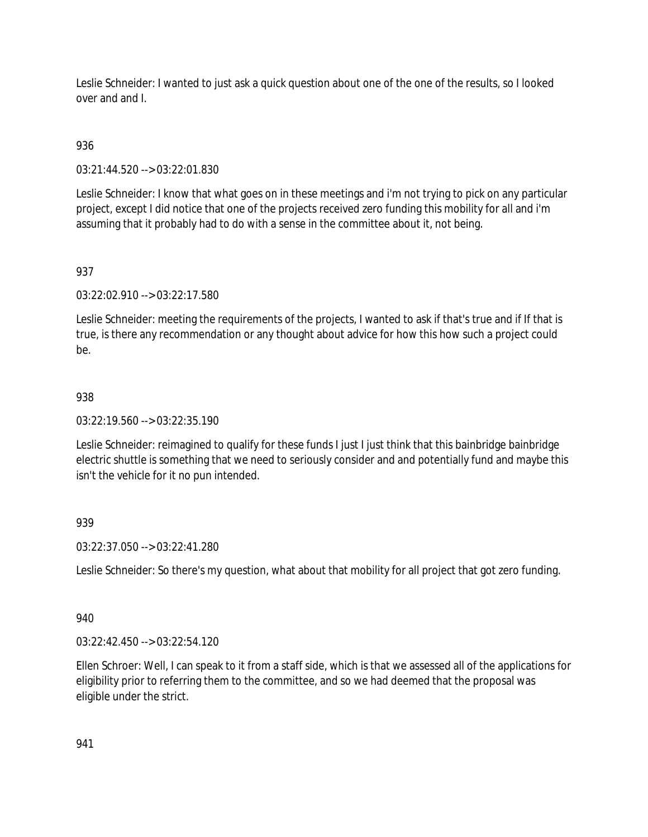Leslie Schneider: I wanted to just ask a quick question about one of the one of the results, so I looked over and and I.

# 936

03:21:44.520 --> 03:22:01.830

Leslie Schneider: I know that what goes on in these meetings and i'm not trying to pick on any particular project, except I did notice that one of the projects received zero funding this mobility for all and i'm assuming that it probably had to do with a sense in the committee about it, not being.

# 937

03:22:02.910 --> 03:22:17.580

Leslie Schneider: meeting the requirements of the projects, I wanted to ask if that's true and if If that is true, is there any recommendation or any thought about advice for how this how such a project could be.

## 938

03:22:19.560 --> 03:22:35.190

Leslie Schneider: reimagined to qualify for these funds I just I just think that this bainbridge bainbridge electric shuttle is something that we need to seriously consider and and potentially fund and maybe this isn't the vehicle for it no pun intended.

# 939

03:22:37.050 --> 03:22:41.280

Leslie Schneider: So there's my question, what about that mobility for all project that got zero funding.

### 940

03:22:42.450 --> 03:22:54.120

Ellen Schroer: Well, I can speak to it from a staff side, which is that we assessed all of the applications for eligibility prior to referring them to the committee, and so we had deemed that the proposal was eligible under the strict.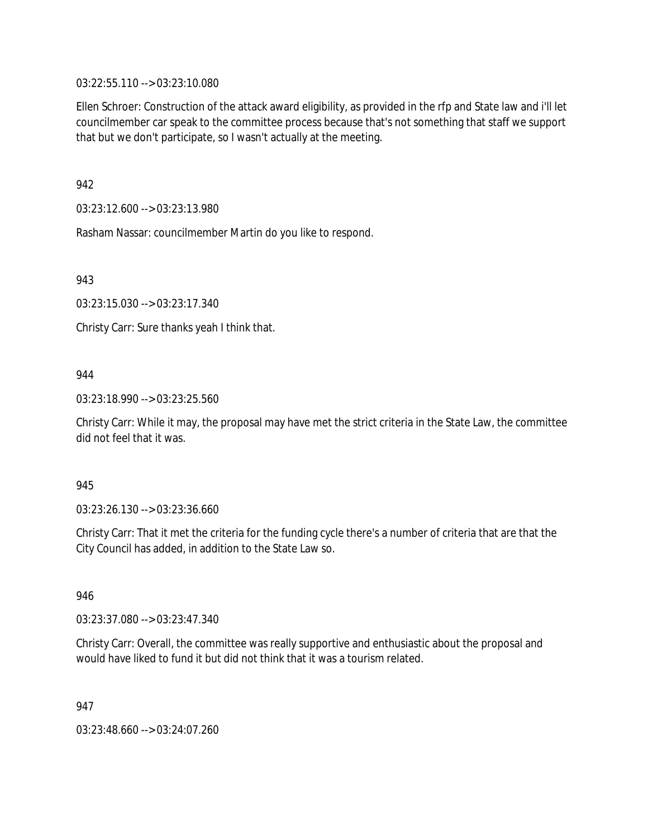03:22:55.110 --> 03:23:10.080

Ellen Schroer: Construction of the attack award eligibility, as provided in the rfp and State law and i'll let councilmember car speak to the committee process because that's not something that staff we support that but we don't participate, so I wasn't actually at the meeting.

942

03:23:12.600 --> 03:23:13.980

Rasham Nassar: councilmember Martin do you like to respond.

943

03:23:15.030 --> 03:23:17.340

Christy Carr: Sure thanks yeah I think that.

### 944

03:23:18.990 --> 03:23:25.560

Christy Carr: While it may, the proposal may have met the strict criteria in the State Law, the committee did not feel that it was.

### 945

03:23:26.130 --> 03:23:36.660

Christy Carr: That it met the criteria for the funding cycle there's a number of criteria that are that the City Council has added, in addition to the State Law so.

946

03:23:37.080 --> 03:23:47.340

Christy Carr: Overall, the committee was really supportive and enthusiastic about the proposal and would have liked to fund it but did not think that it was a tourism related.

947

03:23:48.660 --> 03:24:07.260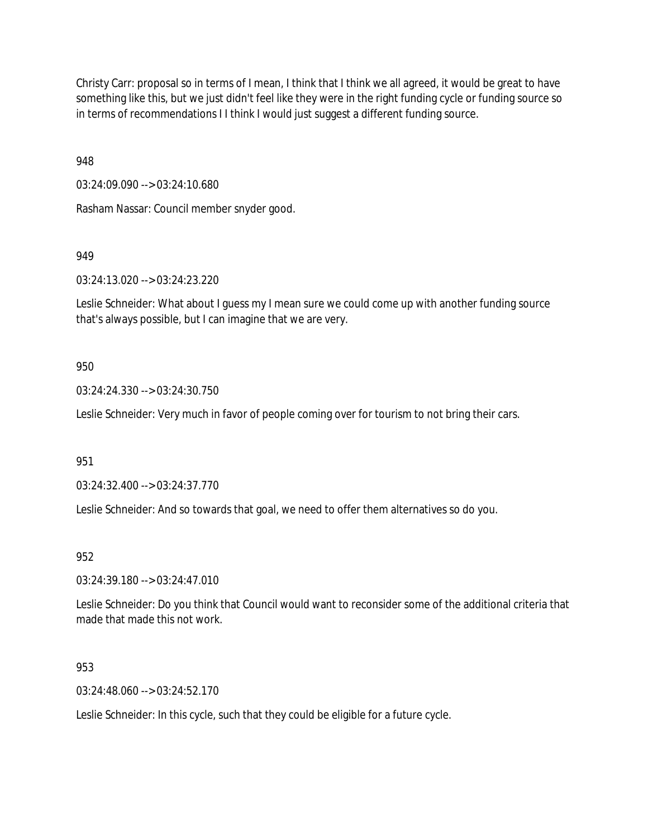Christy Carr: proposal so in terms of I mean, I think that I think we all agreed, it would be great to have something like this, but we just didn't feel like they were in the right funding cycle or funding source so in terms of recommendations I I think I would just suggest a different funding source.

948

03:24:09.090 --> 03:24:10.680

Rasham Nassar: Council member snyder good.

949

03:24:13.020 --> 03:24:23.220

Leslie Schneider: What about I guess my I mean sure we could come up with another funding source that's always possible, but I can imagine that we are very.

### 950

03:24:24.330 --> 03:24:30.750

Leslie Schneider: Very much in favor of people coming over for tourism to not bring their cars.

951

03:24:32.400 --> 03:24:37.770

Leslie Schneider: And so towards that goal, we need to offer them alternatives so do you.

952

03:24:39.180 --> 03:24:47.010

Leslie Schneider: Do you think that Council would want to reconsider some of the additional criteria that made that made this not work.

953

03:24:48.060 --> 03:24:52.170

Leslie Schneider: In this cycle, such that they could be eligible for a future cycle.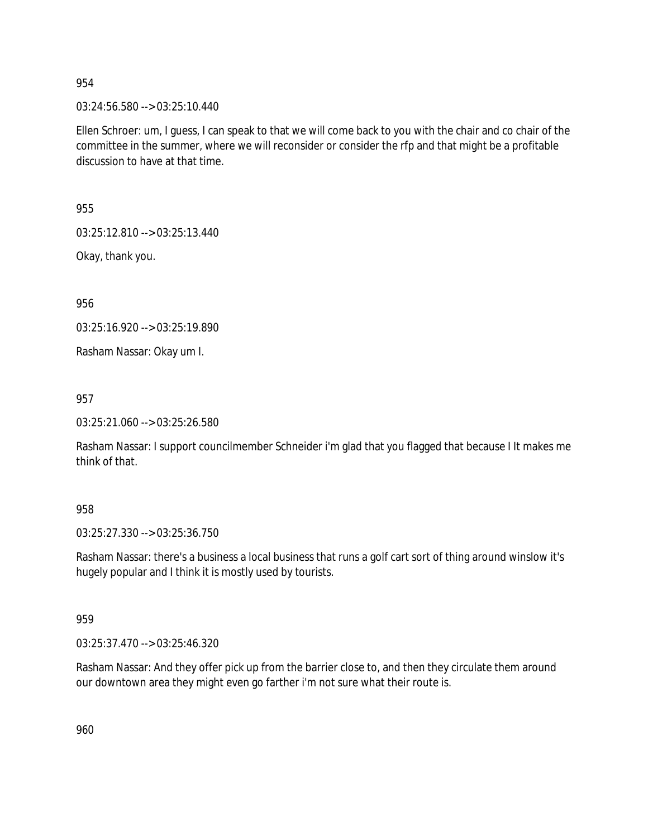03:24:56.580 --> 03:25:10.440

Ellen Schroer: um, I guess, I can speak to that we will come back to you with the chair and co chair of the committee in the summer, where we will reconsider or consider the rfp and that might be a profitable discussion to have at that time.

955

03:25:12.810 --> 03:25:13.440

Okay, thank you.

956

03:25:16.920 --> 03:25:19.890

Rasham Nassar: Okay um I.

957

03:25:21.060 --> 03:25:26.580

Rasham Nassar: I support councilmember Schneider i'm glad that you flagged that because I It makes me think of that.

#### 958

03:25:27.330 --> 03:25:36.750

Rasham Nassar: there's a business a local business that runs a golf cart sort of thing around winslow it's hugely popular and I think it is mostly used by tourists.

#### 959

03:25:37.470 --> 03:25:46.320

Rasham Nassar: And they offer pick up from the barrier close to, and then they circulate them around our downtown area they might even go farther i'm not sure what their route is.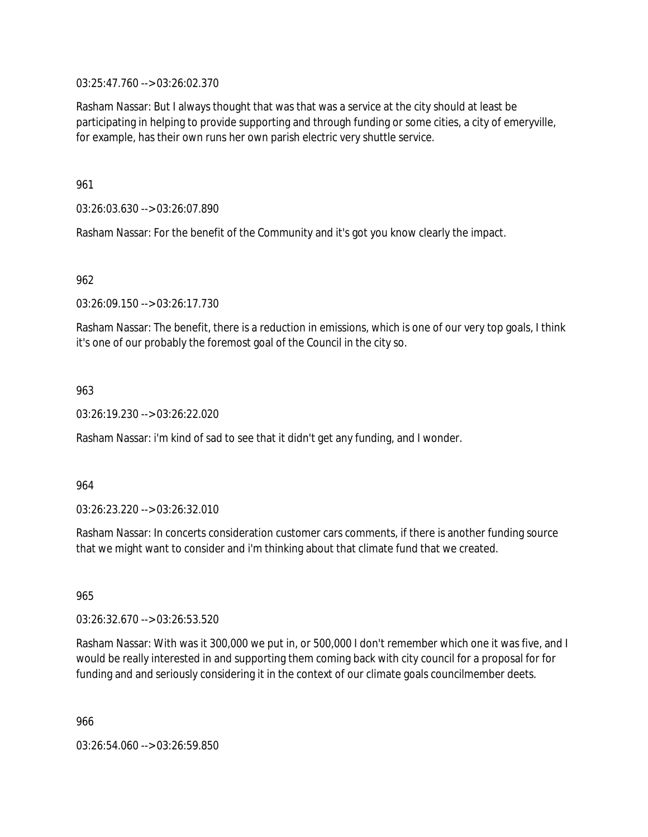03:25:47.760 --> 03:26:02.370

Rasham Nassar: But I always thought that was that was a service at the city should at least be participating in helping to provide supporting and through funding or some cities, a city of emeryville, for example, has their own runs her own parish electric very shuttle service.

961

03:26:03.630 --> 03:26:07.890

Rasham Nassar: For the benefit of the Community and it's got you know clearly the impact.

962

03:26:09.150 --> 03:26:17.730

Rasham Nassar: The benefit, there is a reduction in emissions, which is one of our very top goals, I think it's one of our probably the foremost goal of the Council in the city so.

963

03:26:19.230 --> 03:26:22.020

Rasham Nassar: i'm kind of sad to see that it didn't get any funding, and I wonder.

964

03:26:23.220 --> 03:26:32.010

Rasham Nassar: In concerts consideration customer cars comments, if there is another funding source that we might want to consider and i'm thinking about that climate fund that we created.

965

03:26:32.670 --> 03:26:53.520

Rasham Nassar: With was it 300,000 we put in, or 500,000 I don't remember which one it was five, and I would be really interested in and supporting them coming back with city council for a proposal for for funding and and seriously considering it in the context of our climate goals councilmember deets.

966

03:26:54.060 --> 03:26:59.850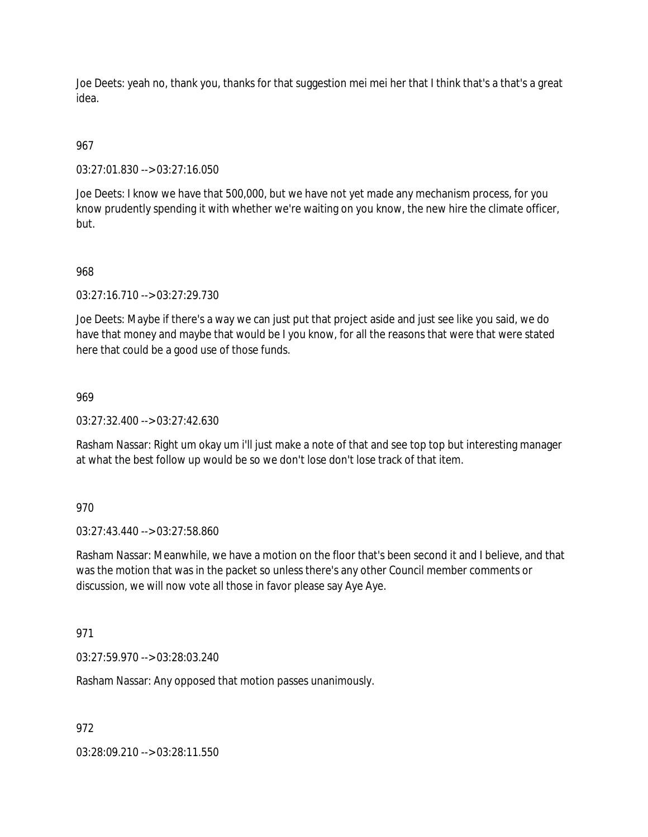Joe Deets: yeah no, thank you, thanks for that suggestion mei mei her that I think that's a that's a great idea.

# 967

03:27:01.830 --> 03:27:16.050

Joe Deets: I know we have that 500,000, but we have not yet made any mechanism process, for you know prudently spending it with whether we're waiting on you know, the new hire the climate officer, but.

## 968

03:27:16.710 --> 03:27:29.730

Joe Deets: Maybe if there's a way we can just put that project aside and just see like you said, we do have that money and maybe that would be I you know, for all the reasons that were that were stated here that could be a good use of those funds.

### 969

 $03:27:32.400 \rightarrow 03:27:42.630$ 

Rasham Nassar: Right um okay um i'll just make a note of that and see top top but interesting manager at what the best follow up would be so we don't lose don't lose track of that item.

### 970

03:27:43.440 --> 03:27:58.860

Rasham Nassar: Meanwhile, we have a motion on the floor that's been second it and I believe, and that was the motion that was in the packet so unless there's any other Council member comments or discussion, we will now vote all those in favor please say Aye Aye.

### 971

03:27:59.970 --> 03:28:03.240

Rasham Nassar: Any opposed that motion passes unanimously.

972

03:28:09.210 --> 03:28:11.550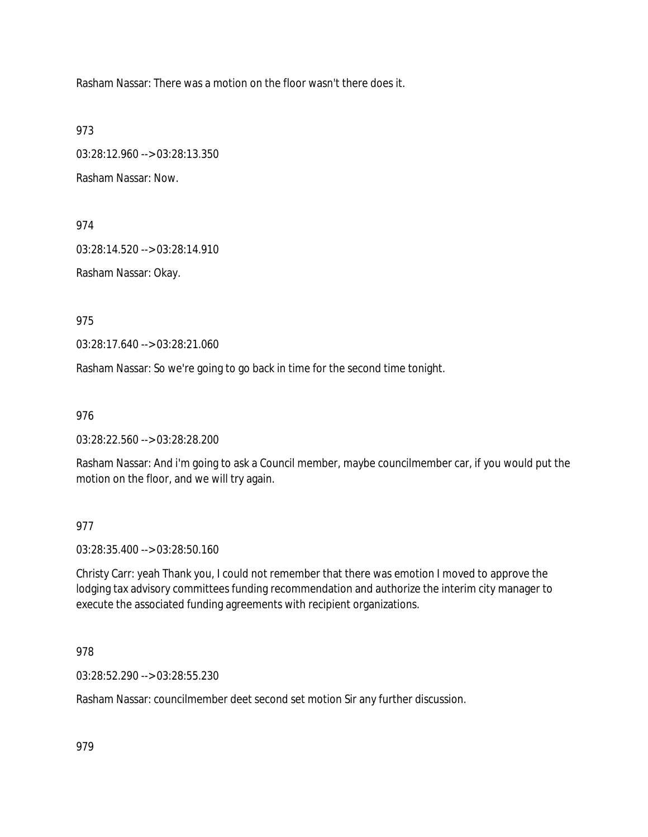Rasham Nassar: There was a motion on the floor wasn't there does it.

973

03:28:12.960 --> 03:28:13.350

Rasham Nassar: Now.

974

03:28:14.520 --> 03:28:14.910

Rasham Nassar: Okay.

975

03:28:17.640 --> 03:28:21.060

Rasham Nassar: So we're going to go back in time for the second time tonight.

976

03:28:22.560 --> 03:28:28.200

Rasham Nassar: And i'm going to ask a Council member, maybe councilmember car, if you would put the motion on the floor, and we will try again.

### 977

03:28:35.400 --> 03:28:50.160

Christy Carr: yeah Thank you, I could not remember that there was emotion I moved to approve the lodging tax advisory committees funding recommendation and authorize the interim city manager to execute the associated funding agreements with recipient organizations.

978

03:28:52.290 --> 03:28:55.230

Rasham Nassar: councilmember deet second set motion Sir any further discussion.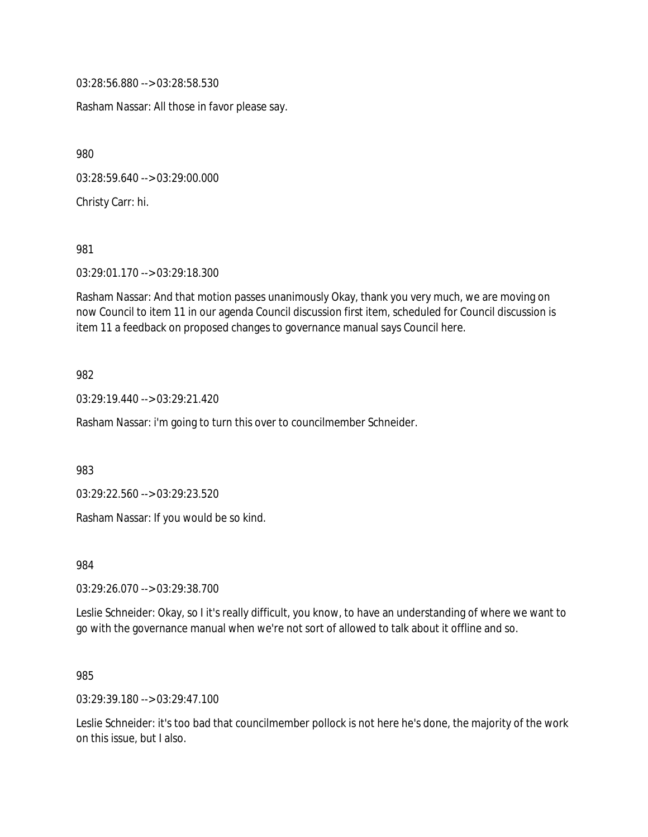03:28:56.880 --> 03:28:58.530

Rasham Nassar: All those in favor please say.

980

03:28:59.640 --> 03:29:00.000

Christy Carr: hi.

981

03:29:01.170 --> 03:29:18.300

Rasham Nassar: And that motion passes unanimously Okay, thank you very much, we are moving on now Council to item 11 in our agenda Council discussion first item, scheduled for Council discussion is item 11 a feedback on proposed changes to governance manual says Council here.

982

03:29:19.440 --> 03:29:21.420

Rasham Nassar: i'm going to turn this over to councilmember Schneider.

983

03:29:22.560 --> 03:29:23.520

Rasham Nassar: If you would be so kind.

984

03:29:26.070 --> 03:29:38.700

Leslie Schneider: Okay, so I it's really difficult, you know, to have an understanding of where we want to go with the governance manual when we're not sort of allowed to talk about it offline and so.

985

03:29:39.180 --> 03:29:47.100

Leslie Schneider: it's too bad that councilmember pollock is not here he's done, the majority of the work on this issue, but I also.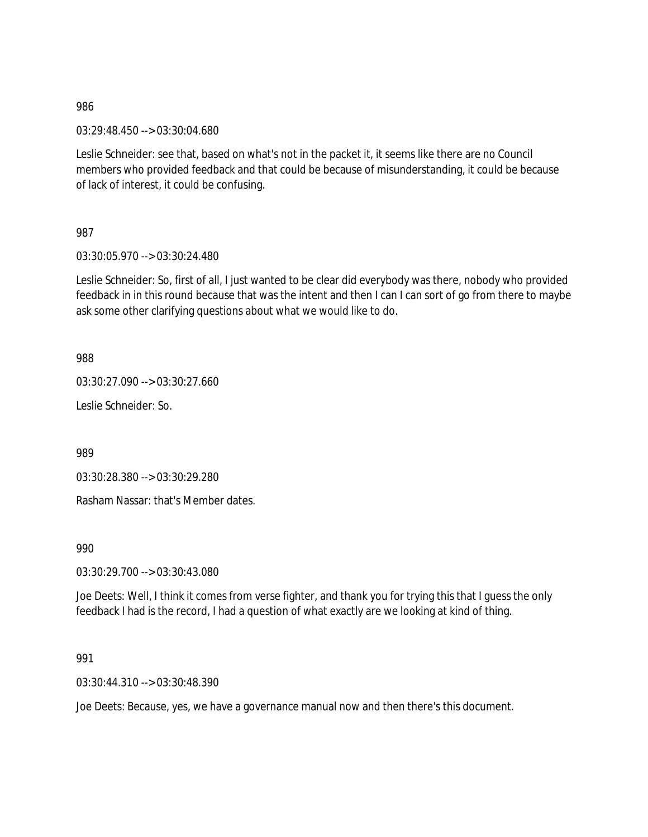03:29:48.450 --> 03:30:04.680

Leslie Schneider: see that, based on what's not in the packet it, it seems like there are no Council members who provided feedback and that could be because of misunderstanding, it could be because of lack of interest, it could be confusing.

987

03:30:05.970 --> 03:30:24.480

Leslie Schneider: So, first of all, I just wanted to be clear did everybody was there, nobody who provided feedback in in this round because that was the intent and then I can I can sort of go from there to maybe ask some other clarifying questions about what we would like to do.

988

03:30:27.090 --> 03:30:27.660

Leslie Schneider: So.

989

03:30:28.380 --> 03:30:29.280

Rasham Nassar: that's Member dates.

990

03:30:29.700 --> 03:30:43.080

Joe Deets: Well, I think it comes from verse fighter, and thank you for trying this that I guess the only feedback I had is the record, I had a question of what exactly are we looking at kind of thing.

991

03:30:44.310 --> 03:30:48.390

Joe Deets: Because, yes, we have a governance manual now and then there's this document.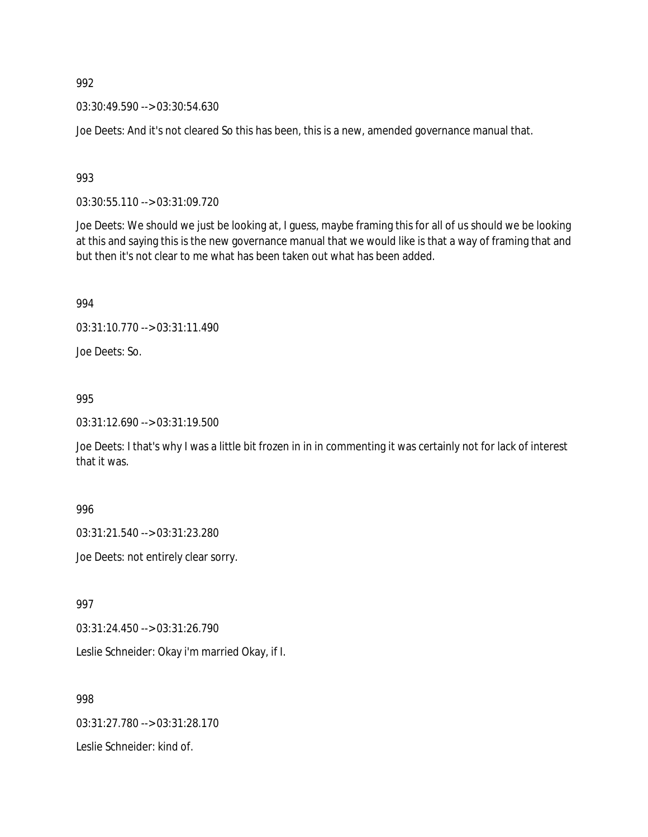03:30:49.590 --> 03:30:54.630

Joe Deets: And it's not cleared So this has been, this is a new, amended governance manual that.

993

03:30:55.110 --> 03:31:09.720

Joe Deets: We should we just be looking at, I guess, maybe framing this for all of us should we be looking at this and saying this is the new governance manual that we would like is that a way of framing that and but then it's not clear to me what has been taken out what has been added.

994

03:31:10.770 --> 03:31:11.490

Joe Deets: So.

995

03:31:12.690 --> 03:31:19.500

Joe Deets: I that's why I was a little bit frozen in in in commenting it was certainly not for lack of interest that it was.

996

03:31:21.540 --> 03:31:23.280

Joe Deets: not entirely clear sorry.

997

03:31:24.450 --> 03:31:26.790

Leslie Schneider: Okay i'm married Okay, if I.

998

03:31:27.780 --> 03:31:28.170

Leslie Schneider: kind of.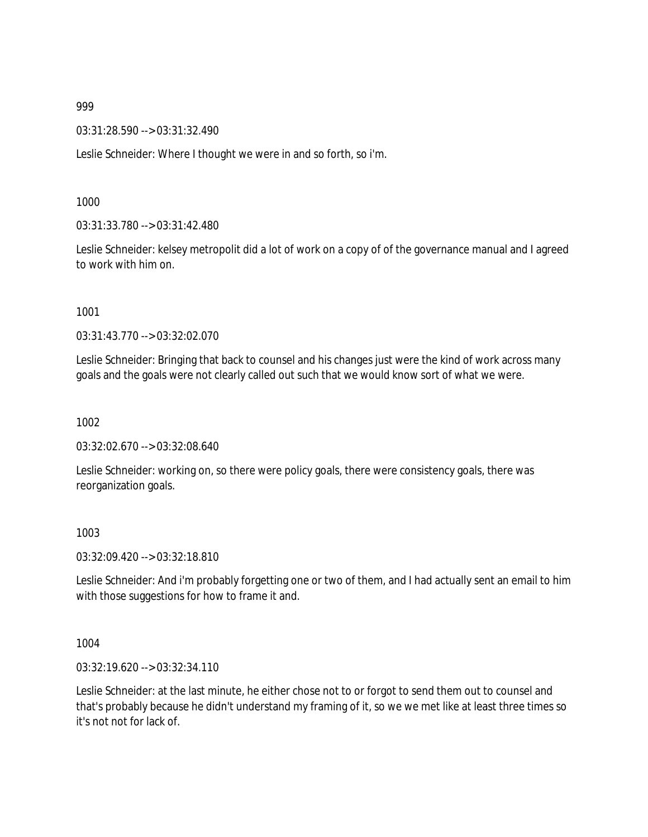03:31:28.590 --> 03:31:32.490

Leslie Schneider: Where I thought we were in and so forth, so i'm.

1000

03:31:33.780 --> 03:31:42.480

Leslie Schneider: kelsey metropolit did a lot of work on a copy of of the governance manual and I agreed to work with him on.

1001

03:31:43.770 --> 03:32:02.070

Leslie Schneider: Bringing that back to counsel and his changes just were the kind of work across many goals and the goals were not clearly called out such that we would know sort of what we were.

1002

03:32:02.670 --> 03:32:08.640

Leslie Schneider: working on, so there were policy goals, there were consistency goals, there was reorganization goals.

1003

03:32:09.420 --> 03:32:18.810

Leslie Schneider: And i'm probably forgetting one or two of them, and I had actually sent an email to him with those suggestions for how to frame it and.

1004

03:32:19.620 --> 03:32:34.110

Leslie Schneider: at the last minute, he either chose not to or forgot to send them out to counsel and that's probably because he didn't understand my framing of it, so we we met like at least three times so it's not not for lack of.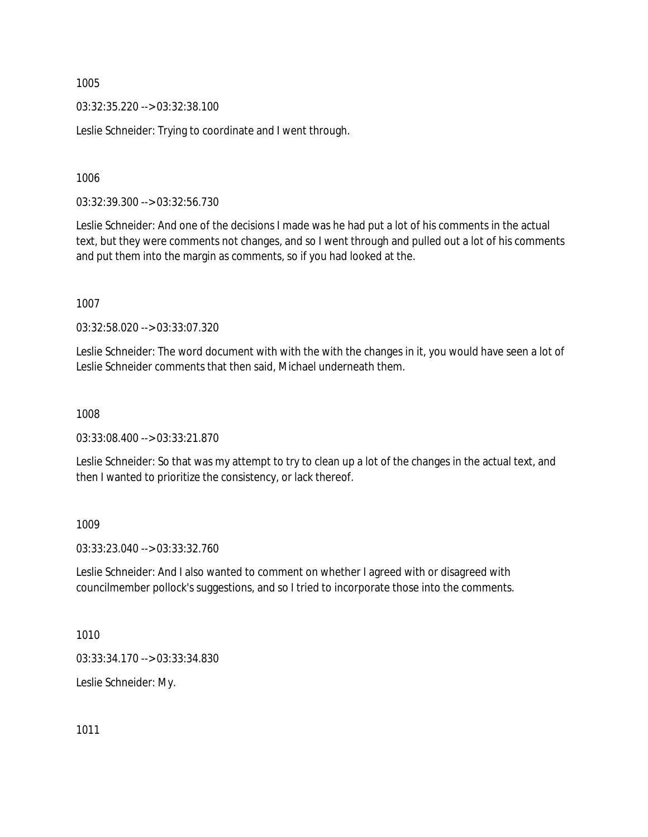03:32:35.220 --> 03:32:38.100

Leslie Schneider: Trying to coordinate and I went through.

1006

03:32:39.300 --> 03:32:56.730

Leslie Schneider: And one of the decisions I made was he had put a lot of his comments in the actual text, but they were comments not changes, and so I went through and pulled out a lot of his comments and put them into the margin as comments, so if you had looked at the.

1007

03:32:58.020 --> 03:33:07.320

Leslie Schneider: The word document with with the with the changes in it, you would have seen a lot of Leslie Schneider comments that then said, Michael underneath them.

1008

03:33:08.400 --> 03:33:21.870

Leslie Schneider: So that was my attempt to try to clean up a lot of the changes in the actual text, and then I wanted to prioritize the consistency, or lack thereof.

1009

03:33:23.040 --> 03:33:32.760

Leslie Schneider: And I also wanted to comment on whether I agreed with or disagreed with councilmember pollock's suggestions, and so I tried to incorporate those into the comments.

1010

03:33:34.170 --> 03:33:34.830

Leslie Schneider: My.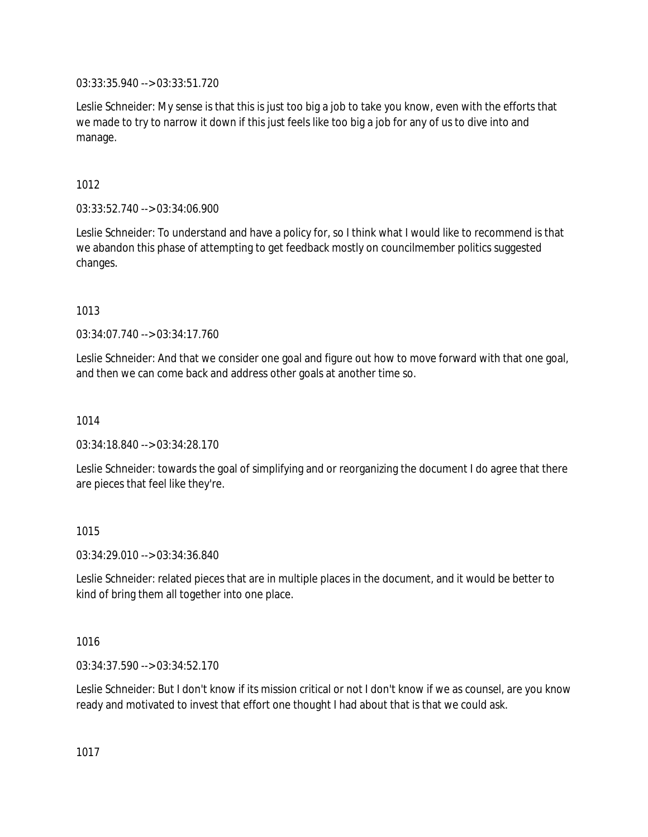03:33:35.940 --> 03:33:51.720

Leslie Schneider: My sense is that this is just too big a job to take you know, even with the efforts that we made to try to narrow it down if this just feels like too big a job for any of us to dive into and manage.

# 1012

03:33:52.740 --> 03:34:06.900

Leslie Schneider: To understand and have a policy for, so I think what I would like to recommend is that we abandon this phase of attempting to get feedback mostly on councilmember politics suggested changes.

## 1013

03:34:07.740 --> 03:34:17.760

Leslie Schneider: And that we consider one goal and figure out how to move forward with that one goal, and then we can come back and address other goals at another time so.

### 1014

03:34:18.840 --> 03:34:28.170

Leslie Schneider: towards the goal of simplifying and or reorganizing the document I do agree that there are pieces that feel like they're.

### 1015

03:34:29.010 --> 03:34:36.840

Leslie Schneider: related pieces that are in multiple places in the document, and it would be better to kind of bring them all together into one place.

### 1016

03:34:37.590 --> 03:34:52.170

Leslie Schneider: But I don't know if its mission critical or not I don't know if we as counsel, are you know ready and motivated to invest that effort one thought I had about that is that we could ask.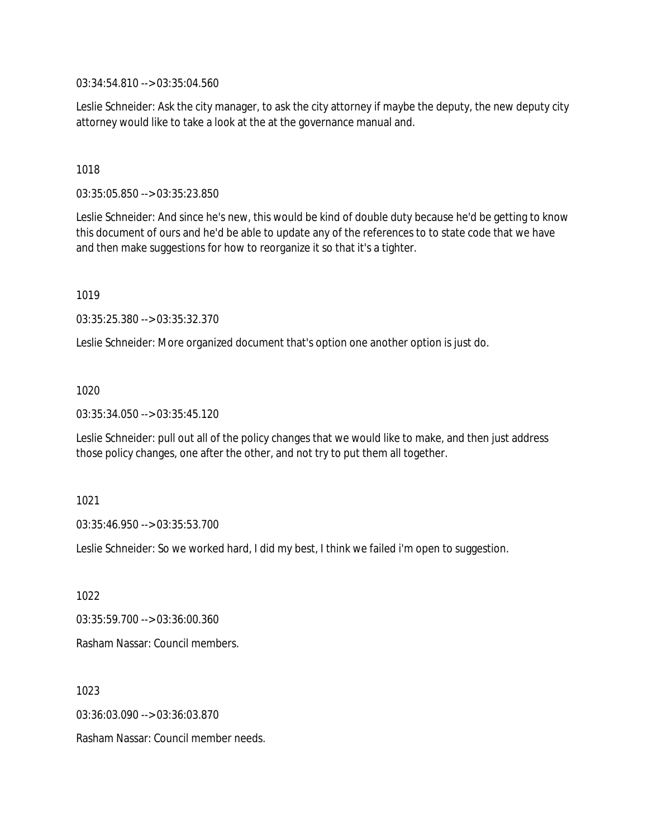03:34:54.810 --> 03:35:04.560

Leslie Schneider: Ask the city manager, to ask the city attorney if maybe the deputy, the new deputy city attorney would like to take a look at the at the governance manual and.

### 1018

03:35:05.850 --> 03:35:23.850

Leslie Schneider: And since he's new, this would be kind of double duty because he'd be getting to know this document of ours and he'd be able to update any of the references to to state code that we have and then make suggestions for how to reorganize it so that it's a tighter.

1019

03:35:25.380 --> 03:35:32.370

Leslie Schneider: More organized document that's option one another option is just do.

1020

03:35:34.050 --> 03:35:45.120

Leslie Schneider: pull out all of the policy changes that we would like to make, and then just address those policy changes, one after the other, and not try to put them all together.

1021

03:35:46.950 --> 03:35:53.700

Leslie Schneider: So we worked hard, I did my best, I think we failed i'm open to suggestion.

1022

03:35:59.700 --> 03:36:00.360

Rasham Nassar: Council members.

1023

03:36:03.090 --> 03:36:03.870

Rasham Nassar: Council member needs.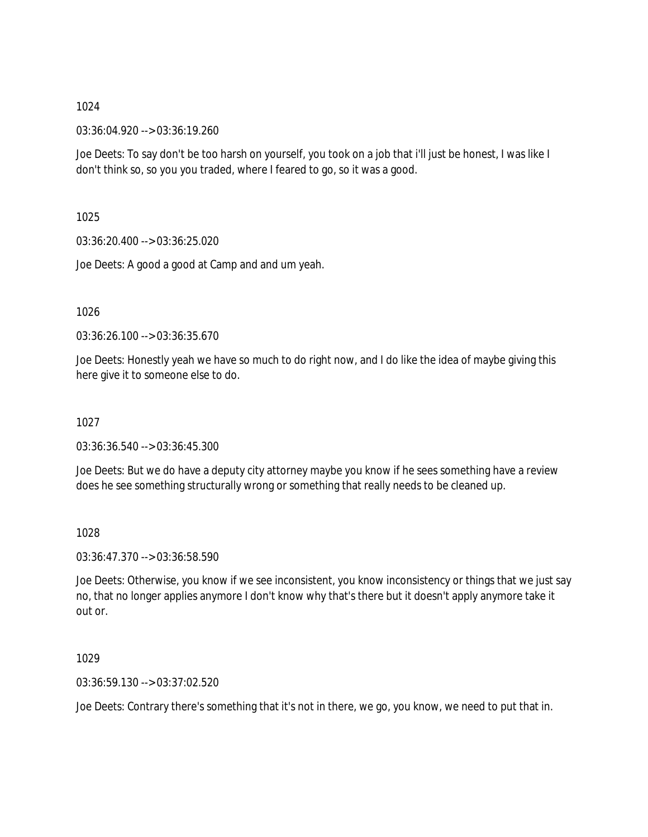03:36:04.920 --> 03:36:19.260

Joe Deets: To say don't be too harsh on yourself, you took on a job that i'll just be honest, I was like I don't think so, so you you traded, where I feared to go, so it was a good.

1025

03:36:20.400 --> 03:36:25.020

Joe Deets: A good a good at Camp and and um yeah.

1026

03:36:26.100 --> 03:36:35.670

Joe Deets: Honestly yeah we have so much to do right now, and I do like the idea of maybe giving this here give it to someone else to do.

1027

03:36:36.540 --> 03:36:45.300

Joe Deets: But we do have a deputy city attorney maybe you know if he sees something have a review does he see something structurally wrong or something that really needs to be cleaned up.

1028

03:36:47.370 --> 03:36:58.590

Joe Deets: Otherwise, you know if we see inconsistent, you know inconsistency or things that we just say no, that no longer applies anymore I don't know why that's there but it doesn't apply anymore take it out or.

1029

03:36:59.130 --> 03:37:02.520

Joe Deets: Contrary there's something that it's not in there, we go, you know, we need to put that in.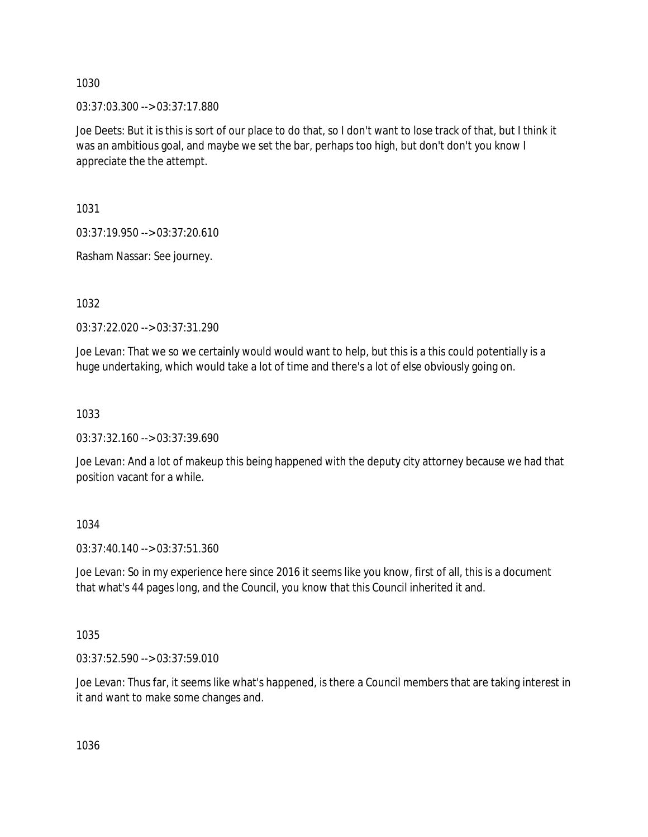03:37:03.300 --> 03:37:17.880

Joe Deets: But it is this is sort of our place to do that, so I don't want to lose track of that, but I think it was an ambitious goal, and maybe we set the bar, perhaps too high, but don't don't you know I appreciate the the attempt.

1031

03:37:19.950 --> 03:37:20.610

Rasham Nassar: See journey.

1032

03:37:22.020 --> 03:37:31.290

Joe Levan: That we so we certainly would would want to help, but this is a this could potentially is a huge undertaking, which would take a lot of time and there's a lot of else obviously going on.

1033

03:37:32.160 --> 03:37:39.690

Joe Levan: And a lot of makeup this being happened with the deputy city attorney because we had that position vacant for a while.

1034

03:37:40.140 --> 03:37:51.360

Joe Levan: So in my experience here since 2016 it seems like you know, first of all, this is a document that what's 44 pages long, and the Council, you know that this Council inherited it and.

1035

03:37:52.590 --> 03:37:59.010

Joe Levan: Thus far, it seems like what's happened, is there a Council members that are taking interest in it and want to make some changes and.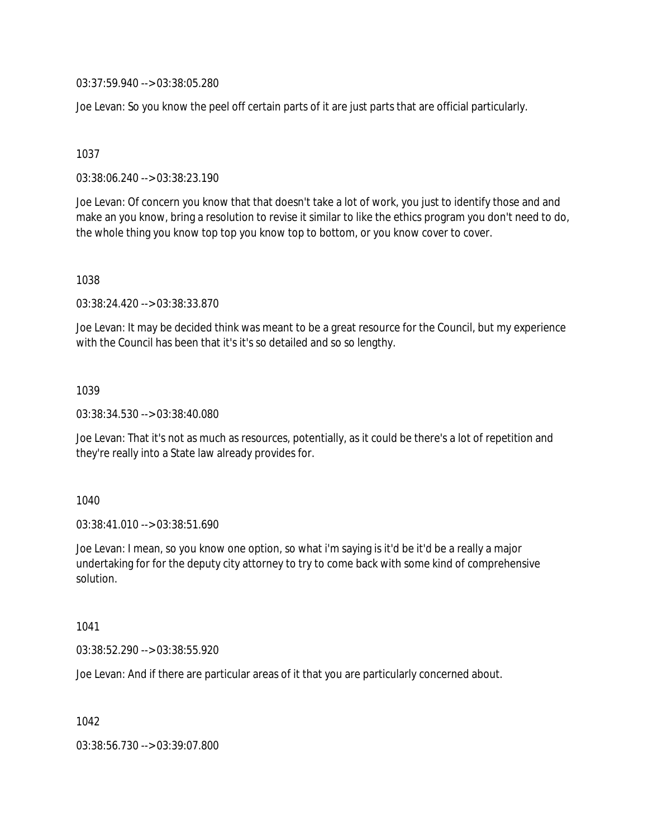03:37:59.940 --> 03:38:05.280

Joe Levan: So you know the peel off certain parts of it are just parts that are official particularly.

1037

03:38:06.240 --> 03:38:23.190

Joe Levan: Of concern you know that that doesn't take a lot of work, you just to identify those and and make an you know, bring a resolution to revise it similar to like the ethics program you don't need to do, the whole thing you know top top you know top to bottom, or you know cover to cover.

1038

03:38:24.420 --> 03:38:33.870

Joe Levan: It may be decided think was meant to be a great resource for the Council, but my experience with the Council has been that it's it's so detailed and so so lengthy.

1039

03:38:34.530 --> 03:38:40.080

Joe Levan: That it's not as much as resources, potentially, as it could be there's a lot of repetition and they're really into a State law already provides for.

1040

03:38:41.010 --> 03:38:51.690

Joe Levan: I mean, so you know one option, so what i'm saying is it'd be it'd be a really a major undertaking for for the deputy city attorney to try to come back with some kind of comprehensive solution.

1041

03:38:52.290 --> 03:38:55.920

Joe Levan: And if there are particular areas of it that you are particularly concerned about.

1042

03:38:56.730 --> 03:39:07.800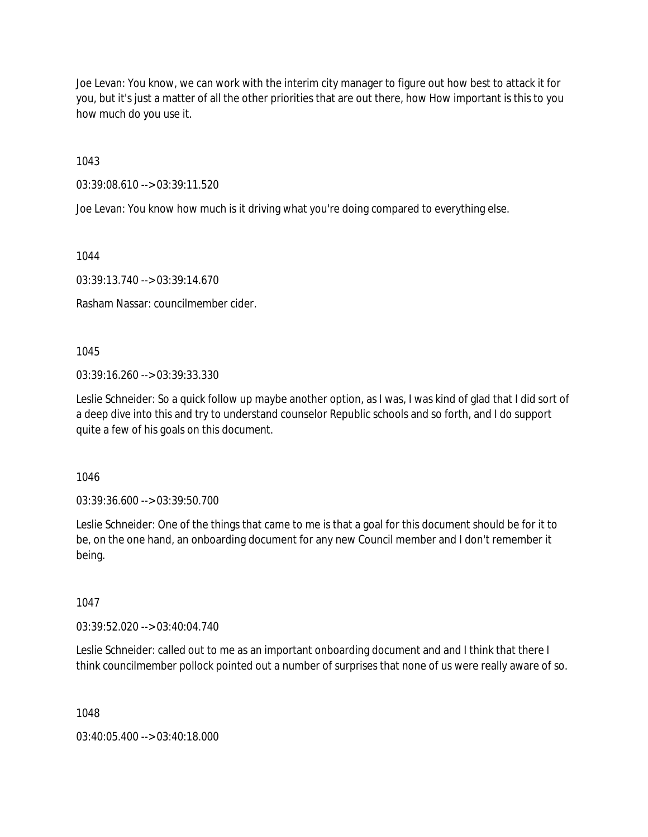Joe Levan: You know, we can work with the interim city manager to figure out how best to attack it for you, but it's just a matter of all the other priorities that are out there, how How important is this to you how much do you use it.

1043

03:39:08.610 --> 03:39:11.520

Joe Levan: You know how much is it driving what you're doing compared to everything else.

1044

03:39:13.740 --> 03:39:14.670

Rasham Nassar: councilmember cider.

1045

03:39:16.260 --> 03:39:33.330

Leslie Schneider: So a quick follow up maybe another option, as I was, I was kind of glad that I did sort of a deep dive into this and try to understand counselor Republic schools and so forth, and I do support quite a few of his goals on this document.

1046

03:39:36.600 --> 03:39:50.700

Leslie Schneider: One of the things that came to me is that a goal for this document should be for it to be, on the one hand, an onboarding document for any new Council member and I don't remember it being.

1047

03:39:52.020 --> 03:40:04.740

Leslie Schneider: called out to me as an important onboarding document and and I think that there I think councilmember pollock pointed out a number of surprises that none of us were really aware of so.

1048

03:40:05.400 --> 03:40:18.000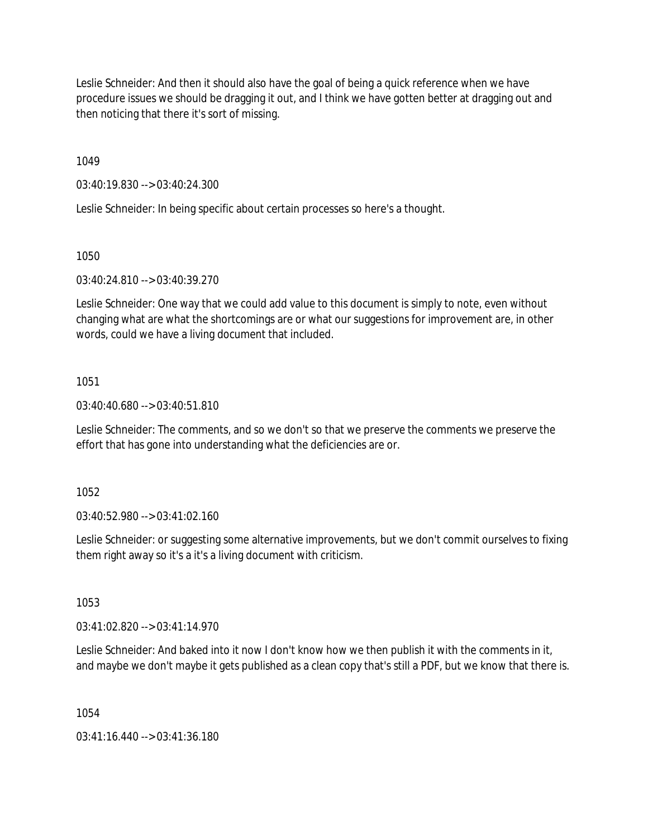Leslie Schneider: And then it should also have the goal of being a quick reference when we have procedure issues we should be dragging it out, and I think we have gotten better at dragging out and then noticing that there it's sort of missing.

1049

03:40:19.830 --> 03:40:24.300

Leslie Schneider: In being specific about certain processes so here's a thought.

1050

03:40:24.810 --> 03:40:39.270

Leslie Schneider: One way that we could add value to this document is simply to note, even without changing what are what the shortcomings are or what our suggestions for improvement are, in other words, could we have a living document that included.

1051

03:40:40.680 --> 03:40:51.810

Leslie Schneider: The comments, and so we don't so that we preserve the comments we preserve the effort that has gone into understanding what the deficiencies are or.

1052

03:40:52.980 --> 03:41:02.160

Leslie Schneider: or suggesting some alternative improvements, but we don't commit ourselves to fixing them right away so it's a it's a living document with criticism.

1053

03:41:02.820 --> 03:41:14.970

Leslie Schneider: And baked into it now I don't know how we then publish it with the comments in it, and maybe we don't maybe it gets published as a clean copy that's still a PDF, but we know that there is.

1054

03:41:16.440 --> 03:41:36.180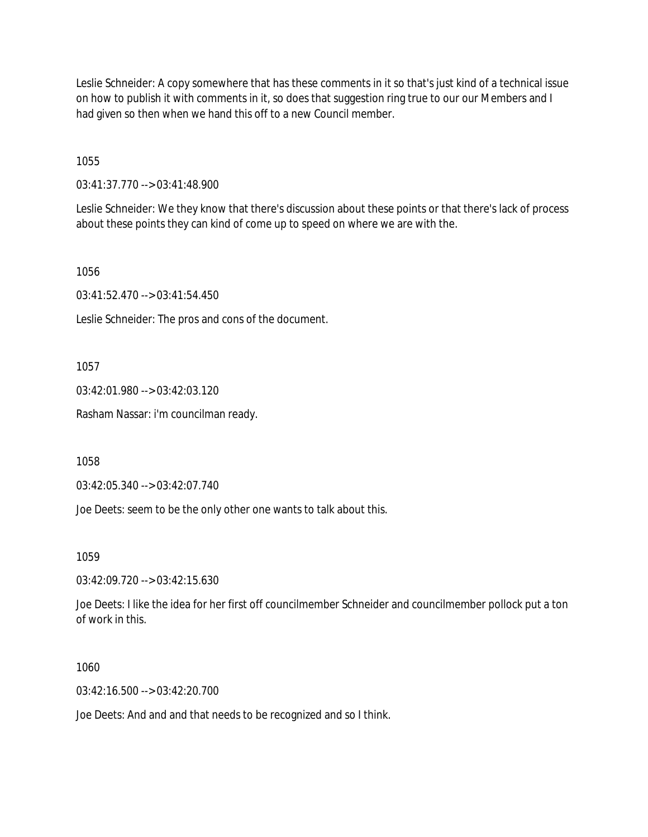Leslie Schneider: A copy somewhere that has these comments in it so that's just kind of a technical issue on how to publish it with comments in it, so does that suggestion ring true to our our Members and I had given so then when we hand this off to a new Council member.

1055

03:41:37.770 --> 03:41:48.900

Leslie Schneider: We they know that there's discussion about these points or that there's lack of process about these points they can kind of come up to speed on where we are with the.

1056

03:41:52.470 --> 03:41:54.450

Leslie Schneider: The pros and cons of the document.

1057

03:42:01.980 --> 03:42:03.120

Rasham Nassar: i'm councilman ready.

1058

03:42:05.340 --> 03:42:07.740

Joe Deets: seem to be the only other one wants to talk about this.

1059

03:42:09.720 --> 03:42:15.630

Joe Deets: I like the idea for her first off councilmember Schneider and councilmember pollock put a ton of work in this.

1060

03:42:16.500 --> 03:42:20.700

Joe Deets: And and and that needs to be recognized and so I think.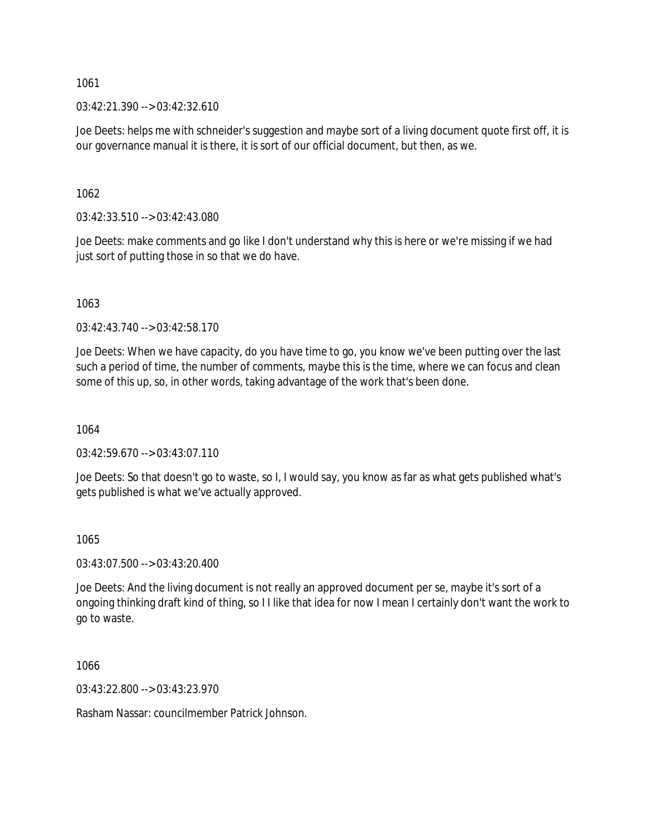$03:42:21.390 \rightarrow 03:42:32.610$ 

Joe Deets: helps me with schneider's suggestion and maybe sort of a living document quote first off, it is our governance manual it is there, it is sort of our official document, but then, as we.

1062

03:42:33.510 --> 03:42:43.080

Joe Deets: make comments and go like I don't understand why this is here or we're missing if we had just sort of putting those in so that we do have.

1063

03:42:43.740 --> 03:42:58.170

Joe Deets: When we have capacity, do you have time to go, you know we've been putting over the last such a period of time, the number of comments, maybe this is the time, where we can focus and clean some of this up, so, in other words, taking advantage of the work that's been done.

1064

03:42:59.670 --> 03:43:07.110

Joe Deets: So that doesn't go to waste, so I, I would say, you know as far as what gets published what's gets published is what we've actually approved.

1065

03:43:07.500 --> 03:43:20.400

Joe Deets: And the living document is not really an approved document per se, maybe it's sort of a ongoing thinking draft kind of thing, so I I like that idea for now I mean I certainly don't want the work to go to waste.

1066

03:43:22.800 --> 03:43:23.970

Rasham Nassar: councilmember Patrick Johnson.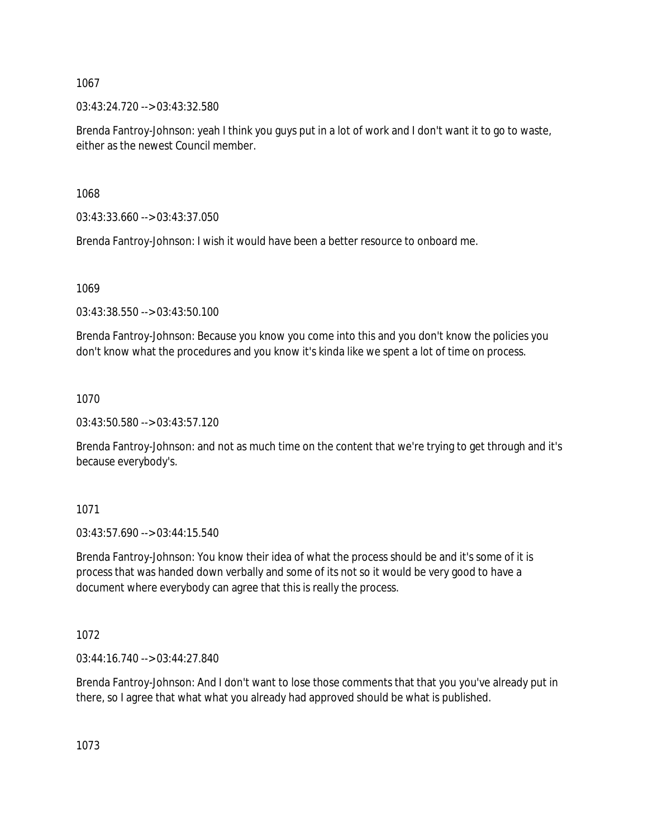03:43:24.720 --> 03:43:32.580

Brenda Fantroy-Johnson: yeah I think you guys put in a lot of work and I don't want it to go to waste, either as the newest Council member.

1068

03:43:33.660 --> 03:43:37.050

Brenda Fantroy-Johnson: I wish it would have been a better resource to onboard me.

1069

03:43:38.550 --> 03:43:50.100

Brenda Fantroy-Johnson: Because you know you come into this and you don't know the policies you don't know what the procedures and you know it's kinda like we spent a lot of time on process.

1070

03:43:50.580 --> 03:43:57.120

Brenda Fantroy-Johnson: and not as much time on the content that we're trying to get through and it's because everybody's.

1071

03:43:57.690 --> 03:44:15.540

Brenda Fantroy-Johnson: You know their idea of what the process should be and it's some of it is process that was handed down verbally and some of its not so it would be very good to have a document where everybody can agree that this is really the process.

1072

03:44:16.740 --> 03:44:27.840

Brenda Fantroy-Johnson: And I don't want to lose those comments that that you you've already put in there, so I agree that what what you already had approved should be what is published.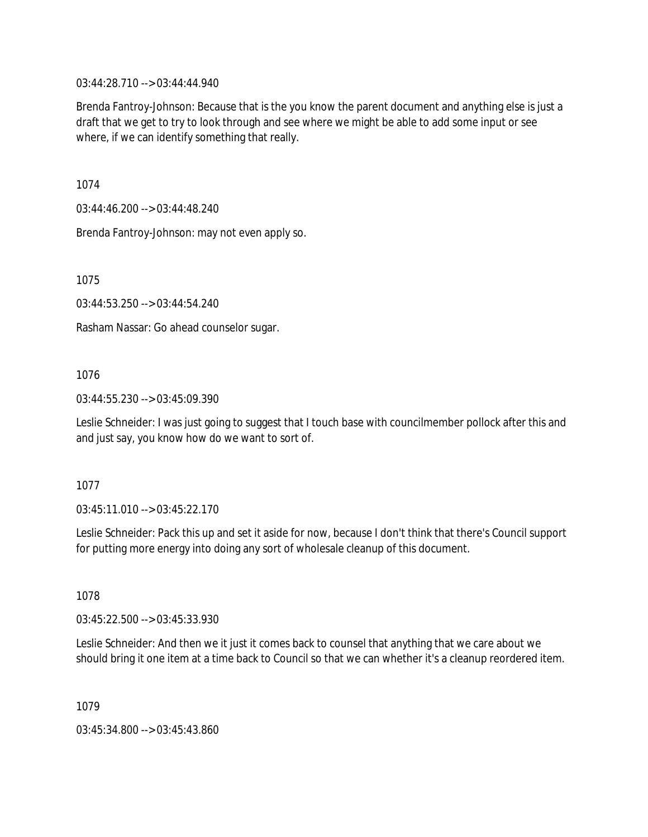03:44:28.710 --> 03:44:44.940

Brenda Fantroy-Johnson: Because that is the you know the parent document and anything else is just a draft that we get to try to look through and see where we might be able to add some input or see where, if we can identify something that really.

1074

03:44:46.200 --> 03:44:48.240

Brenda Fantroy-Johnson: may not even apply so.

1075

03:44:53.250 --> 03:44:54.240

Rasham Nassar: Go ahead counselor sugar.

## 1076

03:44:55.230 --> 03:45:09.390

Leslie Schneider: I was just going to suggest that I touch base with councilmember pollock after this and and just say, you know how do we want to sort of.

### 1077

03:45:11.010 --> 03:45:22.170

Leslie Schneider: Pack this up and set it aside for now, because I don't think that there's Council support for putting more energy into doing any sort of wholesale cleanup of this document.

1078

03:45:22.500 --> 03:45:33.930

Leslie Schneider: And then we it just it comes back to counsel that anything that we care about we should bring it one item at a time back to Council so that we can whether it's a cleanup reordered item.

1079

03:45:34.800 --> 03:45:43.860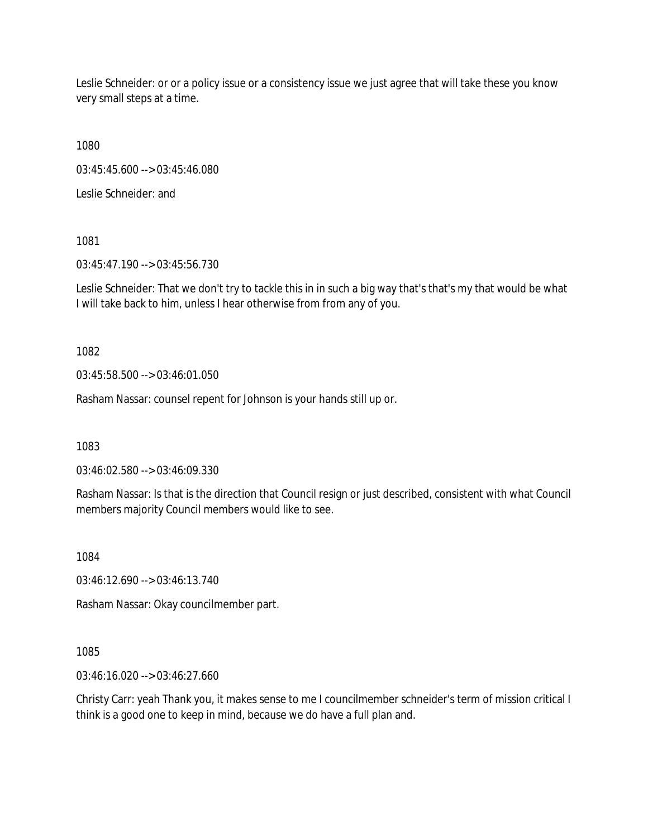Leslie Schneider: or or a policy issue or a consistency issue we just agree that will take these you know very small steps at a time.

1080

03:45:45.600 --> 03:45:46.080

Leslie Schneider: and

1081

03:45:47.190 --> 03:45:56.730

Leslie Schneider: That we don't try to tackle this in in such a big way that's that's my that would be what I will take back to him, unless I hear otherwise from from any of you.

1082

03:45:58.500 --> 03:46:01.050

Rasham Nassar: counsel repent for Johnson is your hands still up or.

1083

03:46:02.580 --> 03:46:09.330

Rasham Nassar: Is that is the direction that Council resign or just described, consistent with what Council members majority Council members would like to see.

1084

03:46:12.690 --> 03:46:13.740

Rasham Nassar: Okay councilmember part.

1085

03:46:16.020 --> 03:46:27.660

Christy Carr: yeah Thank you, it makes sense to me I councilmember schneider's term of mission critical I think is a good one to keep in mind, because we do have a full plan and.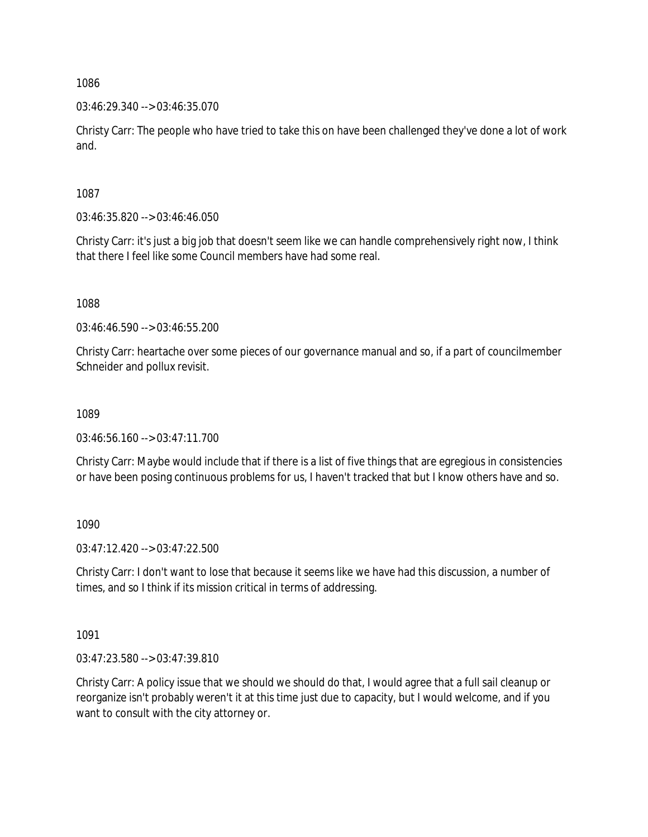03:46:29.340 --> 03:46:35.070

Christy Carr: The people who have tried to take this on have been challenged they've done a lot of work and.

1087

03:46:35.820 --> 03:46:46.050

Christy Carr: it's just a big job that doesn't seem like we can handle comprehensively right now, I think that there I feel like some Council members have had some real.

1088

03:46:46.590 --> 03:46:55.200

Christy Carr: heartache over some pieces of our governance manual and so, if a part of councilmember Schneider and pollux revisit.

1089

 $03:46:56.160 \rightarrow 03:47:11.700$ 

Christy Carr: Maybe would include that if there is a list of five things that are egregious in consistencies or have been posing continuous problems for us, I haven't tracked that but I know others have and so.

1090

 $03:47:12.420 \rightarrow 03:47:22.500$ 

Christy Carr: I don't want to lose that because it seems like we have had this discussion, a number of times, and so I think if its mission critical in terms of addressing.

1091

03:47:23.580 --> 03:47:39.810

Christy Carr: A policy issue that we should we should do that, I would agree that a full sail cleanup or reorganize isn't probably weren't it at this time just due to capacity, but I would welcome, and if you want to consult with the city attorney or.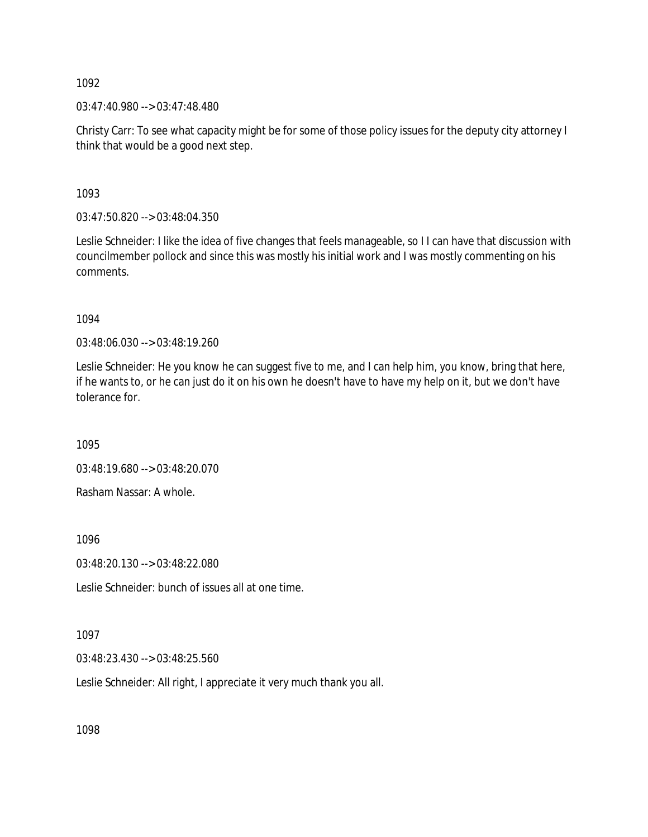03:47:40.980 --> 03:47:48.480

Christy Carr: To see what capacity might be for some of those policy issues for the deputy city attorney I think that would be a good next step.

1093

03:47:50.820 --> 03:48:04.350

Leslie Schneider: I like the idea of five changes that feels manageable, so I I can have that discussion with councilmember pollock and since this was mostly his initial work and I was mostly commenting on his comments.

1094

03:48:06.030 --> 03:48:19.260

Leslie Schneider: He you know he can suggest five to me, and I can help him, you know, bring that here, if he wants to, or he can just do it on his own he doesn't have to have my help on it, but we don't have tolerance for.

1095

03:48:19.680 --> 03:48:20.070

Rasham Nassar: A whole.

1096

03:48:20.130 --> 03:48:22.080

Leslie Schneider: bunch of issues all at one time.

1097

03:48:23.430 --> 03:48:25.560

Leslie Schneider: All right, I appreciate it very much thank you all.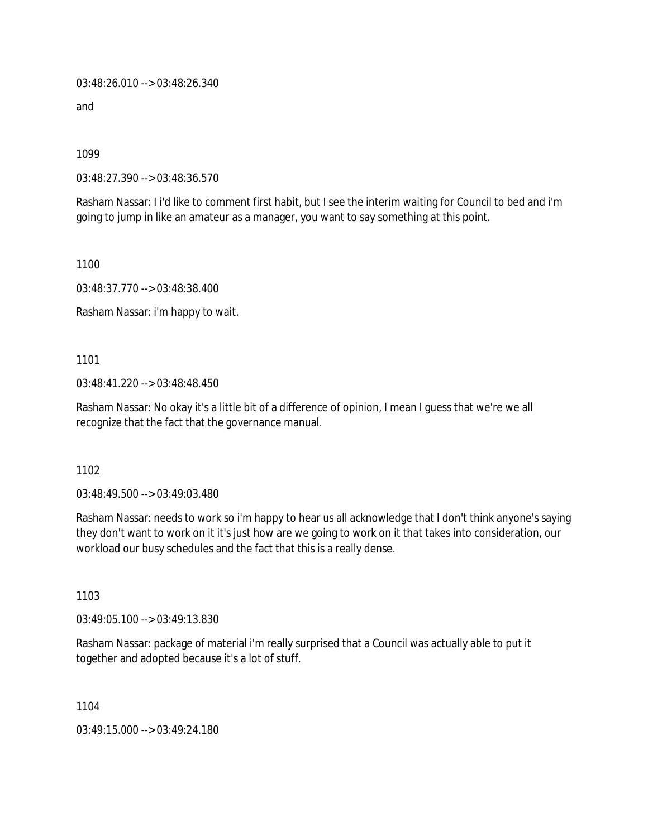03:48:26.010 --> 03:48:26.340

and

1099

03:48:27.390 --> 03:48:36.570

Rasham Nassar: I i'd like to comment first habit, but I see the interim waiting for Council to bed and i'm going to jump in like an amateur as a manager, you want to say something at this point.

1100

03:48:37.770 --> 03:48:38.400

Rasham Nassar: i'm happy to wait.

1101

03:48:41.220 --> 03:48:48.450

Rasham Nassar: No okay it's a little bit of a difference of opinion, I mean I guess that we're we all recognize that the fact that the governance manual.

1102

03:48:49.500 --> 03:49:03.480

Rasham Nassar: needs to work so i'm happy to hear us all acknowledge that I don't think anyone's saying they don't want to work on it it's just how are we going to work on it that takes into consideration, our workload our busy schedules and the fact that this is a really dense.

1103

03:49:05.100 --> 03:49:13.830

Rasham Nassar: package of material i'm really surprised that a Council was actually able to put it together and adopted because it's a lot of stuff.

1104

03:49:15.000 --> 03:49:24.180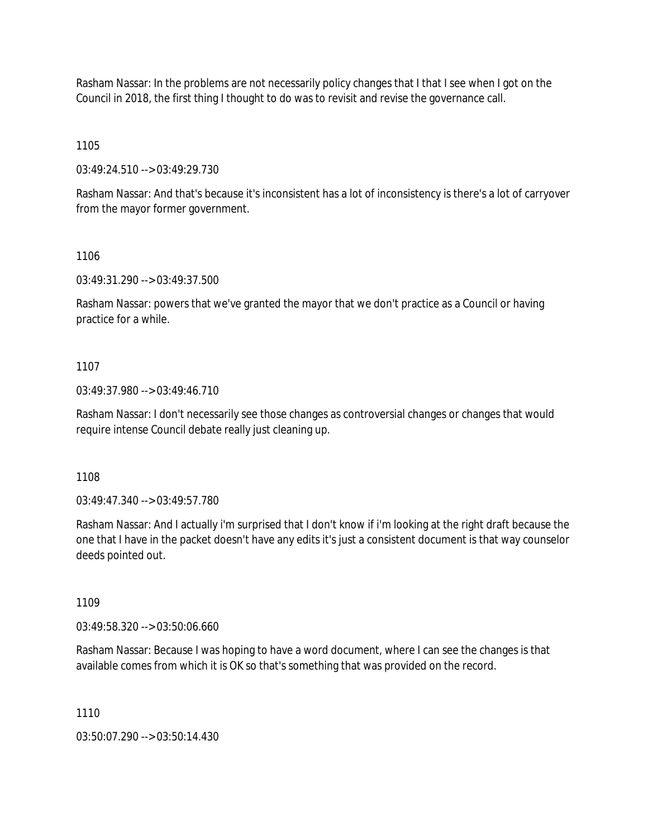Rasham Nassar: In the problems are not necessarily policy changes that I that I see when I got on the Council in 2018, the first thing I thought to do was to revisit and revise the governance call.

1105

03:49:24.510 --> 03:49:29.730

Rasham Nassar: And that's because it's inconsistent has a lot of inconsistency is there's a lot of carryover from the mayor former government.

1106

03:49:31.290 --> 03:49:37.500

Rasham Nassar: powers that we've granted the mayor that we don't practice as a Council or having practice for a while.

#### 1107

03:49:37.980 --> 03:49:46.710

Rasham Nassar: I don't necessarily see those changes as controversial changes or changes that would require intense Council debate really just cleaning up.

1108

03:49:47.340 --> 03:49:57.780

Rasham Nassar: And I actually i'm surprised that I don't know if i'm looking at the right draft because the one that I have in the packet doesn't have any edits it's just a consistent document is that way counselor deeds pointed out.

1109

03:49:58.320 --> 03:50:06.660

Rasham Nassar: Because I was hoping to have a word document, where I can see the changes is that available comes from which it is OK so that's something that was provided on the record.

1110

03:50:07.290 --> 03:50:14.430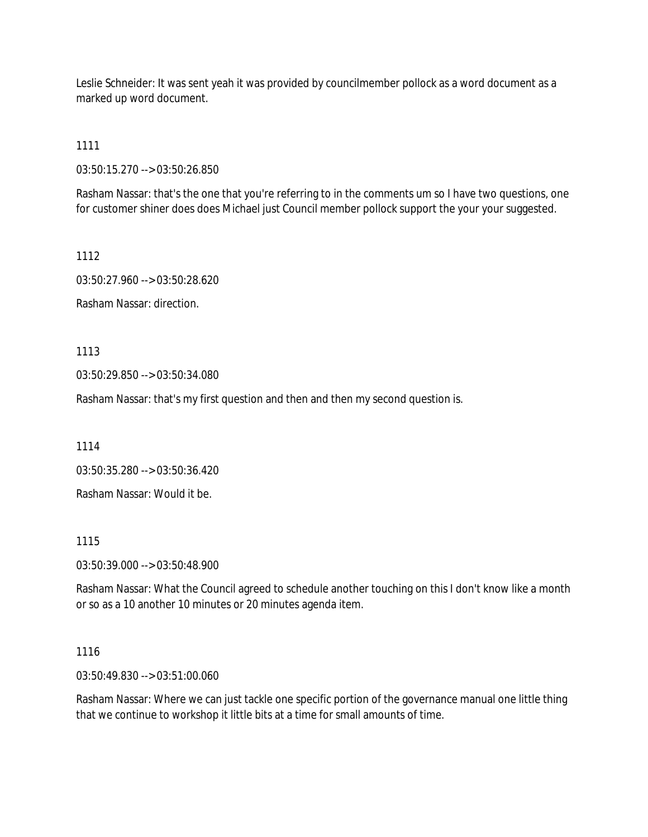Leslie Schneider: It was sent yeah it was provided by councilmember pollock as a word document as a marked up word document.

1111

03:50:15.270 --> 03:50:26.850

Rasham Nassar: that's the one that you're referring to in the comments um so I have two questions, one for customer shiner does does Michael just Council member pollock support the your your suggested.

1112

03:50:27.960 --> 03:50:28.620

Rasham Nassar: direction.

1113

03:50:29.850 --> 03:50:34.080

Rasham Nassar: that's my first question and then and then my second question is.

1114

03:50:35.280 --> 03:50:36.420

Rasham Nassar: Would it be.

1115

03:50:39.000 --> 03:50:48.900

Rasham Nassar: What the Council agreed to schedule another touching on this I don't know like a month or so as a 10 another 10 minutes or 20 minutes agenda item.

### 1116

03:50:49.830 --> 03:51:00.060

Rasham Nassar: Where we can just tackle one specific portion of the governance manual one little thing that we continue to workshop it little bits at a time for small amounts of time.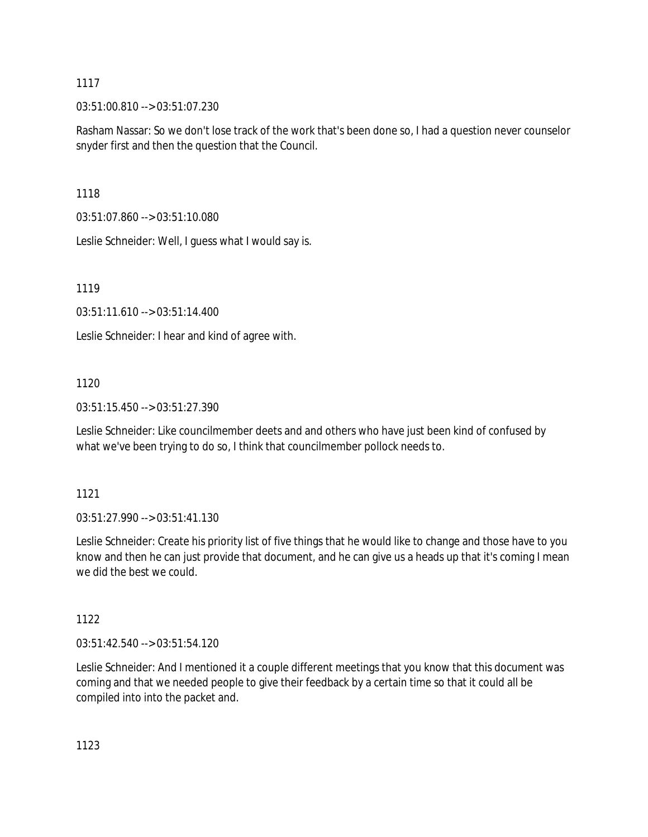03:51:00.810 --> 03:51:07.230

Rasham Nassar: So we don't lose track of the work that's been done so, I had a question never counselor snyder first and then the question that the Council.

1118

03:51:07.860 --> 03:51:10.080

Leslie Schneider: Well, I guess what I would say is.

1119

03:51:11.610 --> 03:51:14.400

Leslie Schneider: I hear and kind of agree with.

# 1120

03:51:15.450 --> 03:51:27.390

Leslie Schneider: Like councilmember deets and and others who have just been kind of confused by what we've been trying to do so, I think that councilmember pollock needs to.

# 1121

 $03:51:27.990 \rightarrow 03:51:41.130$ 

Leslie Schneider: Create his priority list of five things that he would like to change and those have to you know and then he can just provide that document, and he can give us a heads up that it's coming I mean we did the best we could.

# 1122

03:51:42.540 --> 03:51:54.120

Leslie Schneider: And I mentioned it a couple different meetings that you know that this document was coming and that we needed people to give their feedback by a certain time so that it could all be compiled into into the packet and.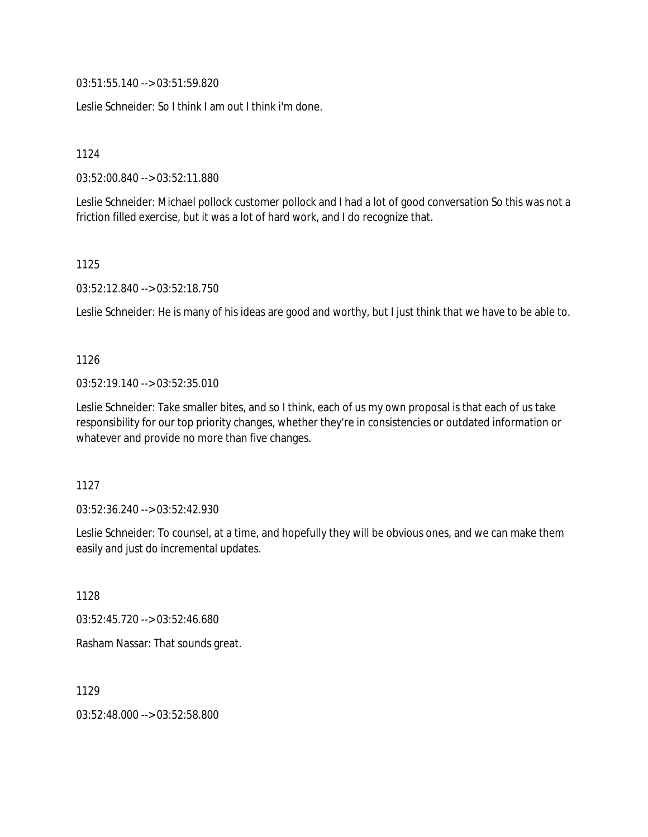03:51:55.140 --> 03:51:59.820

Leslie Schneider: So I think I am out I think i'm done.

1124

03:52:00.840 --> 03:52:11.880

Leslie Schneider: Michael pollock customer pollock and I had a lot of good conversation So this was not a friction filled exercise, but it was a lot of hard work, and I do recognize that.

1125

03:52:12.840 --> 03:52:18.750

Leslie Schneider: He is many of his ideas are good and worthy, but I just think that we have to be able to.

1126

03:52:19.140 --> 03:52:35.010

Leslie Schneider: Take smaller bites, and so I think, each of us my own proposal is that each of us take responsibility for our top priority changes, whether they're in consistencies or outdated information or whatever and provide no more than five changes.

1127

03:52:36.240 --> 03:52:42.930

Leslie Schneider: To counsel, at a time, and hopefully they will be obvious ones, and we can make them easily and just do incremental updates.

1128

03:52:45.720 --> 03:52:46.680

Rasham Nassar: That sounds great.

1129

03:52:48.000 --> 03:52:58.800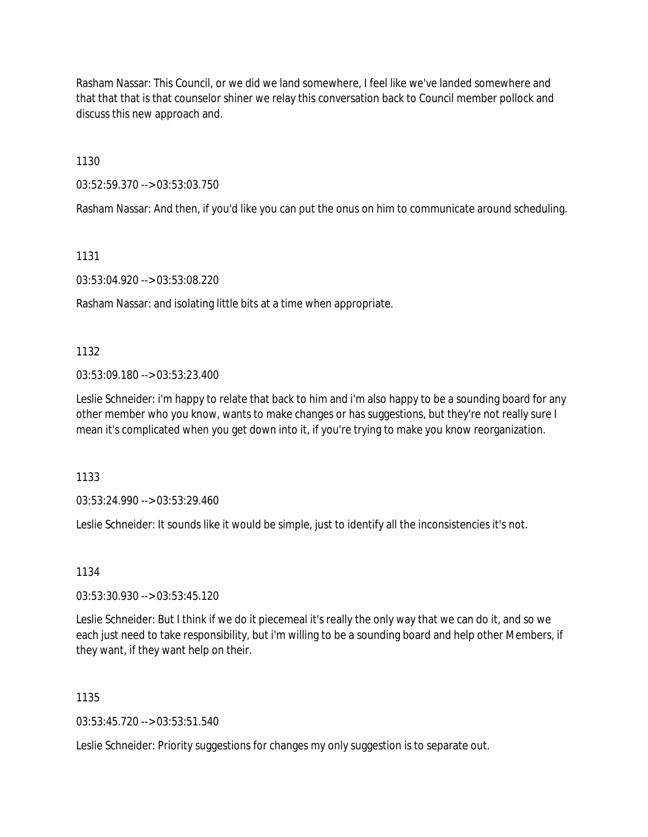Rasham Nassar: This Council, or we did we land somewhere, I feel like we've landed somewhere and that that that is that counselor shiner we relay this conversation back to Council member pollock and discuss this new approach and.

1130

03:52:59.370 --> 03:53:03.750

Rasham Nassar: And then, if you'd like you can put the onus on him to communicate around scheduling.

1131

03:53:04.920 --> 03:53:08.220

Rasham Nassar: and isolating little bits at a time when appropriate.

1132

03:53:09.180 --> 03:53:23.400

Leslie Schneider: i'm happy to relate that back to him and i'm also happy to be a sounding board for any other member who you know, wants to make changes or has suggestions, but they're not really sure I mean it's complicated when you get down into it, if you're trying to make you know reorganization.

1133

03:53:24.990 --> 03:53:29.460

Leslie Schneider: It sounds like it would be simple, just to identify all the inconsistencies it's not.

1134

03:53:30.930 --> 03:53:45.120

Leslie Schneider: But I think if we do it piecemeal it's really the only way that we can do it, and so we each just need to take responsibility, but i'm willing to be a sounding board and help other Members, if they want, if they want help on their.

1135

03:53:45.720 --> 03:53:51.540

Leslie Schneider: Priority suggestions for changes my only suggestion is to separate out.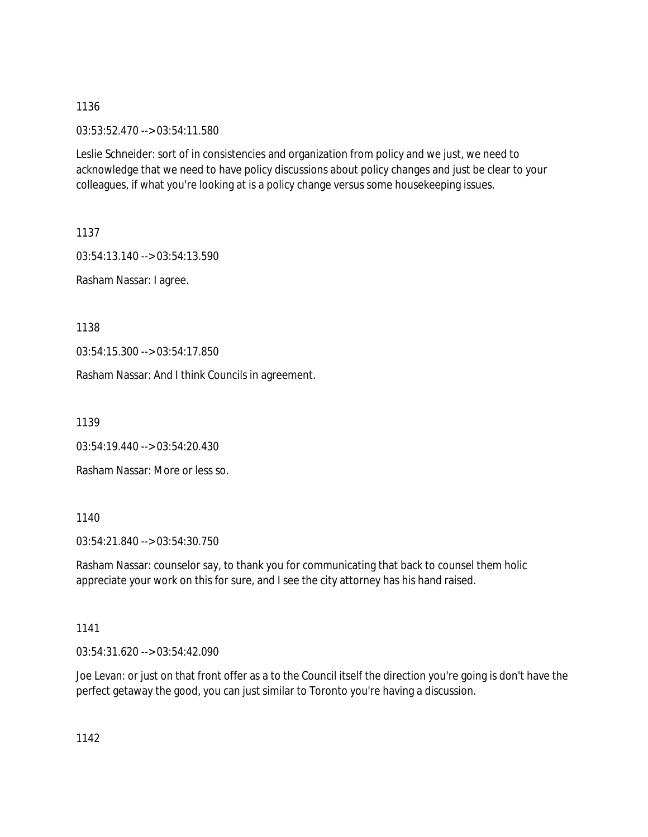03:53:52.470 --> 03:54:11.580

Leslie Schneider: sort of in consistencies and organization from policy and we just, we need to acknowledge that we need to have policy discussions about policy changes and just be clear to your colleagues, if what you're looking at is a policy change versus some housekeeping issues.

1137

03:54:13.140 --> 03:54:13.590

Rasham Nassar: I agree.

1138

03:54:15.300 --> 03:54:17.850

Rasham Nassar: And I think Councils in agreement.

1139

03:54:19.440 --> 03:54:20.430

Rasham Nassar: More or less so.

1140

03:54:21.840 --> 03:54:30.750

Rasham Nassar: counselor say, to thank you for communicating that back to counsel them holic appreciate your work on this for sure, and I see the city attorney has his hand raised.

1141

03:54:31.620 --> 03:54:42.090

Joe Levan: or just on that front offer as a to the Council itself the direction you're going is don't have the perfect getaway the good, you can just similar to Toronto you're having a discussion.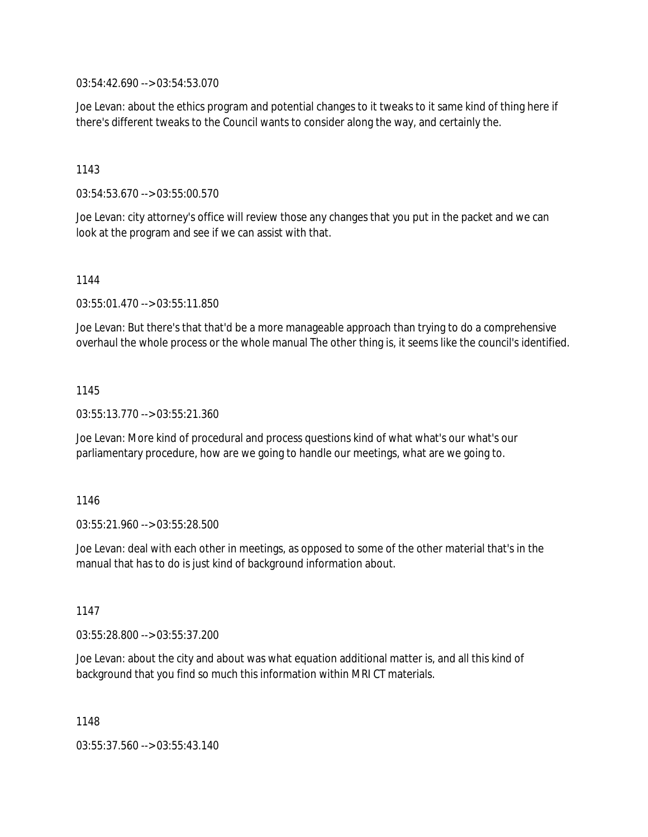03:54:42.690 --> 03:54:53.070

Joe Levan: about the ethics program and potential changes to it tweaks to it same kind of thing here if there's different tweaks to the Council wants to consider along the way, and certainly the.

### 1143

03:54:53.670 --> 03:55:00.570

Joe Levan: city attorney's office will review those any changes that you put in the packet and we can look at the program and see if we can assist with that.

1144

03:55:01.470 --> 03:55:11.850

Joe Levan: But there's that that'd be a more manageable approach than trying to do a comprehensive overhaul the whole process or the whole manual The other thing is, it seems like the council's identified.

### 1145

03:55:13.770 --> 03:55:21.360

Joe Levan: More kind of procedural and process questions kind of what what's our what's our parliamentary procedure, how are we going to handle our meetings, what are we going to.

### 1146

03:55:21.960 --> 03:55:28.500

Joe Levan: deal with each other in meetings, as opposed to some of the other material that's in the manual that has to do is just kind of background information about.

1147

03:55:28.800 --> 03:55:37.200

Joe Levan: about the city and about was what equation additional matter is, and all this kind of background that you find so much this information within MRI CT materials.

1148

03:55:37.560 --> 03:55:43.140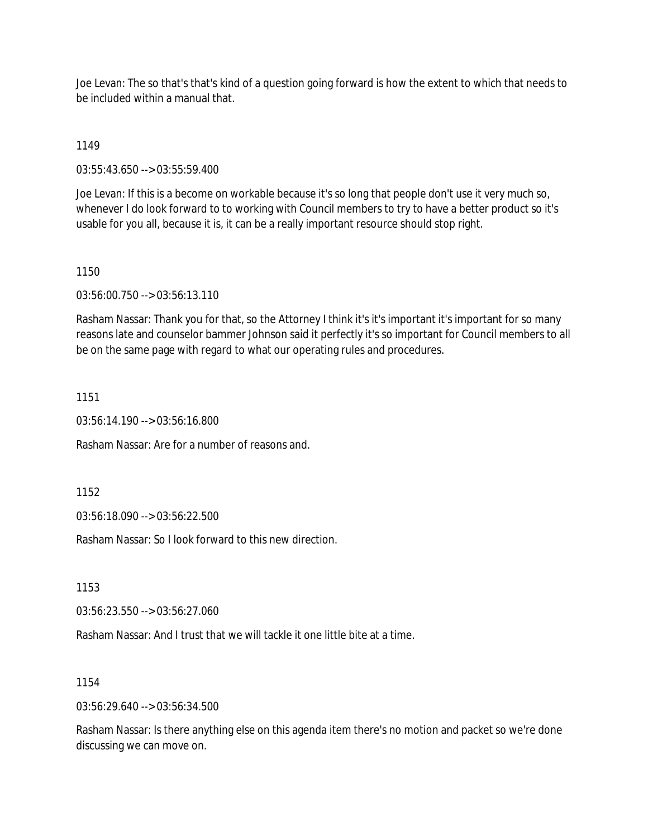Joe Levan: The so that's that's kind of a question going forward is how the extent to which that needs to be included within a manual that.

1149

03:55:43.650 --> 03:55:59.400

Joe Levan: If this is a become on workable because it's so long that people don't use it very much so, whenever I do look forward to to working with Council members to try to have a better product so it's usable for you all, because it is, it can be a really important resource should stop right.

1150

03:56:00.750 --> 03:56:13.110

Rasham Nassar: Thank you for that, so the Attorney I think it's it's important it's important for so many reasons late and counselor bammer Johnson said it perfectly it's so important for Council members to all be on the same page with regard to what our operating rules and procedures.

1151

03:56:14.190 --> 03:56:16.800

Rasham Nassar: Are for a number of reasons and.

1152

03:56:18.090 --> 03:56:22.500

Rasham Nassar: So I look forward to this new direction.

1153

03:56:23.550 --> 03:56:27.060

Rasham Nassar: And I trust that we will tackle it one little bite at a time.

1154

03:56:29.640 --> 03:56:34.500

Rasham Nassar: Is there anything else on this agenda item there's no motion and packet so we're done discussing we can move on.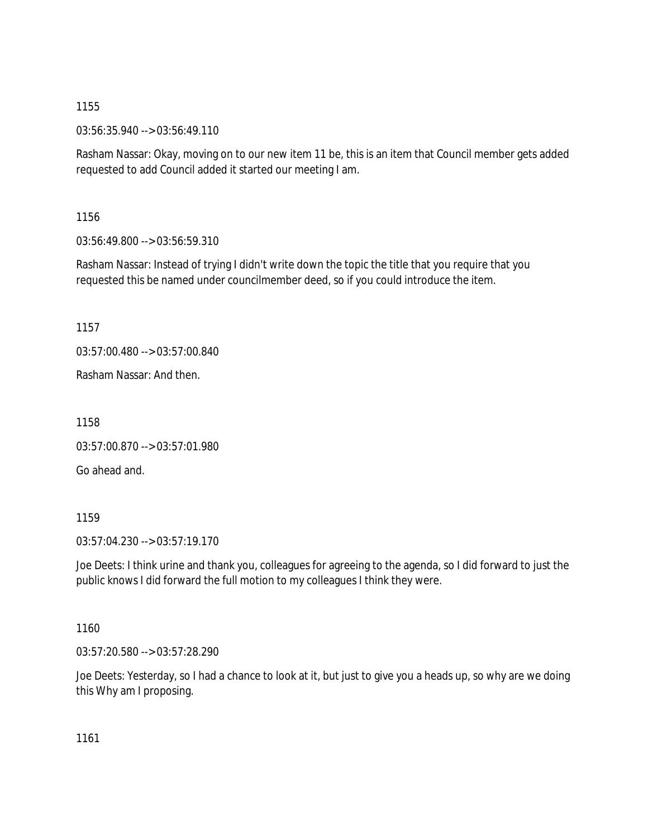03:56:35.940 --> 03:56:49.110

Rasham Nassar: Okay, moving on to our new item 11 be, this is an item that Council member gets added requested to add Council added it started our meeting I am.

1156

03:56:49.800 --> 03:56:59.310

Rasham Nassar: Instead of trying I didn't write down the topic the title that you require that you requested this be named under councilmember deed, so if you could introduce the item.

1157

03:57:00.480 --> 03:57:00.840

Rasham Nassar: And then.

1158

03:57:00.870 --> 03:57:01.980

Go ahead and.

1159

03:57:04.230 --> 03:57:19.170

Joe Deets: I think urine and thank you, colleagues for agreeing to the agenda, so I did forward to just the public knows I did forward the full motion to my colleagues I think they were.

1160

03:57:20.580 --> 03:57:28.290

Joe Deets: Yesterday, so I had a chance to look at it, but just to give you a heads up, so why are we doing this Why am I proposing.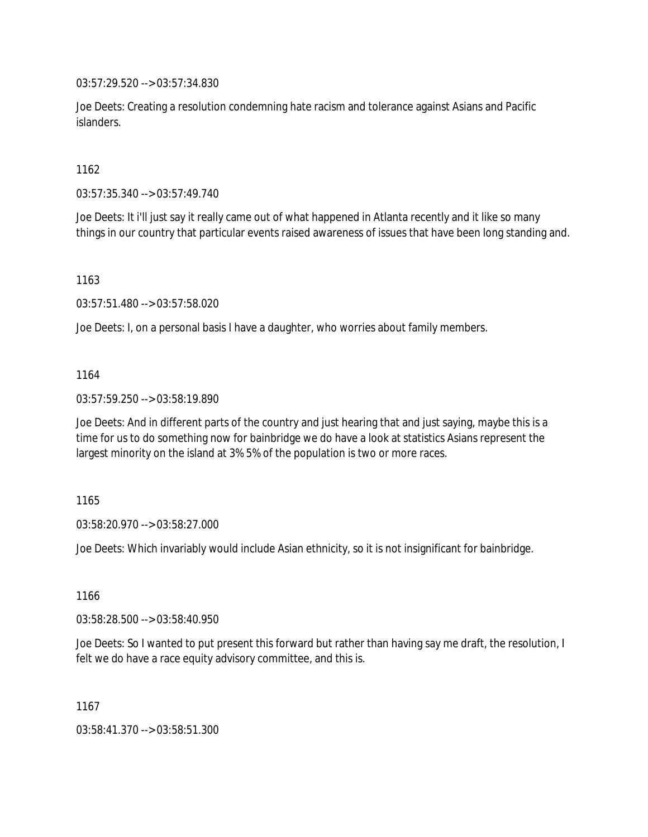03:57:29.520 --> 03:57:34.830

Joe Deets: Creating a resolution condemning hate racism and tolerance against Asians and Pacific islanders.

1162

03:57:35.340 --> 03:57:49.740

Joe Deets: It i'll just say it really came out of what happened in Atlanta recently and it like so many things in our country that particular events raised awareness of issues that have been long standing and.

1163

03:57:51.480 --> 03:57:58.020

Joe Deets: I, on a personal basis I have a daughter, who worries about family members.

### 1164

03:57:59.250 --> 03:58:19.890

Joe Deets: And in different parts of the country and just hearing that and just saying, maybe this is a time for us to do something now for bainbridge we do have a look at statistics Asians represent the largest minority on the island at 3% 5% of the population is two or more races.

1165

03:58:20.970 --> 03:58:27.000

Joe Deets: Which invariably would include Asian ethnicity, so it is not insignificant for bainbridge.

1166

03:58:28.500 --> 03:58:40.950

Joe Deets: So I wanted to put present this forward but rather than having say me draft, the resolution, I felt we do have a race equity advisory committee, and this is.

1167

03:58:41.370 --> 03:58:51.300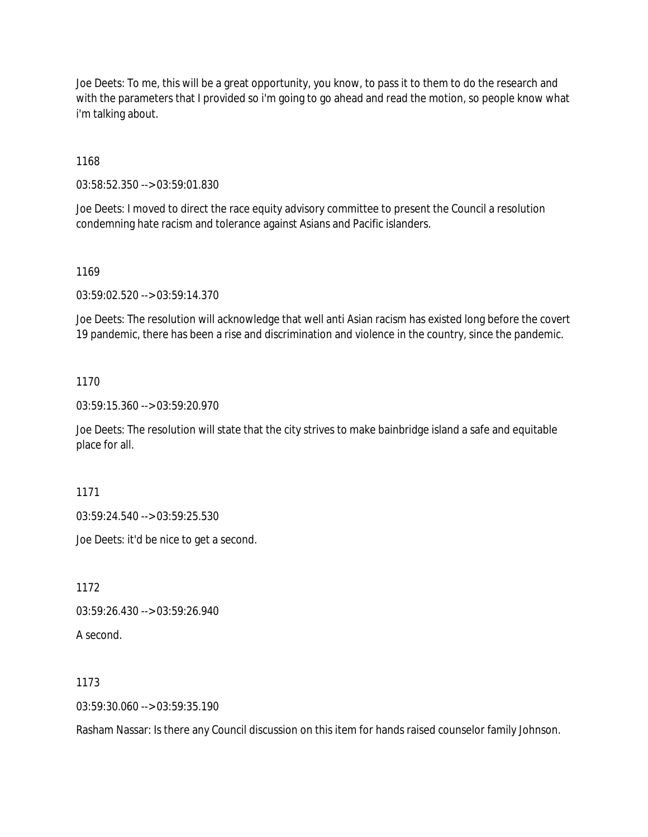Joe Deets: To me, this will be a great opportunity, you know, to pass it to them to do the research and with the parameters that I provided so i'm going to go ahead and read the motion, so people know what i'm talking about.

1168

03:58:52.350 --> 03:59:01.830

Joe Deets: I moved to direct the race equity advisory committee to present the Council a resolution condemning hate racism and tolerance against Asians and Pacific islanders.

1169

03:59:02.520 --> 03:59:14.370

Joe Deets: The resolution will acknowledge that well anti Asian racism has existed long before the covert 19 pandemic, there has been a rise and discrimination and violence in the country, since the pandemic.

1170

03:59:15.360 --> 03:59:20.970

Joe Deets: The resolution will state that the city strives to make bainbridge island a safe and equitable place for all.

1171

03:59:24.540 --> 03:59:25.530

Joe Deets: it'd be nice to get a second.

1172

03:59:26.430 --> 03:59:26.940

A second.

1173

03:59:30.060 --> 03:59:35.190

Rasham Nassar: Is there any Council discussion on this item for hands raised counselor family Johnson.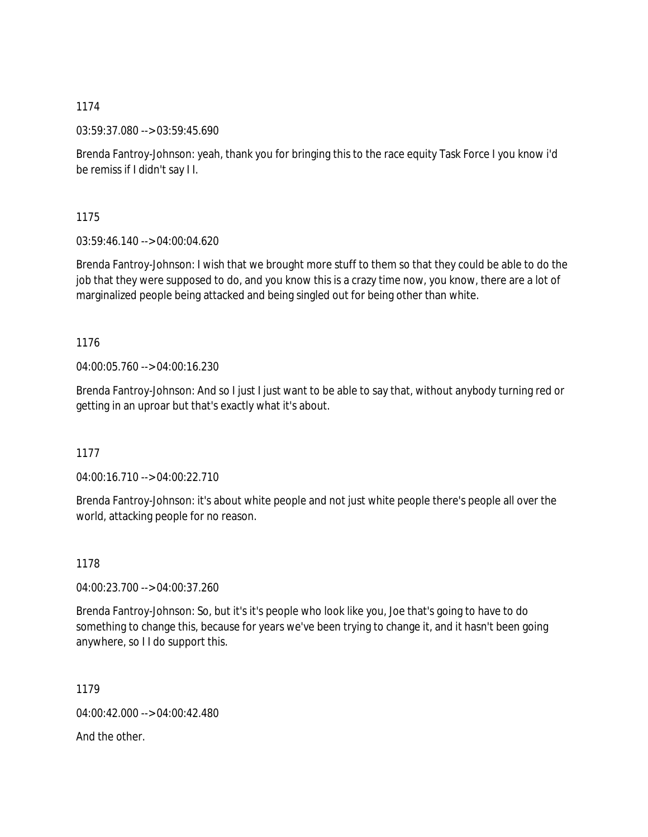03:59:37.080 --> 03:59:45.690

Brenda Fantroy-Johnson: yeah, thank you for bringing this to the race equity Task Force I you know i'd be remiss if I didn't say I I.

1175

03:59:46.140 --> 04:00:04.620

Brenda Fantroy-Johnson: I wish that we brought more stuff to them so that they could be able to do the job that they were supposed to do, and you know this is a crazy time now, you know, there are a lot of marginalized people being attacked and being singled out for being other than white.

1176

04:00:05.760 --> 04:00:16.230

Brenda Fantroy-Johnson: And so I just I just want to be able to say that, without anybody turning red or getting in an uproar but that's exactly what it's about.

1177

04:00:16.710 --> 04:00:22.710

Brenda Fantroy-Johnson: it's about white people and not just white people there's people all over the world, attacking people for no reason.

1178

04:00:23.700 --> 04:00:37.260

Brenda Fantroy-Johnson: So, but it's it's people who look like you, Joe that's going to have to do something to change this, because for years we've been trying to change it, and it hasn't been going anywhere, so I I do support this.

1179

04:00:42.000 --> 04:00:42.480

And the other.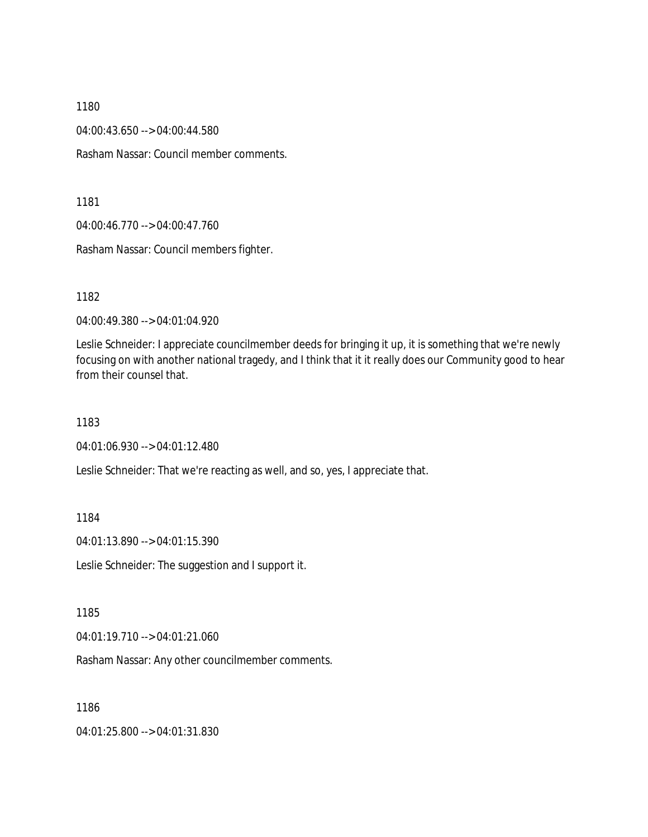04:00:43.650 --> 04:00:44.580

Rasham Nassar: Council member comments.

1181

04:00:46.770 --> 04:00:47.760

Rasham Nassar: Council members fighter.

1182

04:00:49.380 --> 04:01:04.920

Leslie Schneider: I appreciate councilmember deeds for bringing it up, it is something that we're newly focusing on with another national tragedy, and I think that it it really does our Community good to hear from their counsel that.

1183

04:01:06.930 --> 04:01:12.480

Leslie Schneider: That we're reacting as well, and so, yes, I appreciate that.

1184

04:01:13.890 --> 04:01:15.390

Leslie Schneider: The suggestion and I support it.

1185

04:01:19.710 --> 04:01:21.060

Rasham Nassar: Any other councilmember comments.

1186

04:01:25.800 --> 04:01:31.830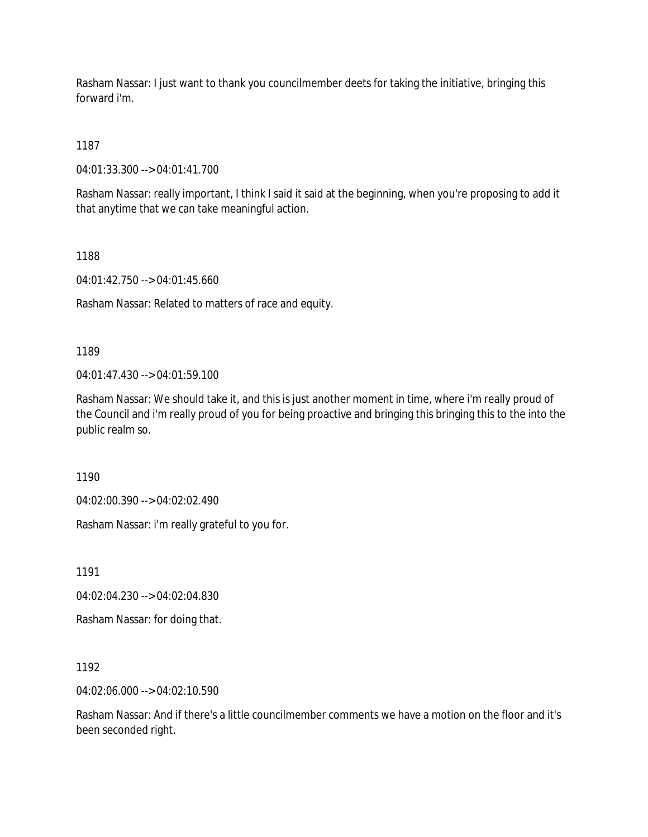Rasham Nassar: I just want to thank you councilmember deets for taking the initiative, bringing this forward i'm.

1187

04:01:33.300 --> 04:01:41.700

Rasham Nassar: really important, I think I said it said at the beginning, when you're proposing to add it that anytime that we can take meaningful action.

1188

04:01:42.750 --> 04:01:45.660

Rasham Nassar: Related to matters of race and equity.

1189

04:01:47.430 --> 04:01:59.100

Rasham Nassar: We should take it, and this is just another moment in time, where i'm really proud of the Council and i'm really proud of you for being proactive and bringing this bringing this to the into the public realm so.

1190

04:02:00.390 --> 04:02:02.490

Rasham Nassar: i'm really grateful to you for.

1191

04:02:04.230 --> 04:02:04.830

Rasham Nassar: for doing that.

1192

04:02:06.000 --> 04:02:10.590

Rasham Nassar: And if there's a little councilmember comments we have a motion on the floor and it's been seconded right.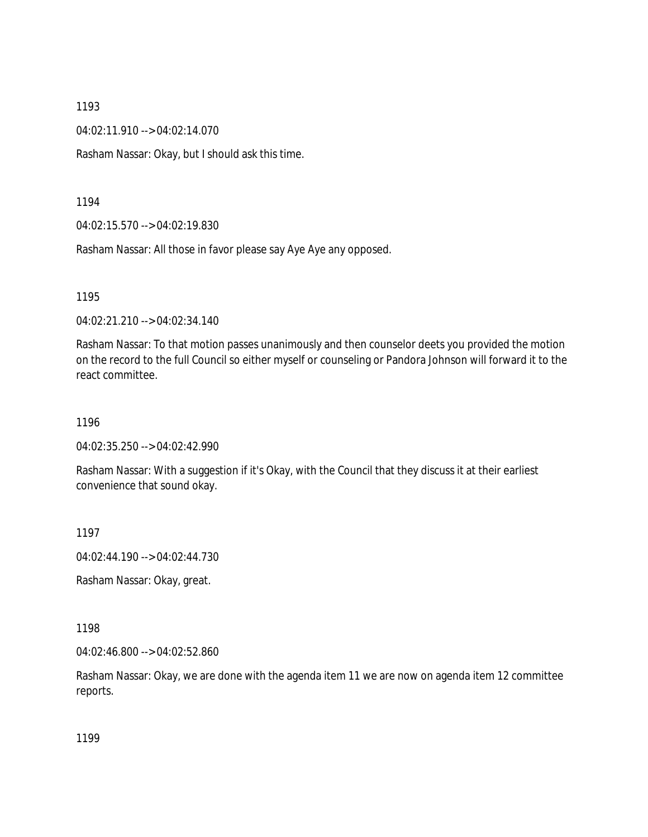04:02:11.910 --> 04:02:14.070

Rasham Nassar: Okay, but I should ask this time.

1194

04:02:15.570 --> 04:02:19.830

Rasham Nassar: All those in favor please say Aye Aye any opposed.

1195

04:02:21.210 --> 04:02:34.140

Rasham Nassar: To that motion passes unanimously and then counselor deets you provided the motion on the record to the full Council so either myself or counseling or Pandora Johnson will forward it to the react committee.

1196

04:02:35.250 --> 04:02:42.990

Rasham Nassar: With a suggestion if it's Okay, with the Council that they discuss it at their earliest convenience that sound okay.

1197

04:02:44.190 --> 04:02:44.730

Rasham Nassar: Okay, great.

1198

04:02:46.800 --> 04:02:52.860

Rasham Nassar: Okay, we are done with the agenda item 11 we are now on agenda item 12 committee reports.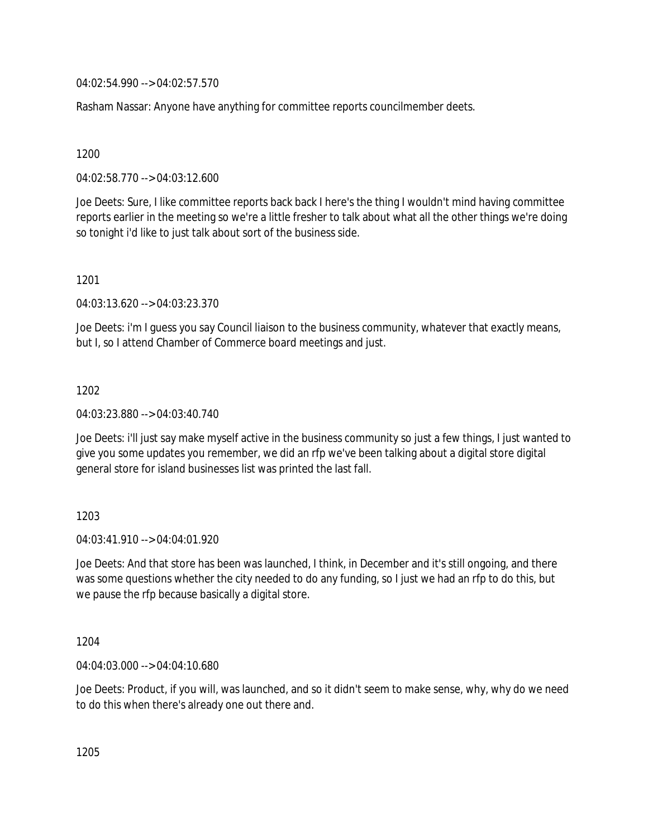04:02:54.990 --> 04:02:57.570

Rasham Nassar: Anyone have anything for committee reports councilmember deets.

## 1200

04:02:58.770 --> 04:03:12.600

Joe Deets: Sure, I like committee reports back back I here's the thing I wouldn't mind having committee reports earlier in the meeting so we're a little fresher to talk about what all the other things we're doing so tonight i'd like to just talk about sort of the business side.

## 1201

04:03:13.620 --> 04:03:23.370

Joe Deets: i'm I guess you say Council liaison to the business community, whatever that exactly means, but I, so I attend Chamber of Commerce board meetings and just.

## 1202

04:03:23.880 --> 04:03:40.740

Joe Deets: i'll just say make myself active in the business community so just a few things, I just wanted to give you some updates you remember, we did an rfp we've been talking about a digital store digital general store for island businesses list was printed the last fall.

# 1203

 $04.03.41.910 -> 04.04.01.920$ 

Joe Deets: And that store has been was launched, I think, in December and it's still ongoing, and there was some questions whether the city needed to do any funding, so I just we had an rfp to do this, but we pause the rfp because basically a digital store.

# 1204

04:04:03.000 --> 04:04:10.680

Joe Deets: Product, if you will, was launched, and so it didn't seem to make sense, why, why do we need to do this when there's already one out there and.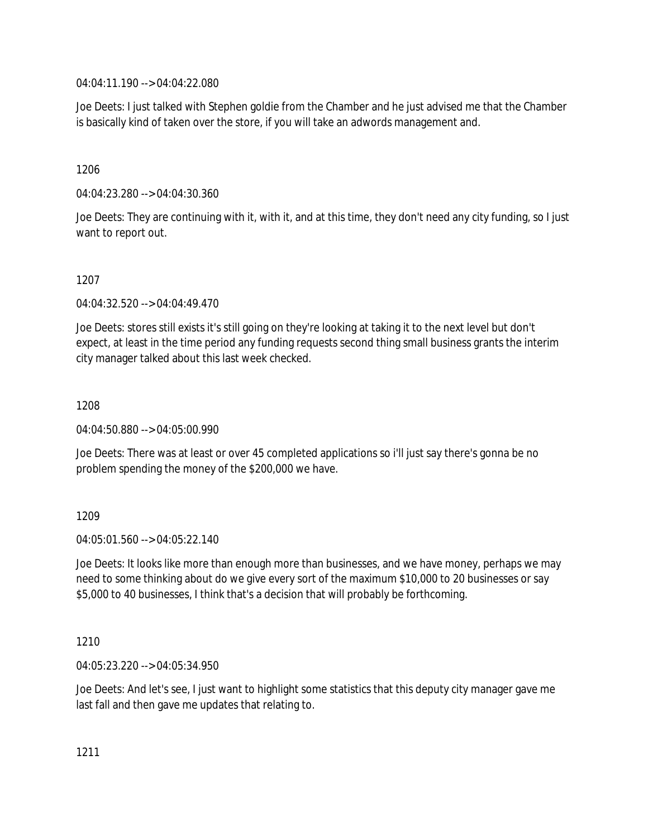04:04:11.190 --> 04:04:22.080

Joe Deets: I just talked with Stephen goldie from the Chamber and he just advised me that the Chamber is basically kind of taken over the store, if you will take an adwords management and.

1206

04:04:23.280 --> 04:04:30.360

Joe Deets: They are continuing with it, with it, and at this time, they don't need any city funding, so I just want to report out.

1207

04:04:32.520 --> 04:04:49.470

Joe Deets: stores still exists it's still going on they're looking at taking it to the next level but don't expect, at least in the time period any funding requests second thing small business grants the interim city manager talked about this last week checked.

1208

04:04:50.880 --> 04:05:00.990

Joe Deets: There was at least or over 45 completed applications so i'll just say there's gonna be no problem spending the money of the \$200,000 we have.

1209

 $04.05.01.560 -> 04.05.22.140$ 

Joe Deets: It looks like more than enough more than businesses, and we have money, perhaps we may need to some thinking about do we give every sort of the maximum \$10,000 to 20 businesses or say \$5,000 to 40 businesses, I think that's a decision that will probably be forthcoming.

1210

04:05:23.220 --> 04:05:34.950

Joe Deets: And let's see, I just want to highlight some statistics that this deputy city manager gave me last fall and then gave me updates that relating to.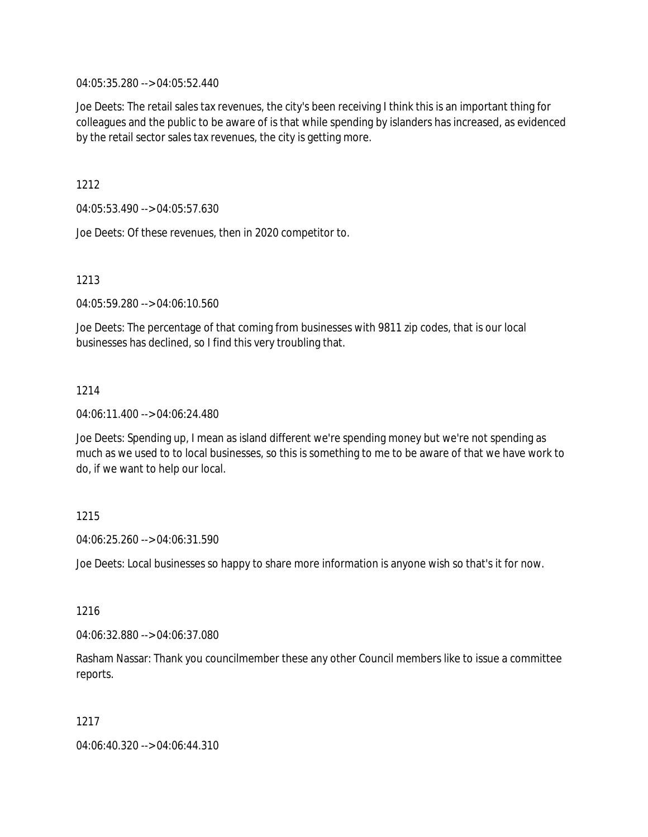04:05:35.280 --> 04:05:52.440

Joe Deets: The retail sales tax revenues, the city's been receiving I think this is an important thing for colleagues and the public to be aware of is that while spending by islanders has increased, as evidenced by the retail sector sales tax revenues, the city is getting more.

1212

04:05:53.490 --> 04:05:57.630

Joe Deets: Of these revenues, then in 2020 competitor to.

1213

04:05:59.280 --> 04:06:10.560

Joe Deets: The percentage of that coming from businesses with 9811 zip codes, that is our local businesses has declined, so I find this very troubling that.

## 1214

04:06:11.400 --> 04:06:24.480

Joe Deets: Spending up, I mean as island different we're spending money but we're not spending as much as we used to to local businesses, so this is something to me to be aware of that we have work to do, if we want to help our local.

# 1215

04:06:25.260 --> 04:06:31.590

Joe Deets: Local businesses so happy to share more information is anyone wish so that's it for now.

1216

04:06:32.880 --> 04:06:37.080

Rasham Nassar: Thank you councilmember these any other Council members like to issue a committee reports.

1217

04:06:40.320 --> 04:06:44.310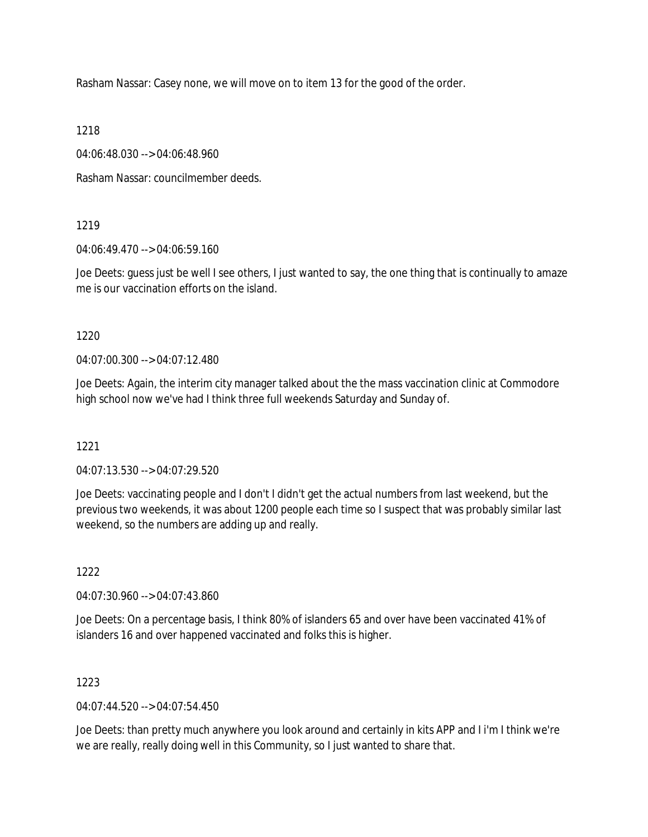Rasham Nassar: Casey none, we will move on to item 13 for the good of the order.

1218

04:06:48.030 --> 04:06:48.960

Rasham Nassar: councilmember deeds.

## 1219

04:06:49.470 --> 04:06:59.160

Joe Deets: guess just be well I see others, I just wanted to say, the one thing that is continually to amaze me is our vaccination efforts on the island.

## 1220

04:07:00.300 --> 04:07:12.480

Joe Deets: Again, the interim city manager talked about the the mass vaccination clinic at Commodore high school now we've had I think three full weekends Saturday and Sunday of.

# 1221

 $04.07.13.530 -> 04.07.29.520$ 

Joe Deets: vaccinating people and I don't I didn't get the actual numbers from last weekend, but the previous two weekends, it was about 1200 people each time so I suspect that was probably similar last weekend, so the numbers are adding up and really.

# 1222

04:07:30.960 --> 04:07:43.860

Joe Deets: On a percentage basis, I think 80% of islanders 65 and over have been vaccinated 41% of islanders 16 and over happened vaccinated and folks this is higher.

# 1223

04:07:44.520 --> 04:07:54.450

Joe Deets: than pretty much anywhere you look around and certainly in kits APP and I i'm I think we're we are really, really doing well in this Community, so I just wanted to share that.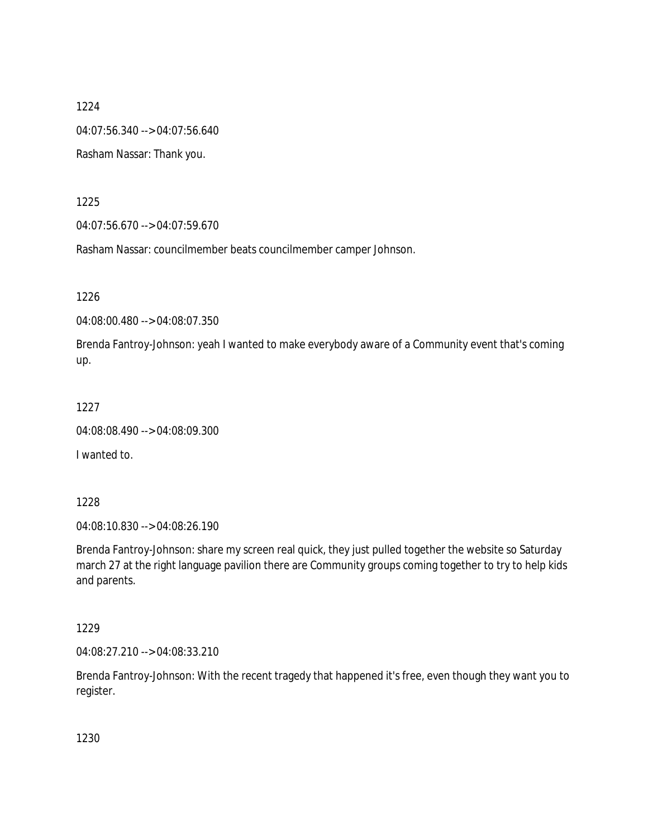04:07:56.340 --> 04:07:56.640

Rasham Nassar: Thank you.

1225

04:07:56.670 --> 04:07:59.670

Rasham Nassar: councilmember beats councilmember camper Johnson.

1226

04:08:00.480 --> 04:08:07.350

Brenda Fantroy-Johnson: yeah I wanted to make everybody aware of a Community event that's coming up.

1227

04:08:08.490 --> 04:08:09.300

I wanted to.

1228

04:08:10.830 --> 04:08:26.190

Brenda Fantroy-Johnson: share my screen real quick, they just pulled together the website so Saturday march 27 at the right language pavilion there are Community groups coming together to try to help kids and parents.

1229

04:08:27.210 --> 04:08:33.210

Brenda Fantroy-Johnson: With the recent tragedy that happened it's free, even though they want you to register.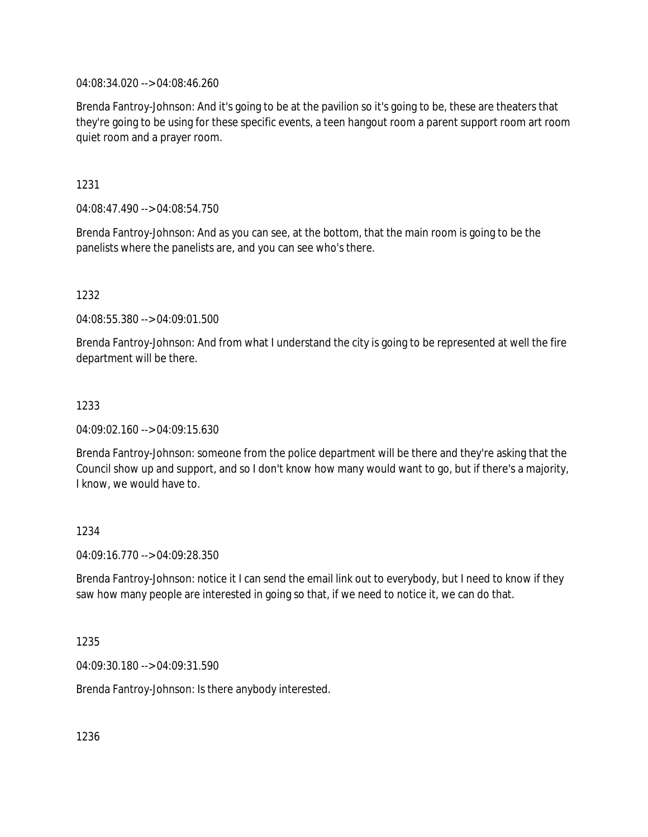04:08:34.020 --> 04:08:46.260

Brenda Fantroy-Johnson: And it's going to be at the pavilion so it's going to be, these are theaters that they're going to be using for these specific events, a teen hangout room a parent support room art room quiet room and a prayer room.

1231

04:08:47.490 --> 04:08:54.750

Brenda Fantroy-Johnson: And as you can see, at the bottom, that the main room is going to be the panelists where the panelists are, and you can see who's there.

1232

04:08:55.380 --> 04:09:01.500

Brenda Fantroy-Johnson: And from what I understand the city is going to be represented at well the fire department will be there.

## 1233

04:09:02.160 --> 04:09:15.630

Brenda Fantroy-Johnson: someone from the police department will be there and they're asking that the Council show up and support, and so I don't know how many would want to go, but if there's a majority, I know, we would have to.

### 1234

04:09:16.770 --> 04:09:28.350

Brenda Fantroy-Johnson: notice it I can send the email link out to everybody, but I need to know if they saw how many people are interested in going so that, if we need to notice it, we can do that.

### 1235

04:09:30.180 --> 04:09:31.590

Brenda Fantroy-Johnson: Is there anybody interested.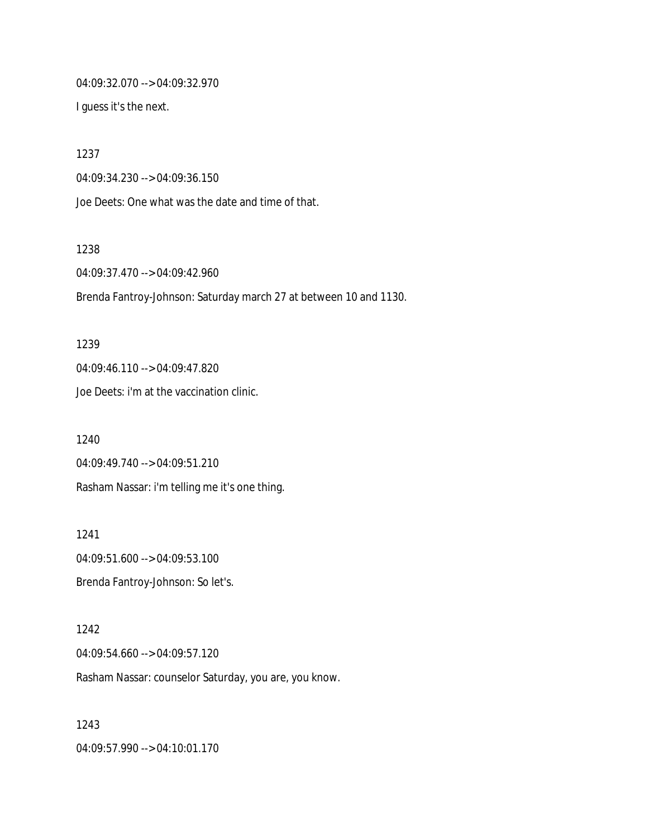04:09:32.070 --> 04:09:32.970

I guess it's the next.

1237

04:09:34.230 --> 04:09:36.150

Joe Deets: One what was the date and time of that.

1238

04:09:37.470 --> 04:09:42.960

Brenda Fantroy-Johnson: Saturday march 27 at between 10 and 1130.

1239 04:09:46.110 --> 04:09:47.820 Joe Deets: i'm at the vaccination clinic.

1240 04:09:49.740 --> 04:09:51.210 Rasham Nassar: i'm telling me it's one thing.

1241 04:09:51.600 --> 04:09:53.100 Brenda Fantroy-Johnson: So let's.

1242 04:09:54.660 --> 04:09:57.120 Rasham Nassar: counselor Saturday, you are, you know.

1243 04:09:57.990 --> 04:10:01.170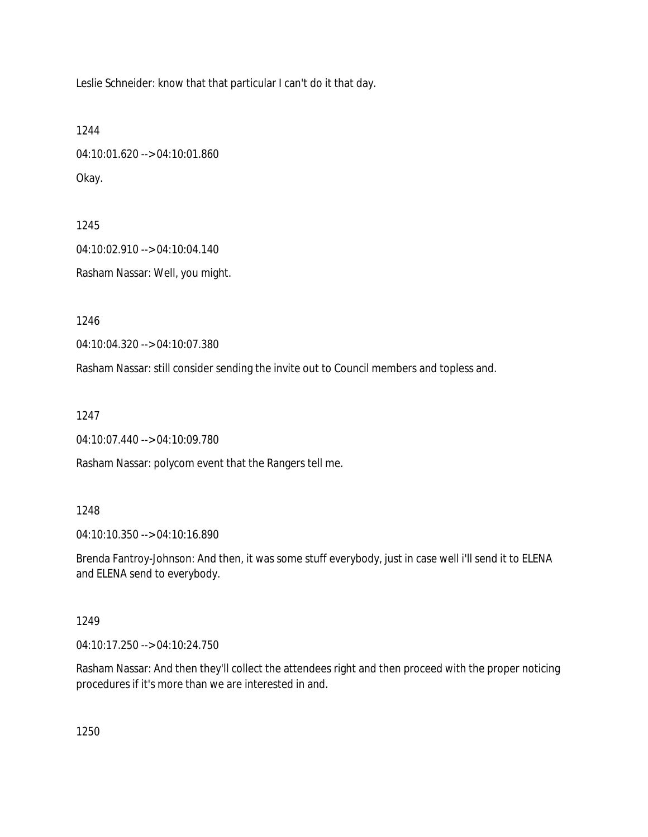Leslie Schneider: know that that particular I can't do it that day.

1244 04:10:01.620 --> 04:10:01.860 Okay.

1245 04:10:02.910 --> 04:10:04.140 Rasham Nassar: Well, you might.

1246

04:10:04.320 --> 04:10:07.380

Rasham Nassar: still consider sending the invite out to Council members and topless and.

1247

04:10:07.440 --> 04:10:09.780

Rasham Nassar: polycom event that the Rangers tell me.

### 1248

04:10:10.350 --> 04:10:16.890

Brenda Fantroy-Johnson: And then, it was some stuff everybody, just in case well i'll send it to ELENA and ELENA send to everybody.

### 1249

04:10:17.250 --> 04:10:24.750

Rasham Nassar: And then they'll collect the attendees right and then proceed with the proper noticing procedures if it's more than we are interested in and.